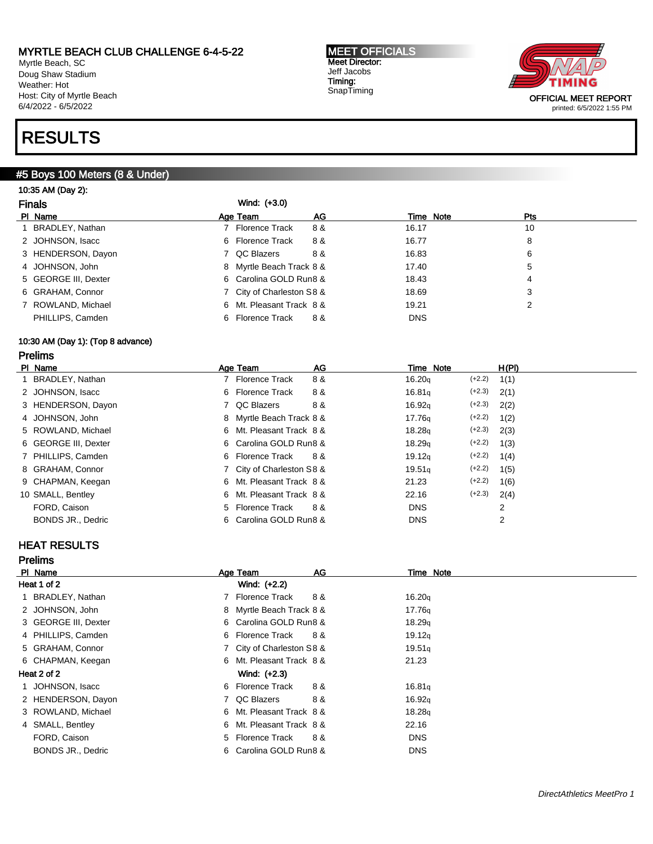Myrtle Beach, SC Doug Shaw Stadium Weather: Hot Host: City of Myrtle Beach 6/4/2022 - 6/5/2022

#### MEET OFFICIALS Meet Director: Jeff Jacobs Timing: SnapTiming



## RESULTS

## #5 Boys 100 Meters (8 & Under)

| 10:35 AM (Day 2):                 |                                              |                    |       |  |  |
|-----------------------------------|----------------------------------------------|--------------------|-------|--|--|
| <b>Finals</b>                     | Wind: (+3.0)                                 |                    |       |  |  |
| PI Name                           | Age Team<br>AG                               | <b>Time Note</b>   | Pts   |  |  |
| <b>BRADLEY, Nathan</b>            | 8 &<br>7 Florence Track                      | 16.17              | 10    |  |  |
| 2 JOHNSON, Isacc                  | <b>Florence Track</b><br>8 &<br>6            | 16.77              | 8     |  |  |
| 3 HENDERSON, Dayon                | <b>QC Blazers</b><br>8 &                     | 16.83              | 6     |  |  |
| 4 JOHNSON, John                   | Myrtle Beach Track 8 &<br>8                  | 17.40              | 5     |  |  |
| 5 GEORGE III, Dexter              | Carolina GOLD Run8 &<br>6                    | 18.43              | 4     |  |  |
| 6 GRAHAM, Connor                  | City of Charleston S8 &                      | 18.69              | 3     |  |  |
| 7 ROWLAND, Michael                | Mt. Pleasant Track 8 &<br>6                  | 19.21              | 2     |  |  |
| PHILLIPS, Camden                  | <b>Florence Track</b><br>8 &<br>6            | <b>DNS</b>         |       |  |  |
| 10:30 AM (Day 1): (Top 8 advance) |                                              |                    |       |  |  |
|                                   |                                              |                    |       |  |  |
| <b>Prelims</b>                    |                                              |                    |       |  |  |
| PI Name                           | <b>AG</b><br>Age Team                        | <b>Time Note</b>   | H(PI) |  |  |
| 1 BRADLEY, Nathan                 | <b>Florence Track</b><br>8 &<br>$\mathbf{7}$ | 16.20q<br>$(+2.2)$ | 1(1)  |  |  |
| 2 JOHNSON, Isacc                  | <b>Florence Track</b><br>8 &<br>6            | $(+2.3)$<br>16.81q | 2(1)  |  |  |
| 3 HENDERSON, Dayon                | QC Blazers<br>8 &<br>7                       | $(+2.3)$<br>16.92q | 2(2)  |  |  |
| 4 JOHNSON, John                   | Myrtle Beach Track 8 &<br>8                  | $(+2.2)$<br>17.76g | 1(2)  |  |  |
| 5 ROWLAND, Michael                | Mt. Pleasant Track 8 &<br>6                  | $(+2.3)$<br>18.28q | 2(3)  |  |  |
| 6 GEORGE III, Dexter              | Carolina GOLD Run8 &<br>6                    | $(+2.2)$<br>18.29q | 1(3)  |  |  |
| 7 PHILLIPS, Camden                | <b>Florence Track</b><br>8 &<br>6            | $(+2.2)$<br>19.12q | 1(4)  |  |  |
| 8 GRAHAM, Connor                  | City of Charleston S8 &<br>7                 | $(+2.2)$<br>19.51q | 1(5)  |  |  |
| 9 CHAPMAN, Keegan                 | Mt. Pleasant Track 8 &<br>6                  | $(+2.2)$<br>21.23  | 1(6)  |  |  |
| 10 SMALL, Bentley                 | Mt. Pleasant Track 8 &<br>6                  | $(+2.3)$<br>22.16  | 2(4)  |  |  |

## HEAT RESULTS

| <b>Prelims</b>       |                              |            |
|----------------------|------------------------------|------------|
| PI Name              | Age Team<br>AG               | Time Note  |
| Heat 1 of 2          | Wind: (+2.2)                 |            |
| BRADLEY, Nathan      | Florence Track<br>8&         | 16.20q     |
| 2 JOHNSON, John      | 8 Myrtle Beach Track 8 &     | 17.76g     |
| 3 GEORGE III, Dexter | 6 Carolina GOLD Run8 &       | 18.29q     |
| 4 PHILLIPS, Camden   | 6 Florence Track<br>8&       | 19.12q     |
| 5 GRAHAM, Connor     | 7 City of Charleston S8 &    | 19.51q     |
| 6 CHAPMAN, Keegan    | Mt. Pleasant Track 8 &<br>6. | 21.23      |
| Heat 2 of 2          | Wind: (+2.3)                 |            |
| 1 JOHNSON, Isacc     | 8&<br>6 Florence Track       | 16.81q     |
| 2 HENDERSON, Dayon   | 7 QC Blazers<br>8 &          | 16.92q     |
| 3 ROWLAND, Michael   | 6 Mt. Pleasant Track 8 &     | 18.28q     |
| 4 SMALL, Bentley     | Mt. Pleasant Track 8 &<br>6. | 22.16      |
| FORD, Caison         | 5 Florence Track<br>8&       | <b>DNS</b> |
| BONDS JR., Dedric    | Carolina GOLD Run8 &<br>6    | <b>DNS</b> |

BONDS JR., Dedric **BONDS JR., Dedric 6 Carolina GOLD Run8 & DNS** 2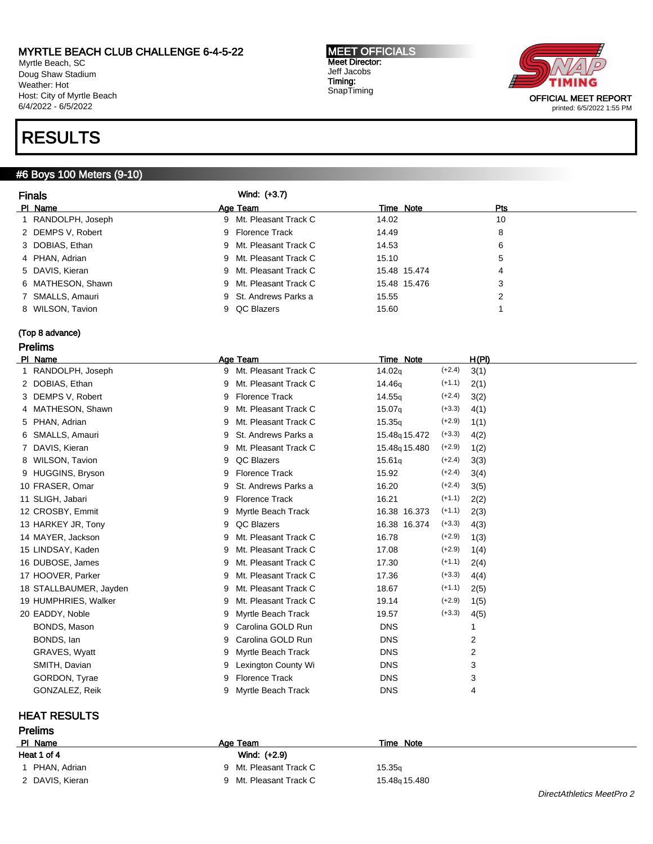Myrtle Beach, SC Doug Shaw Stadium Weather: Hot Host: City of Myrtle Beach 6/4/2022 - 6/5/2022

## RESULTS

## #6 Boys 100 Meters (9-10)

Finals Wind: (+3.7) Pl Name Age Team Time Note Pts 1 RANDOLPH, Joseph 10 9 Mt. Pleasant Track C 14.02 10 2 DEMPS V, Robert 14.49 8 Plorence Track 14.49 3 DOBIAS, Ethan 9 Mt. Pleasant Track C 14.53 6 4 PHAN, Adrian 19 Mt. Pleasant Track C 15.10 5 5 DAVIS, Kieran 9 Mt. Pleasant Track C 15.48 15.474 4 6 MATHESON, Shawn 9 Mt. Pleasant Track C 15.48 15.476 3 7 SMALLS, Amauri 9 St. Andrews Parks a 15.55 2 8 WILSON, Tavion 9 QC Blazers 15.60 1

#### (Top 8 advance)

| <b>Prelims</b>         |                            |                                       |       |
|------------------------|----------------------------|---------------------------------------|-------|
| PI Name                | Age Team                   | Time Note                             | H(PI) |
| 1 RANDOLPH, Joseph     | Mt. Pleasant Track C<br>9  | $(+2.4)$<br>14.02q                    | 3(1)  |
| 2 DOBIAS, Ethan        | Mt. Pleasant Track C<br>9  | $(+1.1)$<br>14.46g                    | 2(1)  |
| 3 DEMPS V, Robert      | <b>Florence Track</b><br>9 | $(+2.4)$<br>14.55q                    | 3(2)  |
| 4 MATHESON, Shawn      | Mt. Pleasant Track C<br>9  | $(+3.3)$<br>15.07 <sub>q</sub>        | 4(1)  |
| 5 PHAN, Adrian         | Mt. Pleasant Track C<br>9  | $(+2.9)$<br>15.35q                    | 1(1)  |
| 6 SMALLS, Amauri       | St. Andrews Parks a<br>9   | $(+3.3)$<br>15.48 <sub>9</sub> 15.472 | 4(2)  |
| 7 DAVIS, Kieran        | Mt. Pleasant Track C<br>9  | $(+2.9)$<br>15.48 <sub>9</sub> 15.480 | 1(2)  |
| 8 WILSON, Tavion       | <b>QC Blazers</b><br>9     | $(+2.4)$<br>15.61q                    | 3(3)  |
| 9 HUGGINS, Bryson      | <b>Florence Track</b><br>9 | $(+2.4)$<br>15.92                     | 3(4)  |
| 10 FRASER, Omar        | St. Andrews Parks a<br>9   | $(+2.4)$<br>16.20                     | 3(5)  |
| 11 SLIGH, Jabari       | <b>Florence Track</b><br>9 | $(+1.1)$<br>16.21                     | 2(2)  |
| 12 CROSBY, Emmit       | Myrtle Beach Track<br>9    | $(+1.1)$<br>16.38 16.373              | 2(3)  |
| 13 HARKEY JR, Tony     | QC Blazers<br>9            | $(+3.3)$<br>16.38 16.374              | 4(3)  |
| 14 MAYER, Jackson      | Mt. Pleasant Track C<br>9  | $(+2.9)$<br>16.78                     | 1(3)  |
| 15 LINDSAY, Kaden      | Mt. Pleasant Track C<br>9  | $(+2.9)$<br>17.08                     | 1(4)  |
| 16 DUBOSE, James       | Mt. Pleasant Track C<br>9  | $(+1.1)$<br>17.30                     | 2(4)  |
| 17 HOOVER, Parker      | Mt. Pleasant Track C<br>9  | $(+3.3)$<br>17.36                     | 4(4)  |
| 18 STALLBAUMER, Jayden | Mt. Pleasant Track C<br>9  | $(+1.1)$<br>18.67                     | 2(5)  |
| 19 HUMPHRIES, Walker   | Mt. Pleasant Track C<br>9  | $(+2.9)$<br>19.14                     | 1(5)  |
| 20 EADDY, Noble        | Myrtle Beach Track<br>9    | $(+3.3)$<br>19.57                     | 4(5)  |
| BONDS, Mason           | Carolina GOLD Run<br>9     | <b>DNS</b>                            | 1     |
| BONDS, lan             | Carolina GOLD Run<br>9     | <b>DNS</b>                            | 2     |
| <b>GRAVES, Wyatt</b>   | Myrtle Beach Track<br>9    | <b>DNS</b>                            | 2     |
| SMITH, Davian          | Lexington County Wi<br>9   | <b>DNS</b>                            | 3     |
| GORDON, Tyrae          | <b>Florence Track</b><br>9 | <b>DNS</b>                            | 3     |
| GONZALEZ, Reik         | Myrtle Beach Track<br>9    | <b>DNS</b>                            | 4     |

### HEAT RESULTS

| <b>Prelims</b>  |                        |                           |                           |
|-----------------|------------------------|---------------------------|---------------------------|
| PI Name         | Age Team               | Time Note                 |                           |
| Heat 1 of 4     | Wind: (+2.9)           |                           |                           |
| 1 PHAN, Adrian  | 9 Mt. Pleasant Track C | 15.35q                    |                           |
| 2 DAVIS, Kieran | 9 Mt. Pleasant Track C | 15.48 <sub>9</sub> 15.480 |                           |
|                 |                        |                           | DirectAthletics MeetPro 2 |

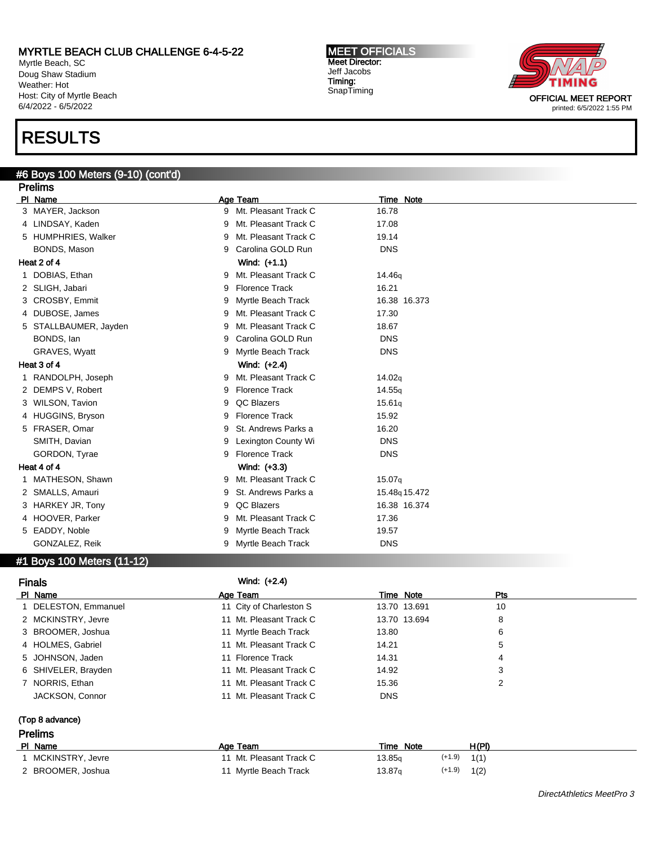Myrtle Beach, SC Doug Shaw Stadium Weather: Hot Host: City of Myrtle Beach 6/4/2022 - 6/5/2022

#### MEET OFFICIALS Meet Director: Jeff Jacobs Timing: SnapTiming



## RESULTS

#### #6 Boys 100 Meters (9-10) (cont'd) Prelims

| Prelims |                       |   |                       |                           |
|---------|-----------------------|---|-----------------------|---------------------------|
|         | PI Name               |   | Age Team              | <b>Time Note</b>          |
|         | 3 MAYER, Jackson      | 9 | Mt. Pleasant Track C  | 16.78                     |
|         | 4 LINDSAY, Kaden      | 9 | Mt. Pleasant Track C  | 17.08                     |
|         | 5 HUMPHRIES, Walker   | 9 | Mt. Pleasant Track C  | 19.14                     |
|         | BONDS, Mason          | 9 | Carolina GOLD Run     | <b>DNS</b>                |
|         | Heat 2 of 4           |   | Wind: (+1.1)          |                           |
|         | 1 DOBIAS, Ethan       | 9 | Mt. Pleasant Track C  | 14.46g                    |
|         | 2 SLIGH, Jabari       | 9 | <b>Florence Track</b> | 16.21                     |
|         | 3 CROSBY, Emmit       | 9 | Myrtle Beach Track    | 16.38 16.373              |
|         | 4 DUBOSE, James       | 9 | Mt. Pleasant Track C  | 17.30                     |
|         | 5 STALLBAUMER, Jayden | 9 | Mt. Pleasant Track C  | 18.67                     |
|         | BONDS, Ian            | 9 | Carolina GOLD Run     | <b>DNS</b>                |
|         | <b>GRAVES, Wyatt</b>  | 9 | Myrtle Beach Track    | <b>DNS</b>                |
|         | Heat 3 of 4           |   | Wind: (+2.4)          |                           |
| 1       | RANDOLPH, Joseph      | 9 | Mt. Pleasant Track C  | 14.02q                    |
|         | 2 DEMPS V, Robert     | 9 | <b>Florence Track</b> | 14.55q                    |
|         | 3 WILSON, Tavion      | 9 | QC Blazers            | 15.61q                    |
|         | 4 HUGGINS, Bryson     | 9 | <b>Florence Track</b> | 15.92                     |
|         | 5 FRASER, Omar        | 9 | St. Andrews Parks a   | 16.20                     |
|         | SMITH, Davian         | 9 | Lexington County Wi   | <b>DNS</b>                |
|         | <b>GORDON, Tyrae</b>  | 9 | <b>Florence Track</b> | <b>DNS</b>                |
|         | Heat 4 of 4           |   | Wind: (+3.3)          |                           |
|         | 1 MATHESON, Shawn     | 9 | Mt. Pleasant Track C  | 15.07q                    |
|         | 2 SMALLS, Amauri      | 9 | St. Andrews Parks a   | 15.48 <sub>9</sub> 15.472 |
|         | 3 HARKEY JR, Tony     | 9 | QC Blazers            | 16.38 16.374              |
|         | 4 HOOVER, Parker      | 9 | Mt. Pleasant Track C  | 17.36                     |
|         | 5 EADDY, Noble        | 9 | Myrtle Beach Track    | 19.57                     |
|         | GONZALEZ, Reik        | 9 | Myrtle Beach Track    | <b>DNS</b>                |
|         |                       |   |                       |                           |

## #1 Boys 100 Meters (11-12)

| <b>Finals</b>        | Wind: (+2.4)            |                    |       |
|----------------------|-------------------------|--------------------|-------|
| PI Name              | Age Team                | Time Note          | Pts   |
| 1 DELESTON, Emmanuel | 11 City of Charleston S | 13.70 13.691       | 10    |
| 2 MCKINSTRY, Jevre   | 11 Mt. Pleasant Track C | 13.70 13.694       | 8     |
| 3 BROOMER, Joshua    | 11 Myrtle Beach Track   | 13.80              | 6     |
| 4 HOLMES, Gabriel    | 11 Mt. Pleasant Track C | 14.21              | 5     |
| 5 JOHNSON, Jaden     | 11 Florence Track       | 14.31              | 4     |
| 6 SHIVELER, Brayden  | 11 Mt. Pleasant Track C | 14.92              | 3     |
| 7 NORRIS, Ethan      | 11 Mt. Pleasant Track C | 15.36              | 2     |
| JACKSON, Connor      | 11 Mt. Pleasant Track C | <b>DNS</b>         |       |
| (Top 8 advance)      |                         |                    |       |
| <b>Prelims</b>       |                         |                    |       |
| PI Name              | Age Team                | Time Note          | H(PI) |
| 1 MCKINSTRY, Jevre   | 11 Mt. Pleasant Track C | $(+1.9)$<br>13.85q | 1(1)  |
| 2 BROOMER, Joshua    | 11 Myrtle Beach Track   | $(+1.9)$<br>13.87q | 1(2)  |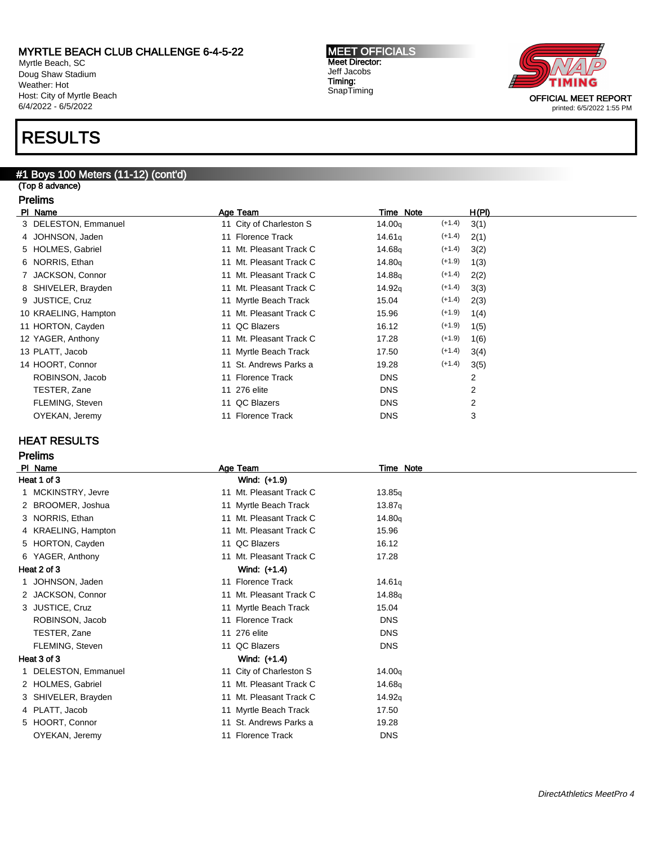Myrtle Beach, SC Doug Shaw Stadium Weather: Hot Host: City of Myrtle Beach 6/4/2022 - 6/5/2022

## RESULTS

## #1 Boys 100 Meters (11-12) (cont'd)

(Top 8 advance) Prelims

| Name<br><b>PI</b>      | Age Team                | Time Note                      | H(PI) |
|------------------------|-------------------------|--------------------------------|-------|
| 3 DELESTON, Emmanuel   | 11 City of Charleston S | $(+1.4)$<br>14.00q             | 3(1)  |
| 4 JOHNSON, Jaden       | 11 Florence Track       | $(+1.4)$<br>14.61 <sub>g</sub> | 2(1)  |
| 5 HOLMES, Gabriel      | 11 Mt. Pleasant Track C | $(+1.4)$<br>14.68 <sub>g</sub> | 3(2)  |
| 6 NORRIS, Ethan        | 11 Mt. Pleasant Track C | $(+1.9)$<br>14.80q             | 1(3)  |
| JACKSON, Connor        | 11 Mt. Pleasant Track C | $(+1.4)$<br>14.88 <sub>9</sub> | 2(2)  |
| 8 SHIVELER, Brayden    | 11 Mt. Pleasant Track C | $(+1.4)$<br>14.92q             | 3(3)  |
| 9 JUSTICE, Cruz        | 11 Myrtle Beach Track   | $(+1.4)$<br>15.04              | 2(3)  |
| 10 KRAELING, Hampton   | 11 Mt. Pleasant Track C | $(+1.9)$<br>15.96              | 1(4)  |
| 11 HORTON, Cayden      | 11 QC Blazers           | $(+1.9)$<br>16.12              | 1(5)  |
| 12 YAGER, Anthony      | 11 Mt. Pleasant Track C | $(+1.9)$<br>17.28              | 1(6)  |
| 13 PLATT, Jacob        | 11 Myrtle Beach Track   | $(+1.4)$<br>17.50              | 3(4)  |
| 14 HOORT, Connor       | 11 St. Andrews Parks a  | $(+1.4)$<br>19.28              | 3(5)  |
| ROBINSON, Jacob        | 11 Florence Track       | <b>DNS</b>                     | 2     |
| TESTER, Zane           | 11 276 elite            | <b>DNS</b>                     | 2     |
| <b>FLEMING, Steven</b> | 11 QC Blazers           | <b>DNS</b>                     | 2     |
| OYEKAN, Jeremy         | 11 Florence Track       | <b>DNS</b>                     | 3     |

## HEAT RESULTS

Prelims

| PI Name              | Age Team                | Time Note          |
|----------------------|-------------------------|--------------------|
| Heat 1 of 3          | Wind: (+1.9)            |                    |
| 1 MCKINSTRY, Jevre   | 11 Mt. Pleasant Track C | 13.85q             |
| 2 BROOMER, Joshua    | 11 Myrtle Beach Track   | 13.87q             |
| 3 NORRIS, Ethan      | 11 Mt. Pleasant Track C | 14.80 <sub>q</sub> |
| 4 KRAELING, Hampton  | 11 Mt. Pleasant Track C | 15.96              |
| 5 HORTON, Cayden     | 11 QC Blazers           | 16.12              |
| 6 YAGER, Anthony     | 11 Mt. Pleasant Track C | 17.28              |
| Heat 2 of 3          | Wind: (+1.4)            |                    |
| 1 JOHNSON, Jaden     | 11 Florence Track       | 14.61 <sub>q</sub> |
| 2 JACKSON, Connor    | 11 Mt. Pleasant Track C | 14.88q             |
| 3 JUSTICE, Cruz      | 11 Myrtle Beach Track   | 15.04              |
| ROBINSON, Jacob      | 11 Florence Track       | <b>DNS</b>         |
| TESTER, Zane         | 11 276 elite            | <b>DNS</b>         |
| FLEMING, Steven      | 11 QC Blazers           | <b>DNS</b>         |
| Heat 3 of 3          | Wind: (+1.4)            |                    |
| 1 DELESTON, Emmanuel | 11 City of Charleston S | 14.00 <sub>q</sub> |
| 2 HOLMES, Gabriel    | 11 Mt. Pleasant Track C | 14.68 <sub>g</sub> |
| 3 SHIVELER, Brayden  | 11 Mt. Pleasant Track C | 14.92 <sub>q</sub> |
| 4 PLATT, Jacob       | 11 Myrtle Beach Track   | 17.50              |
| 5 HOORT, Connor      | 11 St. Andrews Parks a  | 19.28              |
| OYEKAN, Jeremy       | 11 Florence Track       | <b>DNS</b>         |
|                      |                         |                    |

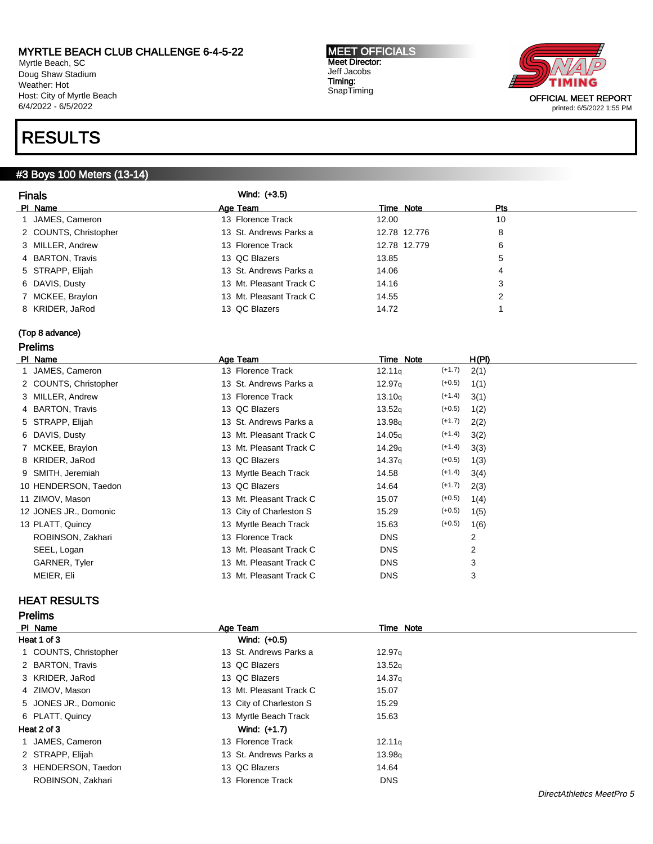Myrtle Beach, SC Doug Shaw Stadium Weather: Hot Host: City of Myrtle Beach 6/4/2022 - 6/5/2022

## RESULTS

## #3 Boys 100 Meters (13-14)

## Finals Wind: (+3.5) Pl Name Age Team Time Note Pts 1 JAMES, Cameron 13 Florence Track 12.00 10 2 COUNTS, Christopher 13 St. Andrews Parks a 12.78 12.776 8 3 MILLER, Andrew 13 Florence Track 12.78 12.779 6 4 BARTON, Travis 13 CO Blazers 13 CO Blazers 13.85 5 5 STRAPP, Elijah 13 St. Andrews Parks a 14.06 4 6 DAVIS, Dusty 13 Mt. Pleasant Track C 14.16 3 7 MCKEE, Braylon 2 2 8 KRIDER, JaRod 13 QC Blazers 14.72 15 14.72 15 14.72 15 15

#### (Top 8 advance)

## Prelims

| PI Name               | Age Team                | <b>Time Note</b>   |          | H(PI) |
|-----------------------|-------------------------|--------------------|----------|-------|
| JAMES, Cameron        | 13 Florence Track       | 12.11 <sub>q</sub> | $(+1.7)$ | 2(1)  |
| 2 COUNTS, Christopher | 13 St. Andrews Parks a  | $(+0.5)$<br>12.97q |          | 1(1)  |
| 3 MILLER, Andrew      | 13 Florence Track       | 13.10q             | $(+1.4)$ | 3(1)  |
| 4 BARTON, Travis      | 13 QC Blazers           | 13.52q             | $(+0.5)$ | 1(2)  |
| 5 STRAPP, Elijah      | 13 St. Andrews Parks a  | 13.98q             | $(+1.7)$ | 2(2)  |
| 6 DAVIS, Dusty        | 13 Mt. Pleasant Track C | 14.05 <sub>a</sub> | $(+1.4)$ | 3(2)  |
| 7 MCKEE, Braylon      | 13 Mt. Pleasant Track C | 14.29q             | $(+1.4)$ | 3(3)  |
| 8 KRIDER, JaRod       | 13 QC Blazers           | 14.37 <sub>q</sub> | $(+0.5)$ | 1(3)  |
| 9 SMITH, Jeremiah     | 13 Myrtle Beach Track   | 14.58              | $(+1.4)$ | 3(4)  |
| 10 HENDERSON, Taedon  | 13 QC Blazers           | 14.64              | $(+1.7)$ | 2(3)  |
| 11 ZIMOV, Mason       | 13 Mt. Pleasant Track C | 15.07              | $(+0.5)$ | 1(4)  |
| 12 JONES JR., Domonic | 13 City of Charleston S | 15.29              | $(+0.5)$ | 1(5)  |
| 13 PLATT, Quincy      | 13 Myrtle Beach Track   | 15.63              | $(+0.5)$ | 1(6)  |
| ROBINSON, Zakhari     | 13 Florence Track       | <b>DNS</b>         | 2        |       |
| SEEL, Logan           | 13 Mt. Pleasant Track C | <b>DNS</b>         | 2        |       |
| GARNER, Tyler         | 13 Mt. Pleasant Track C | <b>DNS</b>         | 3        |       |
| MEIER, Eli            | 13 Mt. Pleasant Track C | <b>DNS</b>         | 3        |       |
|                       |                         |                    |          |       |

## HEAT RESULTS

### Prelims

| PI Name               | Age Team                | Time Note          |  |
|-----------------------|-------------------------|--------------------|--|
| Heat 1 of 3           | Wind: (+0.5)            |                    |  |
| 1 COUNTS, Christopher | 13 St. Andrews Parks a  | 12.97q             |  |
| 2 BARTON, Travis      | 13 QC Blazers           | 13.52q             |  |
| 3 KRIDER, JaRod       | 13 QC Blazers           | 14.37 <sub>q</sub> |  |
| 4 ZIMOV. Mason        | 13 Mt. Pleasant Track C | 15.07              |  |
| 5 JONES JR., Domonic  | 13 City of Charleston S | 15.29              |  |
| 6 PLATT, Quincy       | 13 Myrtle Beach Track   | 15.63              |  |
| Heat 2 of 3           | Wind: (+1.7)            |                    |  |
| 1 JAMES, Cameron      | 13 Florence Track       | 12.11q             |  |
| 2 STRAPP, Elijah      | 13 St. Andrews Parks a  | 13.98q             |  |
| 3 HENDERSON, Taedon   | 13 QC Blazers           | 14.64              |  |
| ROBINSON, Zakhari     | 13 Florence Track       | <b>DNS</b>         |  |

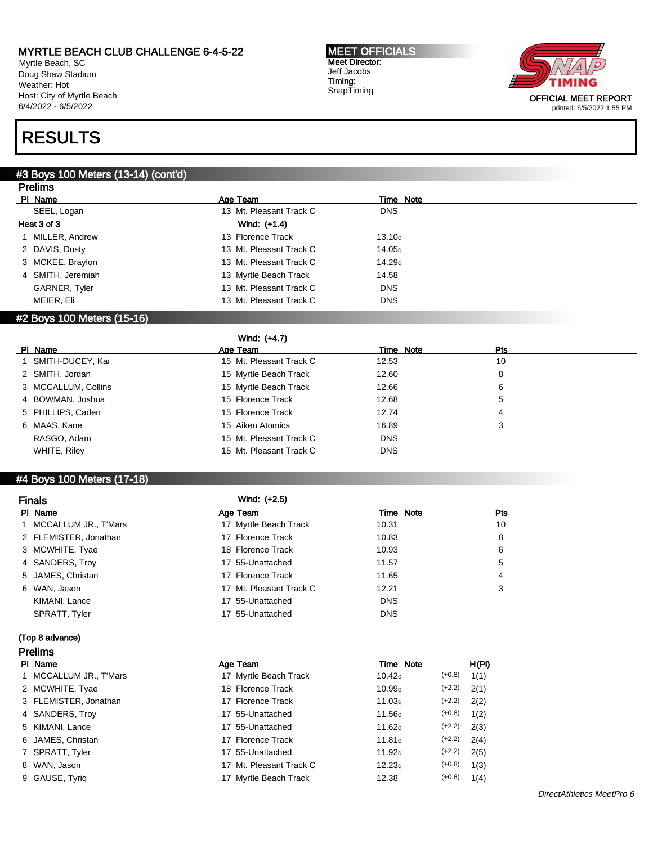Myrtle Beach, SC Doug Shaw Stadium Weather: Hot Host: City of Myrtle Beach 6/4/2022 - 6/5/2022

#### MEET OFFICIALS Meet Director: Jeff Jacobs Timing: SnapTiming



## RESULTS

#### #3 Boys 100 Meters (13-14) (cont'd) Prelims

| <b>FIGIIIIS</b>   |                         |                    |  |
|-------------------|-------------------------|--------------------|--|
| PI Name           | Age Team                | <b>Time Note</b>   |  |
| SEEL, Logan       | 13 Mt. Pleasant Track C | <b>DNS</b>         |  |
| Heat 3 of 3       | Wind: (+1.4)            |                    |  |
| MILLER, Andrew    | 13 Florence Track       | 13.10 <sub>q</sub> |  |
| 2 DAVIS, Dusty    | 13 Mt. Pleasant Track C | 14.05g             |  |
| 3 MCKEE, Braylon  | 13 Mt. Pleasant Track C | 14.29q             |  |
| 4 SMITH, Jeremiah | 13 Myrtle Beach Track   | 14.58              |  |
| GARNER, Tyler     | 13 Mt. Pleasant Track C | <b>DNS</b>         |  |
| MEIER, Eli        | 13 Mt. Pleasant Track C | <b>DNS</b>         |  |
| .                 |                         |                    |  |

## #2 Boys 100 Meters (15-16)

|                     | Wind: (+4.7)            |            |     |  |
|---------------------|-------------------------|------------|-----|--|
| PI Name             | Age Team                | Time Note  | Pts |  |
| 1 SMITH-DUCEY, Kai  | 15 Mt. Pleasant Track C | 12.53      | 10  |  |
| 2 SMITH, Jordan     | 15 Myrtle Beach Track   | 12.60      | 8   |  |
| 3 MCCALLUM, Collins | 15 Myrtle Beach Track   | 12.66      | 6   |  |
| 4 BOWMAN, Joshua    | 15 Florence Track       | 12.68      | 5   |  |
| 5 PHILLIPS, Caden   | 15 Florence Track       | 12.74      | 4   |  |
| 6 MAAS, Kane        | 15 Aiken Atomics        | 16.89      | 3   |  |
| RASGO, Adam         | 15 Mt. Pleasant Track C | <b>DNS</b> |     |  |
| WHITE, Riley        | 15 Mt. Pleasant Track C | <b>DNS</b> |     |  |
|                     |                         |            |     |  |

## #4 Boys 100 Meters (17-18)

| <b>Finals</b>          | Wind: (+2.5)            |            |            |
|------------------------|-------------------------|------------|------------|
| PI Name                | Age Team                | Time Note  | <b>Pts</b> |
| 1 MCCALLUM JR., T'Mars | 17 Myrtle Beach Track   | 10.31      | 10         |
| 2 FLEMISTER, Jonathan  | 17 Florence Track       | 10.83      | 8          |
| 3 MCWHITE, Tyae        | 18 Florence Track       | 10.93      | 6          |
| 4 SANDERS, Troy        | 17 55-Unattached        | 11.57      | 5          |
| 5 JAMES, Christan      | 17 Florence Track       | 11.65      | 4          |
| 6 WAN, Jason           | 17 Mt. Pleasant Track C | 12.21      | 3          |
| KIMANI, Lance          | 17 55-Unattached        | <b>DNS</b> |            |
| SPRATT, Tyler          | 17 55-Unattached        | <b>DNS</b> |            |

#### (Top 8 advance) Prelims

| .                      |                         |                    |                  |  |
|------------------------|-------------------------|--------------------|------------------|--|
| PI Name                | Age Team                | Time Note          | H(PI)            |  |
| 1 MCCALLUM JR., T'Mars | 17 Myrtle Beach Track   | 10.42 <sub>g</sub> | $(+0.8)$<br>1(1) |  |
| 2 MCWHITE, Tyae        | 18 Florence Track       | 10.99 <sub>a</sub> | $(+2.2)$<br>2(1) |  |
| 3 FLEMISTER, Jonathan  | 17 Florence Track       | 11.03 <sub>a</sub> | $(+2.2)$<br>2(2) |  |
| 4 SANDERS, Troy        | 17 55-Unattached        | 11.56g             | $(+0.8)$<br>1(2) |  |
| 5 KIMANI, Lance        | 17 55-Unattached        | 11.62 <sub>g</sub> | $(+2.2)$<br>2(3) |  |
| 6 JAMES, Christan      | 17 Florence Track       | 11.81 <sub>g</sub> | $(+2.2)$<br>2(4) |  |
| 7 SPRATT, Tyler        | 17 55-Unattached        | 11.92 <sub>g</sub> | $(+2.2)$<br>2(5) |  |
| 8 WAN, Jason           | 17 Mt. Pleasant Track C | 12.23q             | $(+0.8)$<br>1(3) |  |
| 9 GAUSE, Tyrig         | 17 Myrtle Beach Track   | 12.38              | $(+0.8)$<br>1(4) |  |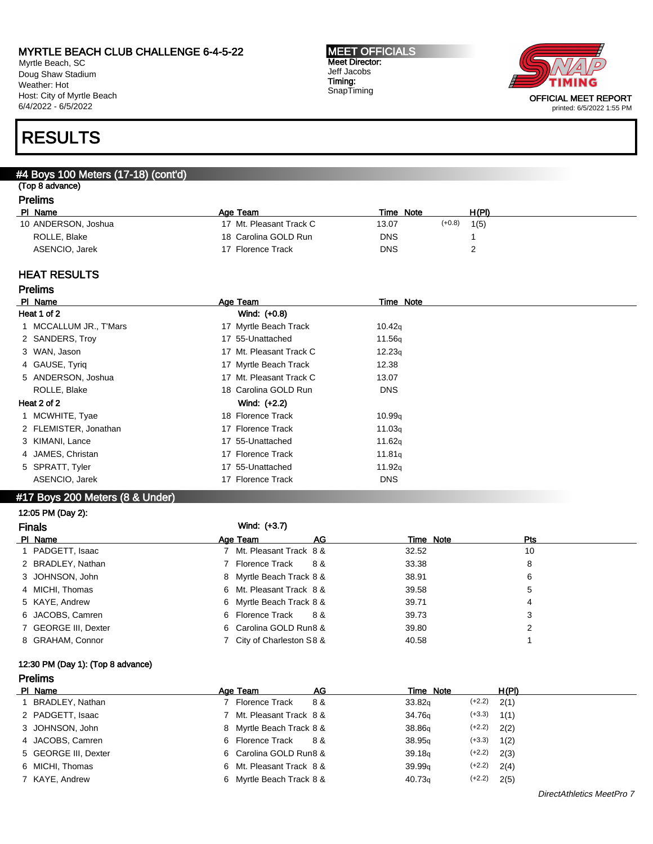Myrtle Beach, SC Doug Shaw Stadium Weather: Hot Host: City of Myrtle Beach 6/4/2022 - 6/5/2022

#### MEET OFFICIALS Meet Director: Jeff Jacobs Timing: SnapTiming



## RESULTS

## #4 Boys 100 Meters (17-18) (cont'd)

### (Top 8 advance) Prelims

| PI Name             | Age Team                | Time Note  | H(PI)            |
|---------------------|-------------------------|------------|------------------|
| 10 ANDERSON, Joshua | 17 Mt. Pleasant Track C | 13.07      | $(+0.8)$<br>1(5) |
| ROLLE, Blake        | 18 Carolina GOLD Run    | <b>DNS</b> |                  |
| ASENCIO, Jarek      | 17 Florence Track       | <b>DNS</b> |                  |

## HEAT RESULTS

## Prelims

| PI Name                | Age Team                | Time Note          |  |
|------------------------|-------------------------|--------------------|--|
| Heat 1 of 2            | Wind: (+0.8)            |                    |  |
| 1 MCCALLUM JR., T'Mars | 17 Myrtle Beach Track   | 10.42 <sub>q</sub> |  |
| 2 SANDERS, Troy        | 17 55-Unattached        | 11.56g             |  |
| 3 WAN, Jason           | 17 Mt. Pleasant Track C | 12.23q             |  |
| 4 GAUSE, Tyrig         | 17 Myrtle Beach Track   | 12.38              |  |
| 5 ANDERSON, Joshua     | 17 Mt. Pleasant Track C | 13.07              |  |
| ROLLE, Blake           | 18 Carolina GOLD Run    | <b>DNS</b>         |  |
| Heat 2 of 2            | Wind: (+2.2)            |                    |  |
| 1 MCWHITE, Tyae        | 18 Florence Track       | 10.99q             |  |
| 2 FLEMISTER, Jonathan  | 17 Florence Track       | 11.03q             |  |
| 3 KIMANI, Lance        | 17 55-Unattached        | 11.62q             |  |
| 4 JAMES, Christan      | 17 Florence Track       | 11.81q             |  |
| 5 SPRATT, Tyler        | 17 55-Unattached        | 11.92 <sub>g</sub> |  |
| ASENCIO, Jarek         | 17 Florence Track       | <b>DNS</b>         |  |

## #17 Boys 200 Meters (8 & Under)

| 12:05 PM (Day 2): |  |  |
|-------------------|--|--|
|-------------------|--|--|

### Finals Wind: (+3.7) Pl Name Age Team AG Time Note Pts 1 PADGETT, Isaac 7 Mt. Pleasant Track 8 & 32.52 10 2 BRADLEY, Nathan **2 BRADLEY, Nathan 1 1 7** Florence Track 8 & 33.38 8 8 3 JOHNSON, John 6 6 and 50 and 50 and 50 and 50 and 50 and 50 and 50 and 50 and 50 and 50 and 50 and 50 and 50 and 50 and 50 and 50 and 50 and 50 and 50 and 50 and 50 and 50 and 50 and 50 and 50 and 50 and 50 and 50 and 50 4 MICHI, Thomas 6 Mt. Pleasant Track 8 & 39.58 5 5 KAYE, Andrew 6 Myrtle Beach Track 8 & 39.71 4 6 JACOBS, Camren 6 Florence Track 8 & 39.73 3 7 GEORGE III, Dexter 6 Carolina GOLD Run8 & 39.80 2

8 GRAHAM, Connor 7 City of Charleston S8 & 40.58 1

#### 12:30 PM (Day 1): (Top 8 advance)

#### Prelims

| PI Name              | Age Team                 | AG | Time Note          |               | H(PI) |
|----------------------|--------------------------|----|--------------------|---------------|-------|
| 1 BRADLEY, Nathan    | 7 Florence Track         | 8& | 33.82q             | $(+2.2)$ 2(1) |       |
| 2 PADGETT, Isaac     | 7 Mt. Pleasant Track 8 & |    | 34.76 <sub>g</sub> | $(+3.3)$      | 1(1)  |
| 3 JOHNSON, John      | 8 Myrtle Beach Track 8 & |    | 38.86 <sub>g</sub> | $(+2.2)$      | 2(2)  |
| 4 JACOBS, Camren     | 6 Florence Track         | 8& | 38.95 <sub>a</sub> | $(+3.3)$      | 1(2)  |
| 5 GEORGE III, Dexter | 6 Carolina GOLD Run8 &   |    | 39.18q             | $(+2.2)$      | 2(3)  |
| 6 MICHI, Thomas      | 6 Mt. Pleasant Track 8 & |    | 39.99q             | $(+2.2)$      | 2(4)  |
| 7 KAYE, Andrew       | 6 Myrtle Beach Track 8 & |    | 40.73q             | $(+2.2)$      | 2(5)  |

DirectAthletics MeetPro 7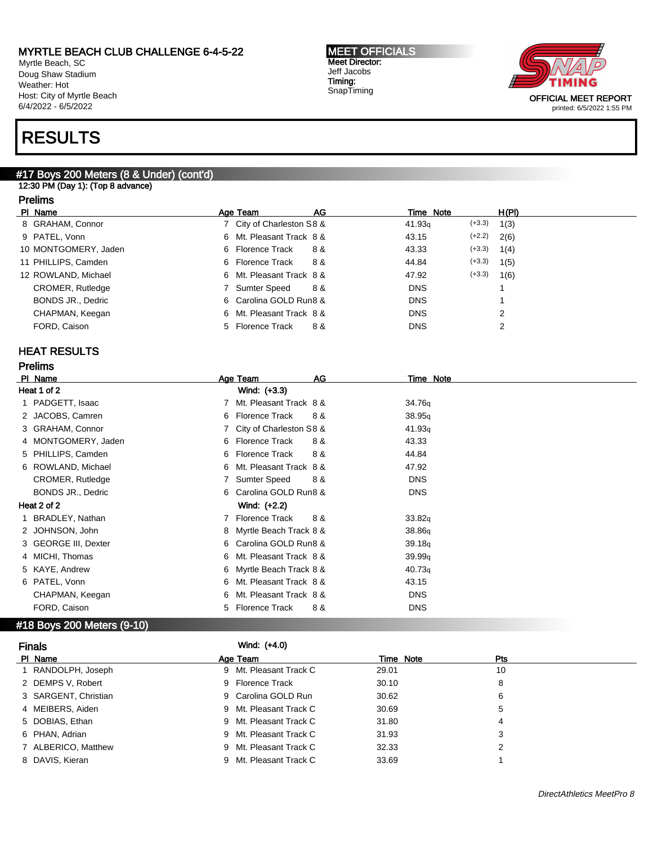Myrtle Beach, SC Doug Shaw Stadium Weather: Hot Host: City of Myrtle Beach 6/4/2022 - 6/5/2022

#### MEET OFFICIALS Meet Director: Jeff Jacobs Timing: **SnapTiming**



## RESULTS

## #17 Boys 200 Meters (8 & Under) (cont'd)

12:30 PM (Day 1): (Top 8 advance)

## Prelims

| PI Name                 | Age Team                  | AG | Time Note                      | H(PI) |
|-------------------------|---------------------------|----|--------------------------------|-------|
| 8 GRAHAM, Connor        | 7 City of Charleston S8 & |    | $(+3.3)$<br>41.93 <sub>g</sub> | 1(3)  |
| 9 PATEL, Vonn           | 6 Mt. Pleasant Track 8 &  |    | $(+2.2)$<br>43.15              | 2(6)  |
| 10 MONTGOMERY, Jaden    | 6 Florence Track          | 8& | $(+3.3)$<br>43.33              | 1(4)  |
| 11 PHILLIPS, Camden     | 6 Florence Track          | 8& | $(+3.3)$<br>44.84              | 1(5)  |
| 12 ROWLAND, Michael     | 6 Mt. Pleasant Track 8 &  |    | $(+3.3)$<br>47.92              | 1(6)  |
| <b>CROMER, Rutledge</b> | 7 Sumter Speed            | 8& | <b>DNS</b>                     |       |
| BONDS JR., Dedric       | 6 Carolina GOLD Run8 &    |    | <b>DNS</b>                     |       |
| CHAPMAN, Keegan         | 6 Mt. Pleasant Track 8 &  |    | <b>DNS</b>                     |       |
| FORD, Caison            | 5 Florence Track          | 8& | <b>DNS</b>                     |       |

## HEAT RESULTS

Prelims

| PI Name                 |   | Age Team                  | AG  | Time Note  |
|-------------------------|---|---------------------------|-----|------------|
| Heat 1 of 2             |   | Wind: (+3.3)              |     |            |
| 1 PADGETT, Isaac        |   | Mt. Pleasant Track 8 &    |     | 34.76g     |
| 2 JACOBS, Camren        |   | 6 Florence Track          | 8 & | 38.95q     |
| 3 GRAHAM, Connor        |   | 7 City of Charleston S8 & |     | 41.93q     |
| 4 MONTGOMERY, Jaden     |   | 6 Florence Track          | 8 & | 43.33      |
| 5 PHILLIPS, Camden      |   | 6 Florence Track          | 8 & | 44.84      |
| 6 ROWLAND, Michael      | 6 | Mt. Pleasant Track 8 &    |     | 47.92      |
| <b>CROMER, Rutledge</b> |   | <b>Sumter Speed</b>       | 8 & | <b>DNS</b> |
| BONDS JR., Dedric       |   | 6 Carolina GOLD Run8 &    |     | <b>DNS</b> |
| Heat 2 of 2             |   | Wind: (+2.2)              |     |            |
| 1 BRADLEY, Nathan       | 7 | <b>Florence Track</b>     | 8 & | 33.82q     |
| 2 JOHNSON, John         |   | 8 Myrtle Beach Track 8 &  |     | 38.86q     |
| 3 GEORGE III, Dexter    |   | 6 Carolina GOLD Run8 &    |     | 39.18q     |
| 4 MICHI, Thomas         | 6 | Mt. Pleasant Track 8 &    |     | 39.99q     |
| 5 KAYE, Andrew          |   | 6 Myrtle Beach Track 8 &  |     | 40.73q     |
| 6 PATEL, Vonn           | 6 | Mt. Pleasant Track 8 &    |     | 43.15      |
| CHAPMAN, Keegan         | 6 | Mt. Pleasant Track 8 &    |     | <b>DNS</b> |
| FORD, Caison            | 5 | <b>Florence Track</b>     | 8 & | <b>DNS</b> |

## #18 Boys 200 Meters (9-10)

| <b>Finals</b> | Wind: (+4.0) |  |
|---------------|--------------|--|
|               |              |  |

| PI Name              | Age Team               | Time Note | Pts |
|----------------------|------------------------|-----------|-----|
| 1 RANDOLPH, Joseph   | 9 Mt. Pleasant Track C | 29.01     | 10  |
| 2 DEMPS V, Robert    | 9 Florence Track       | 30.10     | 8   |
| 3 SARGENT, Christian | 9 Carolina GOLD Run    | 30.62     | 6   |
| 4 MEIBERS, Aiden     | 9 Mt. Pleasant Track C | 30.69     | 5   |
| 5 DOBIAS, Ethan      | 9 Mt. Pleasant Track C | 31.80     | 4   |
| 6 PHAN, Adrian       | 9 Mt. Pleasant Track C | 31.93     | 3   |
| 7 ALBERICO, Matthew  | 9 Mt. Pleasant Track C | 32.33     |     |
| 8 DAVIS, Kieran      | 9 Mt. Pleasant Track C | 33.69     |     |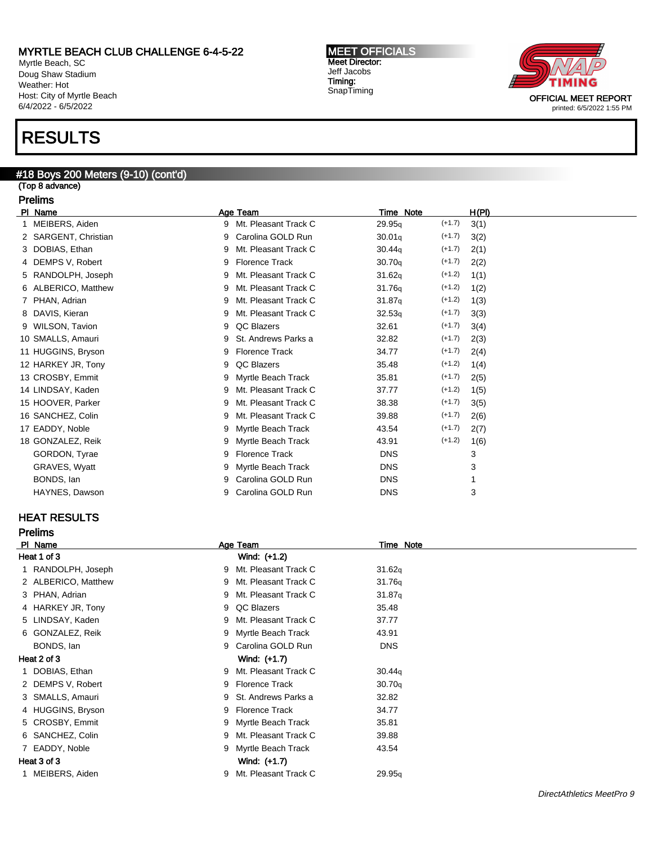Myrtle Beach, SC Doug Shaw Stadium Weather: Hot Host: City of Myrtle Beach 6/4/2022 - 6/5/2022

## RESULTS

## #18 Boys 200 Meters (9-10) (cont'd)

(Top 8 advance) Prelims

| Name                 | Age Team                   | Time Note                      | H(PI) |
|----------------------|----------------------------|--------------------------------|-------|
| MEIBERS, Aiden       | Mt. Pleasant Track C<br>9  | $(+1.7)$<br>29.95q             | 3(1)  |
| 2 SARGENT, Christian | Carolina GOLD Run<br>9     | $(+1.7)$<br>30.01 <sub>q</sub> | 3(2)  |
| 3 DOBIAS, Ethan      | Mt. Pleasant Track C<br>9  | $(+1.7)$<br>30.44q             | 2(1)  |
| 4 DEMPS V, Robert    | <b>Florence Track</b><br>9 | $(+1.7)$<br>30.70q             | 2(2)  |
| 5 RANDOLPH, Joseph   | Mt. Pleasant Track C<br>9  | $(+1.2)$<br>31.62q             | 1(1)  |
| 6 ALBERICO, Matthew  | Mt. Pleasant Track C<br>9  | $(+1.2)$<br>31.76q             | 1(2)  |
| PHAN, Adrian         | Mt. Pleasant Track C<br>9  | $(+1.2)$<br>31.87 <sub>q</sub> | 1(3)  |
| 8 DAVIS, Kieran      | Mt. Pleasant Track C<br>9  | $(+1.7)$<br>32.53q             | 3(3)  |
| 9 WILSON, Tavion     | QC Blazers<br>9            | $(+1.7)$<br>32.61              | 3(4)  |
| 10 SMALLS, Amauri    | St. Andrews Parks a<br>9   | $(+1.7)$<br>32.82              | 2(3)  |
| 11 HUGGINS, Bryson   | <b>Florence Track</b><br>9 | $(+1.7)$<br>34.77              | 2(4)  |
| 12 HARKEY JR, Tony   | QC Blazers<br>9            | $(+1.2)$<br>35.48              | 1(4)  |
| 13 CROSBY, Emmit     | Myrtle Beach Track<br>9    | $(+1.7)$<br>35.81              | 2(5)  |
| 14 LINDSAY, Kaden    | Mt. Pleasant Track C<br>9  | $(+1.2)$<br>37.77              | 1(5)  |
| 15 HOOVER, Parker    | Mt. Pleasant Track C<br>9  | $(+1.7)$<br>38.38              | 3(5)  |
| 16 SANCHEZ, Colin    | Mt. Pleasant Track C<br>9  | $(+1.7)$<br>39.88              | 2(6)  |
| 17 EADDY, Noble      | Myrtle Beach Track<br>9    | $(+1.7)$<br>43.54              | 2(7)  |
| 18 GONZALEZ, Reik    | Myrtle Beach Track<br>9    | $(+1.2)$<br>43.91              | 1(6)  |
| GORDON, Tyrae        | <b>Florence Track</b><br>9 | <b>DNS</b>                     | 3     |
| GRAVES, Wyatt        | Myrtle Beach Track<br>9    | <b>DNS</b>                     | 3     |
| BONDS, Ian           | Carolina GOLD Run<br>9     | <b>DNS</b>                     |       |
| HAYNES, Dawson       | Carolina GOLD Run<br>9     | <b>DNS</b>                     | 3     |

## HEAT RESULTS

Prelims

| PI Name                  | Age Team               | Time Note  |
|--------------------------|------------------------|------------|
| Heat 1 of 3              | Wind: (+1.2)           |            |
| 1 RANDOLPH, Joseph<br>9  | Mt. Pleasant Track C   | 31.62q     |
| 2 ALBERICO, Matthew<br>9 | Mt. Pleasant Track C   | 31.76q     |
| 3 PHAN, Adrian<br>9      | Mt. Pleasant Track C   | 31.87q     |
| 4 HARKEY JR, Tony        | 9 QC Blazers           | 35.48      |
| 5 LINDSAY, Kaden<br>9    | Mt. Pleasant Track C   | 37.77      |
| 6 GONZALEZ, Reik         | 9 Myrtle Beach Track   | 43.91      |
| BONDS, lan<br>9          | Carolina GOLD Run      | <b>DNS</b> |
| Heat 2 of 3              | Wind: (+1.7)           |            |
| 1 DOBIAS, Ethan          | 9 Mt. Pleasant Track C | 30.44q     |
| 2 DEMPS V, Robert<br>9   | <b>Florence Track</b>  | 30.70q     |
| 3 SMALLS, Amauri         | 9 St. Andrews Parks a  | 32.82      |
| 4 HUGGINS, Bryson<br>9   | <b>Florence Track</b>  | 34.77      |
| 5 CROSBY, Emmit          | 9 Myrtle Beach Track   | 35.81      |
| 6 SANCHEZ, Colin<br>9    | Mt. Pleasant Track C   | 39.88      |
| 7 EADDY, Noble           | 9 Myrtle Beach Track   | 43.54      |
| Heat 3 of 3              | Wind: (+1.7)           |            |
| 1 MEIBERS, Aiden<br>9    | Mt. Pleasant Track C   | 29.95q     |

DirectAthletics MeetPro 9

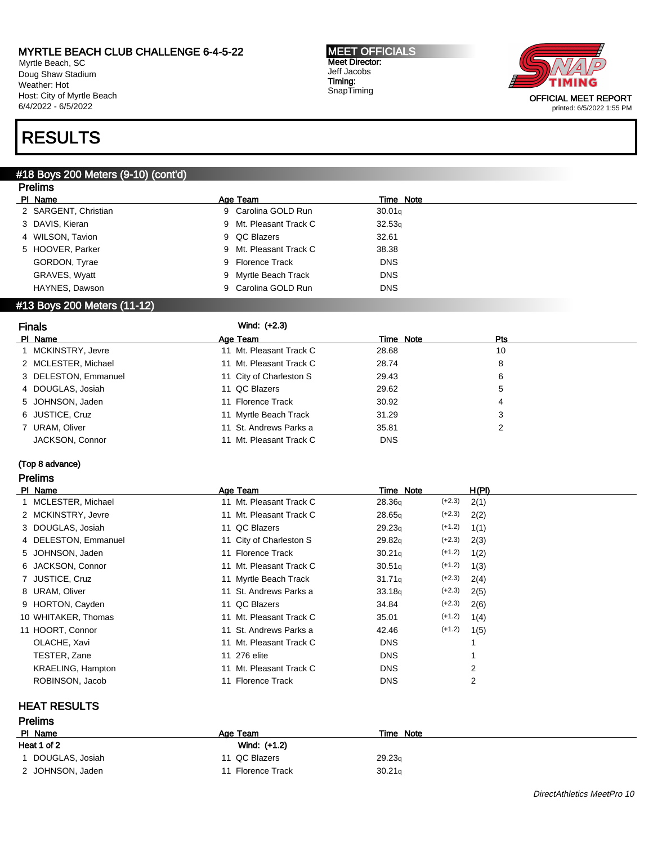Myrtle Beach, SC Doug Shaw Stadium Weather: Hot Host: City of Myrtle Beach 6/4/2022 - 6/5/2022

#### MEET OFFICIALS Meet Director: Jeff Jacobs Timing: SnapTiming



## RESULTS

#### #18 Boys 200 Meters (9-10) (cont'd) **Prelims**

| <b>FIGILIS</b>       |                        |                    |  |
|----------------------|------------------------|--------------------|--|
| PI Name              | Age Team               | Time Note          |  |
| 2 SARGENT, Christian | 9 Carolina GOLD Run    | 30.01 <sub>q</sub> |  |
| 3 DAVIS, Kieran      | 9 Mt. Pleasant Track C | 32.53q             |  |
| 4 WILSON, Tavion     | 9 QC Blazers           | 32.61              |  |
| 5 HOOVER, Parker     | 9 Mt. Pleasant Track C | 38.38              |  |
| GORDON, Tyrae        | 9 Florence Track       | <b>DNS</b>         |  |
| <b>GRAVES, Wyatt</b> | 9 Myrtle Beach Track   | <b>DNS</b>         |  |
| HAYNES, Dawson       | 9 Carolina GOLD Run    | <b>DNS</b>         |  |
|                      |                        |                    |  |

## #13 Boys 200 Meters (11-12)

Finals Wind: (+2.3)

| PI Name              | Age Team                | Time Note  | Pts |
|----------------------|-------------------------|------------|-----|
| 1 MCKINSTRY, Jevre   | 11 Mt. Pleasant Track C | 28.68      | 10  |
| 2 MCLESTER, Michael  | 11 Mt. Pleasant Track C | 28.74      | 8   |
| 3 DELESTON, Emmanuel | 11 City of Charleston S | 29.43      | 6   |
| 4 DOUGLAS, Josiah    | 11 QC Blazers           | 29.62      | 5   |
| 5 JOHNSON, Jaden     | 11 Florence Track       | 30.92      | 4   |
| 6 JUSTICE, Cruz      | 11 Myrtle Beach Track   | 31.29      | 3   |
| 7 URAM, Oliver       | 11 St. Andrews Parks a  | 35.81      |     |
| JACKSON, Connor      | 11 Mt. Pleasant Track C | <b>DNS</b> |     |

### (Top 8 advance)

## Prelims

| PI Name                  | Age Team                | Time Note          |          | H(PI) |
|--------------------------|-------------------------|--------------------|----------|-------|
| 1 MCLESTER, Michael      | 11 Mt. Pleasant Track C | 28.36 <sub>g</sub> | $(+2.3)$ | 2(1)  |
| 2 MCKINSTRY, Jevre       | 11 Mt. Pleasant Track C | 28.65q             | $(+2.3)$ | 2(2)  |
| 3 DOUGLAS, Josiah        | 11 QC Blazers           | 29.23q             | $(+1.2)$ | 1(1)  |
| 4 DELESTON, Emmanuel     | 11 City of Charleston S | 29.82q             | $(+2.3)$ | 2(3)  |
| 5 JOHNSON, Jaden         | 11 Florence Track       | 30.21 <sub>q</sub> | $(+1.2)$ | 1(2)  |
| 6 JACKSON, Connor        | 11 Mt. Pleasant Track C | 30.51q             | $(+1.2)$ | 1(3)  |
| 7 JUSTICE, Cruz          | 11 Myrtle Beach Track   | 31.71q             | $(+2.3)$ | 2(4)  |
| 8 URAM, Oliver           | 11 St. Andrews Parks a  | 33.18q             | $(+2.3)$ | 2(5)  |
| 9 HORTON, Cayden         | 11 QC Blazers           | 34.84              | $(+2.3)$ | 2(6)  |
| 10 WHITAKER, Thomas      | 11 Mt. Pleasant Track C | 35.01              | $(+1.2)$ | 1(4)  |
| 11 HOORT, Connor         | 11 St. Andrews Parks a  | 42.46              | $(+1.2)$ | 1(5)  |
| OLACHE, Xavi             | 11 Mt. Pleasant Track C | <b>DNS</b>         |          |       |
| TESTER, Zane             | 11 276 elite            | <b>DNS</b>         |          |       |
| <b>KRAELING, Hampton</b> | 11 Mt. Pleasant Track C | <b>DNS</b>         |          | 2     |
| ROBINSON, Jacob          | 11 Florence Track       | <b>DNS</b>         |          | 2     |

## HEAT RESULTS

| <b>Prelims</b>   |                   |           |
|------------------|-------------------|-----------|
| PI Name          | Age Team          | Time Note |
| Heat 1 of 2      | Wind: (+1.2)      |           |
| DOUGLAS, Josiah  | 11 QC Blazers     | 29.23q    |
| 2 JOHNSON, Jaden | 11 Florence Track | 30.21q    |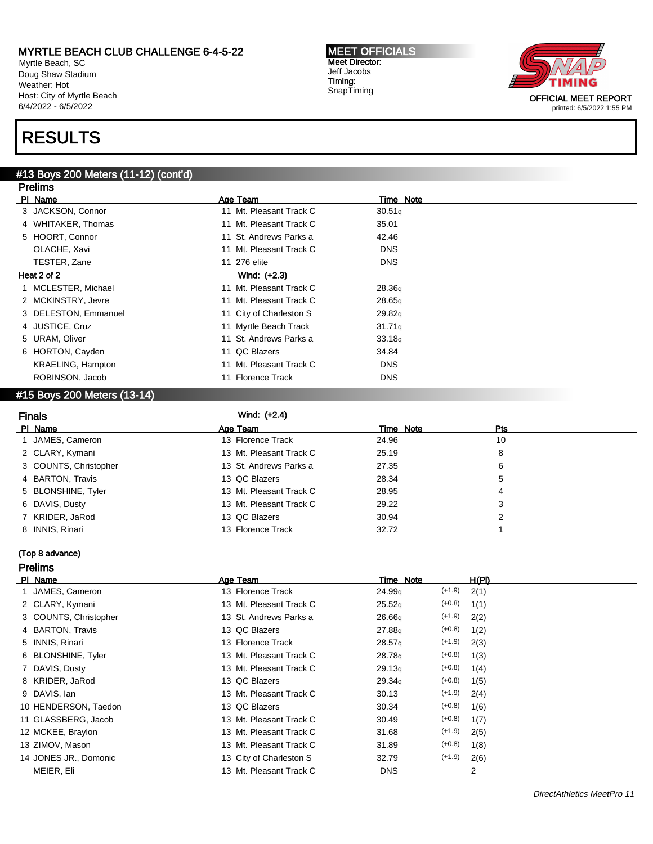Myrtle Beach, SC Doug Shaw Stadium Weather: Hot Host: City of Myrtle Beach 6/4/2022 - 6/5/2022

#### MEET OFFICIALS Meet Director: Jeff Jacobs Timing: **SnapTiming**



## RESULTS

#### #13 Boys 200 Meters (11-12) (cont'd) Prelims

| טוווסו ו                 |                         |                    |
|--------------------------|-------------------------|--------------------|
| PI Name                  | Age Team                | Time Note          |
| 3 JACKSON, Connor        | 11 Mt. Pleasant Track C | 30.51q             |
| 4 WHITAKER, Thomas       | 11 Mt. Pleasant Track C | 35.01              |
| 5 HOORT, Connor          | 11 St. Andrews Parks a  | 42.46              |
| OLACHE, Xavi             | 11 Mt. Pleasant Track C | <b>DNS</b>         |
| TESTER, Zane             | 11 276 elite            | <b>DNS</b>         |
| Heat 2 of 2              | Wind: (+2.3)            |                    |
| 1 MCLESTER, Michael      | 11 Mt. Pleasant Track C | 28.36q             |
| 2 MCKINSTRY, Jevre       | 11 Mt. Pleasant Track C | 28.65 <sub>g</sub> |
| 3 DELESTON, Emmanuel     | 11 City of Charleston S | 29.82q             |
| 4 JUSTICE, Cruz          | 11 Myrtle Beach Track   | 31.71q             |
| 5 URAM, Oliver           | 11 St. Andrews Parks a  | 33.18q             |
| 6 HORTON, Cayden         | 11 QC Blazers           | 34.84              |
| <b>KRAELING, Hampton</b> | 11 Mt. Pleasant Track C | <b>DNS</b>         |
| ROBINSON, Jacob          | 11 Florence Track       | <b>DNS</b>         |
|                          |                         |                    |

#### #15 Boys 200 Meters (13-14)

## Finals Wind: (+2.4) Pl Name Age Team Time Note Pts 1 JAMES, Cameron 13 Florence Track 24.96 24.96 10 2 CLARY, Kymani 13 Mt. Pleasant Track C 25.19 25.19 8 3 COUNTS, Christopher 13 St. Andrews Parks a 27.35 6 4 BARTON, Travis 13 QC Blazers 28.34 5 5 5 BLONSHINE, Tyler 13 Mt. Pleasant Track C 28.95 28.95 4 6 DAVIS, Dusty 13 Mt. Pleasant Track C 29.22 3 7 KRIDER, JaRod 13 QC Blazers 30.94 30.94 2 8 INNIS, Rinari 13 Florence Track 32.72 13 Florence Track 32.72

#### (Top 8 advance)

Prelims

## PI Name **Age Team Age Team Time Note** H(PI) 1 JAMES, Cameron 13 Florence Track 24.99q (+1.9) 2(1) 2 CLARY, Kymani 13 Mt. Pleasant Track C 25.52q (+0.8) 1(1) 3 COUNTS, Christopher 13 St. Andrews Parks a 26.66q (+1.9) 2(2) 4 BARTON, Travis 13 QC Blazers 27.88q (+0.8) 1(2) 5 INNIS, Rinari 13 Florence Track 28.57q (+1.9) 2(3) 6 BLONSHINE, Tyler 13 Mt. Pleasant Track C 28.78q (+0.8) 1(3) 7 DAVIS, Dusty 13 Mt. Pleasant Track C 29.13q (+0.8) 1(4) 8 KRIDER, JaRod 13 QC Blazers 29.34q (+0.8) 1(5) 9 DAVIS, Ian 13 Mt. Pleasant Track C 30.13 (+1.9) 2(4) 10 HENDERSON, Taedon 13 QC Blazers 30.34 (+0.8) 1(6) 11 GLASSBERG, Jacob 13 Mt. Pleasant Track C 30.49 (+0.8) 1(7) 12 MCKEE, Braylon 13 Mt. Pleasant Track C 31.68 (+1.9) 2(5) 13 ZIMOV, Mason 13 Mt. Pleasant Track C 31.89 (+0.8) 1(8) 14 JONES JR., Domonic 13 City of Charleston S 32.79 (+1.9) 2(6) MEIER, Eli 13 Mt. Pleasant Track C DNS 2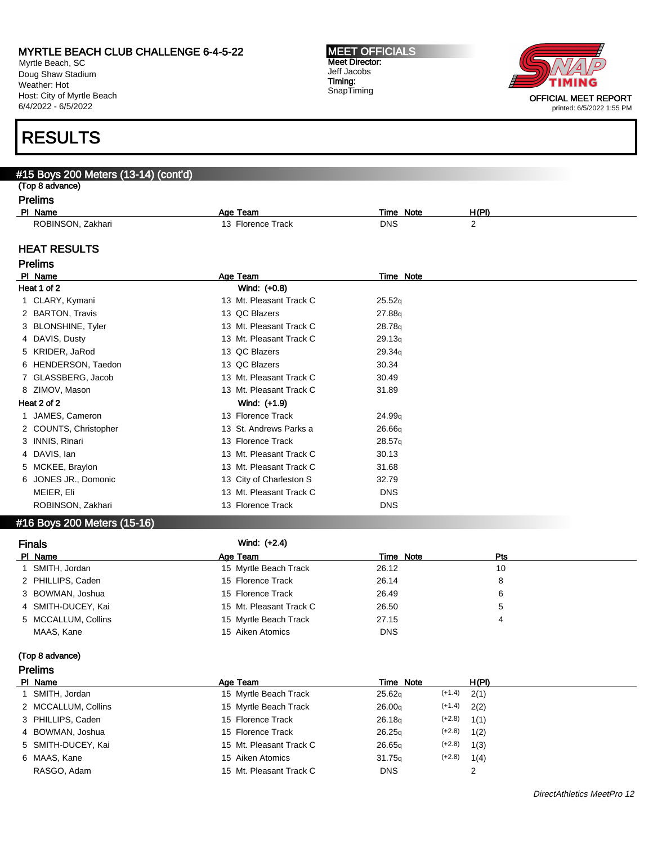Myrtle Beach, SC Doug Shaw Stadium Weather: Hot Host: City of Myrtle Beach 6/4/2022 - 6/5/2022

## RESULTS

(Top 8 advance)

#15 Boys 200 Meters (13-14) (cont'd)

#### MEET OFFICIALS Meet Director: Jeff Jacobs Timing: **SnapTiming**



## Prelims PI Name **Age Team Age Team Time Note** H(PI) ROBINSON, Zakhari 13 Florence Track 13 Florence Track DNS 2 HEAT RESULTS Prelims PI Name **Age Team** Age Team Time Note Heat 1 of 2 Wind: (+0.8) 1 CLARY, Kymani 13 Mt. Pleasant Track C 25.52q 2 BARTON, Travis 27.88q 3 BLONSHINE, Tyler 13 Mt. Pleasant Track C 28.78q 4 DAVIS, Dusty 13 Mt. Pleasant Track C 29.13q 5 KRIDER, JaRod 13 QC Blazers 29.34q 6 HENDERSON, Taedon 13 QC Blazers 30.34 7 GLASSBERG, Jacob 13 Mt. Pleasant Track C 30.49 8 ZIMOV, Mason 13 Mt. Pleasant Track C 31.89 Heat 2 of 2 Wind: (+1.9) 1 JAMES, Cameron 13 Florence Track 24.99<sub>q</sub> 2 COUNTS, Christopher 13 St. Andrews Parks a 26.66q 3 INNIS, Rinari 13 Florence Track 28.57q 4 DAVIS, Ian 13 Mt. Pleasant Track C 30.13 5 MCKEE, Braylon 13 Mt. Pleasant Track C 31.68 6 JONES JR., Domonic 13 City of Charleston S 32.79 MEIER, Eli 13 Mt. Pleasant Track C DNS ROBINSON, Zakhari 13 Florence Track DNS

### #16 Boys 200 Meters (15-16)

## Finals Wind: (+2.4)

| PI Name             | Age Team                | Time Note  | Pts |  |
|---------------------|-------------------------|------------|-----|--|
| 1 SMITH, Jordan     | 15 Myrtle Beach Track   | 26.12      | 10  |  |
| 2 PHILLIPS, Caden   | 15 Florence Track       | 26.14      | 8   |  |
| 3 BOWMAN, Joshua    | 15 Florence Track       | 26.49      | 6   |  |
| 4 SMITH-DUCEY, Kai  | 15 Mt. Pleasant Track C | 26.50      | 5   |  |
| 5 MCCALLUM, Collins | 15 Myrtle Beach Track   | 27.15      |     |  |
| MAAS, Kane          | 15 Aiken Atomics        | <b>DNS</b> |     |  |

### (Top 8 advance) Prelims

| PI Name |                     | Age Team                | Time Note          |               | H(PI) |
|---------|---------------------|-------------------------|--------------------|---------------|-------|
|         | 1 SMITH, Jordan     | 15 Myrtle Beach Track   | 25.62q             | $(+1.4)$ 2(1) |       |
|         | 2 MCCALLUM, Collins | 15 Myrtle Beach Track   | 26.00 <sub>g</sub> | $(+1.4)$      | 2(2)  |
|         | 3 PHILLIPS, Caden   | 15 Florence Track       | 26.18q             | $(+2.8)$      | 1(1)  |
|         | 4 BOWMAN, Joshua    | 15 Florence Track       | 26.25q             | $(+2.8)$      | 1(2)  |
|         | 5 SMITH-DUCEY, Kai  | 15 Mt. Pleasant Track C | 26.65 <sub>a</sub> | $(+2.8)$      | 1(3)  |
|         | 6 MAAS, Kane        | 15 Aiken Atomics        | 31.75 <sub>g</sub> | $(+2.8)$      | 1(4)  |
|         | RASGO, Adam         | 15 Mt. Pleasant Track C | <b>DNS</b>         |               |       |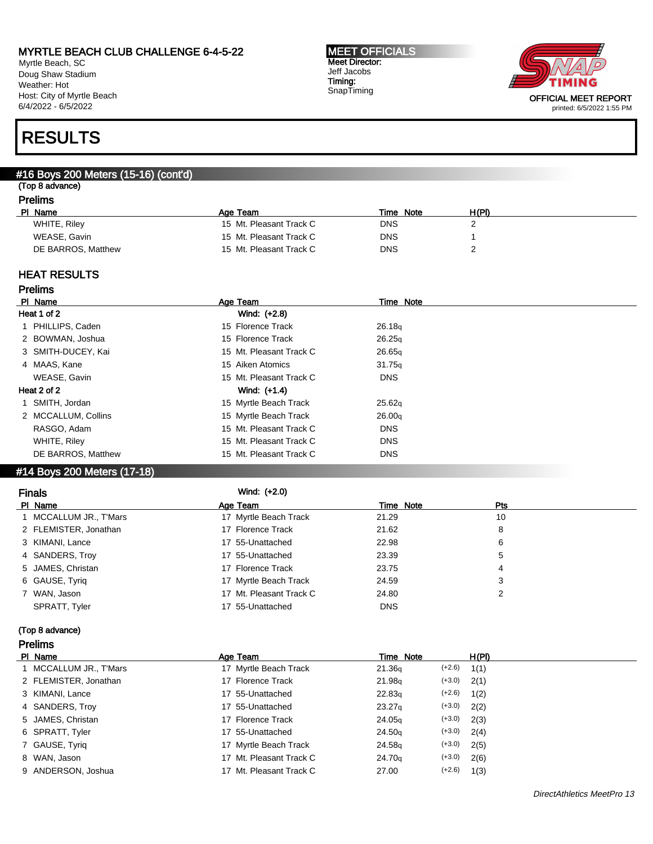Myrtle Beach, SC Doug Shaw Stadium Weather: Hot Host: City of Myrtle Beach 6/4/2022 - 6/5/2022

#### MEET OFFICIALS Meet Director: Jeff Jacobs Timing: SnapTiming



## RESULTS

## #16 Boys 200 Meters (15-16) (cont'd)

#### (Top 8 advance) Prelims

| PI Name            | Age Team                | Time Note | H(PI) |  |
|--------------------|-------------------------|-----------|-------|--|
| WHITE, Riley       | 15 Mt. Pleasant Track C | DNS       |       |  |
| WEASE, Gavin       | 15 Mt. Pleasant Track C | DNS       |       |  |
| DE BARROS, Matthew | 15 Mt. Pleasant Track C | DNS       |       |  |

## HEAT RESULTS

## Prelims

| PI Name             | Age Team                | Time Note  |  |
|---------------------|-------------------------|------------|--|
| Heat 1 of 2         | Wind: (+2.8)            |            |  |
| 1 PHILLIPS, Caden   | 15 Florence Track       | 26.18q     |  |
| 2 BOWMAN, Joshua    | 15 Florence Track       | 26.25q     |  |
| 3 SMITH-DUCEY, Kai  | 15 Mt. Pleasant Track C | 26.65q     |  |
| 4 MAAS, Kane        | 15 Aiken Atomics        | 31.75q     |  |
| WEASE, Gavin        | 15 Mt. Pleasant Track C | <b>DNS</b> |  |
| Heat 2 of 2         | Wind: (+1.4)            |            |  |
| 1 SMITH, Jordan     | 15 Myrtle Beach Track   | 25.62q     |  |
| 2 MCCALLUM, Collins | 15 Myrtle Beach Track   | 26.00q     |  |
| RASGO, Adam         | 15 Mt. Pleasant Track C | <b>DNS</b> |  |
| WHITE, Riley        | 15 Mt. Pleasant Track C | <b>DNS</b> |  |
| DE BARROS, Matthew  | 15 Mt. Pleasant Track C | <b>DNS</b> |  |

## #14 Boys 200 Meters (17-18)

## Finals Wind: (+2.0)

| PI Name                | Age Team                | Time Note  | Pts |
|------------------------|-------------------------|------------|-----|
| 1 MCCALLUM JR., T'Mars | 17 Myrtle Beach Track   | 21.29      | 10  |
| 2 FLEMISTER, Jonathan  | 17 Florence Track       | 21.62      | 8   |
| 3 KIMANI, Lance        | 17 55-Unattached        | 22.98      | 6   |
| 4 SANDERS, Troy        | 17 55-Unattached        | 23.39      | 5   |
| 5 JAMES, Christan      | 17 Florence Track       | 23.75      | 4   |
| 6 GAUSE, Tyrig         | 17 Myrtle Beach Track   | 24.59      | 3   |
| 7 WAN, Jason           | 17 Mt. Pleasant Track C | 24.80      | ົ   |
| SPRATT, Tyler          | 17 55-Unattached        | <b>DNS</b> |     |

### (Top 8 advance)

| Prelims |
|---------|
|---------|

| PI Name                | Age Team                | Time Note                      | H(PI) |
|------------------------|-------------------------|--------------------------------|-------|
| 1 MCCALLUM JR., T'Mars | 17 Myrtle Beach Track   | $(+2.6)$<br>21.36 <sub>g</sub> | 1(1)  |
| 2 FLEMISTER, Jonathan  | 17 Florence Track       | $(+3.0)$<br>21.98 <sub>q</sub> | 2(1)  |
| 3 KIMANI, Lance        | 17 55-Unattached        | $(+2.6)$<br>22.83q             | 1(2)  |
| 4 SANDERS, Troy        | 17 55-Unattached        | $(+3.0)$<br>23.27 <sub>q</sub> | 2(2)  |
| 5 JAMES, Christan      | 17 Florence Track       | $(+3.0)$<br>24.05 <sub>a</sub> | 2(3)  |
| 6 SPRATT, Tyler        | 17 55-Unattached        | $(+3.0)$<br>24.50 <sub>g</sub> | 2(4)  |
| 7 GAUSE, Tyrig         | 17 Myrtle Beach Track   | $(+3.0)$<br>24.58 <sub>g</sub> | 2(5)  |
| 8 WAN, Jason           | 17 Mt. Pleasant Track C | $(+3.0)$<br>24.70 <sub>g</sub> | 2(6)  |
| 9 ANDERSON, Joshua     | 17 Mt. Pleasant Track C | $(+2.6)$<br>27.00              | 1(3)  |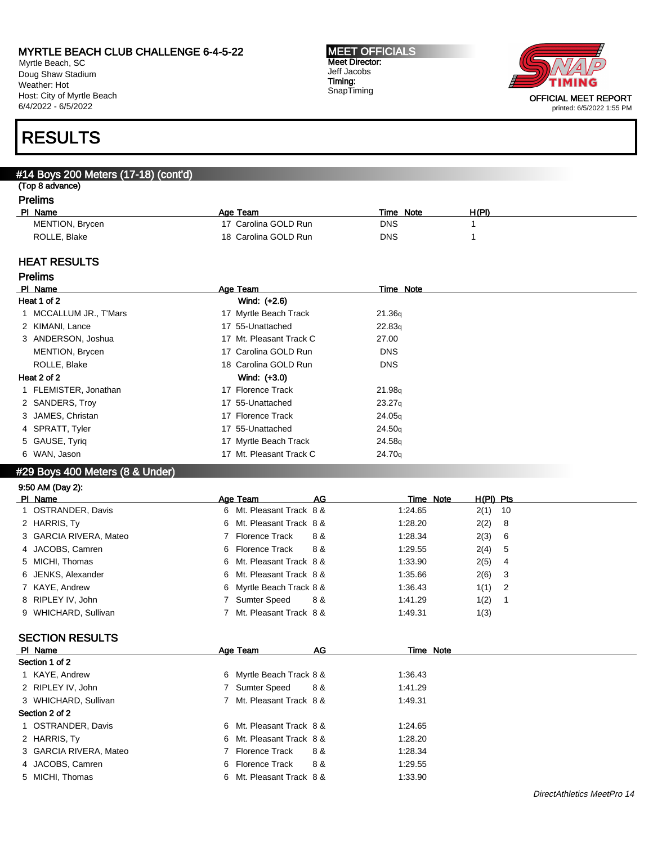Myrtle Beach, SC Doug Shaw Stadium Weather: Hot Host: City of Myrtle Beach 6/4/2022 - 6/5/2022

#### MEET OFFICIALS Meet Director: Jeff Jacobs Timing: SnapTiming



## RESULTS

| #14 Boys 200 Meters (17-18) (cont'd) |                                                |                    |              |  |
|--------------------------------------|------------------------------------------------|--------------------|--------------|--|
| (Top 8 advance)                      |                                                |                    |              |  |
| <b>Prelims</b>                       |                                                |                    |              |  |
| PI Name                              | Age Team                                       | <b>Time Note</b>   | H(PI)        |  |
| MENTION, Brycen                      | 17 Carolina GOLD Run                           | <b>DNS</b>         | $\mathbf{1}$ |  |
| ROLLE, Blake                         | 18 Carolina GOLD Run                           | <b>DNS</b>         | 1            |  |
|                                      |                                                |                    |              |  |
| <b>HEAT RESULTS</b>                  |                                                |                    |              |  |
| <b>Prelims</b>                       |                                                |                    |              |  |
| PI Name                              | Age Team                                       | <b>Time Note</b>   |              |  |
| Heat 1 of 2                          | Wind: (+2.6)                                   |                    |              |  |
| 1 MCCALLUM JR., T'Mars               | 17 Myrtle Beach Track                          | 21.36q             |              |  |
| 2 KIMANI, Lance                      | 17 55-Unattached                               | 22.83q             |              |  |
| 3 ANDERSON, Joshua                   | 17 Mt. Pleasant Track C                        | 27.00              |              |  |
| MENTION, Brycen                      | 17 Carolina GOLD Run                           | <b>DNS</b>         |              |  |
| ROLLE, Blake                         | 18 Carolina GOLD Run                           | <b>DNS</b>         |              |  |
| Heat 2 of 2                          | Wind: (+3.0)                                   |                    |              |  |
| 1 FLEMISTER, Jonathan                | 17 Florence Track                              | 21.98q             |              |  |
| 2 SANDERS, Troy                      | 17 55-Unattached                               | 23.27q             |              |  |
| 3 JAMES, Christan                    | 17 Florence Track                              | 24.05q             |              |  |
| 4 SPRATT, Tyler                      | 17 55-Unattached                               | 24.50q             |              |  |
| 5 GAUSE, Tyriq                       | 17 Myrtle Beach Track                          | 24.58q             |              |  |
| 6 WAN, Jason                         | 17 Mt. Pleasant Track C                        | 24.70 <sub>g</sub> |              |  |
| #29 Boys 400 Meters (8 & Under)      |                                                |                    |              |  |
|                                      |                                                |                    |              |  |
| 9:50 AM (Day 2):<br>PI Name          | AG<br>Age Team                                 | <b>Time Note</b>   | $H(PI)$ Pts  |  |
| 1 OSTRANDER, Davis                   | 6 Mt. Pleasant Track 8 &                       | 1:24.65            | 2(1)<br>10   |  |
| 2 HARRIS, Ty                         | Mt. Pleasant Track 8 &<br>6                    | 1:28.20            | 2(2)<br>8    |  |
| 3 GARCIA RIVERA, Mateo               | 7 Florence Track<br>8 &                        | 1:28.34            | 2(3)<br>6    |  |
| 4 JACOBS, Camren                     | <b>Florence Track</b><br>8 &<br>6              | 1:29.55            | 2(4)<br>5    |  |
| 5 MICHI, Thomas                      | Mt. Pleasant Track 8 &<br>6                    | 1:33.90            | 2(5)<br>4    |  |
| 6 JENKS, Alexander                   | Mt. Pleasant Track 8 &<br>6                    | 1:35.66            | 2(6)<br>3    |  |
| 7 KAYE, Andrew                       | Myrtle Beach Track 8 &<br>6                    | 1:36.43            | 2<br>1(1)    |  |
| 8 RIPLEY IV, John                    | 7 Sumter Speed<br>8 &                          | 1:41.29            | 1(2)<br>1    |  |
| 9 WHICHARD, Sullivan                 | 7 Mt. Pleasant Track 8 &                       | 1:49.31            | 1(3)         |  |
|                                      |                                                |                    |              |  |
| <b>SECTION RESULTS</b>               |                                                |                    |              |  |
| <u>PI Name</u>                       | Age Team<br><u>AG</u>                          | Time Note          |              |  |
| Section 1 of 2                       |                                                |                    |              |  |
| 1 KAYE, Andrew                       | 6 Myrtle Beach Track 8 &                       | 1:36.43            |              |  |
| 2 RIPLEY IV, John                    | 7 Sumter Speed<br>8 &                          | 1:41.29            |              |  |
| 3 WHICHARD, Sullivan                 | 7 Mt. Pleasant Track 8 &                       | 1:49.31            |              |  |
| Section 2 of 2                       |                                                |                    |              |  |
| 1 OSTRANDER, Davis                   | 6 Mt. Pleasant Track 8 &                       | 1:24.65            |              |  |
| 2 HARRIS, Ty                         | 6 Mt. Pleasant Track 8 &                       | 1:28.20            |              |  |
| 3 GARCIA RIVERA, Mateo               | <b>Florence Track</b><br>8 &<br>$7\phantom{.}$ | 1:28.34            |              |  |
| 4 JACOBS, Camren                     | Florence Track<br>8 &<br>6                     | 1:29.55            |              |  |
| 5 MICHI, Thomas                      | 6 Mt. Pleasant Track 8 &                       | 1:33.90            |              |  |
|                                      |                                                |                    |              |  |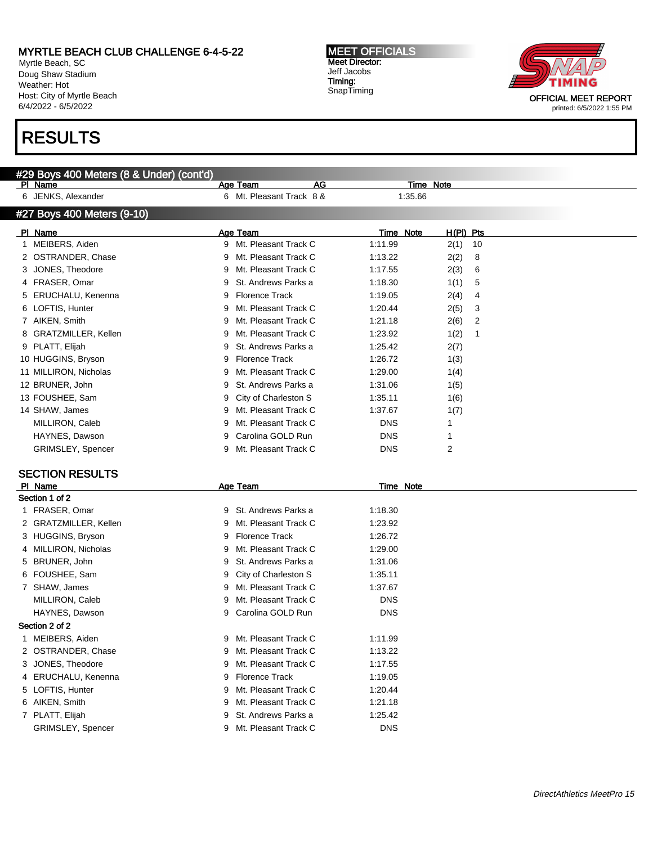Myrtle Beach, SC Doug Shaw Stadium Weather: Hot Host: City of Myrtle Beach 6/4/2022 - 6/5/2022

## RESULTS

## #29 Boys 400 Meters (8 & Under) (cont'd) PI Name **Age Team Age Team AG Time Note** 6 JENKS, Alexander 6 Mt. Pleasant Track 8 & 1:35.66 #27 Boys 400 Meters (9-10)

| PI Name                  | Age Team                   | Time Note  | $H(PI)$ Pts |
|--------------------------|----------------------------|------------|-------------|
| 1 MEIBERS, Aiden         | Mt. Pleasant Track C<br>9  | 1:11.99    | 2(1)<br>10  |
| 2 OSTRANDER, Chase       | Mt. Pleasant Track C       | 1:13.22    | 2(2)<br>8   |
| JONES, Theodore<br>з     | Mt. Pleasant Track C       | 1:17.55    | 2(3)<br>6   |
| 4 FRASER, Omar           | St. Andrews Parks a<br>9   | 1:18.30    | 1(1)<br>5   |
| 5 ERUCHALU, Kenenna      | Florence Track<br>9        | 1:19.05    | 2(4)<br>4   |
| 6 LOFTIS, Hunter         | Mt. Pleasant Track C<br>9  | 1:20.44    | 2(5)<br>3   |
| 7 AIKEN, Smith           | Mt. Pleasant Track C<br>9  | 1:21.18    | 2(6)<br>2   |
| 8 GRATZMILLER, Kellen    | Mt. Pleasant Track C       | 1:23.92    | 1(2)        |
| 9 PLATT, Elijah          | St. Andrews Parks a        | 1:25.42    | 2(7)        |
| 10 HUGGINS, Bryson       | <b>Florence Track</b><br>9 | 1:26.72    | 1(3)        |
| 11 MILLIRON, Nicholas    | Mt. Pleasant Track C<br>9  | 1:29.00    | 1(4)        |
| 12 BRUNER, John          | St. Andrews Parks a<br>9   | 1:31.06    | 1(5)        |
| 13 FOUSHEE, Sam          | City of Charleston S       | 1:35.11    | 1(6)        |
| 14 SHAW, James           | Mt. Pleasant Track C       | 1:37.67    | 1(7)        |
| MILLIRON, Caleb          | Mt. Pleasant Track C       | <b>DNS</b> |             |
| HAYNES, Dawson           | Carolina GOLD Run          | <b>DNS</b> |             |
| <b>GRIMSLEY, Spencer</b> | Mt. Pleasant Track C       | <b>DNS</b> | 2           |

## SECTION RESULTS

| PI Name                  |   | Age Team               |            | Time Note |
|--------------------------|---|------------------------|------------|-----------|
| Section 1 of 2           |   |                        |            |           |
| 1 FRASER, Omar           | 9 | St. Andrews Parks a    | 1:18.30    |           |
| 2 GRATZMILLER, Kellen    | 9 | Mt. Pleasant Track C   | 1:23.92    |           |
| 3 HUGGINS, Bryson        |   | 9 Florence Track       | 1:26.72    |           |
| 4 MILLIRON, Nicholas     | 9 | Mt. Pleasant Track C   | 1:29.00    |           |
| 5 BRUNER, John           | 9 | St. Andrews Parks a    | 1:31.06    |           |
| 6 FOUSHEE, Sam           |   | 9 City of Charleston S | 1:35.11    |           |
| 7 SHAW, James            |   | 9 Mt. Pleasant Track C | 1:37.67    |           |
| MILLIRON, Caleb          |   | 9 Mt. Pleasant Track C | <b>DNS</b> |           |
| HAYNES, Dawson           |   | 9 Carolina GOLD Run    | <b>DNS</b> |           |
| Section 2 of 2           |   |                        |            |           |
| 1 MEIBERS, Aiden         |   | 9 Mt. Pleasant Track C | 1:11.99    |           |
| 2 OSTRANDER, Chase       | 9 | Mt. Pleasant Track C   | 1:13.22    |           |
| 3 JONES, Theodore        | 9 | Mt. Pleasant Track C   | 1:17.55    |           |
| 4 ERUCHALU, Kenenna      | 9 | <b>Florence Track</b>  | 1:19.05    |           |
| 5 LOFTIS, Hunter         | 9 | Mt. Pleasant Track C   | 1:20.44    |           |
| 6 AIKEN, Smith           | 9 | Mt. Pleasant Track C   | 1:21.18    |           |
| 7 PLATT, Elijah          | 9 | St. Andrews Parks a    | 1:25.42    |           |
| <b>GRIMSLEY, Spencer</b> | 9 | Mt. Pleasant Track C   | <b>DNS</b> |           |

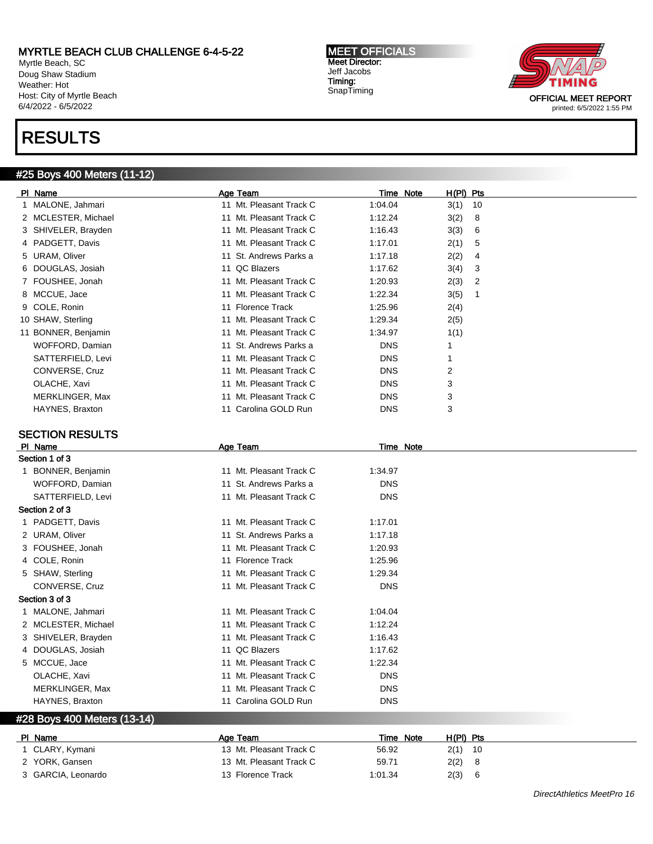Myrtle Beach, SC Doug Shaw Stadium Weather: Hot Host: City of Myrtle Beach 6/4/2022 - 6/5/2022

## RESULTS

## #25 Boys 400 Meters (11-12)

PI Name **Age Team** Age Team Time Note H(PI) Pts 1 MALONE, Jahmari 11 Mt. Pleasant Track C 1:04.04 3(1) 10 2 MCLESTER, Michael 11 Mt. Pleasant Track C 1:12.24 3(2) 8 3 SHIVELER, Brayden 11 Mt. Pleasant Track C 1:16.43 3(3) 6 4 PADGETT, Davis 11 Mt. Pleasant Track C 1:17.01 2(1) 5 5 URAM, Oliver 11 St. Andrews Parks a 1:17.18 2(2) 4 6 DOUGLAS, Josiah 11 QC Blazers 1:17.62 3(4) 3 7 FOUSHEE, Jonah 11 Mt. Pleasant Track C 1:20.93 2(3) 2 8 MCCUE, Jace 2012 11 Mt. Pleasant Track C 1:22.34 3(5) 1 9 COLE, Ronin 11 Florence Track 1:25.96 2(4) 10 SHAW, Sterling 11 Mt. Pleasant Track C 1:29.34 2(5) 11 BONNER, Benjamin 11 Mt. Pleasant Track C 1:34.97 1(1) WOFFORD, Damian 11 St. Andrews Parks a DNS 1 SATTERFIELD, Levi 11 Mt. Pleasant Track C DNS 1 CONVERSE, Cruz **CONVERSE, Cruz CONVERSE, Cruz CONVERSE**, Cruz CONVERSE, Cruz CONVERSE, Cruz CONS OLACHE, Xavi 11 Mt. Pleasant Track C DNS 3 MERKLINGER, Max 11 Mt. Pleasant Track C DNS 3 HAYNES, Braxton **11 Carolina GOLD Run** DNS 3 SECTION RESULTS

| PI Name             | Age Team                | Time Note  |  |
|---------------------|-------------------------|------------|--|
| Section 1 of 3      |                         |            |  |
| 1 BONNER, Benjamin  | 11 Mt. Pleasant Track C | 1:34.97    |  |
| WOFFORD, Damian     | 11 St. Andrews Parks a  | <b>DNS</b> |  |
| SATTERFIELD, Levi   | 11 Mt. Pleasant Track C | <b>DNS</b> |  |
| Section 2 of 3      |                         |            |  |
| 1 PADGETT, Davis    | 11 Mt. Pleasant Track C | 1:17.01    |  |
| 2 URAM, Oliver      | 11 St. Andrews Parks a  | 1:17.18    |  |
| 3 FOUSHEE, Jonah    | 11 Mt. Pleasant Track C | 1:20.93    |  |
| 4 COLE, Ronin       | 11 Florence Track       | 1:25.96    |  |
| 5 SHAW, Sterling    | 11 Mt. Pleasant Track C | 1:29.34    |  |
| CONVERSE, Cruz      | 11 Mt. Pleasant Track C | <b>DNS</b> |  |
| Section 3 of 3      |                         |            |  |
| 1 MALONE, Jahmari   | 11 Mt. Pleasant Track C | 1:04.04    |  |
| 2 MCLESTER, Michael | 11 Mt. Pleasant Track C | 1:12.24    |  |
| 3 SHIVELER, Brayden | 11 Mt. Pleasant Track C | 1:16.43    |  |
| 4 DOUGLAS, Josiah   | 11 QC Blazers           | 1:17.62    |  |
| 5 MCCUE, Jace       | 11 Mt. Pleasant Track C | 1:22.34    |  |
| OLACHE, Xavi        | 11 Mt. Pleasant Track C | <b>DNS</b> |  |
| MERKLINGER, Max     | 11 Mt. Pleasant Track C | <b>DNS</b> |  |
| HAYNES, Braxton     | 11 Carolina GOLD Run    | <b>DNS</b> |  |
|                     |                         |            |  |

### #28 Boys 400 Meters (13-14)

| PI Name            | Age Team                | Time Note | $H(PI)$ Pts |
|--------------------|-------------------------|-----------|-------------|
| CLARY, Kymani      | 13 Mt. Pleasant Track C | 56.92     | 2(1)<br>10  |
| 2 YORK, Gansen     | 13 Mt. Pleasant Track C | 59.71     | 2(2)<br>8   |
| 3 GARCIA, Leonardo | 13 Florence Track       | 1:01.34   | 2(3)        |

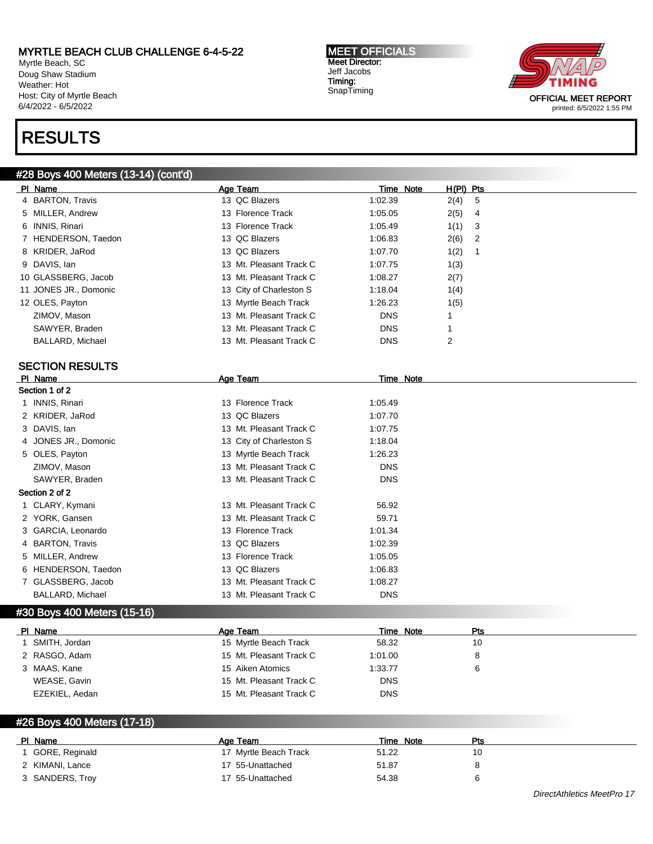Myrtle Beach, SC Doug Shaw Stadium Weather: Hot Host: City of Myrtle Beach 6/4/2022 - 6/5/2022

## RESULTS

## #28 Boys 400 Meters (13-14) (cont'd)

| PI Name                 | Age Team                | <b>Time Note</b> | $H(PI)$ Pts    |  |
|-------------------------|-------------------------|------------------|----------------|--|
| 4 BARTON, Travis        | 13 QC Blazers           | 1:02.39          | 2(4)<br>5      |  |
| 5 MILLER, Andrew        | 13 Florence Track       | 1:05.05          | 2(5)<br>4      |  |
| 6 INNIS, Rinari         | 13 Florence Track       | 1:05.49          | 1(1)<br>3      |  |
| 7 HENDERSON, Taedon     | 13 QC Blazers           | 1:06.83          | 2(6)<br>2      |  |
| 8 KRIDER, JaRod         | 13 QC Blazers           | 1:07.70          | 1(2)<br>-1     |  |
| 9 DAVIS, lan            | 13 Mt. Pleasant Track C | 1:07.75          | 1(3)           |  |
| 10 GLASSBERG, Jacob     | 13 Mt. Pleasant Track C | 1:08.27          | 2(7)           |  |
| 11 JONES JR., Domonic   | 13 City of Charleston S | 1:18.04          | 1(4)           |  |
| 12 OLES, Payton         | 13 Myrtle Beach Track   | 1:26.23          | 1(5)           |  |
| ZIMOV, Mason            | 13 Mt. Pleasant Track C | <b>DNS</b>       | 1              |  |
| SAWYER, Braden          | 13 Mt. Pleasant Track C | <b>DNS</b>       | 1              |  |
| BALLARD, Michael        | 13 Mt. Pleasant Track C | <b>DNS</b>       | $\overline{2}$ |  |
|                         |                         |                  |                |  |
| <b>SECTION RESULTS</b>  |                         |                  |                |  |
| PI Name                 | Age Team                | <b>Time Note</b> |                |  |
| Section 1 of 2          |                         |                  |                |  |
| 1 INNIS, Rinari         | 13 Florence Track       | 1:05.49          |                |  |
| 2 KRIDER, JaRod         | 13 QC Blazers           | 1:07.70          |                |  |
| 3 DAVIS, lan            | 13 Mt. Pleasant Track C | 1:07.75          |                |  |
| 4 JONES JR., Domonic    | 13 City of Charleston S | 1:18.04          |                |  |
| 5 OLES, Payton          | 13 Myrtle Beach Track   | 1:26.23          |                |  |
| ZIMOV, Mason            | 13 Mt. Pleasant Track C | <b>DNS</b>       |                |  |
| SAWYER, Braden          | 13 Mt. Pleasant Track C | <b>DNS</b>       |                |  |
| Section 2 of 2          |                         |                  |                |  |
| 1 CLARY, Kymani         | 13 Mt. Pleasant Track C | 56.92            |                |  |
| 2 YORK, Gansen          | 13 Mt. Pleasant Track C | 59.71            |                |  |
| 3 GARCIA, Leonardo      | 13 Florence Track       | 1:01.34          |                |  |
| 4 BARTON, Travis        | 13 QC Blazers           | 1:02.39          |                |  |
| 5 MILLER, Andrew        | 13 Florence Track       | 1:05.05          |                |  |
| 6 HENDERSON, Taedon     | 13 QC Blazers           | 1:06.83          |                |  |
| 7 GLASSBERG, Jacob      | 13 Mt. Pleasant Track C | 1:08.27          |                |  |
| <b>BALLARD, Michael</b> | 13 Mt. Pleasant Track C | <b>DNS</b>       |                |  |
|                         |                         |                  |                |  |

## #30 Boys 400 Meters (15-16)

| PI Name |                | Age Team                |            | Time Note | <b>Pts</b> |
|---------|----------------|-------------------------|------------|-----------|------------|
|         | SMITH, Jordan  | 15 Myrtle Beach Track   | 58.32      |           | 10         |
|         | 2 RASGO, Adam  | 15 Mt. Pleasant Track C | 1:01.00    |           |            |
|         | 3 MAAS, Kane   | 15 Aiken Atomics        | 1:33.77    |           |            |
|         | WEASE, Gavin   | 15 Mt. Pleasant Track C | <b>DNS</b> |           |            |
|         | EZEKIEL, Aedan | 15 Mt. Pleasant Track C | <b>DNS</b> |           |            |

## #26 Boys 400 Meters (17-18)

| PI Name         | Age Team              | Note<br>Time | Pts |
|-----------------|-----------------------|--------------|-----|
| GORE, Reginald  | 17 Myrtle Beach Track | 51.22        | 10  |
| 2 KIMANI, Lance | 17 55-Unattached      | 51.87        |     |
| 3 SANDERS, Troy | 17 55-Unattached      | 54.38        |     |



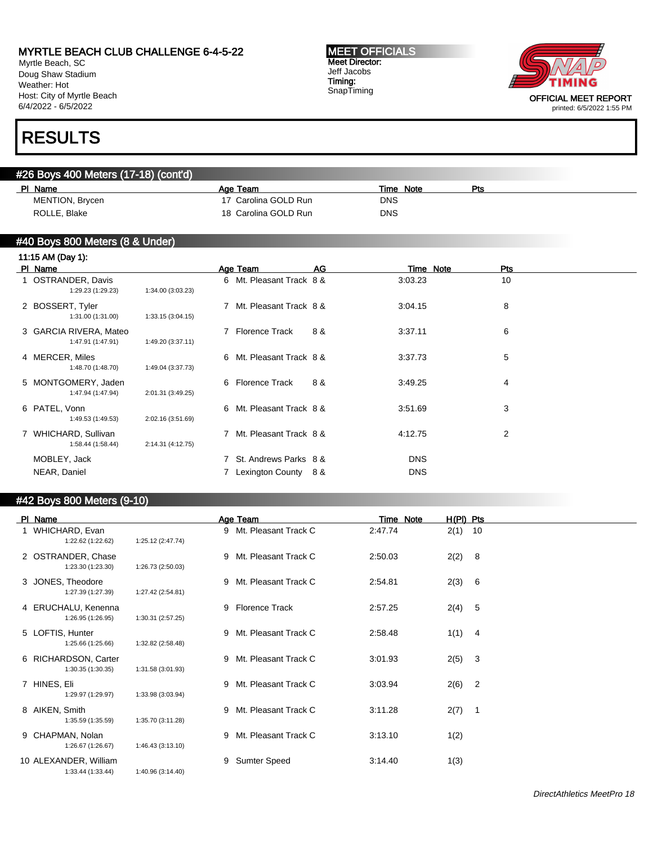Myrtle Beach, SC Doug Shaw Stadium Weather: Hot Host: City of Myrtle Beach 6/4/2022 - 6/5/2022

#### MEET OFFICIALS Meet Director: Jeff Jacobs Timing: SnapTiming



## RESULTS

| #26 Boys 400 Meters (17-18) (cont'd) |                      |            |     |  |
|--------------------------------------|----------------------|------------|-----|--|
| PI Name                              | Age Team             | Time Note  | Pts |  |
| MENTION, Brycen                      | 17 Carolina GOLD Run | <b>DNS</b> |     |  |
| ROLLE, Blake                         | 18 Carolina GOLD Run | <b>DNS</b> |     |  |

## #40 Boys 800 Meters (8 & Under)

| 11:15 AM (Day 1):                           |                   |                          |     |            |     |  |
|---------------------------------------------|-------------------|--------------------------|-----|------------|-----|--|
| PI Name                                     |                   | Age Team                 | AG  | Time Note  | Pts |  |
| 1 OSTRANDER, Davis<br>1:29.23 (1:29.23)     | 1:34.00 (3:03.23) | 6 Mt. Pleasant Track 8 & |     | 3:03.23    | 10  |  |
| 2 BOSSERT, Tyler<br>1:31.00 (1:31.00)       | 1:33.15(3:04.15)  | 7 Mt. Pleasant Track 8 & |     | 3:04.15    | 8   |  |
| 3 GARCIA RIVERA, Mateo<br>1:47.91 (1:47.91) | 1:49.20 (3:37.11) | 7 Florence Track         | 8 & | 3:37.11    | 6   |  |
| 4 MERCER, Miles<br>1:48.70 (1:48.70)        | 1:49.04 (3:37.73) | 6 Mt. Pleasant Track 8 & |     | 3:37.73    | 5   |  |
| 5 MONTGOMERY, Jaden<br>1:47.94 (1:47.94)    | 2:01.31 (3:49.25) | 6 Florence Track         | 8 & | 3:49.25    | 4   |  |
| 6 PATEL, Vonn<br>1:49.53 (1:49.53)          | 2:02.16 (3:51.69) | 6 Mt. Pleasant Track 8 & |     | 3:51.69    | 3   |  |
| 7 WHICHARD, Sullivan<br>1:58.44 (1:58.44)   | 2:14.31 (4:12.75) | Mt. Pleasant Track 8 &   |     | 4:12.75    | 2   |  |
| MOBLEY, Jack                                |                   | 7 St. Andrews Parks 8 &  |     | <b>DNS</b> |     |  |
| NEAR, Daniel                                |                   | Lexington County 8 &     |     | <b>DNS</b> |     |  |

## #42 Boys 800 Meters (9-10)

| PI Name                                                         | Age Team                  | Time Note<br>H(PI) Pts            |  |
|-----------------------------------------------------------------|---------------------------|-----------------------------------|--|
| 1 WHICHARD, Evan<br>1:22.62 (1:22.62)<br>1:25.12 (2:47.74)      | 9 Mt. Pleasant Track C    | 2:47.74<br>2(1)<br>10             |  |
| 2 OSTRANDER, Chase<br>1:23.30 (1:23.30)<br>1:26.73 (2:50.03)    | Mt. Pleasant Track C<br>9 | 2:50.03<br>2(2)<br>- 8            |  |
| 3 JONES, Theodore<br>1:27.39 (1:27.39)<br>1:27.42 (2:54.81)     | Mt. Pleasant Track C<br>9 | 2:54.81<br>2(3)<br>- 6            |  |
| 4 ERUCHALU, Kenenna<br>1:26.95 (1:26.95)<br>1:30.31 (2:57.25)   | 9 Florence Track          | 2:57.25<br>2(4)<br>5              |  |
| 5 LOFTIS, Hunter<br>1:32.82 (2:58.48)<br>1:25.66 (1:25.66)      | Mt. Pleasant Track C<br>9 | 2:58.48<br>1(1)<br>4              |  |
| 6 RICHARDSON, Carter<br>1:30.35 (1:30.35)<br>1:31.58 (3:01.93)  | Mt. Pleasant Track C<br>9 | 2(5)<br>3:01.93<br>3              |  |
| 7 HINES, Eli<br>1:29.97 (1:29.97)<br>1:33.98 (3:03.94)          | Mt. Pleasant Track C<br>9 | 3:03.94<br>2(6)<br>$\overline{2}$ |  |
| 8 AIKEN, Smith<br>1:35.59 (1:35.59)<br>1:35.70 (3:11.28)        | Mt. Pleasant Track C<br>9 | 3:11.28<br>2(7)<br>$\overline{1}$ |  |
| 9 CHAPMAN, Nolan<br>1:26.67 (1:26.67)<br>1:46.43 (3:13.10)      | Mt. Pleasant Track C<br>9 | 3:13.10<br>1(2)                   |  |
| 10 ALEXANDER, William<br>1:40.96 (3:14.40)<br>1:33.44 (1:33.44) | <b>Sumter Speed</b><br>9  | 3:14.40<br>1(3)                   |  |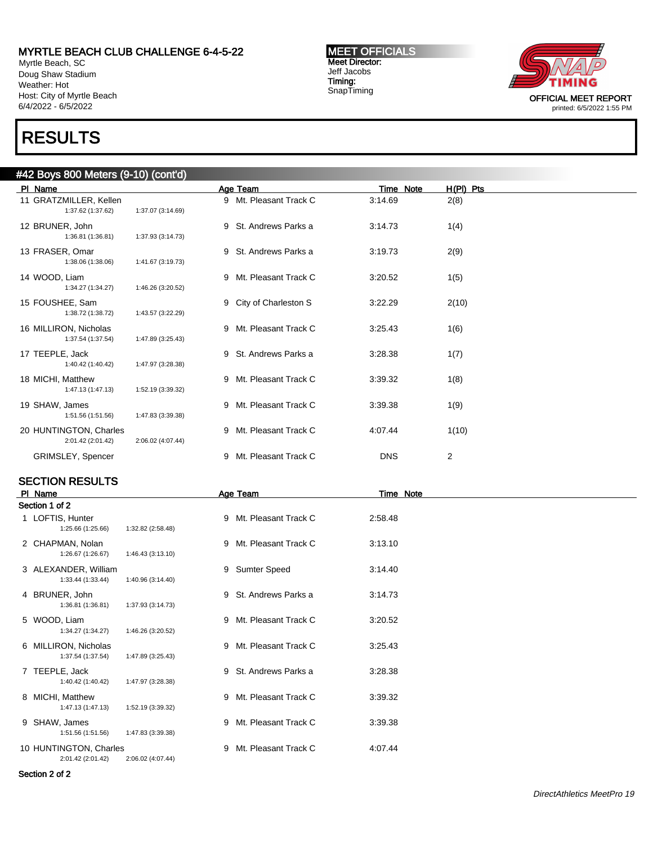Myrtle Beach, SC Doug Shaw Stadium Weather: Hot Host: City of Myrtle Beach 6/4/2022 - 6/5/2022

#### MEET OFFICIALS Meet Director: Jeff Jacobs Timing: SnapTiming



## RESULTS

## #42 Boys 800 Meters (9-10) (cont'd)

| PI Name                                     |                        | Age Team               | Time Note  | $H(PI)$ Pts    |
|---------------------------------------------|------------------------|------------------------|------------|----------------|
| 11 GRATZMILLER, Kellen<br>1:37.62 (1:37.62) | 1:37.07 (3:14.69)      | 9 Mt. Pleasant Track C | 3:14.69    | 2(8)           |
| 12 BRUNER, John<br>1:36.81 (1:36.81)        | 1:37.93 (3:14.73)      | 9 St. Andrews Parks a  | 3:14.73    | 1(4)           |
| 13 FRASER, Omar<br>1:38.06 (1:38.06)        | 1:41.67 (3:19.73)      | 9 St. Andrews Parks a  | 3:19.73    | 2(9)           |
| 14 WOOD, Liam<br>1:34.27 (1:34.27)          | 9<br>1:46.26 (3:20.52) | Mt. Pleasant Track C   | 3:20.52    | 1(5)           |
| 15 FOUSHEE, Sam<br>1:38.72 (1:38.72)        | 9<br>1:43.57 (3:22.29) | City of Charleston S   | 3:22.29    | 2(10)          |
| 16 MILLIRON, Nicholas<br>1:37.54 (1:37.54)  | 9<br>1:47.89 (3:25.43) | Mt. Pleasant Track C   | 3:25.43    | 1(6)           |
| 17 TEEPLE, Jack<br>1:40.42 (1:40.42)        | 1:47.97 (3:28.38)      | 9 St. Andrews Parks a  | 3:28.38    | 1(7)           |
| 18 MICHI, Matthew<br>1:47.13 (1:47.13)      | 9<br>1:52.19 (3:39.32) | Mt. Pleasant Track C   | 3:39.32    | 1(8)           |
| 19 SHAW, James<br>1:51.56 (1:51.56)         | 9<br>1:47.83 (3:39.38) | Mt. Pleasant Track C   | 3:39.38    | 1(9)           |
| 20 HUNTINGTON, Charles<br>2:01.42 (2:01.42) | 9<br>2:06.02 (4:07.44) | Mt. Pleasant Track C   | 4:07.44    | 1(10)          |
| <b>GRIMSLEY, Spencer</b>                    | 9                      | Mt. Pleasant Track C   | <b>DNS</b> | $\overline{2}$ |

## SECTION RESULTS

| PI Name                                     |                   | Age Team                  | Time Note |  |
|---------------------------------------------|-------------------|---------------------------|-----------|--|
| Section 1 of 2                              |                   |                           |           |  |
| 1 LOFTIS, Hunter<br>1:25.66 (1:25.66)       | 1:32.82 (2:58.48) | 9 Mt. Pleasant Track C    | 2:58.48   |  |
| 2 CHAPMAN, Nolan<br>1:26.67 (1:26.67)       | 1:46.43(3:13.10)  | Mt. Pleasant Track C<br>9 | 3:13.10   |  |
| 3 ALEXANDER, William<br>1:33.44 (1:33.44)   | 1:40.96 (3:14.40) | <b>Sumter Speed</b><br>9  | 3:14.40   |  |
| 4 BRUNER, John<br>1:36.81 (1:36.81)         | 1:37.93 (3:14.73) | 9 St. Andrews Parks a     | 3:14.73   |  |
| 5 WOOD, Liam<br>1:34.27 (1:34.27)           | 1:46.26 (3:20.52) | 9 Mt. Pleasant Track C    | 3:20.52   |  |
| 6 MILLIRON, Nicholas<br>1:37.54 (1:37.54)   | 1:47.89 (3:25.43) | Mt. Pleasant Track C<br>9 | 3:25.43   |  |
| 7 TEEPLE, Jack<br>1:40.42 (1:40.42)         | 1:47.97 (3:28.38) | 9 St. Andrews Parks a     | 3:28.38   |  |
| 8 MICHI, Matthew<br>1:47.13 (1:47.13)       | 1:52.19 (3:39.32) | Mt. Pleasant Track C<br>9 | 3:39.32   |  |
| 9 SHAW, James<br>1:51.56 (1:51.56)          | 1:47.83 (3:39.38) | Mt. Pleasant Track C<br>9 | 3:39.38   |  |
| 10 HUNTINGTON, Charles<br>2:01.42 (2:01.42) | 2:06.02 (4:07.44) | Mt. Pleasant Track C<br>9 | 4:07.44   |  |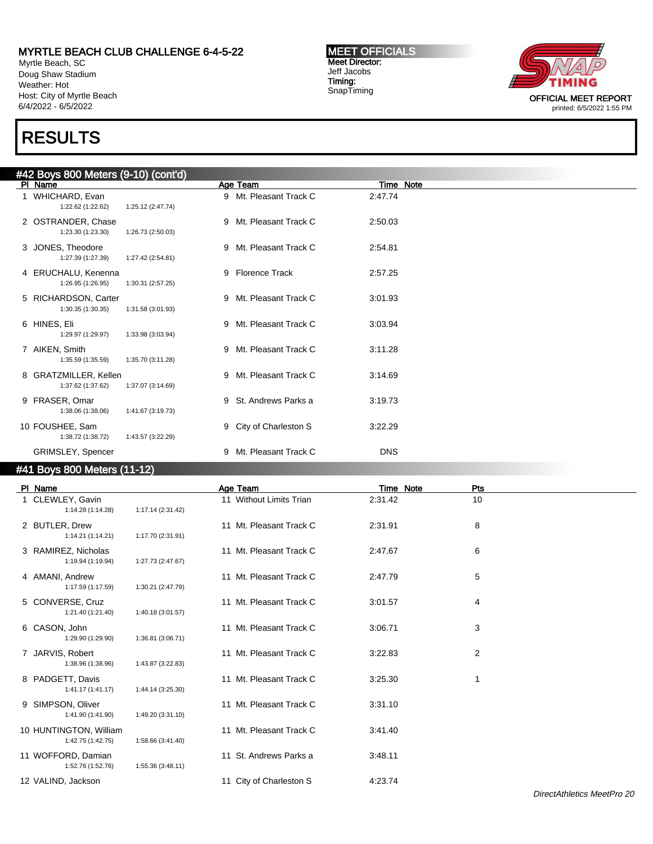Myrtle Beach, SC Doug Shaw Stadium Weather: Hot Host: City of Myrtle Beach 6/4/2022 - 6/5/2022

#### MEET OFFICIALS Meet Director: Jeff Jacobs Timing: SnapTiming



## RESULTS

## #42 Boys 800 Meters (9-10) (cont'd)<br>\_PL\_Name Age Team Time Note 1 WHICHARD, Evan 9 Mt. Pleasant Track C 2:47.74 1:22.62 (1:22.62) 1:25.12 (2:47.74) 2 OSTRANDER, Chase 9 Mt. Pleasant Track C 2:50.03<br>
1:23.30 (1:23.30) 1:26.73 (2:50.03) 1:23.30 (1:23.30) 1:26.73 (2:50.03) 3 JONES, Theodore 9 Mt. Pleasant Track C 2:54.81<br>
1:27.39 (1:27.39) 1:27.42 (2:54.81) 1:27.39 (1:27.39) 4 ERUCHALU, Kenenna 9 Florence Track 2:57.25 1:26.95 (1:26.95) 1:30.31 (2:57.25) 5 RICHARDSON, Carter 9 Mt. Pleasant Track C 3:01.93 1:30.35 (1:30.35) 1:31.58 (3:01.93) 6 HINES, Eli 9 Mt. Pleasant Track C 3:03.94 1:29.97 (1:29.97) 1:33.98 (3:03.94) 7 AIKEN, Smith 9 Mt. Pleasant Track C 3:11.28 1:35.59 (1:35.59) 1:35.70 (3:11.28) 8 GRATZMILLER, Kellen 9 Mt. Pleasant Track C 3:14.69<br>1:37.62 (1:37.62) 1:37.07 (3:14.69) 1:37.62 (1:37.62) 9 FRASER, Omar 1:38.06 (1:38.06) 1:41.67 (3:19.73) 9 St. Andrews Parks a 3:19.73  $1:38.06(1:38.06)$ 10 FOUSHEE, Sam <br>1:38.72 (1:38.72) 1:43.57 (3:22.29) <br>1:43.57 (3:22.29) 1:38.72 (1:38.72) GRIMSLEY, Spencer and The South Music Section 9 Mt. Pleasant Track C DNS #41 Boys 800 Meters (11-12)

| PI Name                                                          | Age Team                | Time Note | Pts            |  |
|------------------------------------------------------------------|-------------------------|-----------|----------------|--|
| 1 CLEWLEY, Gavin<br>1:14.28 (1:14.28)<br>1:17.14 (2:31.42)       | 11 Without Limits Trian | 2:31.42   | 10             |  |
| 2 BUTLER, Drew<br>1:14.21 (1:14.21)<br>1:17.70 (2:31.91)         | 11 Mt. Pleasant Track C | 2:31.91   | 8              |  |
| 3 RAMIREZ, Nicholas<br>1:19.94 (1:19.94)<br>1:27.73 (2:47.67)    | 11 Mt. Pleasant Track C | 2:47.67   | 6              |  |
| 4 AMANI, Andrew<br>1:17.59 (1:17.59)<br>1:30.21 (2:47.79)        | 11 Mt. Pleasant Track C | 2:47.79   | 5              |  |
| 5 CONVERSE, Cruz<br>1:21.40 (1:21.40)<br>1:40.18 (3:01.57)       | 11 Mt. Pleasant Track C | 3:01.57   | 4              |  |
| 6 CASON, John<br>1:29.90 (1:29.90)<br>1:36.81 (3:06.71)          | 11 Mt. Pleasant Track C | 3:06.71   | 3              |  |
| 7 JARVIS, Robert<br>1:43.87 (3:22.83)<br>1:38.96 (1:38.96)       | 11 Mt. Pleasant Track C | 3:22.83   | $\overline{c}$ |  |
| 8 PADGETT, Davis<br>1:41.17 (1:41.17)<br>1:44.14 (3:25.30)       | 11 Mt. Pleasant Track C | 3:25.30   | 1              |  |
| 9 SIMPSON, Oliver<br>1:41.90 (1:41.90)<br>1:49.20 (3:31.10)      | 11 Mt. Pleasant Track C | 3:31.10   |                |  |
| 10 HUNTINGTON, William<br>1:42.75 (1:42.75)<br>1:58.66 (3:41.40) | 11 Mt. Pleasant Track C | 3:41.40   |                |  |
| 11 WOFFORD, Damian<br>1:52.76 (1:52.76)<br>1:55.36 (3:48.11)     | 11 St. Andrews Parks a  | 3:48.11   |                |  |
| 12 VALIND, Jackson                                               | 11 City of Charleston S | 4.23.74   |                |  |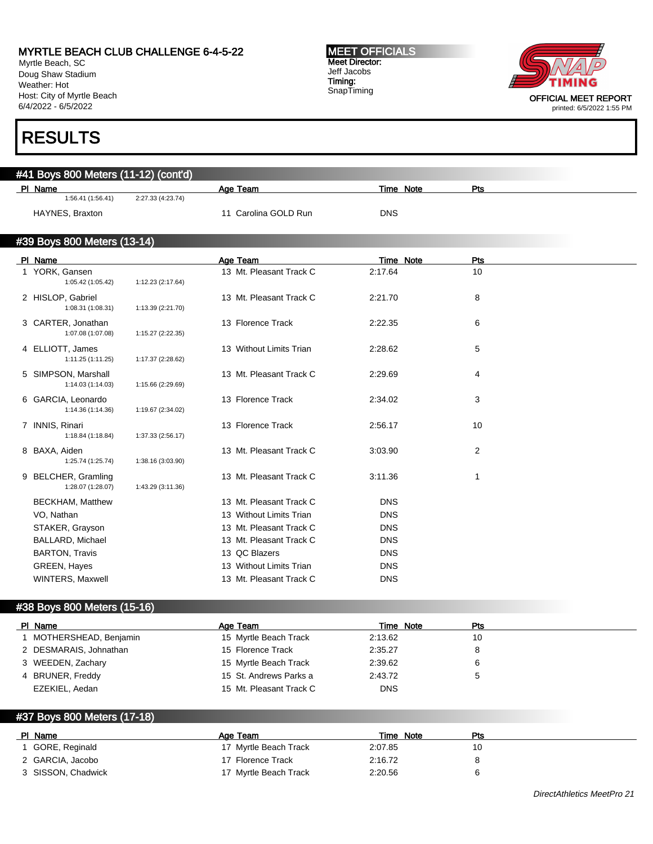Myrtle Beach, SC Doug Shaw Stadium Weather: Hot Host: City of Myrtle Beach 6/4/2022 - 6/5/2022

## RESULTS



|                                         | #41 Boys 800 Meters (11-12) (cont'd) |                         |            |     |  |
|-----------------------------------------|--------------------------------------|-------------------------|------------|-----|--|
| PI Name                                 |                                      | Age Team                | Time Note  | Pts |  |
| 1:56.41(1:56.41)                        | 2:27.33 (4:23.74)                    |                         |            |     |  |
| HAYNES, Braxton                         |                                      | 11 Carolina GOLD Run    | <b>DNS</b> |     |  |
|                                         |                                      |                         |            |     |  |
| #39 Boys 800 Meters (13-14)             |                                      |                         |            |     |  |
| PI Name                                 |                                      | Age Team                | Time Note  | Pts |  |
| 1 YORK, Gansen                          |                                      | 13 Mt. Pleasant Track C | 2:17.64    | 10  |  |
| 1:05.42 (1:05.42)                       | 1:12.23 (2:17.64)                    |                         |            |     |  |
| 2 HISLOP, Gabriel                       |                                      | 13 Mt. Pleasant Track C | 2:21.70    | 8   |  |
| 1:08.31 (1:08.31)                       | 1:13.39 (2:21.70)                    |                         |            |     |  |
| 3 CARTER, Jonathan                      |                                      | 13 Florence Track       | 2:22.35    | 6   |  |
| 1:07.08 (1:07.08)                       | 1:15.27 (2:22.35)                    |                         |            |     |  |
| 4 ELLIOTT, James                        |                                      | 13 Without Limits Trian | 2:28.62    | 5   |  |
| 1:11.25 (1:11.25)                       | 1:17.37 (2:28.62)                    |                         |            |     |  |
| 5 SIMPSON, Marshall                     |                                      | 13 Mt. Pleasant Track C | 2:29.69    | 4   |  |
| 1:14.03 (1:14.03)                       | 1:15.66 (2:29.69)                    |                         |            |     |  |
| 6 GARCIA, Leonardo<br>1:14.36 (1:14.36) |                                      | 13 Florence Track       | 2:34.02    | 3   |  |
|                                         | 1:19.67 (2:34.02)                    |                         |            |     |  |
| 7 INNIS, Rinari<br>1:18.84 (1:18.84)    | 1:37.33 (2:56.17)                    | 13 Florence Track       | 2:56.17    | 10  |  |
|                                         |                                      |                         |            |     |  |
| 8 BAXA, Aiden<br>1:25.74 (1:25.74)      | 1:38.16 (3:03.90)                    | 13 Mt. Pleasant Track C | 3:03.90    | 2   |  |
| 9 BELCHER, Gramling                     |                                      | 13 Mt. Pleasant Track C | 3:11.36    | 1   |  |
| 1:28.07 (1:28.07)                       | 1:43.29 (3:11.36)                    |                         |            |     |  |
| <b>BECKHAM, Matthew</b>                 |                                      | 13 Mt. Pleasant Track C | <b>DNS</b> |     |  |
| VO, Nathan                              |                                      | 13 Without Limits Trian | <b>DNS</b> |     |  |
| STAKER, Grayson                         |                                      | 13 Mt. Pleasant Track C | <b>DNS</b> |     |  |
| BALLARD, Michael                        |                                      | 13 Mt. Pleasant Track C | <b>DNS</b> |     |  |
| <b>BARTON, Travis</b>                   |                                      | 13 QC Blazers           | <b>DNS</b> |     |  |
| GREEN, Hayes                            |                                      | 13 Without Limits Trian | <b>DNS</b> |     |  |
| WINTERS, Maxwell                        |                                      | 13 Mt. Pleasant Track C | <b>DNS</b> |     |  |
|                                         |                                      |                         |            |     |  |

## #38 Boys 800 Meters (15-16)

| PI Name                 | Age Team                | Time Note  | Pts |
|-------------------------|-------------------------|------------|-----|
| 1 MOTHERSHEAD, Benjamin | 15 Myrtle Beach Track   | 2:13.62    | 10  |
| 2 DESMARAIS, Johnathan  | 15 Florence Track       | 2:35.27    |     |
| 3 WEEDEN, Zachary       | 15 Myrtle Beach Track   | 2:39.62    |     |
| 4 BRUNER, Freddy        | 15 St. Andrews Parks a  | 2:43.72    |     |
| EZEKIEL, Aedan          | 15 Mt. Pleasant Track C | <b>DNS</b> |     |

## #37 Boys 800 Meters (17-18)

| PI Name            | Age Team              | Time Note | Pts |  |
|--------------------|-----------------------|-----------|-----|--|
| GORE, Reginald     | 17 Myrtle Beach Track | 2:07.85   | 10  |  |
| 2 GARCIA, Jacobo   | 17 Florence Track     | 2:16.72   |     |  |
| 3 SISSON, Chadwick | 17 Myrtle Beach Track | 2:20.56   |     |  |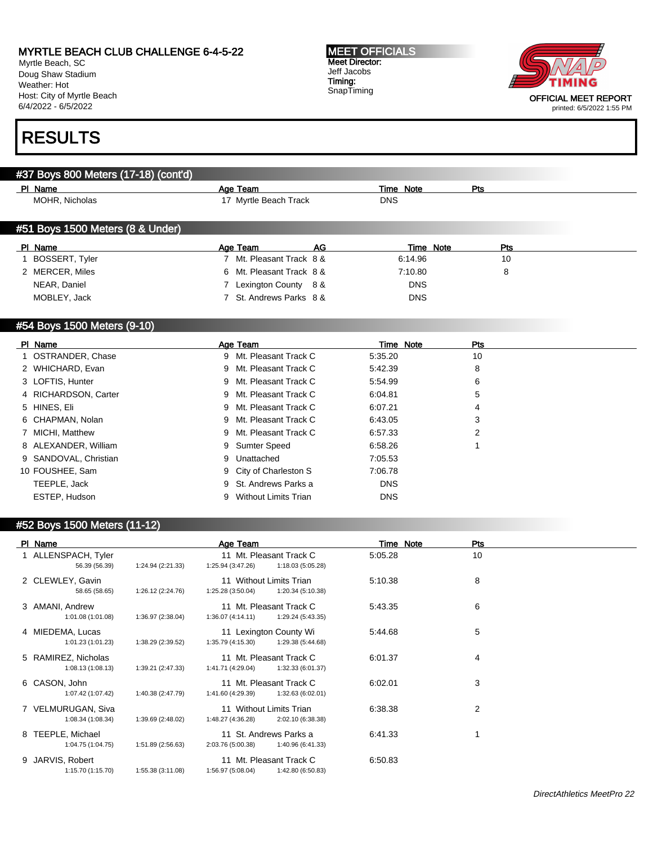Myrtle Beach, SC Doug Shaw Stadium Weather: Hot Host: City of Myrtle Beach 6/4/2022 - 6/5/2022

#### MEET OFFICIALS Meet Director: Jeff Jacobs Timing: **SnapTiming**



## RESULTS

## #37 Boys 800 Meters (17-18) (cont'd) PI Name **Age Team Age Team Time Note** Pts MOHR, Nicholas 17 Myrtle Beach Track DNS #51 Boys 1500 Meters (8 & Under) Pl Name Age Team AG Time Note Pts 1 BOSSERT, Tyler 10 **10 CMSSERT, Tyler 10** 2 Mt. Pleasant Track 8 & 6:14.96 10 2 MERCER, Miles 6 Mt. Pleasant Track 8 & 7:10.80 8 8 NEAR, Daniel 7 Lexington County 8 & DNS MOBLEY, Jack 7 St. Andrews Parks 8 & DNS #54 Boys 1500 Meters (9-10) Pl Name Age Team Time Note Pts 1 OSTRANDER, Chase 9 Mt. Pleasant Track C 5:35.20 10 2 WHICHARD, Evan 8 8 Mt. Pleasant Track C 5:42.39 8 8 3 LOFTIS, Hunter 6 COMPUTER 19 Mt. Pleasant Track C 5:54.99 6 4 RICHARDSON, Carter 19 Mt. Pleasant Track C 6:04.81 5 5 HINES, Eli 9 Mt. Pleasant Track C 6:07.21 4 6 CHAPMAN, Nolan 9 Mt. Pleasant Track C 6:43.05 3 7 MICHI, Matthew 9 Mt. Pleasant Track C 6:57.33 2 8 ALEXANDER, William 1 and 1 9 Sumter Speed 6:58.26 1 9 SANDOVAL, Christian 9 Unattached 7:05.53 10 FOUSHEE, Sam 9 City of Charleston S 7:06.78 TEEPLE, Jack 9 St. Andrews Parks a DNS ESTEP, Hudson 9 Without Limits Trian DNS #52 Boys 1500 Meters (11-12) PI Name **Age Team Age Team Time Note** Pts 1 ALLENSPACH, Tyler 11 Mt. Pleasant Track C 5:05.28 10 56.39 (56.39) 1:24.94 (2:21.33) 1:25.94 (3:47.26) 1:18.03 (5:05.28) 2 CLEWLEY, Gavin **11 Without Limits Trian** 5:10.38 8 8 58.65 (58.65) 1:26.12 (2:24.76) 1:25.28 (3:50.04) 1:20.34 (5:10.38) 3 AMANI, Andrew 6 **11 Mt. Pleasant Track C** 5:43.35 6 1:01.08 (1:01.08) 1:36.97 (2:38.04) 1:36.07 (4:14.11) 1:29.24 (5:43.35) 4 MIEDEMA, Lucas 6 11 Lexington County Wi 5:44.68 5 1:01.23 (1:01.23) 1:38.29 (2:39.52) 1:35.79 (4:15.30) 1:29.38 (5:44.68) 5 RAMIREZ, Nicholas 11 Mt. Pleasant Track C 6:01.37 4 1:08.13 (1:08.13) 1:39.21 (2:47.33) 1:41.71 (4:29.04) 1:32.33 (6:01.37) 6 CASON, John 11 Mt. Pleasant Track C 6:02.01 3 1:07.42 (1:07.42) 1:40.38 (2:47.79) 1:41.60 (4:29.39) 1:32.63 (6:02.01) 7 VELMURUGAN, Siva 11 Without Limits Trian 6:38.38 2 2 1:08.34 (1:08.34) 1:39.69 (2:48.02) 1:48.27 (4:36.28) 2:02.10 (6:38.38) 8 TEEPLE, Michael 11 St. Andrews Parks a 6:41.33 1 1:04.75 (1:04.75) 1:51.89 (2:56.63) 2:03.76 (5:00.38) 1:40.96 (6:41.33)

9 JARVIS, Robert 11 Mt. Pleasant Track C 6:50.83 1:15.70 (1:15.70) 1:55.38 (3:11.08) 1:56.97 (5:08.04) 1:42.80 (6:50.83)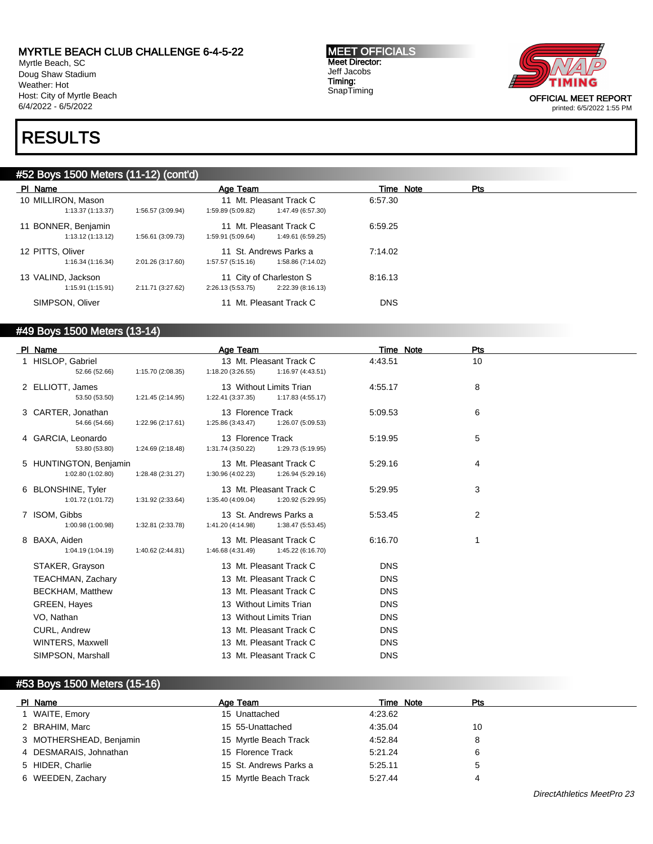Myrtle Beach, SC Doug Shaw Stadium Weather: Hot Host: City of Myrtle Beach 6/4/2022 - 6/5/2022

#### MEET OFFICIALS Meet Director: Jeff Jacobs Timing: SnapTiming



## RESULTS

## #52 Boys 1500 Meters (11-12) (cont'd)

| PI Name             |                   | Age Team          |                         | Time Note  | <b>Pts</b> |  |
|---------------------|-------------------|-------------------|-------------------------|------------|------------|--|
| 10 MILLIRON, Mason  |                   |                   | 11 Mt. Pleasant Track C | 6:57.30    |            |  |
| 1:13.37(1:13.37)    | 1:56.57 (3:09.94) | 1:59.89 (5:09.82) | 1:47.49 (6:57.30)       |            |            |  |
| 11 BONNER, Benjamin |                   |                   | 11 Mt. Pleasant Track C | 6:59.25    |            |  |
| 1:13.12(1:13.12)    | 1:56.61 (3:09.73) | 1:59.91 (5:09.64) | 1:49.61 (6:59.25)       |            |            |  |
| 12 PITTS, Oliver    |                   |                   | 11 St. Andrews Parks a  | 7:14.02    |            |  |
| 1:16.34(1:16.34)    | 2:01.26 (3:17.60) | 1:57.57 (5:15.16) | 1:58.86 (7:14.02)       |            |            |  |
| 13 VALIND, Jackson  |                   |                   | 11 City of Charleston S | 8:16.13    |            |  |
| 1:15.91 (1:15.91)   | 2:11.71 (3:27.62) | 2:26.13 (5:53.75) | 2:22.39 (8:16.13)       |            |            |  |
| SIMPSON, Oliver     |                   |                   | 11 Mt. Pleasant Track C | <b>DNS</b> |            |  |

## #49 Boys 1500 Meters (13-14)

| PI Name                                     |                   | Age Team                                                          |            | <b>Time Note</b><br>Pts |  |
|---------------------------------------------|-------------------|-------------------------------------------------------------------|------------|-------------------------|--|
| 1 HISLOP, Gabriel<br>52.66 (52.66)          | 1:15.70 (2:08.35) | 13 Mt. Pleasant Track C<br>1:18.20 (3:26.55)<br>1:16.97 (4:43.51) | 4:43.51    | 10                      |  |
| 2 ELLIOTT, James<br>53.50 (53.50)           | 1:21.45 (2:14.95) | 13 Without Limits Trian<br>1:22.41 (3:37.35)<br>1:17.83 (4:55.17) | 4:55.17    | 8                       |  |
| 3 CARTER, Jonathan<br>54.66 (54.66)         | 1:22.96 (2:17.61) | 13 Florence Track<br>1:25.86 (3:43.47)<br>1:26.07 (5:09.53)       | 5:09.53    | 6                       |  |
| 4 GARCIA, Leonardo<br>53.80 (53.80)         | 1:24.69 (2:18.48) | 13 Florence Track<br>1:31.74 (3:50.22)<br>1:29.73 (5:19.95)       | 5:19.95    | 5                       |  |
| 5 HUNTINGTON, Benjamin<br>1:02.80 (1:02.80) | 1:28.48 (2:31.27) | 13 Mt. Pleasant Track C<br>1:30.96 (4:02.23)<br>1:26.94 (5:29.16) | 5:29.16    | 4                       |  |
| 6 BLONSHINE, Tyler<br>1:01.72 (1:01.72)     | 1:31.92 (2:33.64) | 13 Mt. Pleasant Track C<br>1:35.40 (4:09.04)<br>1:20.92 (5:29.95) | 5:29.95    | 3                       |  |
| 7 ISOM, Gibbs<br>1:00.98 (1:00.98)          | 1:32.81 (2:33.78) | 13 St. Andrews Parks a<br>1:41.20 (4:14.98)<br>1:38.47 (5:53.45)  | 5:53.45    | $\overline{2}$          |  |
| 8 BAXA, Aiden<br>1:04.19 (1:04.19)          | 1:40.62 (2:44.81) | 13 Mt. Pleasant Track C<br>1:46.68 (4:31.49)<br>1:45.22 (6:16.70) | 6:16.70    |                         |  |
| STAKER, Grayson                             |                   | 13 Mt. Pleasant Track C                                           | <b>DNS</b> |                         |  |
| <b>TEACHMAN, Zachary</b>                    |                   | 13 Mt. Pleasant Track C                                           | <b>DNS</b> |                         |  |
| <b>BECKHAM, Matthew</b>                     |                   | 13 Mt. Pleasant Track C                                           | <b>DNS</b> |                         |  |
| <b>GREEN, Hayes</b>                         |                   | 13 Without Limits Trian                                           | <b>DNS</b> |                         |  |
| VO. Nathan                                  |                   | 13 Without Limits Trian                                           | <b>DNS</b> |                         |  |
| <b>CURL, Andrew</b>                         |                   | 13 Mt. Pleasant Track C                                           | <b>DNS</b> |                         |  |
| WINTERS, Maxwell                            |                   | 13 Mt. Pleasant Track C                                           | <b>DNS</b> |                         |  |
| SIMPSON, Marshall                           |                   | 13 Mt. Pleasant Track C                                           | <b>DNS</b> |                         |  |

## #53 Boys 1500 Meters (15-16)

| PI Name                 | Age Team               | Time Note | Pts |  |
|-------------------------|------------------------|-----------|-----|--|
| 1 WAITE, Emory          | 15 Unattached          | 4:23.62   |     |  |
| 2 BRAHIM, Marc          | 15 55-Unattached       | 4:35.04   | 10  |  |
| 3 MOTHERSHEAD, Benjamin | 15 Myrtle Beach Track  | 4:52.84   | 8   |  |
| 4 DESMARAIS, Johnathan  | 15 Florence Track      | 5:21.24   | 6   |  |
| 5 HIDER, Charlie        | 15 St. Andrews Parks a | 5:25.11   |     |  |
| 6 WEEDEN, Zachary       | 15 Myrtle Beach Track  | 5:27.44   |     |  |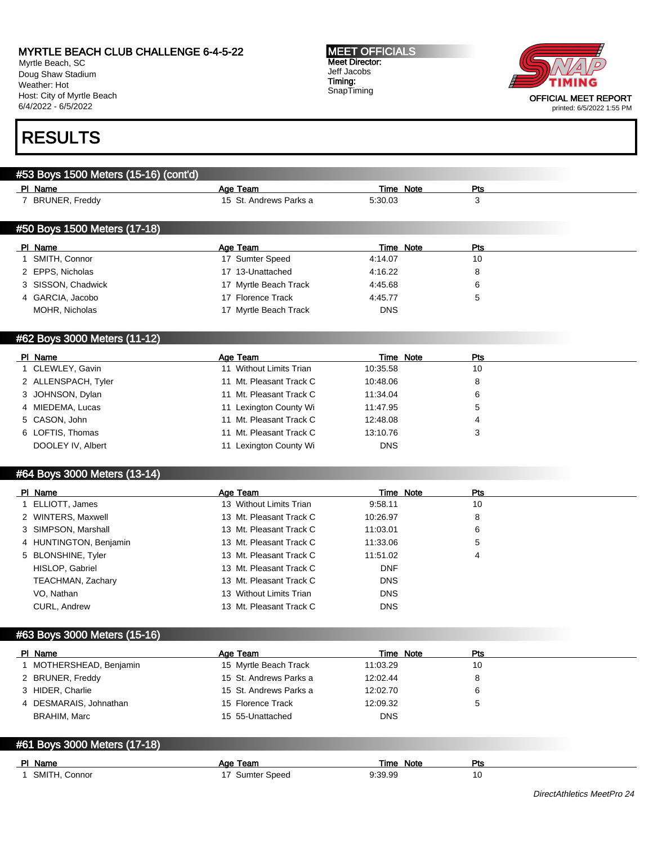Myrtle Beach, SC Doug Shaw Stadium Weather: Hot Host: City of Myrtle Beach 6/4/2022 - 6/5/2022

#### MEET OFFICIALS Meet Director: Jeff Jacobs Timing: SnapTiming



## RESULTS

| #53 Boys 1500 Meters (15-16) (cont'd) |                         |            |            |                            |
|---------------------------------------|-------------------------|------------|------------|----------------------------|
| PI Name                               | Age Team                | Time Note  | Pts        |                            |
| 7 BRUNER, Freddy                      | 15 St. Andrews Parks a  | 5:30.03    | 3          |                            |
|                                       |                         |            |            |                            |
| #50 Boys 1500 Meters (17-18)          |                         |            |            |                            |
| PI Name                               | Age Team                | Time Note  | Pts        |                            |
| 1 SMITH, Connor                       | 17 Sumter Speed         | 4:14.07    | 10         |                            |
| 2 EPPS, Nicholas                      | 17 13-Unattached        | 4:16.22    | 8          |                            |
| 3 SISSON, Chadwick                    | 17 Myrtle Beach Track   | 4:45.68    | 6          |                            |
| 4 GARCIA, Jacobo                      | 17 Florence Track       | 4:45.77    | 5          |                            |
| MOHR, Nicholas                        | 17 Myrtle Beach Track   | <b>DNS</b> |            |                            |
|                                       |                         |            |            |                            |
| #62 Boys 3000 Meters (11-12)          |                         |            |            |                            |
| PI Name                               | Age Team                | Time Note  | Pts        |                            |
| 1 CLEWLEY, Gavin                      | 11 Without Limits Trian | 10:35.58   | 10         |                            |
| 2 ALLENSPACH, Tyler                   | 11 Mt. Pleasant Track C | 10:48.06   | 8          |                            |
| 3 JOHNSON, Dylan                      | 11 Mt. Pleasant Track C | 11:34.04   | 6          |                            |
| 4 MIEDEMA, Lucas                      | 11 Lexington County Wi  | 11:47.95   | 5          |                            |
| 5 CASON, John                         | 11 Mt. Pleasant Track C | 12:48.08   | 4          |                            |
| 6 LOFTIS, Thomas                      | 11 Mt. Pleasant Track C | 13:10.76   | 3          |                            |
| DOOLEY IV, Albert                     | 11 Lexington County Wi  | <b>DNS</b> |            |                            |
|                                       |                         |            |            |                            |
| #64 Boys 3000 Meters (13-14)          |                         |            |            |                            |
| PI Name                               | Age Team                | Time Note  | Pts        |                            |
| 1 ELLIOTT, James                      | 13 Without Limits Trian | 9:58.11    | 10         |                            |
| 2 WINTERS, Maxwell                    | 13 Mt. Pleasant Track C | 10:26.97   | 8          |                            |
| 3 SIMPSON, Marshall                   | 13 Mt. Pleasant Track C | 11:03.01   | 6          |                            |
| 4 HUNTINGTON, Benjamin                | 13 Mt. Pleasant Track C | 11:33.06   | 5          |                            |
| 5 BLONSHINE, Tyler                    | 13 Mt. Pleasant Track C | 11:51.02   | 4          |                            |
| HISLOP, Gabriel                       | 13 Mt. Pleasant Track C | <b>DNF</b> |            |                            |
| <b>TEACHMAN, Zachary</b>              | 13 Mt. Pleasant Track C | <b>DNS</b> |            |                            |
| VO, Nathan                            | 13 Without Limits Trian | <b>DNS</b> |            |                            |
| CURL, Andrew                          | 13 Mt. Pleasant Track C | <b>DNS</b> |            |                            |
| #63 Boys 3000 Meters (15-16)          |                         |            |            |                            |
| PI Name                               | Age Team                | Time Note  | Pts        |                            |
| 1 MOTHERSHEAD, Benjamin               | 15 Myrtle Beach Track   | 11:03.29   | 10         |                            |
| 2 BRUNER, Freddy                      | 15 St. Andrews Parks a  | 12:02.44   | 8          |                            |
| 3 HIDER, Charlie                      | 15 St. Andrews Parks a  | 12:02.70   | 6          |                            |
| 4 DESMARAIS, Johnathan                | 15 Florence Track       | 12:09.32   | 5          |                            |
| <b>BRAHIM, Marc</b>                   | 15 55-Unattached        | <b>DNS</b> |            |                            |
| #61 Boys 3000 Meters (17-18)          |                         |            |            |                            |
| PI Name                               | Age Team                | Time Note  | <u>Pts</u> |                            |
| 1 SMITH, Connor                       | 17 Sumter Speed         | 9:39.99    | 10         |                            |
|                                       |                         |            |            | DirectAthletics MeetPro 24 |
|                                       |                         |            |            |                            |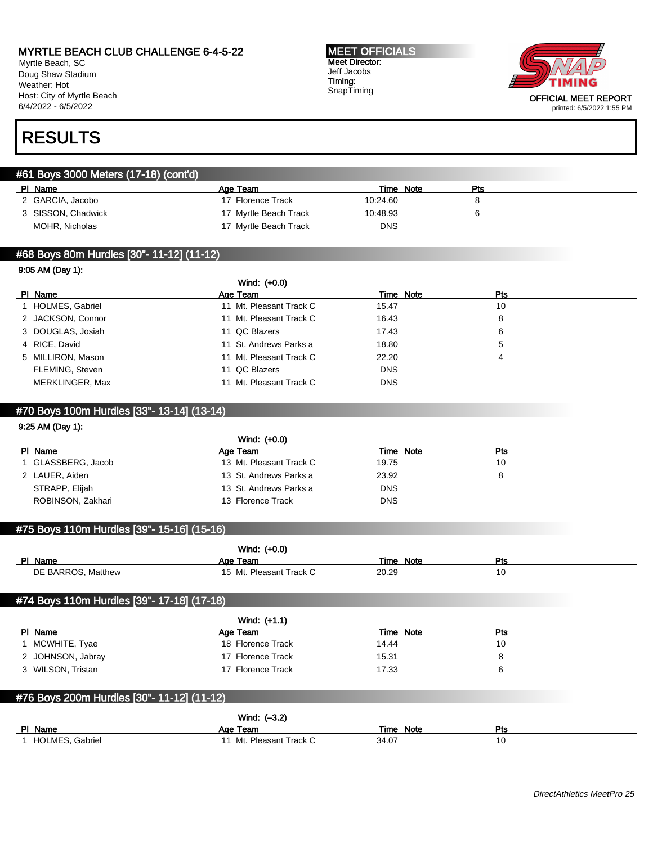Myrtle Beach, SC Doug Shaw Stadium Weather: Hot Host: City of Myrtle Beach 6/4/2022 - 6/5/2022

#### MEET OFFICIALS Meet Director: Jeff Jacobs Timing: **SnapTiming**



## RESULTS

| #61 Boys 3000 Meters (17-18) (cont'd) |            |     |  |  |
|---------------------------------------|------------|-----|--|--|
| Age Team                              | Time Note  | Pts |  |  |
| 17 Florence Track                     | 10:24.60   |     |  |  |
| 17 Myrtle Beach Track                 | 10:48.93   | 6   |  |  |
| 17 Myrtle Beach Track                 | <b>DNS</b> |     |  |  |
|                                       |            |     |  |  |

## #68 Boys 80m Hurdles [30"- 11-12] (11-12)

### 9:05 AM (Day 1):

| .                 |                         |            |     |  |
|-------------------|-------------------------|------------|-----|--|
|                   | Wind: (+0.0)            |            |     |  |
| PI Name           | Age Team                | Time Note  | Pts |  |
| 1 HOLMES, Gabriel | 11 Mt. Pleasant Track C | 15.47      | 10  |  |
| 2 JACKSON, Connor | 11 Mt. Pleasant Track C | 16.43      | 8   |  |
| 3 DOUGLAS, Josiah | 11 QC Blazers           | 17.43      | 6   |  |
| 4 RICE, David     | 11 St. Andrews Parks a  | 18.80      | 5   |  |
| 5 MILLIRON, Mason | 11 Mt. Pleasant Track C | 22.20      | 4   |  |
| FLEMING, Steven   | 11 QC Blazers           | <b>DNS</b> |     |  |
| MERKLINGER, Max   | 11 Mt. Pleasant Track C | <b>DNS</b> |     |  |
|                   |                         |            |     |  |

## #70 Boys 100m Hurdles [33"- 13-14] (13-14)

#### 9:25 AM (Day 1):

|                    | Wind: $(+0.0)$          |            |     |  |
|--------------------|-------------------------|------------|-----|--|
| PI Name            | Age Team                | Time Note  | Pts |  |
| 1 GLASSBERG, Jacob | 13 Mt. Pleasant Track C | 19.75      | 10  |  |
| 2 LAUER, Aiden     | 13 St. Andrews Parks a  | 23.92      |     |  |
| STRAPP, Elijah     | 13 St. Andrews Parks a  | <b>DNS</b> |     |  |
| ROBINSON, Zakhari  | 13 Florence Track       | <b>DNS</b> |     |  |

## #75 Boys 110m Hurdles [39"- 15-16] (15-16)

|                    | Wind: (+0.0)            |           |                 |
|--------------------|-------------------------|-----------|-----------------|
| PI Name            | Age Team                | Time Note | D <sub>fc</sub> |
| DE BARROS, Matthew | 15 Mt. Pleasant Track C | 20.29     | 10              |

## #74 Boys 110m Hurdles [39"- 17-18] (17-18)

|                   | Wind: (+1.1)      |           |     |  |
|-------------------|-------------------|-----------|-----|--|
| PI Name           | Age Team          | Time Note | Pts |  |
| MCWHITE, Tyae     | 18 Florence Track | 14.44     | 10  |  |
| 2 JOHNSON, Jabray | 17 Florence Track | 15.31     |     |  |
| 3 WILSON, Tristan | 17 Florence Track | 17.33     | h   |  |

## #76 Boys 200m Hurdles [30"- 11-12] (11-12)

|                 | Wind: (-3.2)         |           |     |  |
|-----------------|----------------------|-----------|-----|--|
| PI Name         | Age Team             | Time Note | Pts |  |
| HOLMES, Gabriel | Mt. Pleasant Track C | 34.07     | 10  |  |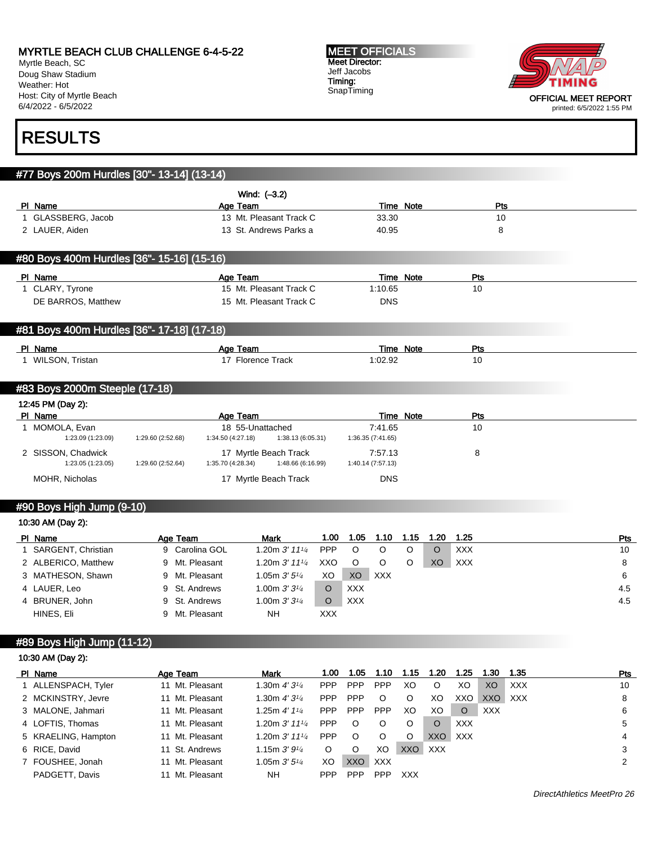Myrtle Beach, SC Doug Shaw Stadium Weather: Hot Host: City of Myrtle Beach 6/4/2022 - 6/5/2022

#### MEET OFFICIALS Meet Director: Jeff Jacobs Timing: SnapTiming



## RESULTS

| #77 Boys 200m Hurdles [30"- 13-14] (13-14) |                   |                   |                                            |            |            |                              |                  |         |            |     |  |
|--------------------------------------------|-------------------|-------------------|--------------------------------------------|------------|------------|------------------------------|------------------|---------|------------|-----|--|
|                                            |                   |                   | Wind: (-3.2)                               |            |            |                              |                  |         |            |     |  |
| PI Name                                    |                   | Age Team          |                                            |            |            |                              | Time Note        |         |            | Pts |  |
| 1 GLASSBERG, Jacob                         |                   |                   | 13 Mt. Pleasant Track C                    |            |            | 33.30                        |                  |         |            | 10  |  |
| 2 LAUER, Aiden                             |                   |                   | 13 St. Andrews Parks a                     |            |            | 40.95                        |                  |         |            | 8   |  |
| #80 Boys 400m Hurdles [36"- 15-16] (15-16) |                   |                   |                                            |            |            |                              |                  |         |            |     |  |
| PI Name                                    |                   | Age Team          |                                            |            |            |                              | Time Note        |         | Pts        |     |  |
| 1 CLARY, Tyrone                            |                   |                   | 15 Mt. Pleasant Track C                    |            |            | 1:10.65                      |                  |         | 10         |     |  |
| DE BARROS, Matthew                         |                   |                   | 15 Mt. Pleasant Track C                    |            |            | <b>DNS</b>                   |                  |         |            |     |  |
| #81 Boys 400m Hurdles [36"- 17-18] (17-18) |                   |                   |                                            |            |            |                              |                  |         |            |     |  |
| PI Name                                    |                   | Age Team          |                                            |            |            |                              | Time Note        |         | Pts        |     |  |
| 1 WILSON, Tristan                          |                   |                   | 17 Florence Track                          |            |            | 1:02.92                      |                  |         | 10         |     |  |
| #83 Boys 2000m Steeple (17-18)             |                   |                   |                                            |            |            |                              |                  |         |            |     |  |
| 12:45 PM (Day 2):                          |                   |                   |                                            |            |            |                              |                  |         |            |     |  |
| PI Name<br>1 MOMOLA, Evan                  |                   | Age Team          | 18 55-Unattached                           |            |            | 7:41.65                      | <b>Time Note</b> |         | Pts<br>10  |     |  |
| 1:23.09 (1:23.09)                          | 1:29.60 (2:52.68) | 1:34.50 (4:27.18) | 1:38.13 (6:05.31)                          |            |            | 1:36.35 (7:41.65)            |                  |         |            |     |  |
| 2 SISSON, Chadwick<br>1:23.05 (1:23.05)    | 1:29.60 (2:52.64) | 1:35.70 (4:28.34) | 17 Myrtle Beach Track<br>1:48.66 (6:16.99) |            |            | 7:57.13<br>1:40.14 (7:57.13) |                  |         | 8          |     |  |
| MOHR, Nicholas                             |                   |                   | 17 Myrtle Beach Track                      |            |            | <b>DNS</b>                   |                  |         |            |     |  |
| #90 Boys High Jump (9-10)                  |                   |                   |                                            |            |            |                              |                  |         |            |     |  |
| 10:30 AM (Day 2):                          |                   |                   |                                            |            |            |                              |                  |         |            |     |  |
| PI Name                                    | Age Team          |                   | <b>Mark</b>                                | 1.00       | 1.05       | 1.10                         | 1.15             | 1.20    | 1.25       |     |  |
| 1 SARGENT, Christian                       | 9 Carolina GOL    |                   | 1.20m $3'$ 11 $\frac{1}{4}$                | PPP        | $\circ$    | $\circ$                      | $\circ$          | $\circ$ | <b>XXX</b> |     |  |
| 2 ALBERICO, Matthew                        | 9 Mt. Pleasant    |                   | 1.20m $3'$ 11 $\frac{1}{4}$                | XXO        | $\circ$    | $\circ$                      | O                | XO      | <b>XXX</b> |     |  |
| 3 MATHESON, Shawn                          | 9 Mt. Pleasant    |                   | 1.05m $3'5''$                              | XO         | XO         | <b>XXX</b>                   |                  |         |            |     |  |
| 4 LAUER, Leo                               | 9 St. Andrews     |                   | 1.00m $3'3'4$                              | $\circ$    | <b>XXX</b> |                              |                  |         |            |     |  |
| 4 BRUNER, John                             | St. Andrews<br>9  |                   | 1.00m 3' 31/4                              | $\circ$    | <b>XXX</b> |                              |                  |         |            |     |  |
| HINES, Eli                                 | Mt. Pleasant<br>9 |                   | <b>NH</b>                                  | <b>XXX</b> |            |                              |                  |         |            |     |  |
| #89 Boys High Jump (11-12)                 |                   |                   |                                            |            |            |                              |                  |         |            |     |  |

#### 10:30 AM (Day 2):

| PI Name             | Age Team        | <b>Mark</b>                 | 1.00       | 1.05       | 1.10       | 1.15 | 1.20 | 1.25       | 1.30       | 1.35       | <b>Pts</b> |
|---------------------|-----------------|-----------------------------|------------|------------|------------|------|------|------------|------------|------------|------------|
| 1 ALLENSPACH, Tyler | 11 Mt. Pleasant | 1.30m 4′ 31⁄4               | PPP.       | <b>PPP</b> | <b>PPP</b> | XO   |      | XO         | XO         | <b>XXX</b> | 10         |
| 2 MCKINSTRY, Jevre  | 11 Mt. Pleasant | 1.30m 4′ 31⁄4               | <b>PPP</b> | <b>PPP</b> | O          |      | XO   | XXO        | XXO        | XXX        | 8          |
| 3 MALONE, Jahmari   | 11 Mt. Pleasant | 1.25m 4' 1 $\frac{1}{4}$    | <b>PPP</b> | <b>PPP</b> | <b>PPP</b> | XO   | XO   | $\circ$    | <b>XXX</b> |            | 6          |
| 4 LOFTIS, Thomas    | 11 Mt. Pleasant | 1.20m 3' 111⁄4              | <b>PPP</b> | O          | O          | O    |      | <b>XXX</b> |            |            | 5          |
| 5 KRAELING, Hampton | 11 Mt. Pleasant | 1.20m 3' 111⁄4              | <b>PPP</b> | O          | O          |      | XXO  | <b>XXX</b> |            |            | 4          |
| 6 RICE, David       | 11 St. Andrews  | 1.15m $3'9'4$               | O          | O          | XO         | XXO  | XXX  |            |            |            | 3          |
| 7 FOUSHEE, Jonah    | 11 Mt. Pleasant | 1.05m $3'$ 5 <sup>1/4</sup> | XO         | <b>XXO</b> | XXX        |      |      |            |            |            | 2          |
| PADGETT, Davis      | 11 Mt. Pleasant | NΗ                          | <b>PPP</b> | <b>PPP</b> | <b>PPP</b> | XXX  |      |            |            |            |            |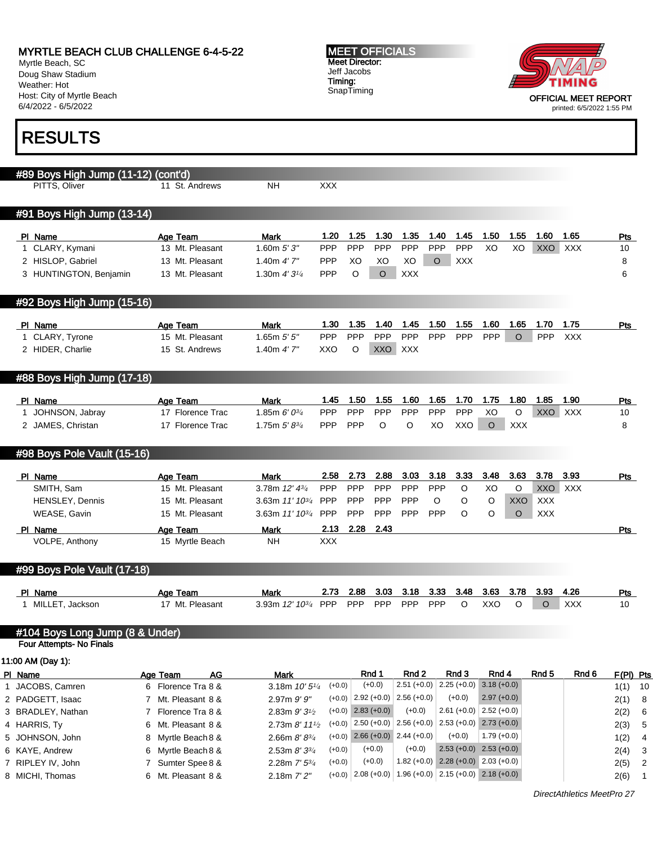Myrtle Beach, SC Doug Shaw Stadium Weather: Hot Host: City of Myrtle Beach 6/4/2022 - 6/5/2022

#### MEET OFFICIALS Meet Director: Jeff Jacobs Timing: **SnapTiming**



## RESULTS

## #89 Boys High Jump (11-12) (cont'd)

11 St. Andrews NH XXX

## #91 Boys High Jump (13-14)

| PI Name                | Age Team        | Mark               | 1.20       | 1.25       | 1.30       | 1.35       | 1.40       | 1.45       | 1.50 | 1.55 | 1.60 | 1.65       | Pts |
|------------------------|-----------------|--------------------|------------|------------|------------|------------|------------|------------|------|------|------|------------|-----|
| 1 CLARY, Kymani        | 13 Mt. Pleasant | 1.60m $5'$ $3"$    | <b>PPP</b> | <b>PPP</b> | <b>PPP</b> | <b>PPP</b> | <b>PPP</b> | <b>PPP</b> | XO.  | XO   | XXO  | <b>XXX</b> | 10  |
| 2 HISLOP, Gabriel      | 13 Mt. Pleasant | l.40m <i>4' 7"</i> | PPP        | XO         | XO         | XO.        |            | XXX        |      |      |      |            |     |
| 3 HUNTINGTON, Benjamin | 13 Mt. Pleasant | 1.30m 4' 31⁄4      | <b>PPP</b> |            |            | XXX        |            |            |      |      |      |            |     |

## #92 Boys High Jump (15-16)

| PI Name          | Age Team        | Mark        | l.30       | 1.35       | 1.40       | 1.45       | 1.50       | 1.55       | 1.60       | 1.65   | 1.70       | 1.75 | Pts |
|------------------|-----------------|-------------|------------|------------|------------|------------|------------|------------|------------|--------|------------|------|-----|
| 1 CLARY, Tyrone  | 15 Mt. Pleasant | .65m 5' 5'' | <b>PPP</b> | <b>PPP</b> | <b>PPP</b> | <b>PPP</b> | <b>PPP</b> | <b>PPP</b> | <b>PPP</b> | $\cap$ | <b>PPP</b> | XXX  |     |
| 2 HIDER, Charlie | 15 St. Andrews  | .40m 4'7''  | XXO        | $\circ$    | XXO        | <b>XXX</b> |            |            |            |        |            |      |     |

## #88 Boys High Jump (17-18)

| PI Name           | Age Team         | Mark                   | 45         | 1.50       | 1.55       | 1.60       | 1.65       | 1.70       | 1.75 | 1.80 | 1.85 | 1.90 | <b>Pts</b> |
|-------------------|------------------|------------------------|------------|------------|------------|------------|------------|------------|------|------|------|------|------------|
| 1 JOHNSON, Jabray | 17 Florence Trac | .85m $6'0^{3/4}$       | <b>PPP</b> | <b>PPP</b> | <b>PPP</b> | <b>PPP</b> | <b>PPP</b> | <b>PPP</b> | XO   |      | XXO  | XXX  | 10         |
| 2 JAMES, Christan | 17 Florence Trac | $^{\prime}$ .75m 5′ 8¾ | <b>PPP</b> | <b>PPP</b> | n          |            | XO         | XXO        |      | XXX  |      |      |            |

## #98 Boys Pole Vault (15-16)

| PI Name                | Age Team        | Mark                       | 2.58       | -2.73      | 2.88       |            | 3.03 3.18  | - 3.33  | 3.48 | 3.63    | 3.78       | - 3.93 | Pts |
|------------------------|-----------------|----------------------------|------------|------------|------------|------------|------------|---------|------|---------|------------|--------|-----|
| SMITH, Sam             | 15 Mt. Pleasant | 3.78m $12' 43'$            | <b>PPP</b> | <b>PPP</b> | <b>PPP</b> | <b>PPP</b> | <b>PPP</b> | $\circ$ | XO   | $\circ$ | XXO        | XXX    |     |
| <b>HENSLEY, Dennis</b> | 15 Mt. Pleasant | 3.63m $11'$ $10^{3/4}$ PPP |            | <b>PPP</b> | <b>PPP</b> | <b>PPP</b> |            |         |      | XXO     | XXX        |        |     |
| WEASE, Gavin           | 15 Mt. Pleasant | 3.63m $11'$ $10^{3/4}$ PPP |            | <b>PPP</b> | <b>PPP</b> | <b>PPP</b> | <b>PPP</b> | O       |      |         | <b>XXX</b> |        |     |
| PI Name                | Age Team        | <b>Mark</b>                | 2.13       | 2.28       | - 2.43     |            |            |         |      |         |            |        | Pts |
| VOLPE, Anthony         | 15 Myrtle Beach | <b>NH</b>                  | <b>XXX</b> |            |            |            |            |         |      |         |            |        |     |

## #99 Boys Pole Vault (17-18)

| Name<br>וח           | Age Team                   | <b>Mark</b>                     | 2.73 | 2.88 | 3.03    | 3.18       |            | 3.33 3.48 3.63 3.78 3.93 |  | 4.26       | Pts     |
|----------------------|----------------------------|---------------------------------|------|------|---------|------------|------------|--------------------------|--|------------|---------|
| MILLET.<br>. Jackson | <sup>17</sup> Mt. Pleasant | 3.93m 12' 10 <sup>3/4</sup> PPP |      |      | PPP PPP | <b>PPP</b> | <b>PPP</b> | xxo                      |  | <b>XXX</b> | ៱<br>ιv |

## #104 Boys Long Jump (8 & Under)

Four Attempts- No Finals

| 11:00 AM (Day 1): |                    |                                        |                                                                  |                           |          |                                       |       |       |             |                          |  |  |
|-------------------|--------------------|----------------------------------------|------------------------------------------------------------------|---------------------------|----------|---------------------------------------|-------|-------|-------------|--------------------------|--|--|
| PI Name           | AG.<br>Age Team    | <b>Mark</b>                            | Rnd 1                                                            | Rnd 2                     | Rnd 3    | Rnd 4                                 | Rnd 5 | Rnd 6 | $F(PI)$ Pts |                          |  |  |
| JACOBS, Camren    | 6 Florence Tra 8 & | $(+0.0)$<br>3.18m $10'5\frac{1}{4}$    | $(+0.0)$                                                         | $2.51 (+0.0)$             |          | $2.25 (+0.0)$ 3.18 (+0.0)             |       |       | $1(1)$ 10   |                          |  |  |
| 2 PADGETT, Isaac  | 7 Mt. Pleasant 8 & | $2.97m$ $9'9''$                        | $(+0.0)$ 2.92 $(+0.0)$ 2.56 $(+0.0)$                             |                           | $(+0.0)$ | $2.97(+0.0)$                          |       |       | 2(1) 8      |                          |  |  |
| 3 BRADLEY, Nathan | 7 Florence Tra 8 & | 2.83m $9'3^{1/2}$                      | $(+0.0)$ 2.83 $(+0.0)$                                           | $(+0.0)$                  |          | $2.61 (+0.0)$ $2.52 (+0.0)$           |       |       | 2(2) 6      |                          |  |  |
| 4 HARRIS, Ty      | 6 Mt. Pleasant 8 & | 2.73m $8'$ 11 $\frac{1}{2}$            | $(+0.0)$ 2.50 $(+0.0)$ 2.56 $(+0.0)$                             |                           |          | $2.53 (+0.0)$ $2.73 (+0.0)$           |       |       | 2(3) 5      |                          |  |  |
| 5 JOHNSON, John   | 8 Myrtle Beach 8 & | $(+0.0)$<br>2.66m $8'8^{3/4}$          |                                                                  | $2.66 (+0.0)$ 2.44 (+0.0) | $(+0.0)$ | $1.79 (+0.0)$                         |       |       | 1(2) 4      |                          |  |  |
| 6 KAYE, Andrew    | 6 Myrtle Beach 8 & | $(+0.0)$<br>2.53m $8'3^{3/4}$          | $(+0.0)$                                                         | $(+0.0)$                  |          | $2.53 (+0.0) 2.53 (+0.0)$             |       |       | $2(4)$ 3    |                          |  |  |
| 7 RIPLEY IV, John | 7 Sumter Spee 8 &  | $(+0.0)$<br>2.28m $7'$ 5 $\frac{3}{4}$ | $(+0.0)$                                                         |                           |          | $1.82 (+0.0)$ 2.28 (+0.0) 2.03 (+0.0) |       |       | $2(5)$ 2    |                          |  |  |
| 8 MICHI, Thomas   | 6 Mt. Pleasant 8 & | $2.18m$ $7'2''$                        | $(+0.0)$ 2.08 $(+0.0)$ 1.96 $(+0.0)$ 2.15 $(+0.0)$ 2.18 $(+0.0)$ |                           |          |                                       |       |       | 2(6)        | $\overline{\phantom{1}}$ |  |  |

DirectAthletics MeetPro 27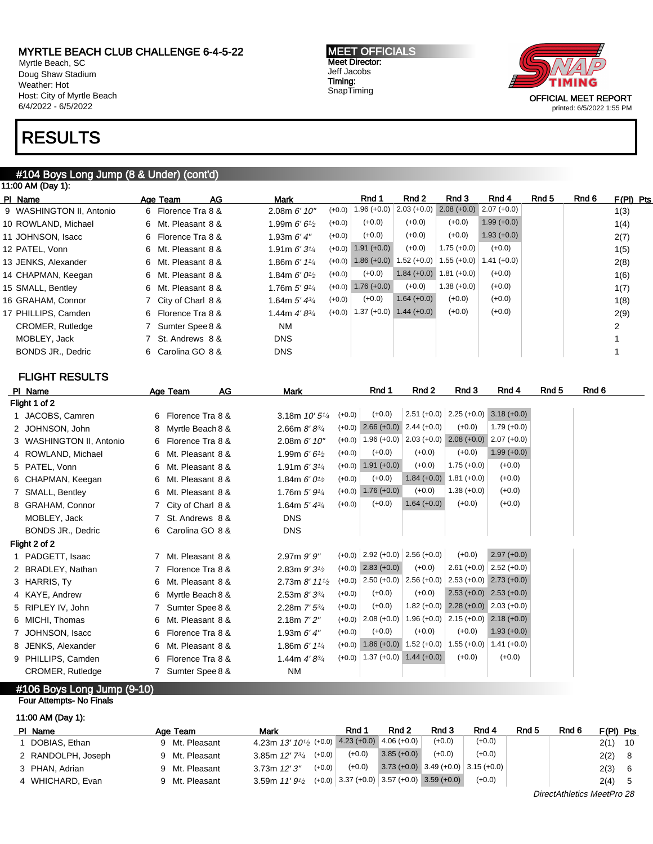Myrtle Beach, SC Doug Shaw Stadium Weather: Hot Host: City of Myrtle Beach 6/4/2022 - 6/5/2022

## RESULTS

## #104 Boys Long Jump (8 & Under) (cont'd)

|  |  | _____             |  |
|--|--|-------------------|--|
|  |  | 11:00 AM (Day 1): |  |

| PI Name                  | Age Team            | AG. | Mark                       |          | Rnd 1                  | Rnd 2         | Rnd 3         | Rnd 4                     | Rnd 5 | Rnd 6 | $F(PI)$ Pts |  |
|--------------------------|---------------------|-----|----------------------------|----------|------------------------|---------------|---------------|---------------------------|-------|-------|-------------|--|
| 9 WASHINGTON II. Antonio | 6 Florence Tra 8 &  |     | $2.08m$ 6' 10"             | $(+0.0)$ | $1.96 (+0.0)$          | $2.03 (+0.0)$ | $2.08 (+0.0)$ | $ 2.07(+0.0) $            |       |       | 1(3)        |  |
| 10 ROWLAND, Michael      | 6 Mt. Pleasant 8 &  |     | 1.99m $6'6'$               | $(+0.0)$ | $(+0.0)$               | $(+0.0)$      | $(+0.0)$      | $1.99 (+0.0)$             |       |       | 1(4)        |  |
| 11 JOHNSON, Isacc        | 6 Florence Tra 8 &  |     | 1.93m $6'$ 4"              | $(+0.0)$ | $(+0.0)$               | $(+0.0)$      | $(+0.0)$      | $1.93(+0.0)$              |       |       | 2(7)        |  |
| 12 PATEL, Vonn           | 6 Mt. Pleasant 8 &  |     | 1.91m $6'3\frac{1}{4}$     | $(+0.0)$ | $1.91 (+0.0)$          | $(+0.0)$      | $1.75 (+0.0)$ | $(+0.0)$                  |       |       | 1(5)        |  |
| 13 JENKS, Alexander      | 6 Mt. Pleasant 8 &  |     | 1.86m $6'$ 1 $\frac{1}{4}$ | $(+0.0)$ | $1.86(+0.0)$           | $1.52 (+0.0)$ |               | $1.55 (+0.0) 1.41 (+0.0)$ |       |       | 2(8)        |  |
| 14 CHAPMAN, Keegan       | 6 Mt. Pleasant 8 &  |     | 1.84m $6'0\frac{1}{2}$     | $(+0.0)$ | $(+0.0)$               | $1.84 (+0.0)$ | 1.81 (+0.0)   | $(+0.0)$                  |       |       | 1(6)        |  |
| 15 SMALL, Bentley        | 6 Mt. Pleasant 8 &  |     | 1.76m $5'$ $9\frac{1}{4}$  | $(+0.0)$ | $1.76(+0.0)$           | $(+0.0)$      | $1.38(+0.0)$  | $(+0.0)$                  |       |       | 1(7)        |  |
| 16 GRAHAM, Connor        | 7 City of Charl 8 & |     | 1.64m $5'$ 4 $\frac{3}{4}$ | $(+0.0)$ | $(+0.0)$               | $1.64 (+0.0)$ | $(+0.0)$      | $(+0.0)$                  |       |       | 1(8)        |  |
| 17 PHILLIPS, Camden      | 6 Florence Tra 8 &  |     | 1.44m $4'8^{3/4}$          |          | $(+0.0)$   1.37 (+0.0) | $1.44 (+0.0)$ | $(+0.0)$      | $(+0.0)$                  |       |       | 2(9)        |  |
| <b>CROMER, Rutledge</b>  | 7 Sumter Spee 8 &   |     | <b>NM</b>                  |          |                        |               |               |                           |       |       |             |  |
| MOBLEY, Jack             | 7 St. Andrews 8 &   |     | <b>DNS</b>                 |          |                        |               |               |                           |       |       |             |  |
| BONDS JR., Dedric        | 6 Carolina GO 8 &   |     | <b>DNS</b>                 |          |                        |               |               |                           |       |       |             |  |
|                          |                     |     |                            |          |                        |               |               |                           |       |       |             |  |

## FLIGHT RESULTS

| PI Name                  |   | Age Team            | AG | Mark                        |          | Rnd 1                                | Rnd 2                                 | Rnd 3                       | Rnd 4         | Rnd 5 |
|--------------------------|---|---------------------|----|-----------------------------|----------|--------------------------------------|---------------------------------------|-----------------------------|---------------|-------|
| Flight 1 of 2            |   |                     |    |                             |          |                                      |                                       |                             |               |       |
| 1 JACOBS, Camren         |   | 6 Florence Tra 8 &  |    | 3.18m 10' 51/4              | $(+0.0)$ | $(+0.0)$                             |                                       | $2.51 (+0.0)$ 2.25 (+0.0)   | $3.18 (+0.0)$ |       |
| 2 JOHNSON, John          |   | 8 Myrtle Beach 8 &  |    | 2.66m $8'8^{3/4}$           | $(+0.0)$ | $2.66 (+0.0)$                        | $2.44 (+0.0)$                         | $(+0.0)$                    | $1.79(+0.0)$  |       |
| 3 WASHINGTON II, Antonio |   | 6 Florence Tra 8 &  |    | $2.08m$ 6' 10"              | $(+0.0)$ | $1.96(+0.0)$                         | $2.03 (+0.0)$                         | $2.08(+0.0)$                | $2.07 (+0.0)$ |       |
| 4 ROWLAND, Michael       | 6 | Mt. Pleasant 8 &    |    | 1.99m $6'6''$               | $(+0.0)$ | $(+0.0)$                             | $(+0.0)$                              | $(+0.0)$                    | $1.99 (+0.0)$ |       |
| 5 PATEL, Vonn            | 6 | Mt. Pleasant 8 &    |    | 1.91m $6'3\frac{1}{4}$      | $(+0.0)$ | $1.91 (+0.0)$                        | $(+0.0)$                              | $1.75 (+0.0)$               | $(+0.0)$      |       |
| 6 CHAPMAN, Keegan        | 6 | Mt. Pleasant 8 &    |    | 1.84m $6'0\frac{1}{2}$      | $(+0.0)$ | $(+0.0)$                             | $1.84 (+0.0)$                         | $1.81 (+0.0)$               | $(+0.0)$      |       |
| 7 SMALL, Bentley         | 6 | Mt. Pleasant 8 &    |    | 1.76m $5'9\frac{1}{4}$      | $(+0.0)$ | $1.76(+0.0)$                         | $(+0.0)$                              | $1.38 (+0.0)$               | $(+0.0)$      |       |
| 8 GRAHAM, Connor         |   | 7 City of Charl 8 & |    | 1.64m $5'$ 4 $\frac{3}{4}$  | $(+0.0)$ | $(+0.0)$                             | $1.64 (+0.0)$                         | $(+0.0)$                    | $(+0.0)$      |       |
| MOBLEY, Jack             |   | 7 St. Andrews 8 &   |    | <b>DNS</b>                  |          |                                      |                                       |                             |               |       |
| BONDS JR., Dedric        |   | 6 Carolina GO 8 &   |    | <b>DNS</b>                  |          |                                      |                                       |                             |               |       |
| Flight 2 of 2            |   |                     |    |                             |          |                                      |                                       |                             |               |       |
| 1 PADGETT, Isaac         |   | 7 Mt. Pleasant 8 &  |    | $2.97m$ $9'$ $9''$          |          | $(+0.0)$ 2.92 $(+0.0)$ 2.56 $(+0.0)$ |                                       | $(+0.0)$                    | $2.97 (+0.0)$ |       |
| 2 BRADLEY, Nathan        |   | 7 Florence Tra 8 &  |    | 2.83m $9'3^{1/2}$           |          | $(+0.0)$ 2.83 $(+0.0)$               | $(+0.0)$                              | $2.61 (+0.0)$               | $2.52(+0.0)$  |       |
| 3 HARRIS, Ty             | 6 | Mt. Pleasant 8 &    |    | 2.73m $8'$ 11 $\frac{1}{2}$ |          | $(+0.0)$ 2.50 $(+0.0)$               | $2.56(+0.0)$                          | $2.53 (+0.0)$ $2.73 (+0.0)$ |               |       |
| 4 KAYE, Andrew           | 6 | Myrtle Beach 8 &    |    | 2.53m $8'3^{3/4}$           | $(+0.0)$ | $(+0.0)$                             | $(+0.0)$                              | $2.53 (+0.0) 2.53 (+0.0)$   |               |       |
| 5 RIPLEY IV, John        |   | Sumter Spee 8 &     |    | 2.28m $7'$ 5 $\frac{3}{4}$  | $(+0.0)$ | $(+0.0)$                             | $1.82 (+0.0)$                         | $2.28 (+0.0)$ $2.03 (+0.0)$ |               |       |
| 6 MICHI, Thomas          | 6 | Mt. Pleasant 8 &    |    | 2.18m $7'2''$               | $(+0.0)$ | $2.08 (+0.0)$                        | $1.96 (+0.0)$                         | $2.15 (+0.0)$               | $2.18 (+0.0)$ |       |
| 7 JOHNSON, Isacc         | 6 | Florence Tra 8 &    |    | 1.93m $6'$ 4"               | $(+0.0)$ | $(+0.0)$                             | $(+0.0)$                              | $(+0.0)$                    | $1.93 (+0.0)$ |       |
| 8 JENKS, Alexander       | 6 | Mt. Pleasant 8 &    |    | 1.86m $6'$ 1 <sup>1/4</sup> | $(+0.0)$ |                                      | $1.86 (+0.0) 1.52 (+0.0) 1.55 (+0.0)$ |                             | $1.41 (+0.0)$ |       |
| 9 PHILLIPS, Camden       | 6 | Florence Tra 8 &    |    | 1.44m $4'8^{3/4}$           |          | $(+0.0)$ 1.37 $(+0.0)$ 1.44 $(+0.0)$ |                                       | $(+0.0)$                    | $(+0.0)$      |       |
| CROMER, Rutledge         |   | 7 Sumter Spee 8 &   |    | <b>NM</b>                   |          |                                      |                                       |                             |               |       |

### #106 Boys Long Jump (9-10) Four Attempts- No Finals

### 11:00 AM (Day 1):

| PI Name            | Age Team       | Mark                                                          | Rnd 1    | Rnd 2                     | Rnd 3    | Rnd 4                                 | Rnd 5 | Rnd 6                      | $F(PI)$ Pts |     |
|--------------------|----------------|---------------------------------------------------------------|----------|---------------------------|----------|---------------------------------------|-------|----------------------------|-------------|-----|
| DOBIAS, Ethan      | 9 Mt. Pleasant | 4.23m $13'$ $10^{1/2}$ (+0.0)                                 |          | $4.23 (+0.0) 4.06 (+0.0)$ | $(+0.0)$ | $(+0.0)$                              |       |                            | 2(1)        | -10 |
| 2 RANDOLPH, Joseph | 9 Mt. Pleasant | $(+0.0)$<br>3.85m $12'$ $7^{3}/_4$                            | $(+0.0)$ | $3.85 (+0.0)$             | $(+0.0)$ | $(+0.0)$                              |       |                            | 2(2)        | - 8 |
| 3 PHAN, Adrian     | 9 Mt. Pleasant | $(+0.0)$<br>$3.73m$ $12'3''$                                  | $(+0.0)$ |                           |          | $3.73 (+0.0)$ 3.49 (+0.0) 3.15 (+0.0) |       |                            | 2(3)        | -6  |
| 4 WHICHARD, Evan   | 9 Mt. Pleasant | 3.59m $11'9^{1/2}$ (+0.0) 3.37 (+0.0) 3.57 (+0.0) 3.59 (+0.0) |          |                           |          | $(+0.0)$                              |       |                            | 2(4)        |     |
|                    |                |                                                               |          |                           |          |                                       |       | DirectAthletics MeetPro 28 |             |     |

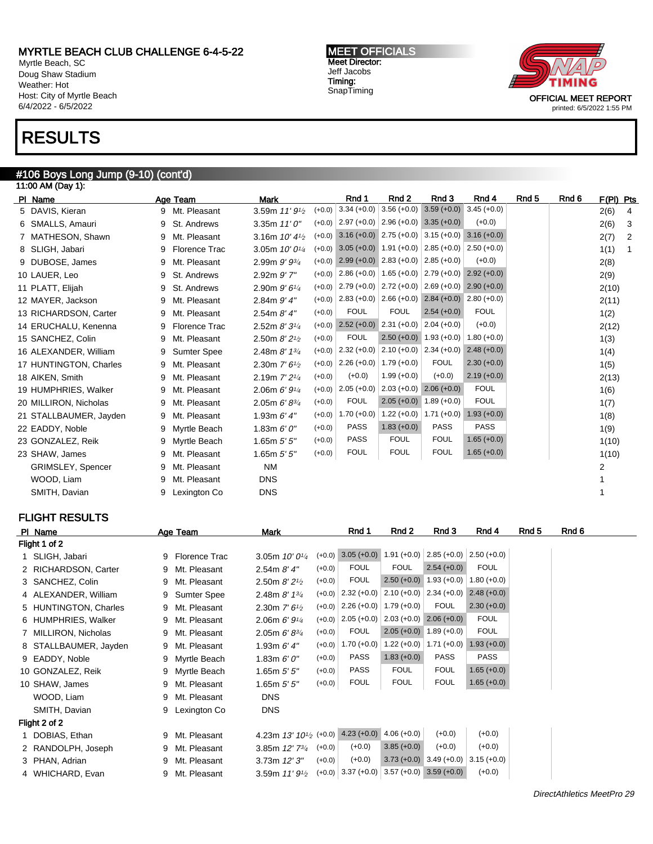Myrtle Beach, SC Doug Shaw Stadium Weather: Hot Host: City of Myrtle Beach 6/4/2022 - 6/5/2022

## RESULTS

## #106 Boys Long Jump (9-10) (cont'd)

| 11:00 AM (Day 1):        |   |                    |                                          |          |               |                                                         |                             |               |       |       |             |                |
|--------------------------|---|--------------------|------------------------------------------|----------|---------------|---------------------------------------------------------|-----------------------------|---------------|-------|-------|-------------|----------------|
| PI Name                  |   | Age Team           | <b>Mark</b>                              |          | Rnd 1         | Rnd 2                                                   | Rnd 3                       | Rnd 4         | Rnd 5 | Rnd 6 | $F(PI)$ Pts |                |
| 5 DAVIS, Kieran          | 9 | Mt. Pleasant       | 3.59m 11' 9 <sup>1</sup> /2              | $(+0.0)$ | $3.34 (+0.0)$ |                                                         | $3.56 (+0.0)$ $3.59 (+0.0)$ | $3.45 (+0.0)$ |       |       | 2(6)        | $\overline{4}$ |
| 6 SMALLS, Amauri         | 9 | St. Andrews        | 3.35m $11'0''$                           |          |               | $(+0.0)$ 2.97 $(+0.0)$ 2.96 $(+0.0)$ 3.35 $(+0.0)$      |                             | $(+0.0)$      |       |       | 2(6)        | 3              |
| 7 MATHESON, Shawn        | 9 | Mt. Pleasant       | 3.16m $10'$ $4\frac{1}{2}$               | $(+0.0)$ |               | $3.16 (+0.0)$ $2.75 (+0.0)$ $3.15 (+0.0)$ $3.16 (+0.0)$ |                             |               |       |       | 2(7)        | $\overline{2}$ |
| 8 SLIGH, Jabari          | 9 | Florence Trac      | 3.05m 10' 01/4                           | $(+0.0)$ |               | $3.05 (+0.0)$ 1.91 (+0.0) 2.85 (+0.0) 2.50 (+0.0)       |                             |               |       |       | 1(1)        | 1              |
| 9 DUBOSE, James          | 9 | Mt. Pleasant       | 2.99m $9'$ $9^{3}/4$                     | $(+0.0)$ |               | $2.99 (+0.0)$ $2.83 (+0.0)$ $2.85 (+0.0)$               |                             | $(+0.0)$      |       |       | 2(8)        |                |
| 10 LAUER, Leo            | 9 | St. Andrews        | 2.92m 9'7"                               | $(+0.0)$ |               | $2.86 (+0.0) 1.65 (+0.0) 2.79 (+0.0) 2.92 (+0.0)$       |                             |               |       |       | 2(9)        |                |
| 11 PLATT, Elijah         | 9 | St. Andrews        | 2.90m $9'6''$                            | $(+0.0)$ |               | $2.79 (+0.0)$ $2.72 (+0.0)$ $2.69 (+0.0)$ $2.90 (+0.0)$ |                             |               |       |       | 2(10)       |                |
| 12 MAYER, Jackson        | 9 | Mt. Pleasant       | 2.84m 9' 4"                              | $(+0.0)$ |               | $2.83 (+0.0)$ $2.66 (+0.0)$ $2.84 (+0.0)$ $2.80 (+0.0)$ |                             |               |       |       | 2(11)       |                |
| 13 RICHARDSON, Carter    | 9 | Mt. Pleasant       | 2.54m $8'4''$                            | $(+0.0)$ | <b>FOUL</b>   | <b>FOUL</b>                                             | $2.54(+0.0)$                | <b>FOUL</b>   |       |       | 1(2)        |                |
| 14 ERUCHALU, Kenenna     | 9 | Florence Trac      | 2.52m 8' 31/4                            | $(+0.0)$ |               | $2.52 (+0.0)$ $2.31 (+0.0)$                             | $2.04 (+0.0)$               | $(+0.0)$      |       |       | 2(12)       |                |
| 15 SANCHEZ, Colin        | 9 | Mt. Pleasant       | 2.50m $8'2^{1/2}$                        | $(+0.0)$ | <b>FOUL</b>   |                                                         | $2.50 (+0.0) 1.93 (+0.0)$   | $1.80 (+0.0)$ |       |       | 1(3)        |                |
| 16 ALEXANDER, William    | 9 | <b>Sumter Spee</b> | 2.48m $8'$ 1 $\frac{3}{4}$               | $(+0.0)$ | $2.32(+0.0)$  | $\vert 2.10 \, (+0.0) \vert 2.34 \, (+0.0) \vert$       |                             | $2.48(+0.0)$  |       |       | 1(4)        |                |
| 17 HUNTINGTON, Charles   | 9 | Mt. Pleasant       | 2.30m $7'$ 6 <sup>1</sup> / <sub>2</sub> | $(+0.0)$ | $2.26 (+0.0)$ | $1.79(+0.0)$                                            | <b>FOUL</b>                 | $2.30 (+0.0)$ |       |       | 1(5)        |                |
| 18 AIKEN, Smith          | 9 | Mt. Pleasant       | 2.19m 7' 2 <sup>1/4</sup>                | $(+0.0)$ | $(+0.0)$      | $1.99(+0.0)$                                            | $(+0.0)$                    | $2.19 (+0.0)$ |       |       | 2(13)       |                |
| 19 HUMPHRIES, Walker     | 9 | Mt. Pleasant       | 2.06m $6'9'4$                            | $(+0.0)$ | $2.05 (+0.0)$ | $2.03 (+0.0)$                                           | $2.06 (+0.0)$               | <b>FOUL</b>   |       |       | 1(6)        |                |
| 20 MILLIRON, Nicholas    | 9 | Mt. Pleasant       | 2.05m $6' 8^{3/4}$                       | $(+0.0)$ | <b>FOUL</b>   | $2.05 (+0.0)$                                           | $1.89(+0.0)$                | <b>FOUL</b>   |       |       | 1(7)        |                |
| 21 STALLBAUMER, Jayden   | 9 | Mt. Pleasant       | 1.93m $6'$ 4"                            | $(+0.0)$ | $1.70 (+0.0)$ | $1.22 (+0.0)$                                           | $1.71 (+0.0)$               | $1.93 (+0.0)$ |       |       | 1(8)        |                |
| 22 EADDY, Noble          | 9 | Myrtle Beach       | 1.83m $6'0''$                            | $(+0.0)$ | <b>PASS</b>   | $1.83 (+0.0)$                                           | <b>PASS</b>                 | <b>PASS</b>   |       |       | 1(9)        |                |
| 23 GONZALEZ, Reik        | 9 | Myrtle Beach       | 1.65 $m 5' 5''$                          | $(+0.0)$ | <b>PASS</b>   | <b>FOUL</b>                                             | <b>FOUL</b>                 | $1.65 (+0.0)$ |       |       | 1(10)       |                |
| 23 SHAW, James           | 9 | Mt. Pleasant       | 1.65m $5'5''$                            | $(+0.0)$ | <b>FOUL</b>   | <b>FOUL</b>                                             | <b>FOUL</b>                 | $1.65 (+0.0)$ |       |       | 1(10)       |                |
| <b>GRIMSLEY, Spencer</b> | 9 | Mt. Pleasant       | <b>NM</b>                                |          |               |                                                         |                             |               |       |       | 2           |                |
| WOOD, Liam               | 9 | Mt. Pleasant       | <b>DNS</b>                               |          |               |                                                         |                             |               |       |       |             |                |
| SMITH, Davian            | 9 | Lexington Co       | <b>DNS</b>                               |          |               |                                                         |                             |               |       |       |             |                |
|                          |   |                    |                                          |          |               |                                                         |                             |               |       |       |             |                |

## FLIGHT RESULTS

| PI Name               |   | Age Team           | Mark                                                |          | Rnd 1                  | Rnd 2         | Rnd 3                       | Rnd 4                                             | Rnd 5 |
|-----------------------|---|--------------------|-----------------------------------------------------|----------|------------------------|---------------|-----------------------------|---------------------------------------------------|-------|
| Flight 1 of 2         |   |                    |                                                     |          |                        |               |                             |                                                   |       |
| 1 SLIGH, Jabari       | 9 | Florence Trac      | 3.05m $10'0^{1/4}$                                  |          | $(+0.0)$ 3.05 $(+0.0)$ |               |                             | 1.91 (+0.0) $\mid$ 2.85 (+0.0) $\mid$ 2.50 (+0.0) |       |
| 2 RICHARDSON, Carter  | 9 | Mt. Pleasant       | 2.54m 8'4''                                         | $(+0.0)$ | <b>FOUL</b>            | <b>FOUL</b>   | $2.54(+0.0)$                | <b>FOUL</b>                                       |       |
| 3 SANCHEZ, Colin      | 9 | Mt. Pleasant       | 2.50m $8'2^{1/2}$                                   | $(+0.0)$ | <b>FOUL</b>            | $2.50 (+0.0)$ | $1.93 (+0.0)$               | $1.80 (+0.0)$                                     |       |
| 4 ALEXANDER, William  | 9 | <b>Sumter Spee</b> | 2.48m $8'$ 1 $\frac{3}{4}$                          | $(+0.0)$ | $2.32 (+0.0)$          | $2.10 (+0.0)$ | $2.34 (+0.0)$               | $2.48 (+0.0)$                                     |       |
| 5 HUNTINGTON, Charles | 9 | Mt. Pleasant       | 2.30m $7'$ 6 <sup>1</sup> / <sub>2</sub>            | $(+0.0)$ | $2.26 (+0.0)$          | $1.79(+0.0)$  | <b>FOUL</b>                 | $2.30 (+0.0)$                                     |       |
| 6 HUMPHRIES, Walker   | 9 | Mt. Pleasant       | 2.06m $6'9'4$                                       | $(+0.0)$ | $2.05 (+0.0)$          | $2.03 (+0.0)$ | $2.06 (+0.0)$               | <b>FOUL</b>                                       |       |
| 7 MILLIRON, Nicholas  | 9 | Mt. Pleasant       | 2.05m $6' 8^{3/4}$                                  | $(+0.0)$ | <b>FOUL</b>            | $2.05 (+0.0)$ | $1.89 (+0.0)$               | <b>FOUL</b>                                       |       |
| 8 STALLBAUMER, Jayden | 9 | Mt. Pleasant       | 1.93m $6'$ 4"                                       | $(+0.0)$ | $1.70 (+0.0)$          | $1.22 (+0.0)$ | $1.71 (+0.0)$               | $1.93 (+0.0)$                                     |       |
| 9 EADDY, Noble        | 9 | Myrtle Beach       | 1.83m $6'0''$                                       | $(+0.0)$ | PASS                   | $1.83 (+0.0)$ | <b>PASS</b>                 | <b>PASS</b>                                       |       |
| 10 GONZALEZ, Reik     |   | 9 Myrtle Beach     | 1.65 $m 5' 5''$                                     | $(+0.0)$ | PASS                   | <b>FOUL</b>   | <b>FOUL</b>                 | $1.65 (+0.0)$                                     |       |
| 10 SHAW, James        | 9 | Mt. Pleasant       | 1.65 $m 5' 5''$                                     | $(+0.0)$ | <b>FOUL</b>            | <b>FOUL</b>   | <b>FOUL</b>                 | $1.65 (+0.0)$                                     |       |
| WOOD, Liam            | 9 | Mt. Pleasant       | <b>DNS</b>                                          |          |                        |               |                             |                                                   |       |
| SMITH, Davian         | 9 | Lexington Co       | <b>DNS</b>                                          |          |                        |               |                             |                                                   |       |
| Flight 2 of 2         |   |                    |                                                     |          |                        |               |                             |                                                   |       |
| DOBIAS, Ethan         | 9 | Mt. Pleasant       | 4.23m $13' 10^{1/2}$ (+0.0) 4.23 (+0.0) 4.06 (+0.0) |          |                        |               | $(+0.0)$                    | $(+0.0)$                                          |       |
| 2 RANDOLPH, Joseph    | 9 | Mt. Pleasant       | 3.85m $12'$ 7 $\frac{3}{4}$                         | $(+0.0)$ | $(+0.0)$               | $3.85 (+0.0)$ | $(+0.0)$                    | $(+0.0)$                                          |       |
| 3 PHAN, Adrian        | 9 | Mt. Pleasant       | $3.73m$ $12'3''$                                    | $(+0.0)$ | $(+0.0)$               |               | $3.73 (+0.0)$ $3.49 (+0.0)$ | $3.15 (+0.0)$                                     |       |
| 4 WHICHARD, Evan      | 9 | Mt. Pleasant       | 3.59m $11'9'$                                       |          | $(+0.0)$ 3.37 $(+0.0)$ |               | $3.57 (+0.0)$ 3.59 (+0.0)   | $(+0.0)$                                          |       |
|                       |   |                    |                                                     |          |                        |               |                             |                                                   |       |

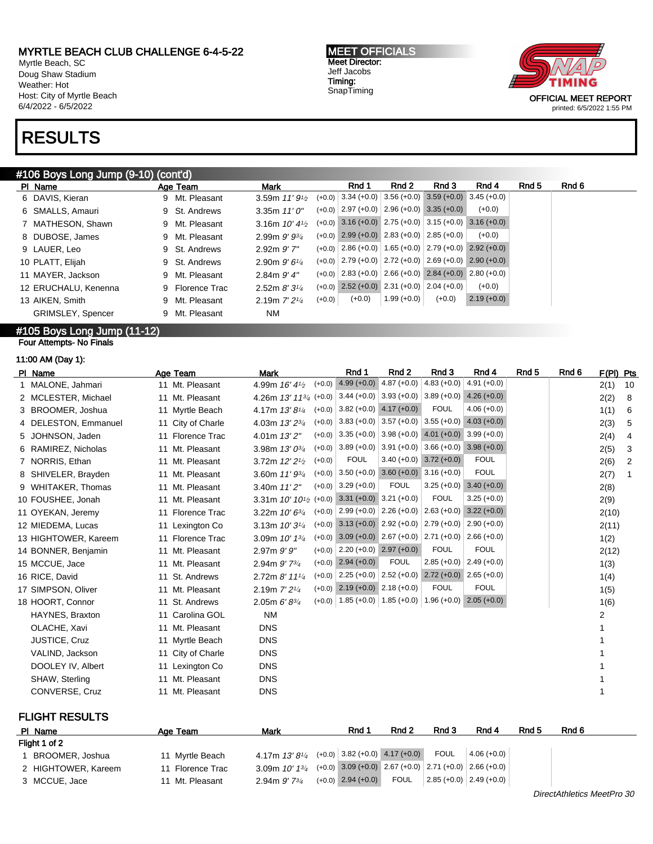Myrtle Beach, SC Doug Shaw Stadium Weather: Hot Host: City of Myrtle Beach 6/4/2022 - 6/5/2022

## RESULTS

## #106 Boys Long Jump (9-10) (cont'd)

| PI Name                  | Age Team        | <b>Mark</b>                 |          | Rnd 1                                                            | Rnd 2         | Rnd 3    | Rnd 4        | Rnd 5 | Rnd 6 |
|--------------------------|-----------------|-----------------------------|----------|------------------------------------------------------------------|---------------|----------|--------------|-------|-------|
| 6 DAVIS, Kieran          | 9 Mt. Pleasant  | 3.59m $11'9\frac{1}{2}$     |          | $(+0.0)$ 3.34 $(+0.0)$ 3.56 $(+0.0)$ 3.59 $(+0.0)$ 3.45 $(+0.0)$ |               |          |              |       |       |
| 6 SMALLS, Amauri         | 9 St. Andrews   | 3.35m $11'0''$              |          | $(+0.0)$ 2.97 $(+0.0)$ 2.96 $(+0.0)$ 3.35 $(+0.0)$               |               |          | $(+0.0)$     |       |       |
| 7 MATHESON, Shawn        | 9 Mt. Pleasant  | 3.16m $10'$ 4 $\frac{1}{2}$ |          | $(+0.0)$ 3.16 $(+0.0)$ 2.75 $(+0.0)$ 3.15 $(+0.0)$ 3.16 $(+0.0)$ |               |          |              |       |       |
| 8 DUBOSE, James          | 9 Mt. Pleasant  | 2.99m $9'$ $9^{3}/4$        |          | $(+0.0)$ 2.99 $(+0.0)$ 2.83 $(+0.0)$ 2.85 $(+0.0)$               |               |          | $(+0.0)$     |       |       |
| 9 LAUER, Leo             | 9 St. Andrews   | $2.92m$ $9'$ $7''$          |          | $(+0.0)$ 2.86 $(+0.0)$ 1.65 $(+0.0)$ 2.79 $(+0.0)$ 2.92 $(+0.0)$ |               |          |              |       |       |
| 10 PLATT, Elijah         | 9 St. Andrews   | 2.90m $9'6\frac{1}{4}$      |          | $(+0.0)$ 2.79 $(+0.0)$ 2.72 $(+0.0)$ 2.69 $(+0.0)$ 2.90 $(+0.0)$ |               |          |              |       |       |
| 11 MAYER, Jackson        | 9 Mt. Pleasant  | 2.84m $9'$ 4"               |          | $(+0.0)$ 2.83 $(+0.0)$ 2.66 $(+0.0)$ 2.84 $(+0.0)$ 2.80 $(+0.0)$ |               |          |              |       |       |
| 12 ERUCHALU, Kenenna     | 9 Florence Trac | 2.52m $8'3'4$               |          | $(+0.0)$ 2.52 $(+0.0)$ 2.31 $(+0.0)$ 2.04 $(+0.0)$               |               |          | $(+0.0)$     |       |       |
| 13 AIKEN, Smith          | 9 Mt. Pleasant  | 2.19m $7'$ $2^{1/4}$        | $(+0.0)$ | $(+0.0)$                                                         | $1.99 (+0.0)$ | $(+0.0)$ | $2.19(+0.0)$ |       |       |
| <b>GRIMSLEY, Spencer</b> | 9 Mt. Pleasant  | NM.                         |          |                                                                  |               |          |              |       |       |

#### #105 Boys Long Jump (11-12) Four Attempts- No Finals

#### 11:00 AM (Day 1):

|                   |                                                                                                                                                                                                                                                                                                                                                                                                         | <b>Mark</b>                                                                                                                                                                                                                                                                                                                                                                                                                                                                            |          | Rnd 1                                                                           | Rnd <sub>2</sub>                                  | Rnd 3                                                                                                                                                                                       | Rnd 4                                                                                                                                                     | Rnd <sub>5</sub>                                                                                                                                                                                                                                                                                                                                                                                                                        | Rnd 6 |       |             |
|-------------------|---------------------------------------------------------------------------------------------------------------------------------------------------------------------------------------------------------------------------------------------------------------------------------------------------------------------------------------------------------------------------------------------------------|----------------------------------------------------------------------------------------------------------------------------------------------------------------------------------------------------------------------------------------------------------------------------------------------------------------------------------------------------------------------------------------------------------------------------------------------------------------------------------------|----------|---------------------------------------------------------------------------------|---------------------------------------------------|---------------------------------------------------------------------------------------------------------------------------------------------------------------------------------------------|-----------------------------------------------------------------------------------------------------------------------------------------------------------|-----------------------------------------------------------------------------------------------------------------------------------------------------------------------------------------------------------------------------------------------------------------------------------------------------------------------------------------------------------------------------------------------------------------------------------------|-------|-------|-------------|
|                   |                                                                                                                                                                                                                                                                                                                                                                                                         | 4.99m $16'$ 4 $\frac{1}{2}$                                                                                                                                                                                                                                                                                                                                                                                                                                                            | $(+0.0)$ |                                                                                 |                                                   |                                                                                                                                                                                             | $4.91 (+0.0)$                                                                                                                                             |                                                                                                                                                                                                                                                                                                                                                                                                                                         |       | 2(1)  | 10          |
|                   |                                                                                                                                                                                                                                                                                                                                                                                                         |                                                                                                                                                                                                                                                                                                                                                                                                                                                                                        |          |                                                                                 |                                                   |                                                                                                                                                                                             | $4.26 (+0.0)$                                                                                                                                             |                                                                                                                                                                                                                                                                                                                                                                                                                                         |       | 2(2)  | 8           |
|                   |                                                                                                                                                                                                                                                                                                                                                                                                         | 4.17m $13'8^{1/4}$                                                                                                                                                                                                                                                                                                                                                                                                                                                                     |          |                                                                                 |                                                   | <b>FOUL</b>                                                                                                                                                                                 | $4.06 (+0.0)$                                                                                                                                             |                                                                                                                                                                                                                                                                                                                                                                                                                                         |       | 1(1)  | 6           |
|                   |                                                                                                                                                                                                                                                                                                                                                                                                         | 4.03m 13' 2 <sup>3/4</sup>                                                                                                                                                                                                                                                                                                                                                                                                                                                             | $(+0.0)$ |                                                                                 |                                                   |                                                                                                                                                                                             | $4.03 (+0.0)$                                                                                                                                             |                                                                                                                                                                                                                                                                                                                                                                                                                                         |       | 2(3)  | 5           |
|                   |                                                                                                                                                                                                                                                                                                                                                                                                         | 4.01m 13'2"                                                                                                                                                                                                                                                                                                                                                                                                                                                                            |          |                                                                                 |                                                   |                                                                                                                                                                                             |                                                                                                                                                           |                                                                                                                                                                                                                                                                                                                                                                                                                                         |       | 2(4)  | 4           |
|                   |                                                                                                                                                                                                                                                                                                                                                                                                         | 3.98m 13' 03/4                                                                                                                                                                                                                                                                                                                                                                                                                                                                         | $(+0.0)$ | $3.89 (+0.0)$                                                                   |                                                   |                                                                                                                                                                                             |                                                                                                                                                           |                                                                                                                                                                                                                                                                                                                                                                                                                                         |       | 2(5)  | 3           |
|                   |                                                                                                                                                                                                                                                                                                                                                                                                         | 3.72m 12' 2 <sup>1</sup> / <sub>2</sub>                                                                                                                                                                                                                                                                                                                                                                                                                                                | $(+0.0)$ | <b>FOUL</b>                                                                     |                                                   |                                                                                                                                                                                             | <b>FOUL</b>                                                                                                                                               |                                                                                                                                                                                                                                                                                                                                                                                                                                         |       | 2(6)  | 2           |
|                   |                                                                                                                                                                                                                                                                                                                                                                                                         | 3.60m $11'9^{3/4}$                                                                                                                                                                                                                                                                                                                                                                                                                                                                     |          |                                                                                 |                                                   |                                                                                                                                                                                             | <b>FOUL</b>                                                                                                                                               |                                                                                                                                                                                                                                                                                                                                                                                                                                         |       | 2(7)  | 1           |
|                   |                                                                                                                                                                                                                                                                                                                                                                                                         | 3.40m $11'2''$                                                                                                                                                                                                                                                                                                                                                                                                                                                                         | $(+0.0)$ |                                                                                 | <b>FOUL</b>                                       |                                                                                                                                                                                             |                                                                                                                                                           |                                                                                                                                                                                                                                                                                                                                                                                                                                         |       | 2(8)  |             |
|                   | 11                                                                                                                                                                                                                                                                                                                                                                                                      |                                                                                                                                                                                                                                                                                                                                                                                                                                                                                        |          |                                                                                 |                                                   | <b>FOUL</b>                                                                                                                                                                                 | $3.25 (+0.0)$                                                                                                                                             |                                                                                                                                                                                                                                                                                                                                                                                                                                         |       | 2(9)  |             |
|                   |                                                                                                                                                                                                                                                                                                                                                                                                         | 3.22m $10'6^{3/4}$                                                                                                                                                                                                                                                                                                                                                                                                                                                                     |          |                                                                                 |                                                   |                                                                                                                                                                                             |                                                                                                                                                           |                                                                                                                                                                                                                                                                                                                                                                                                                                         |       | 2(10) |             |
|                   |                                                                                                                                                                                                                                                                                                                                                                                                         | 3.13m $10'3\frac{1}{4}$                                                                                                                                                                                                                                                                                                                                                                                                                                                                | $(+0.0)$ |                                                                                 |                                                   |                                                                                                                                                                                             |                                                                                                                                                           |                                                                                                                                                                                                                                                                                                                                                                                                                                         |       | 2(11) |             |
|                   |                                                                                                                                                                                                                                                                                                                                                                                                         | 3.09m 10' 13/4                                                                                                                                                                                                                                                                                                                                                                                                                                                                         | $(+0.0)$ |                                                                                 |                                                   |                                                                                                                                                                                             | $2.66 (+0.0)$                                                                                                                                             |                                                                                                                                                                                                                                                                                                                                                                                                                                         |       | 1(2)  |             |
|                   |                                                                                                                                                                                                                                                                                                                                                                                                         | 2.97m 9' 9"                                                                                                                                                                                                                                                                                                                                                                                                                                                                            |          |                                                                                 |                                                   | <b>FOUL</b>                                                                                                                                                                                 | <b>FOUL</b>                                                                                                                                               |                                                                                                                                                                                                                                                                                                                                                                                                                                         |       | 2(12) |             |
|                   |                                                                                                                                                                                                                                                                                                                                                                                                         | 2.94m $9'$ $7^{3}/_4$                                                                                                                                                                                                                                                                                                                                                                                                                                                                  | $(+0.0)$ | $2.94 (+0.0)$                                                                   | <b>FOUL</b>                                       | $2.85(+0.0)$                                                                                                                                                                                | $2.49(+0.0)$                                                                                                                                              |                                                                                                                                                                                                                                                                                                                                                                                                                                         |       | 1(3)  |             |
|                   |                                                                                                                                                                                                                                                                                                                                                                                                         | 2.72m $8'$ 11 <sup>1/4</sup>                                                                                                                                                                                                                                                                                                                                                                                                                                                           | $(+0.0)$ |                                                                                 |                                                   |                                                                                                                                                                                             |                                                                                                                                                           |                                                                                                                                                                                                                                                                                                                                                                                                                                         |       | 1(4)  |             |
|                   |                                                                                                                                                                                                                                                                                                                                                                                                         | 2.19m $7'$ $2^{1/4}$                                                                                                                                                                                                                                                                                                                                                                                                                                                                   | $(+0.0)$ |                                                                                 |                                                   | <b>FOUL</b>                                                                                                                                                                                 | <b>FOUL</b>                                                                                                                                               |                                                                                                                                                                                                                                                                                                                                                                                                                                         |       | 1(5)  |             |
|                   |                                                                                                                                                                                                                                                                                                                                                                                                         | 2.05m $6'8^{3/4}$                                                                                                                                                                                                                                                                                                                                                                                                                                                                      |          |                                                                                 |                                                   |                                                                                                                                                                                             |                                                                                                                                                           |                                                                                                                                                                                                                                                                                                                                                                                                                                         |       | 1(6)  |             |
| HAYNES, Braxton   | 11                                                                                                                                                                                                                                                                                                                                                                                                      | <b>NM</b>                                                                                                                                                                                                                                                                                                                                                                                                                                                                              |          |                                                                                 |                                                   |                                                                                                                                                                                             |                                                                                                                                                           |                                                                                                                                                                                                                                                                                                                                                                                                                                         |       | 2     |             |
| OLACHE, Xavi      | 11                                                                                                                                                                                                                                                                                                                                                                                                      | <b>DNS</b>                                                                                                                                                                                                                                                                                                                                                                                                                                                                             |          |                                                                                 |                                                   |                                                                                                                                                                                             |                                                                                                                                                           |                                                                                                                                                                                                                                                                                                                                                                                                                                         |       |       |             |
| JUSTICE, Cruz     |                                                                                                                                                                                                                                                                                                                                                                                                         | <b>DNS</b>                                                                                                                                                                                                                                                                                                                                                                                                                                                                             |          |                                                                                 |                                                   |                                                                                                                                                                                             |                                                                                                                                                           |                                                                                                                                                                                                                                                                                                                                                                                                                                         |       |       |             |
| VALIND, Jackson   |                                                                                                                                                                                                                                                                                                                                                                                                         | <b>DNS</b>                                                                                                                                                                                                                                                                                                                                                                                                                                                                             |          |                                                                                 |                                                   |                                                                                                                                                                                             |                                                                                                                                                           |                                                                                                                                                                                                                                                                                                                                                                                                                                         |       |       |             |
| DOOLEY IV, Albert |                                                                                                                                                                                                                                                                                                                                                                                                         | <b>DNS</b>                                                                                                                                                                                                                                                                                                                                                                                                                                                                             |          |                                                                                 |                                                   |                                                                                                                                                                                             |                                                                                                                                                           |                                                                                                                                                                                                                                                                                                                                                                                                                                         |       |       |             |
| SHAW, Sterling    | 11                                                                                                                                                                                                                                                                                                                                                                                                      | <b>DNS</b>                                                                                                                                                                                                                                                                                                                                                                                                                                                                             |          |                                                                                 |                                                   |                                                                                                                                                                                             |                                                                                                                                                           |                                                                                                                                                                                                                                                                                                                                                                                                                                         |       |       |             |
| CONVERSE, Cruz    | 11                                                                                                                                                                                                                                                                                                                                                                                                      | <b>DNS</b>                                                                                                                                                                                                                                                                                                                                                                                                                                                                             |          |                                                                                 |                                                   |                                                                                                                                                                                             |                                                                                                                                                           |                                                                                                                                                                                                                                                                                                                                                                                                                                         |       |       |             |
|                   | PI Name<br>1 MALONE, Jahmari<br>2 MCLESTER, Michael<br>3 BROOMER, Joshua<br>4 DELESTON, Emmanuel<br>5 JOHNSON, Jaden<br>6 RAMIREZ, Nicholas<br>7 NORRIS, Ethan<br>8 SHIVELER, Brayden<br>9 WHITAKER, Thomas<br>10 FOUSHEE, Jonah<br>11 OYEKAN, Jeremy<br>12 MIEDEMA, Lucas<br>13 HIGHTOWER, Kareem<br>14 BONNER, Benjamin<br>15 MCCUE, Jace<br>16 RICE, David<br>17 SIMPSON, Oliver<br>18 HOORT, Connor | Age Team<br>11 Mt. Pleasant<br>11 Mt. Pleasant<br>11 Myrtle Beach<br>11 City of Charle<br>11 Florence Trac<br>11 Mt. Pleasant<br>11 Mt. Pleasant<br>11 Mt. Pleasant<br>11 Mt. Pleasant<br>Mt. Pleasant<br>11 Florence Trac<br>11 Lexington Co<br>11 Florence Trac<br>11 Mt. Pleasant<br>11 Mt. Pleasant<br>11 St. Andrews<br>11 Mt. Pleasant<br>11 St. Andrews<br>Carolina GOL<br>Mt. Pleasant<br>11 Myrtle Beach<br>City of Charle<br>11 Lexington Co<br>Mt. Pleasant<br>Mt. Pleasant |          | 4.26m 13' 113/4 (+0.0)<br>$(+0.0)$<br>3.31m $10'$ $10^{1/2}$ (+0.0)<br>$(+0.0)$ | $(+0.0)$<br>$(+0.0)$<br>$3.29 (+0.0)$<br>$(+0.0)$ | $4.99 (+0.0)$<br>$3.82 (+0.0)$ 4.17 (+0.0)<br>$3.83 (+0.0)$<br>$3.31 (+0.0) 3.21 (+0.0)$<br>$\vert 2.20 \, (+0.0) \vert 2.97 \, (+0.0) \vert$<br>$2.25 (+0.0)$<br>$2.19 (+0.0)$ 2.18 (+0.0) | $4.87 (+0.0)$<br>$4.83 (+0.0)$<br>$3.44 (+0.0) 3.93 (+0.0) 3.89 (+0.0)$<br>$3.50 (+0.0) 3.60 (+0.0) 3.16 (+0.0)$<br>$3.09 (+0.0)$ 2.67 (+0.0) 2.71 (+0.0) | $3.57 (+0.0) 3.55 (+0.0)$<br>$3.35 (+0.0)$ 3.98 (+0.0) 4.01 (+0.0) 3.99 (+0.0)<br>$3.91 (+0.0)$ 3.66 (+0.0) 3.98 (+0.0)<br>$3.40 (+0.0)$ $3.72 (+0.0)$<br>$3.25 (+0.0)$ $3.40 (+0.0)$<br>$\mid$ 2.99 (+0.0) $\mid$ 2.26 (+0.0) $\mid$ 2.63 (+0.0) 3.22 (+0.0)<br>$3.13 (+0.0)$ 2.92 (+0.0) 2.79 (+0.0)<br>$2.90(+0.0)$<br>$2.52 (+0.0)$ $2.72 (+0.0)$ $2.65 (+0.0)$<br>$(+0.0)$   1.85 (+0.0)   1.85 (+0.0)   1.96 (+0.0)   2.05 (+0.0) |       |       | $F(PI)$ Pts |

## FLIGHT RESULTS

| PI Name             | Age Team         | <b>Mark</b>                                        | Rnd 1                                                                         | Rnd <sub>2</sub> | Rnd 3 | Rnd 4                                             | Rnd 5 | Rnd 6 |
|---------------------|------------------|----------------------------------------------------|-------------------------------------------------------------------------------|------------------|-------|---------------------------------------------------|-------|-------|
| Flight 1 of 2       |                  |                                                    |                                                                               |                  |       |                                                   |       |       |
| BROOMER, Joshua     | 11 Myrtle Beach  | 4.17m $13' 8^{1/4}$ (+0.0) 3.82 (+0.0) 4.17 (+0.0) |                                                                               |                  | FOUL  | $4.06(+0.0)$                                      |       |       |
| 2 HIGHTOWER, Kareem | 11 Florence Trac |                                                    | 3.09m $10'$ $1^{3}/_4$ (+0.0) 3.09 (+0.0) 2.67 (+0.0) 2.71 (+0.0) 2.66 (+0.0) |                  |       |                                                   |       |       |
| 3 MCCUE, Jace       | 11 Mt. Pleasant  | 2.94m $9'$ $7^{3}/_4$                              | $(+0.0)$ 2.94 $(+0.0)$                                                        | <b>FOUL</b>      |       | $\vert 2.85 \, (+0.0) \vert 2.49 \, (+0.0) \vert$ |       |       |

MEET OFFICIALS Meet Director: Jeff Jacobs Timing: SnapTiming



DirectAthletics MeetPro 30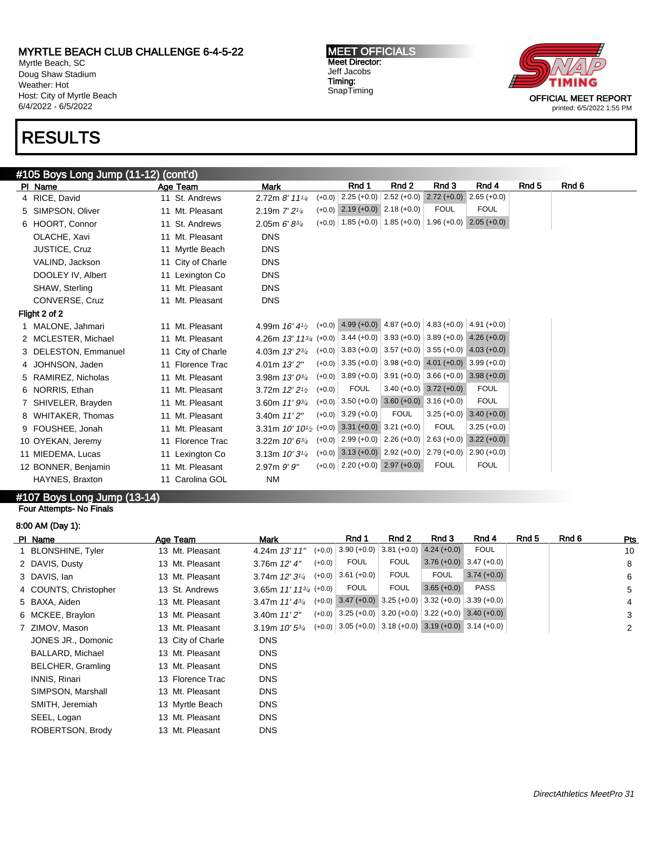Myrtle Beach, SC Doug Shaw Stadium Weather: Hot Host: City of Myrtle Beach 6/4/2022 - 6/5/2022

# RESULTS

MEET OFFICIALS Meet Director: Jeff Jacobs Timing: SnapTiming



## #105 Boys Long Jump (11-12) (cont'd)

| PI Name              | Age Team          | <b>Mark</b>                                                           |          | Rnd 1                                                            | Rnd 2       | Rnd 3                       | Rnd 4         | Rnd 5 |  |
|----------------------|-------------------|-----------------------------------------------------------------------|----------|------------------------------------------------------------------|-------------|-----------------------------|---------------|-------|--|
| 4 RICE, David        | 11 St. Andrews    | 2.72m $8'$ 11 $\frac{1}{4}$                                           | $(+0.0)$ | $2.25 (+0.0)$                                                    |             | $2.52 (+0.0)$ $2.72 (+0.0)$ | $2.65 (+0.0)$ |       |  |
| 5 SIMPSON, Oliver    | 11 Mt. Pleasant   | 2.19m $7'$ $2^{1/4}$                                                  |          | $(+0.0)$ 2.19 $(+0.0)$ 2.18 $(+0.0)$                             |             | <b>FOUL</b>                 | <b>FOUL</b>   |       |  |
| 6 HOORT, Connor      | 11 St. Andrews    | 2.05m $6' 8^{3/4}$                                                    |          | $(+0.0)$   1.85 $(+0.0)$   1.85 $(+0.0)$   1.96 $(+0.0)$         |             |                             | $2.05 (+0.0)$ |       |  |
| OLACHE, Xavi         | 11 Mt. Pleasant   | <b>DNS</b>                                                            |          |                                                                  |             |                             |               |       |  |
| <b>JUSTICE, Cruz</b> | 11 Myrtle Beach   | <b>DNS</b>                                                            |          |                                                                  |             |                             |               |       |  |
| VALIND, Jackson      | 11 City of Charle | <b>DNS</b>                                                            |          |                                                                  |             |                             |               |       |  |
| DOOLEY IV, Albert    | 11 Lexington Co   | <b>DNS</b>                                                            |          |                                                                  |             |                             |               |       |  |
| SHAW, Sterling       | 11 Mt. Pleasant   | <b>DNS</b>                                                            |          |                                                                  |             |                             |               |       |  |
| CONVERSE, Cruz       | 11 Mt. Pleasant   | <b>DNS</b>                                                            |          |                                                                  |             |                             |               |       |  |
| Flight 2 of 2        |                   |                                                                       |          |                                                                  |             |                             |               |       |  |
| 1 MALONE, Jahmari    | 11 Mt. Pleasant   | 4.99m 16' 4 <sup>1/2</sup>                                            |          | $(+0.0)$ 4.99 $(+0.0)$ 4.87 $(+0.0)$ 4.83 $(+0.0)$ 4.91 $(+0.0)$ |             |                             |               |       |  |
| 2 MCLESTER, Michael  | 11 Mt. Pleasant   | 4.26m 13' 1134 (+0.0) 3.44 (+0.0) 3.93 (+0.0) 3.89 (+0.0) 4.26 (+0.0) |          |                                                                  |             |                             |               |       |  |
| 3 DELESTON, Emmanuel | 11 City of Charle | 4.03m 13' 23/4                                                        |          | $(+0.0)$ 3.83 $(+0.0)$ 3.57 $(+0.0)$ 3.55 $(+0.0)$               |             |                             | $4.03 (+0.0)$ |       |  |
| 4 JOHNSON, Jaden     | 11 Florence Trac  | 4.01m 13'2"                                                           |          | $(+0.0)$ 3.35 $(+0.0)$ 3.98 $(+0.0)$ 4.01 $(+0.0)$ 3.99 $(+0.0)$ |             |                             |               |       |  |
| 5 RAMIREZ, Nicholas  | 11 Mt. Pleasant   | 3.98m $13'0^{3/4}$                                                    | $(+0.0)$ | $3.89 (+0.0)$                                                    |             | $3.91 (+0.0)$ 3.66 (+0.0)   | $3.98 (+0.0)$ |       |  |
| 6 NORRIS, Ethan      | 11 Mt. Pleasant   | 3.72m 12' 2 <sup>1</sup> / <sub>2</sub>                               | $(+0.0)$ | <b>FOUL</b>                                                      |             | $3.40 (+0.0)$ $3.72 (+0.0)$ | <b>FOUL</b>   |       |  |
| 7 SHIVELER, Brayden  | 11 Mt. Pleasant   | 3.60m $11'$ $9\frac{3}{4}$                                            | $(+0.0)$ | $3.50 (+0.0)$                                                    |             | $3.60 (+0.0)$ $3.16 (+0.0)$ | <b>FOUL</b>   |       |  |
| 8 WHITAKER, Thomas   | 11 Mt. Pleasant   | 3.40m 11'2"                                                           |          | $(+0.0)$ 3.29 $(+0.0)$                                           | <b>FOUL</b> | $3.25 (+0.0)$               | $3.40 (+0.0)$ |       |  |
| 9 FOUSHEE, Jonah     | 11 Mt. Pleasant   | 3.31 m $10' 10^{1/2}$ (+0.0) 3.31 (+0.0) 3.21 (+0.0)                  |          |                                                                  |             | <b>FOUL</b>                 | $3.25 (+0.0)$ |       |  |
| 10 OYEKAN, Jeremy    | 11 Florence Trac  | 3.22m $10'6^{3/4}$                                                    |          | $(+0.0)$ 2.99 $(+0.0)$ 2.26 $(+0.0)$                             |             | $2.63(+0.0)$                | $3.22 (+0.0)$ |       |  |
| 11 MIEDEMA, Lucas    | 11 Lexington Co   | 3.13m $10'3^{1/4}$                                                    |          | $(+0.0)$ 3.13 $(+0.0)$ 2.92 $(+0.0)$ 2.79 $(+0.0)$               |             |                             | $2.90 (+0.0)$ |       |  |
| 12 BONNER, Benjamin  | 11 Mt. Pleasant   | $2.97m$ $9'$ $9''$                                                    |          | $(+0.0)$ 2.20 $(+0.0)$ 2.97 $(+0.0)$                             |             | <b>FOUL</b>                 | <b>FOUL</b>   |       |  |
| HAYNES, Braxton      | 11 Carolina GOL   | <b>NM</b>                                                             |          |                                                                  |             |                             |               |       |  |

#### #107 Boys Long Jump (13-14) Four Attempts- No Finals

8:00 AM (Day 1):

| PI Name                 |                   | Mark               |          | Rnd 1         | Rnd 2                         | Rnd 3         | Rnd 4         | Rnd 5                                                                                                                                                                                                                                                                      | Rnd 6 | Pts |
|-------------------------|-------------------|--------------------|----------|---------------|-------------------------------|---------------|---------------|----------------------------------------------------------------------------------------------------------------------------------------------------------------------------------------------------------------------------------------------------------------------------|-------|-----|
| 1 BLONSHINE, Tyler      | 13 Mt. Pleasant   | 4.24m 13' 11"      | $(+0.0)$ | $3.90 (+0.0)$ |                               |               | <b>FOUL</b>   |                                                                                                                                                                                                                                                                            |       | 10  |
| 2 DAVIS, Dusty          | 13 Mt. Pleasant   | 3.76m $12'$ 4"     | $(+0.0)$ | <b>FOUL</b>   | <b>FOUL</b>                   |               |               |                                                                                                                                                                                                                                                                            |       | 8   |
| 3 DAVIS, lan            | 13 Mt. Pleasant   | 3.74m $12'3'4$     | $(+0.0)$ |               | <b>FOUL</b>                   | <b>FOUL</b>   | $3.74(+0.0)$  |                                                                                                                                                                                                                                                                            |       | 6   |
| 4 COUNTS, Christopher   | 13 St. Andrews    |                    |          | <b>FOUL</b>   | <b>FOUL</b>                   |               | <b>PASS</b>   |                                                                                                                                                                                                                                                                            |       | 5   |
| 5 BAXA, Aiden           | 13 Mt. Pleasant   | 3.47m $11'4^{3/4}$ |          |               |                               |               |               |                                                                                                                                                                                                                                                                            |       | 4   |
| 6 MCKEE, Braylon        | 13 Mt. Pleasant   | 3.40m $11'2''$     |          |               |                               |               |               |                                                                                                                                                                                                                                                                            |       | 3   |
| 7 ZIMOV, Mason          | 13 Mt. Pleasant   | 3.19m $10'5^{3/4}$ |          |               |                               |               |               |                                                                                                                                                                                                                                                                            |       | 2   |
| JONES JR., Domonic      | 13 City of Charle | <b>DNS</b>         |          |               |                               |               |               |                                                                                                                                                                                                                                                                            |       |     |
| <b>BALLARD, Michael</b> | 13 Mt. Pleasant   | <b>DNS</b>         |          |               |                               |               |               |                                                                                                                                                                                                                                                                            |       |     |
| BELCHER, Gramling       | 13 Mt. Pleasant   | <b>DNS</b>         |          |               |                               |               |               |                                                                                                                                                                                                                                                                            |       |     |
| INNIS, Rinari           | 13 Florence Trac  | <b>DNS</b>         |          |               |                               |               |               |                                                                                                                                                                                                                                                                            |       |     |
| SIMPSON, Marshall       | 13 Mt. Pleasant   | <b>DNS</b>         |          |               |                               |               |               |                                                                                                                                                                                                                                                                            |       |     |
| SMITH, Jeremiah         | 13 Myrtle Beach   | <b>DNS</b>         |          |               |                               |               |               |                                                                                                                                                                                                                                                                            |       |     |
| SEEL, Logan             | 13 Mt. Pleasant   | <b>DNS</b>         |          |               |                               |               |               |                                                                                                                                                                                                                                                                            |       |     |
| ROBERTSON, Brody        | 13 Mt. Pleasant   | <b>DNS</b>         |          |               |                               |               |               |                                                                                                                                                                                                                                                                            |       |     |
|                         |                   | Age Team           |          |               | 3.65m $11'$ $11^{3/4}$ (+0.0) | $3.61 (+0.0)$ | $3.81 (+0.0)$ | $4.24(+0.0)$<br>$3.76 (+0.0)$ $3.47 (+0.0)$<br>$3.65 (+0.0)$<br>$(+0.0)$ 3.47 $(+0.0)$ 3.25 $(+0.0)$ 3.32 $(+0.0)$<br>$3.39(+0.0)$<br>$(+0.0)$ 3.25 $(+0.0)$ 3.20 $(+0.0)$ 3.22 $(+0.0)$ 3.40 $(+0.0)$<br>$(+0.0)$ 3.05 $(+0.0)$ 3.18 $(+0.0)$ 3.19 $(+0.0)$ 3.14 $(+0.0)$ |       |     |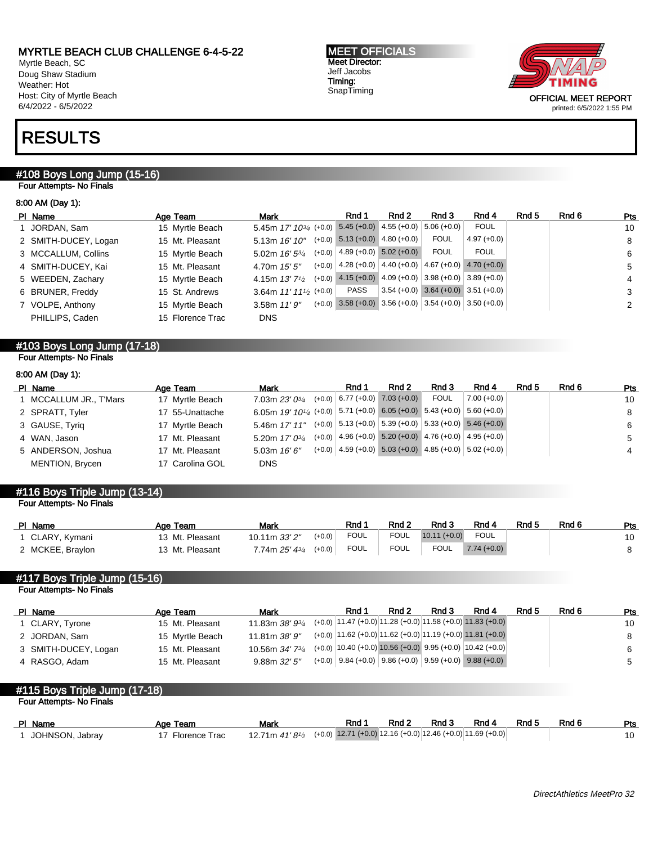Myrtle Beach, SC Doug Shaw Stadium Weather: Hot Host: City of Myrtle Beach 6/4/2022 - 6/5/2022

## RESULTS

## #108 Boys Long Jump (15-16)

Four Attempts- No Finals

### 8:00 AM (Day 1):

| PI Name              | Age Team         | <b>Mark</b>                                                       | Rnd 1                                                            | Rnd 2 | Rnd 3       | Rnd 4                                     | Rnd 5 | Rnd 6 | Pts |
|----------------------|------------------|-------------------------------------------------------------------|------------------------------------------------------------------|-------|-------------|-------------------------------------------|-------|-------|-----|
| 1 JORDAN, Sam        | 15 Myrtle Beach  | 5.45m $17'$ $10^{3/4}$ (+0.0) 5.45 (+0.0) 4.55 (+0.0) 5.06 (+0.0) |                                                                  |       |             | <b>FOUL</b>                               |       |       | 10  |
| 2 SMITH-DUCEY, Logan | 15 Mt. Pleasant  | 5.13m $16'10''$                                                   | $(+0.0)$ 5.13 $(+0.0)$ 4.80 $(+0.0)$                             |       | <b>FOUL</b> | $4.97 (+0.0)$                             |       |       | 8   |
| 3 MCCALLUM, Collins  | 15 Myrtle Beach  | 5.02m $16'$ 5 $\frac{3}{4}$                                       | $(+0.0)$ 4.89 $(+0.0)$ 5.02 $(+0.0)$                             |       | FOUL        | <b>FOUL</b>                               |       |       | -6  |
| 4 SMITH-DUCEY, Kai   | 15 Mt. Pleasant  | 4.70m 15' 5"                                                      | $(+0.0)$ 4.28 (+0.0) 4.40 (+0.0) 4.67 (+0.0) 4.70 (+0.0)         |       |             |                                           |       |       | 5   |
| 5 WEEDEN, Zachary    | 15 Myrtle Beach  | $(+0.0)$<br>4.15m $13'7'2$                                        | $4.15 (+0.0)$ 4.09 (+0.0) 3.98 (+0.0) 3.89 (+0.0)                |       |             |                                           |       |       | 4   |
| 6 BRUNER, Freddy     | 15 St. Andrews   | 3.64m $11'$ $11'$ $2$ (+0.0)                                      | PASS                                                             |       |             | $3.54 (+0.0)$ $3.64 (+0.0)$ $3.51 (+0.0)$ |       |       | 3   |
| 7 VOLPE, Anthony     | 15 Myrtle Beach  | 3.58m 11'9''                                                      | $(+0.0)$ 3.58 $(+0.0)$ 3.56 $(+0.0)$ 3.54 $(+0.0)$ 3.50 $(+0.0)$ |       |             |                                           |       |       | 2   |
| PHILLIPS, Caden      | 15 Florence Trac | <b>DNS</b>                                                        |                                                                  |       |             |                                           |       |       |     |

#### #103 Boys Long Jump (17-18) Four Attempts- No Finals

#### 8:00 AM (Day 1):

| PI Name                | Age Team        | <b>Mark</b>                                                                    | Rnd 1                                                            | Rnd 2 | Rnd 3       | Rnd 4         | Rnd 5 | Rnd 6 | Pts            |
|------------------------|-----------------|--------------------------------------------------------------------------------|------------------------------------------------------------------|-------|-------------|---------------|-------|-------|----------------|
| 1 MCCALLUM JR., T'Mars | 17 Myrtle Beach | $7.03m$ $23'0\frac{3}{4}$                                                      | $(+0.0)$ 6.77 $(+0.0)$ 7.03 $(+0.0)$                             |       | <b>FOUL</b> | $7.00 (+0.0)$ |       |       | 10             |
| 2 SPRATT, Tyler        | 17 55-Unattache | 6.05m 19' 101/4 (+0.0)   5.71 (+0.0)   6.05 (+0.0)   5.43 (+0.0)   5.60 (+0.0) |                                                                  |       |             |               |       |       | 8              |
| 3 GAUSE, Tyrig         | 17 Myrtle Beach | $5.46m$ 17' 11"                                                                | $(+0.0)$ 5.13 (+0.0) 5.39 (+0.0) 5.33 (+0.0) 5.46 (+0.0)         |       |             |               |       |       | 6              |
| 4 WAN, Jason           | 17 Mt. Pleasant | 5.20m $17'0^{3/4}$                                                             | $(+0.0)$ 4.96 $(+0.0)$ 5.20 $(+0.0)$ 4.76 $(+0.0)$ 4.95 $(+0.0)$ |       |             |               |       |       | 5              |
| 5 ANDERSON, Joshua     | 17 Mt. Pleasant | 5.03m $16'6''$                                                                 | $(+0.0)$ 4.59 $(+0.0)$ 5.03 $(+0.0)$ 4.85 $(+0.0)$ 5.02 $(+0.0)$ |       |             |               |       |       | $\overline{4}$ |
| MENTION, Brycen        | 17 Carolina GOL | <b>DNS</b>                                                                     |                                                                  |       |             |               |       |       |                |

#### #116 Boys Triple Jump (13-14) Four Attempts- No Finals

| PI Name          | Age Team        | Mark            |          | Rnd 1       | Rnd 2       | Rnd 3          | Rnd 4        | Rnd 5 | Rnd 6 | Pts             |
|------------------|-----------------|-----------------|----------|-------------|-------------|----------------|--------------|-------|-------|-----------------|
| 1 CLARY, Kymani  | 13 Mt. Pleasant | 10.11m $33'2''$ | $(+0.0)$ | <b>FOUL</b> | <b>FOUL</b> | $10.11 (+0.0)$ | <b>FOUL</b>  |       |       | 10 <sup>°</sup> |
| 2 MCKEE, Braylon | 13 Mt. Pleasant | 7.74m 25' 43/4  | $(+0.0)$ | <b>FOUL</b> | <b>FOUL</b> | <b>FOUL</b>    | $7.74(+0.0)$ |       |       |                 |

### #117 Boys Triple Jump (15-16) Four Attempts- No Finals

| PI Name              | Age Team        | <b>Mark</b>                 | Rnd 1 | Rnd 2 | Rnd 3 | Rnd 4                                                                        | Rnd 5 | Rnd 6 | Pts |
|----------------------|-----------------|-----------------------------|-------|-------|-------|------------------------------------------------------------------------------|-------|-------|-----|
| 1 CLARY, Tyrone      | 15 Mt. Pleasant | 11.83m $38'$ $9\frac{3}{4}$ |       |       |       | $(+0.0)$   11.47 (+0.0)   11.28 (+0.0)   11.58 (+0.0)   11.83 (+0.0)         |       |       | 10  |
| 2 JORDAN, Sam        | 15 Myrtle Beach | 11.81m 38'9''               |       |       |       | $(+0.0)$   11.62 $(+0.0)$   11.62 $(+0.0)$   11.19 $(+0.0)$   11.81 $(+0.0)$ |       |       | 8   |
| 3 SMITH-DUCEY, Logan | 15 Mt. Pleasant | 10.56m $34'$ $73'$          |       |       |       | $(+0.0)$ 10.40 (+0.0) 10.56 (+0.0) 9.95 (+0.0) 10.42 (+0.0)                  |       |       | 6   |
| 4 RASGO, Adam        | 15 Mt. Pleasant | 9.88m 32' 5''               |       |       |       | $(+0.0)$ 9.84 (+0.0) 9.86 (+0.0) 9.59 (+0.0) 9.88 (+0.0)                     |       |       | 5   |

### #115 Boys Triple Jump (17-18) Four Attempts- No Finals

| PI Name         | Age Team                    | Mark                                                                           | Rnd 1 | Rnd <sub>2</sub> | Rnd 3 | Rnd 4 | Rnd <sub>5</sub> | Rnd 6 | Pts |
|-----------------|-----------------------------|--------------------------------------------------------------------------------|-------|------------------|-------|-------|------------------|-------|-----|
| JOHNSON, Jabray | <sup>17</sup> Florence Trac | 12.71m $41'8^{1/2}$ (+0.0) 12.71 (+0.0) 12.16 (+0.0) 12.46 (+0.0) 11.69 (+0.0) |       |                  |       |       |                  |       | 10  |

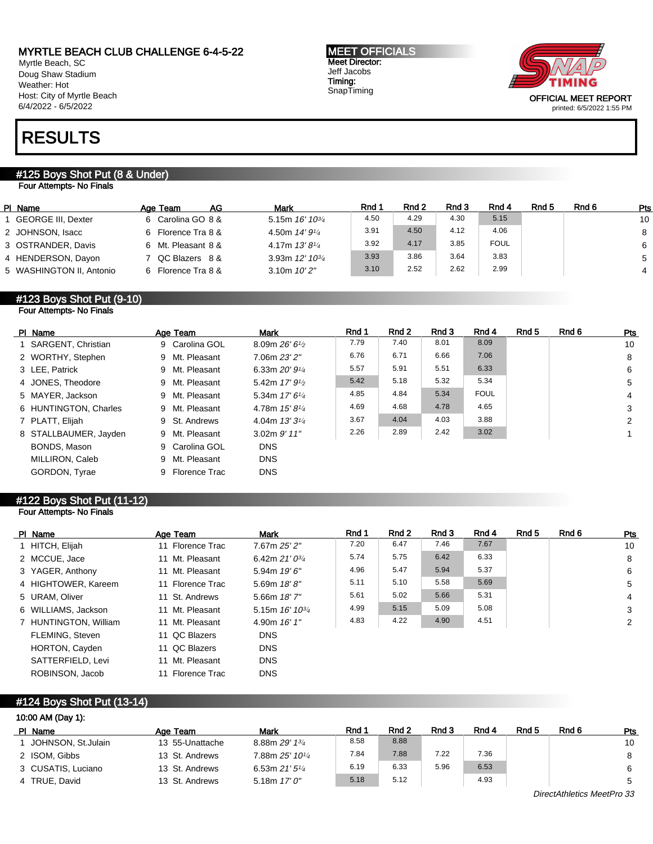Myrtle Beach, SC Doug Shaw Stadium Weather: Hot Host: City of Myrtle Beach 6/4/2022 - 6/5/2022

## RESULTS

## #125 Boys Shot Put (8 & Under)

Four Attempts- No Finals

| PI Name                  | Age Team           | AG | Mark                    | Rnd 1 | Rnd 2 | Rnd 3 | Rnd 4       | Rnd 5 | Rnd 6 | Pts |
|--------------------------|--------------------|----|-------------------------|-------|-------|-------|-------------|-------|-------|-----|
| 1 GEORGE III, Dexter     | 6 Carolina GO 8 &  |    | 5.15m $16'$ $10^{3}/4$  | 4.50  | 4.29  | 4.30  | 5.15        |       |       | 10  |
| 2 JOHNSON, Isacc         | 6 Florence Tra 8 & |    | 4.50m $14'9'4$          | 3.91  | 4.50  | 4.12  | 4.06        |       |       | 8   |
| 3 OSTRANDER, Davis       | 6 Mt. Pleasant 8 & |    | 4.17m $13'8\frac{1}{4}$ | 3.92  | 4.17  | 3.85  | <b>FOUL</b> |       |       | 6   |
| 4 HENDERSON, Dayon       | QC Blazers 8 &     |    | 3.93m $12'$ $10^{3/4}$  | 3.93  | 3.86  | 3.64  | 3.83        |       |       | 5   |
| 5 WASHINGTON II, Antonio | 6 Florence Tra 8 & |    | 3.10m $10'2''$          | 3.10  | 2.52  | 2.62  | 2.99        |       |       | 4   |
|                          |                    |    |                         |       |       |       |             |       |       |     |

#### #123 Boys Shot Put (9-10) Four Attempts- No Finals

| PI Name               | Age Team        | Mark                        | Rnd 1 | Rnd 2 | Rnd 3 | Rnd 4       | Rnd 5 | Rnd 6 | Pts |
|-----------------------|-----------------|-----------------------------|-------|-------|-------|-------------|-------|-------|-----|
| SARGENT, Christian    | 9 Carolina GOL  | 8.09m $26'6'$               | 7.79  | 7.40  | 8.01  | 8.09        |       |       | 10  |
| 2 WORTHY, Stephen     | 9 Mt. Pleasant  | $7.06m$ $23'2''$            | 6.76  | 6.71  | 6.66  | 7.06        |       |       | 8   |
| 3 LEE, Patrick        | 9 Mt. Pleasant  | 6.33m $20'9'4$              | 5.57  | 5.91  | 5.51  | 6.33        |       |       | 6   |
| 4 JONES, Theodore     | 9 Mt. Pleasant  | 5.42m $17'$ $9\frac{1}{2}$  | 5.42  | 5.18  | 5.32  | 5.34        |       |       | 5   |
| 5 MAYER, Jackson      | 9 Mt. Pleasant  | 5.34m $17'$ 6 $\frac{1}{4}$ | 4.85  | 4.84  | 5.34  | <b>FOUL</b> |       |       | 4   |
| 6 HUNTINGTON, Charles | 9 Mt. Pleasant  | 4.78m $15'8\frac{1}{4}$     | 4.69  | 4.68  | 4.78  | 4.65        |       |       | 3   |
| 7 PLATT, Elijah       | 9 St. Andrews   | 4.04m $13'3''_4$            | 3.67  | 4.04  | 4.03  | 3.88        |       |       | 2   |
| 8 STALLBAUMER, Jayden | 9 Mt. Pleasant  | $3.02m$ $9'$ $11''$         | 2.26  | 2.89  | 2.42  | 3.02        |       |       |     |
| BONDS, Mason          | 9 Carolina GOL  | <b>DNS</b>                  |       |       |       |             |       |       |     |
| MILLIRON, Caleb       | 9 Mt. Pleasant  | <b>DNS</b>                  |       |       |       |             |       |       |     |
| GORDON, Tyrae         | 9 Florence Trac | <b>DNS</b>                  |       |       |       |             |       |       |     |

## #122 Boys Shot Put (11-12)

| Four Attempts- No Finals |                  |                        |       |       |       |       |       |       |                |
|--------------------------|------------------|------------------------|-------|-------|-------|-------|-------|-------|----------------|
| PI Name                  | Age Team         | <b>Mark</b>            | Rnd 1 | Rnd 2 | Rnd 3 | Rnd 4 | Rnd 5 | Rnd 6 | Pts            |
| 1 HITCH, Elijah          | 11 Florence Trac | 7.67m 25' 2"           | 7.20  | 6.47  | 7.46  | 7.67  |       |       | 10             |
| 2 MCCUE, Jace            | 11 Mt. Pleasant  | 6.42m $21'0^{3/4}$     | 5.74  | 5.75  | 6.42  | 6.33  |       |       | 8              |
| 3 YAGER, Anthony         | 11 Mt. Pleasant  | 5.94m $19'6''$         | 4.96  | 5.47  | 5.94  | 5.37  |       |       | 6              |
| 4 HIGHTOWER, Kareem      | 11 Florence Trac | 5.69m $18'8''$         | 5.11  | 5.10  | 5.58  | 5.69  |       |       | 5              |
| 5 URAM, Oliver           | 11 St. Andrews   | 5.66m 18'7"            | 5.61  | 5.02  | 5.66  | 5.31  |       |       | $\overline{4}$ |
| 6 WILLIAMS, Jackson      | 11 Mt. Pleasant  | 5.15m $16'$ $10^{3}/4$ | 4.99  | 5.15  | 5.09  | 5.08  |       |       | 3              |
| 7 HUNTINGTON, William    | 11 Mt. Pleasant  | 4.90m 16' 1"           | 4.83  | 4.22  | 4.90  | 4.51  |       |       | 2              |
| FLEMING, Steven          | 11 QC Blazers    | <b>DNS</b>             |       |       |       |       |       |       |                |
| HORTON, Cayden           | 11 QC Blazers    | <b>DNS</b>             |       |       |       |       |       |       |                |
| SATTERFIELD, Levi        | 11 Mt. Pleasant  | <b>DNS</b>             |       |       |       |       |       |       |                |

### #124 Boys Shot Put (13-14)

ROBINSON, Jacob 11 Florence Trac DNS

| 10:00 AM (Day 1):  |                 |                             |       |       |       |       |       |       |     |
|--------------------|-----------------|-----------------------------|-------|-------|-------|-------|-------|-------|-----|
| PI Name            | Age Team        | <b>Mark</b>                 | Rnd 1 | Rnd 2 | Rnd 3 | Rnd 4 | Rnd 5 | Rnd 6 | Pts |
| JOHNSON, St.Julain | 13 55-Unattache | 8.88m $29'$ 1 $\frac{3}{4}$ | 8.58  | 8.88  |       |       |       |       | 10  |
| 2 ISOM, Gibbs      | 13 St. Andrews  | 7.88m 25' 10 <sup>1/4</sup> | 7.84  | 7.88  | 7.22  | 7.36  |       |       | 8   |
| 3 CUSATIS, Luciano | 13 St. Andrews  | 6.53m $21'5\frac{1}{4}$     | 6.19  | 6.33  | 5.96  | 6.53  |       |       | 6   |
| 4 TRUE, David      | 13 St. Andrews  | 5.18m $17'0''$              | 5.18  | 5.12  |       | 4.93  |       |       | 5   |

MEET OFFICIALS Meet Director: Jeff Jacobs Timing: SnapTiming



DirectAthletics MeetPro 33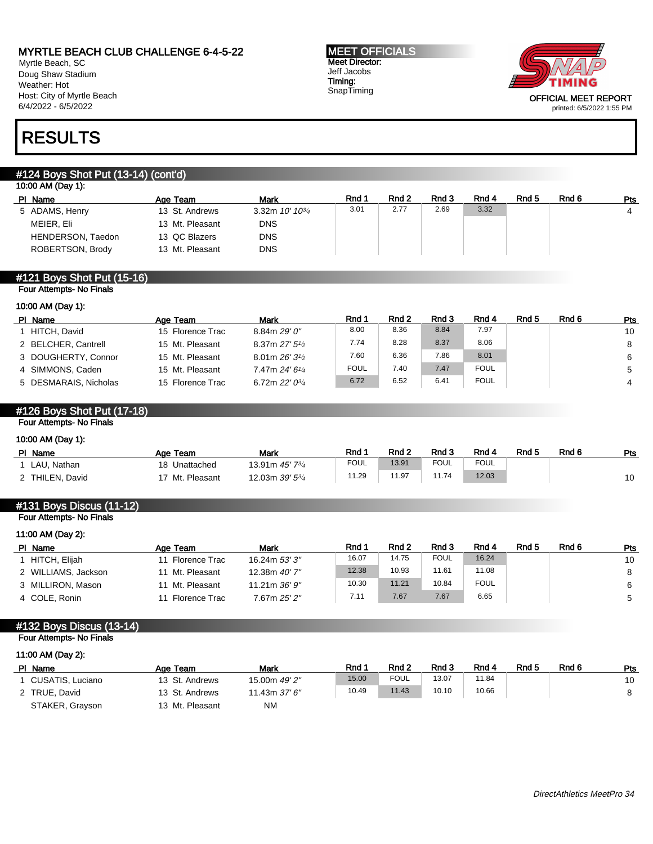Myrtle Beach, SC Doug Shaw Stadium Weather: Hot Host: City of Myrtle Beach 6/4/2022 - 6/5/2022

#### MEET OFFICIALS Meet Director: Jeff Jacobs Timing: **SnapTiming**



## RESULTS

## #124 Boys Shot Put (13-14) (cont'd)

|  | 10:00 AM (Day 1): |
|--|-------------------|
|--|-------------------|

| PI Name           | Age Team        | <b>Mark</b>             | Rnd 1 | Rnd 2 | Rnd 3 | Rnd 4 | Rnd 5 | Rnd 6 | Pts |
|-------------------|-----------------|-------------------------|-------|-------|-------|-------|-------|-------|-----|
| 5 ADAMS, Henry    | 13 St. Andrews  | 3.32m $10'$ $10^{3}/_4$ | 3.01  | 2.77  | 2.69  | 3.32  |       |       | 4   |
| MEIER, Eli        | 13 Mt. Pleasant | <b>DNS</b>              |       |       |       |       |       |       |     |
| HENDERSON, Taedon | 13 QC Blazers   | DNS                     |       |       |       |       |       |       |     |
| ROBERTSON, Brody  | 13 Mt. Pleasant | <b>DNS</b>              |       |       |       |       |       |       |     |
|                   |                 |                         |       |       |       |       |       |       |     |

## #121 Boys Shot Put (15-16)

Four Attempts- No Finals

### 10:00 AM (Day 1):

| PI Name               | Age Team         | Mark                    | Rnd 1       | Rnd 2 | Rnd 3 | Rnd 4       | Rnd 5 | Rnd 6 | Pts |
|-----------------------|------------------|-------------------------|-------------|-------|-------|-------------|-------|-------|-----|
| HITCH, David          | 15 Florence Trac | 8.84m 29'0''            | 8.00        | 8.36  | 8.84  | 7.97        |       |       | 10  |
| 2 BELCHER, Cantrell   | 15 Mt. Pleasant  | 8.37m $27'5\frac{1}{2}$ | 7.74        | 8.28  | 8.37  | 8.06        |       |       | 8   |
| 3 DOUGHERTY, Connor   | 15 Mt. Pleasant  | 8.01m $26'3^{1/2}$      | 7.60        | 6.36  | 7.86  | 8.01        |       |       | 6   |
| 4 SIMMONS, Caden      | 15 Mt. Pleasant  | 7.47m 24' 61/4          | <b>FOUL</b> | 7.40  | 7.47  | <b>FOUL</b> |       |       | 5   |
| 5 DESMARAIS, Nicholas | 15 Florence Trac | 6.72m $22'0^{3/4}$      | 6.72        | 6.52  | 6.41  | <b>FOUL</b> |       |       |     |

## #126 Boys Shot Put (17-18)

## Four Attempts- No Finals

### 10:00 AM (Day 1):

| PI Name         | Age Team      | Mark                              | Rnd 1       | Rnd 2 | Rnd 3       | Rnd 4       | Rnd 5 | Rnd 6 | Pts |
|-----------------|---------------|-----------------------------------|-------------|-------|-------------|-------------|-------|-------|-----|
| LAU. Nathan     | 18 Unattached | 13.91m $45'$ $7^{3}/_4$           | <b>FOUL</b> | 13.91 | <b>FOUL</b> | <b>FOUL</b> |       |       |     |
| 2 THILEN, David | Mt. Pleasant  | 12.03m <i>39' 5<sup>3/</sup>4</i> | 1.29        | 11.97 | 11.74       | 12.03       |       |       | 10  |

## #131 Boys Discus (11-12)

Four Attempts- No Finals

#### 11:00 AM (Day 2):

| PI Name             | Age Team        | Mark            | Rnd 1 | Rnd <sub>2</sub> | Rnd 3       | Rnd 4       | Rnd <sub>5</sub> | Rnd 6 | Pts |
|---------------------|-----------------|-----------------|-------|------------------|-------------|-------------|------------------|-------|-----|
|                     |                 |                 |       |                  |             |             |                  |       |     |
| HITCH, Elijah       | Florence Trac   | 16.24m $53'3''$ | 16.07 | 14.75            | <b>FOUL</b> | 16.24       |                  |       | 10  |
| 2 WILLIAMS, Jackson | Mt. Pleasant    | 12.38m 40' 7"   | 12.38 | 10.93            | 11.61       | 11.08       |                  |       |     |
| 3 MILLIRON, Mason   | 11 Mt. Pleasant | 11.21m 36'9''   | 10.30 | 11.21            | 10.84       | <b>FOUL</b> |                  |       |     |
| 4 COLE, Ronin       | Florence Trac   | 7.67m 25' 2"    | 7.11  | 7.67             | 7.67        | 6.65        |                  |       |     |

## #132 Boys Discus (13-14)

### Four Attempts- No Finals

|  |  |  |  | 11:00 AM (Day 2): |  |
|--|--|--|--|-------------------|--|
|--|--|--|--|-------------------|--|

| PI Name          | Age Team        | Mark          | Rnd · | Rnd <sub>2</sub> | Rnd <sub>3</sub> | Rnd 4 | Rnd 5 | Rnd 6 | Pts |
|------------------|-----------------|---------------|-------|------------------|------------------|-------|-------|-------|-----|
| CUSATIS, Luciano | 13 St. Andrews  | 15.00m 49' 2" | 15.00 | <b>FOUL</b>      | 13.07            | 11.84 |       |       | 10  |
| 2 TRUE, David    | 13 St. Andrews  | 11.43m 37' 6" | 10.49 | 11.43            | 10.10            | 10.66 |       |       |     |
| STAKER, Grayson  | 13 Mt. Pleasant | ΝM            |       |                  |                  |       |       |       |     |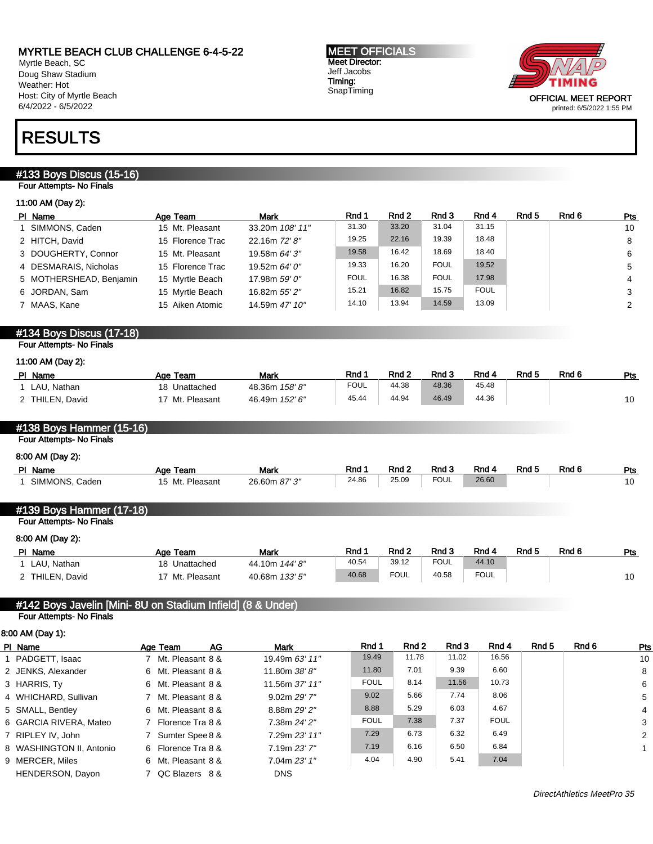Myrtle Beach, SC Doug Shaw Stadium Weather: Hot Host: City of Myrtle Beach 6/4/2022 - 6/5/2022

#### MEET OFFICIALS Meet Director: Jeff Jacobs Timing: SnapTiming



## RESULTS

## #133 Boys Discus (15-16)

Four Attempts- No Finals

#### 11:00 AM (Day 2):

| PI Name                 | Age Team         | Mark            | Rnd 1       | Rnd 2 | Rnd 3       | Rnd 4       | Rnd 5 | Rnd 6 | Pts             |
|-------------------------|------------------|-----------------|-------------|-------|-------------|-------------|-------|-------|-----------------|
| 1 SIMMONS, Caden        | 15 Mt. Pleasant  | 33.20m 108' 11" | 31.30       | 33.20 | 31.04       | 31.15       |       |       | 10 <sup>°</sup> |
| 2 HITCH, David          | 15 Florence Trac | 22.16m 72' 8"   | 19.25       | 22.16 | 19.39       | 18.48       |       |       | 8               |
| 3 DOUGHERTY, Connor     | 15 Mt. Pleasant  | 19.58m 64' 3"   | 19.58       | 16.42 | 18.69       | 18.40       |       |       | 6               |
| 4 DESMARAIS, Nicholas   | 15 Florence Trac | 19.52m 64' 0"   | 19.33       | 16.20 | <b>FOUL</b> | 19.52       |       |       | 5               |
| 5 MOTHERSHEAD, Benjamin | 15 Myrtle Beach  | 17.98m 59' 0"   | <b>FOUL</b> | 16.38 | <b>FOUL</b> | 17.98       |       |       | 4               |
| 6 JORDAN, Sam           | 15 Myrtle Beach  | 16.82m 55' 2"   | 15.21       | 16.82 | 15.75       | <b>FOUL</b> |       |       | 3               |
| 7 MAAS, Kane            | 15 Aiken Atomic  | 14.59m 47' 10"  | 14.10       | 13.94 | 14.59       | 13.09       |       |       | 2               |
|                         |                  |                 |             |       |             |             |       |       |                 |

### #134 Boys Discus (17-18)

Four Attempts- No Finals

#### 11:00 AM (Day 2):

| PI Name         | Team<br>Aae  | Mark           | Rnd         | Rnd <sub>2</sub> | Rnd 3 | Rnd 4 | Rnd <sub>5</sub> | Rnd 6 | Pts |
|-----------------|--------------|----------------|-------------|------------------|-------|-------|------------------|-------|-----|
| LAU, Nathan     | Unattached   | 48.36m 158'8"  | <b>FOUL</b> | 44.38            | 48.36 | 45.48 |                  |       |     |
| 2 THILEN, David | Mt. Pleasant | 46.49m 152' 6" | 45.44       | 44.94            | 46.49 | 44.36 |                  |       | 10  |

## #138 Boys Hammer (15-16)

Four Attempts- No Finals

### 8:00 AM (Day 2):

| PI Name           | Aae<br>Team       | Mark               | Rnd   | Rnd <sub>2</sub> | Rnd 3       | Rnd <sub>4</sub> | Rnd 5 | Rnd 6 | Pts |
|-------------------|-------------------|--------------------|-------|------------------|-------------|------------------|-------|-------|-----|
| SIMMONS.<br>Caden | Pleasant<br>5 Mt. | ı 87' 3"<br>26.60m | 24.86 | 25.09            | <b>FOUL</b> | 26.60            |       |       | 10  |

## #139 Boys Hammer (17-18)

Four Attempts- No Finals

| 8:00 AM (Day 2): |                 |                |       |             |             |             |       |       |     |  |  |
|------------------|-----------------|----------------|-------|-------------|-------------|-------------|-------|-------|-----|--|--|
| PI Name          | Age Team        | Mark           | Rnd 1 | Rnd 2       | Rnd 3       | Rnd 4       | Rnd 5 | Rnd 6 | Pts |  |  |
| LAU. Nathan      | 18 Unattached   | 44.10m 144'8"  | 40.54 | 39.12       | <b>FOUL</b> | 44.10       |       |       |     |  |  |
| THILEN, David    | 17 Mt. Pleasant | 40.68m 133' 5" | 40.68 | <b>FOUL</b> | 40.58       | <b>FOUL</b> |       |       | 10  |  |  |

## #142 Boys Javelin [Mini- 8U on Stadium Infield] (8 & Under)

Four Attempts- No Finals

## 8:00 AM (Day 1):

| PI Name                  | Age Team           | AG. | Mark           | Rnd 1       | Rnd 2 | Rnd 3 | Rnd 4       | Rnd 5 | Rnd 6 | Pts            |
|--------------------------|--------------------|-----|----------------|-------------|-------|-------|-------------|-------|-------|----------------|
| 1 PADGETT, Isaac         | 7 Mt. Pleasant 8 & |     | 19.49m 63' 11" | 19.49       | 11.78 | 11.02 | 16.56       |       |       | 10             |
| 2 JENKS, Alexander       | 6 Mt. Pleasant 8 & |     | 11.80m 38'8"   | 11.80       | 7.01  | 9.39  | 6.60        |       |       | 8              |
| 3 HARRIS, Ty             | 6 Mt. Pleasant 8 & |     | 11.56m 37' 11" | <b>FOUL</b> | 8.14  | 11.56 | 10.73       |       |       | 6              |
| 4 WHICHARD, Sullivan     | Mt. Pleasant 8 &   |     | 9.02m 29'7''   | 9.02        | 5.66  | 7.74  | 8.06        |       |       | 5              |
| 5 SMALL, Bentley         | 6 Mt. Pleasant 8 & |     | 8.88m 29' 2"   | 8.88        | 5.29  | 6.03  | 4.67        |       |       | $\overline{4}$ |
| 6 GARCIA RIVERA, Mateo   | Florence Tra 8 &   |     | 7.38m 24' 2"   | <b>FOUL</b> | 7.38  | 7.37  | <b>FOUL</b> |       |       | 3              |
| 7 RIPLEY IV, John        | 7 Sumter Spee 8 &  |     | 7.29m 23' 11"  | 7.29        | 6.73  | 6.32  | 6.49        |       |       | 2              |
| 8 WASHINGTON II. Antonio | 6 Florence Tra 8 & |     | 7.19m 23' 7"   | 7.19        | 6.16  | 6.50  | 6.84        |       |       | 1              |
| 9 MERCER, Miles          | 6 Mt. Pleasant 8 & |     | 7.04m 23' 1"   | 4.04        | 4.90  | 5.41  | 7.04        |       |       |                |
| HENDERSON, Dayon         | OC Blazers 8 &     |     | <b>DNS</b>     |             |       |       |             |       |       |                |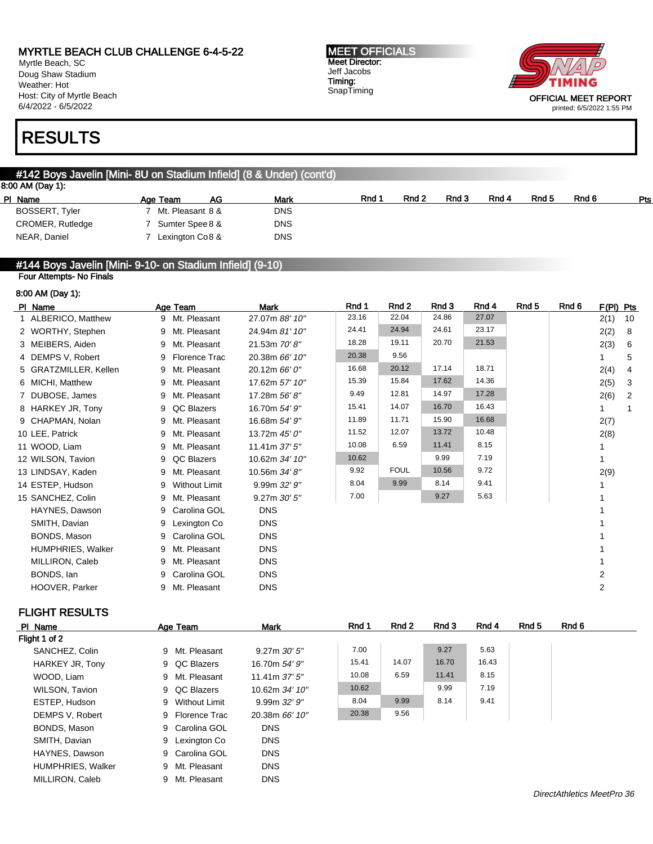Myrtle Beach, SC Doug Shaw Stadium Weather: Hot Host: City of Myrtle Beach 6/4/2022 - 6/5/2022

#### MEET OFFICIALS Meet Director: Jeff Jacobs Timing: SnapTiming



printed: 6/5/2022 1:55 PM

## RESULTS

## #142 Boys Javelin [Mini- 8U on Stadium Infield] (8 & Under) (cont'd)

| 8:00 AM (Day 1): |  |  |
|------------------|--|--|
|------------------|--|--|

| PI Name                 | Age Team                    | AG | Mark | Rnd · | Rnd 2 | Rnd 3 | Rnd 4 | Rnd <sub>5</sub> | Rnd 6 | Pts |
|-------------------------|-----------------------------|----|------|-------|-------|-------|-------|------------------|-------|-----|
| <b>BOSSERT, Tyler</b>   | Mt. Pleasant 8 &            |    | DNS  |       |       |       |       |                  |       |     |
| <b>CROMER, Rutledge</b> | Sumter Spee 8 &             |    | DNS  |       |       |       |       |                  |       |     |
| NEAR, Daniel            | Lexington Co <sub>8</sub> & |    | DNS  |       |       |       |       |                  |       |     |
|                         |                             |    |      |       |       |       |       |                  |       |     |

## #144 Boys Javelin [Mini- 9-10- on Stadium Infield] (9-10)

## Four Attempts- No Finals

### 8:00 AM (Day 1):

| PI Name               |   | Age Team             | <b>Mark</b>      | Rnd 1 | Rnd <sub>2</sub> | Rnd 3 | Rnd 4 | Rnd 5 | Rnd 6 | F(PI) Pts |    |
|-----------------------|---|----------------------|------------------|-------|------------------|-------|-------|-------|-------|-----------|----|
| 1 ALBERICO, Matthew   | 9 | Mt. Pleasant         | 27.07m 88' 10"   | 23.16 | 22.04            | 24.86 | 27.07 |       |       | 2(1)      | 10 |
| 2 WORTHY, Stephen     | 9 | Mt. Pleasant         | 24.94m 81' 10"   | 24.41 | 24.94            | 24.61 | 23.17 |       |       | 2(2)      | 8  |
| 3 MEIBERS, Aiden      | 9 | Mt. Pleasant         | 21.53m 70'8"     | 18.28 | 19.11            | 20.70 | 21.53 |       |       | 2(3)      | 6  |
| 4 DEMPS V, Robert     | 9 | Florence Trac        | 20.38m 66' 10"   | 20.38 | 9.56             |       |       |       |       |           | 5  |
| 5 GRATZMILLER, Kellen | 9 | Mt. Pleasant         | 20.12m 66' 0"    | 16.68 | 20.12            | 17.14 | 18.71 |       |       | 2(4)      | 4  |
| 6 MICHI, Matthew      | 9 | Mt. Pleasant         | 17.62m 57' 10"   | 15.39 | 15.84            | 17.62 | 14.36 |       |       | 2(5)      | 3  |
| 7 DUBOSE, James       | 9 | Mt. Pleasant         | 17.28m 56'8"     | 9.49  | 12.81            | 14.97 | 17.28 |       |       | 2(6)      | 2  |
| 8 HARKEY JR, Tony     | 9 | QC Blazers           | 16.70m 54' 9"    | 15.41 | 14.07            | 16.70 | 16.43 |       |       |           |    |
| 9 CHAPMAN, Nolan      | 9 | Mt. Pleasant         | 16.68m 54' 9"    | 11.89 | 11.71            | 15.90 | 16.68 |       |       | 2(7)      |    |
| 10 LEE, Patrick       | 9 | Mt. Pleasant         | 13.72m 45' 0"    | 11.52 | 12.07            | 13.72 | 10.48 |       |       | 2(8)      |    |
| 11 WOOD, Liam         | 9 | Mt. Pleasant         | 11.41m 37' 5"    | 10.08 | 6.59             | 11.41 | 8.15  |       |       |           |    |
| 12 WILSON, Tavion     | 9 | QC Blazers           | 10.62m 34' 10"   | 10.62 |                  | 9.99  | 7.19  |       |       |           |    |
| 13 LINDSAY, Kaden     | 9 | Mt. Pleasant         | 10.56m 34' 8"    | 9.92  | <b>FOUL</b>      | 10.56 | 9.72  |       |       | 2(9)      |    |
| 14 ESTEP, Hudson      | 9 | <b>Without Limit</b> | 9.99m 32' 9"     | 8.04  | 9.99             | 8.14  | 9.41  |       |       |           |    |
| 15 SANCHEZ, Colin     | 9 | Mt. Pleasant         | $9.27m$ $30'5''$ | 7.00  |                  | 9.27  | 5.63  |       |       |           |    |
| HAYNES, Dawson        | 9 | Carolina GOL         | <b>DNS</b>       |       |                  |       |       |       |       |           |    |
| SMITH, Davian         | 9 | Lexington Co         | <b>DNS</b>       |       |                  |       |       |       |       |           |    |
| BONDS, Mason          | 9 | Carolina GOL         | <b>DNS</b>       |       |                  |       |       |       |       |           |    |
| HUMPHRIES, Walker     | 9 | Mt. Pleasant         | <b>DNS</b>       |       |                  |       |       |       |       |           |    |
| MILLIRON, Caleb       | 9 | Mt. Pleasant         | <b>DNS</b>       |       |                  |       |       |       |       |           |    |
| BONDS, lan            | 9 | Carolina GOL         | <b>DNS</b>       |       |                  |       |       |       |       | 2         |    |
| HOOVER, Parker        | 9 | Mt. Pleasant         | <b>DNS</b>       |       |                  |       |       |       |       | 2         |    |
|                       |   |                      |                  |       |                  |       |       |       |       |           |    |

FLIGHT RESULTS

| PI Name                  | Age Team        | <b>Mark</b>      | Rnd 1 | Rnd 2 | Rnd 3 | Rnd 4 | Rnd 5 | Rnd 6 |
|--------------------------|-----------------|------------------|-------|-------|-------|-------|-------|-------|
| Flight 1 of 2            |                 |                  |       |       |       |       |       |       |
| SANCHEZ, Colin           | 9 Mt. Pleasant  | $9.27m$ $30'5''$ | 7.00  |       | 9.27  | 5.63  |       |       |
| HARKEY JR, Tony          | 9 QC Blazers    | 16.70m 54' 9"    | 15.41 | 14.07 | 16.70 | 16.43 |       |       |
| WOOD, Liam               | 9 Mt. Pleasant  | 11.41m $37'5''$  | 10.08 | 6.59  | 11.41 | 8.15  |       |       |
| WILSON, Tavion           | 9 QC Blazers    | 10.62m 34' 10"   | 10.62 |       | 9.99  | 7.19  |       |       |
| ESTEP, Hudson            | 9 Without Limit | 9.99m 32'9''     | 8.04  | 9.99  | 8.14  | 9.41  |       |       |
| DEMPS V. Robert          | 9 Florence Trac | 20.38m 66' 10"   | 20.38 | 9.56  |       |       |       |       |
| BONDS, Mason             | 9 Carolina GOL  | <b>DNS</b>       |       |       |       |       |       |       |
| SMITH, Davian            | 9 Lexington Co  | <b>DNS</b>       |       |       |       |       |       |       |
| HAYNES, Dawson           | 9 Carolina GOL  | <b>DNS</b>       |       |       |       |       |       |       |
| <b>HUMPHRIES, Walker</b> | 9 Mt. Pleasant  | <b>DNS</b>       |       |       |       |       |       |       |
| MILLIRON, Caleb          | 9 Mt. Pleasant  | <b>DNS</b>       |       |       |       |       |       |       |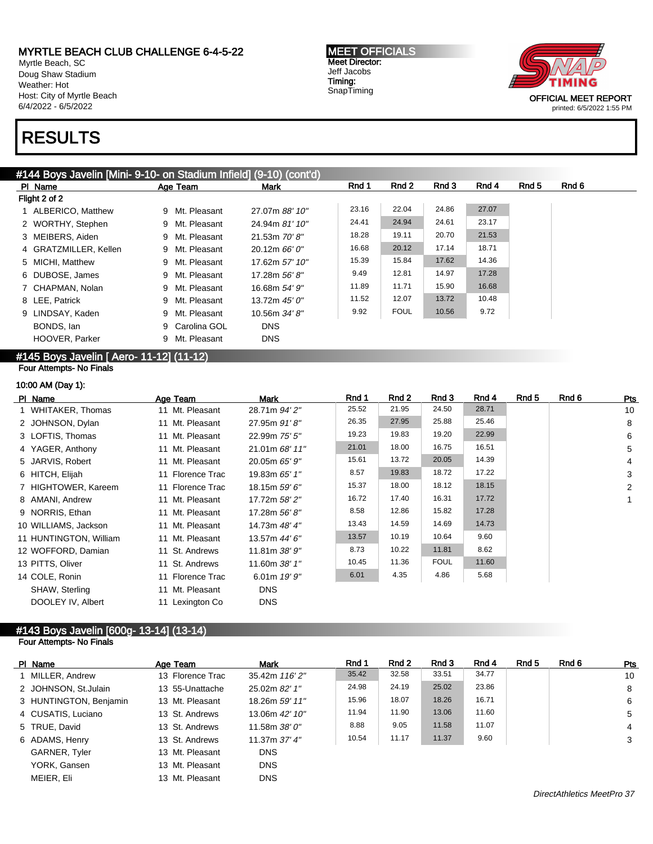Myrtle Beach, SC Doug Shaw Stadium Weather: Hot Host: City of Myrtle Beach 6/4/2022 - 6/5/2022

# RESULTS

MEET OFFICIALS Meet Director: Jeff Jacobs Timing: SnapTiming



# #144 Boys Javelin [Mini- 9-10- on Stadium Infield] (9-10) (cont'd)

|               | PI Name               |  | Age Team       | <b>Mark</b>     | Rnd 1 | Rnd 2       | Rnd 3 | Rnd 4 | Rnd 5 | Rnd 6 |
|---------------|-----------------------|--|----------------|-----------------|-------|-------------|-------|-------|-------|-------|
| Flight 2 of 2 |                       |  |                |                 |       |             |       |       |       |       |
|               | 1 ALBERICO, Matthew   |  | 9 Mt. Pleasant | 27.07m 88' 10"  | 23.16 | 22.04       | 24.86 | 27.07 |       |       |
|               | 2 WORTHY, Stephen     |  | 9 Mt. Pleasant | 24.94m 81' 10"  | 24.41 | 24.94       | 24.61 | 23.17 |       |       |
|               | 3 MEIBERS, Aiden      |  | 9 Mt. Pleasant | 21.53m 70' 8"   | 18.28 | 19.11       | 20.70 | 21.53 |       |       |
|               | 4 GRATZMILLER, Kellen |  | 9 Mt. Pleasant | 20.12m 66' 0"   | 16.68 | 20.12       | 17.14 | 18.71 |       |       |
|               | 5 MICHI, Matthew      |  | 9 Mt. Pleasant | 17.62m 57' 10"  | 15.39 | 15.84       | 17.62 | 14.36 |       |       |
|               | 6 DUBOSE, James       |  | 9 Mt. Pleasant | 17.28m 56'8"    | 9.49  | 12.81       | 14.97 | 17.28 |       |       |
|               | 7 CHAPMAN, Nolan      |  | 9 Mt. Pleasant | 16.68m 54' 9"   | 11.89 | 11.71       | 15.90 | 16.68 |       |       |
|               | 8 LEE, Patrick        |  | 9 Mt. Pleasant | 13.72m $45'0''$ | 11.52 | 12.07       | 13.72 | 10.48 |       |       |
|               | 9 LINDSAY, Kaden      |  | 9 Mt. Pleasant | 10.56m 34' 8"   | 9.92  | <b>FOUL</b> | 10.56 | 9.72  |       |       |
|               | BONDS, lan            |  | 9 Carolina GOL | <b>DNS</b>      |       |             |       |       |       |       |
|               | HOOVER, Parker        |  | 9 Mt. Pleasant | <b>DNS</b>      |       |             |       |       |       |       |

### #145 Boys Javelin [ Aero- 11-12] (11-12)

# Four Attempts- No Finals

|  | 10:00 AM (Day 1): |  |
|--|-------------------|--|
|--|-------------------|--|

| PI Name                | Age Team         | <b>Mark</b>    | Rnd 1 | Rnd 2 | Rnd 3       | Rnd 4 | Rnd 5 | Rnd 6 | Pts            |
|------------------------|------------------|----------------|-------|-------|-------------|-------|-------|-------|----------------|
| 1 WHITAKER, Thomas     | 11 Mt. Pleasant  | 28.71m 94' 2"  | 25.52 | 21.95 | 24.50       | 28.71 |       |       | 10             |
| 2 JOHNSON, Dylan       | 11 Mt. Pleasant  | 27.95m 91'8"   | 26.35 | 27.95 | 25.88       | 25.46 |       |       | 8              |
| 3 LOFTIS, Thomas       | 11 Mt. Pleasant  | 22.99m 75' 5"  | 19.23 | 19.83 | 19.20       | 22.99 |       |       | 6              |
| 4 YAGER, Anthony       | 11 Mt. Pleasant  | 21.01m 68' 11" | 21.01 | 18.00 | 16.75       | 16.51 |       |       | 5              |
| 5 JARVIS, Robert       | 11 Mt. Pleasant  | 20.05m 65' 9"  | 15.61 | 13.72 | 20.05       | 14.39 |       |       | 4              |
| 6 HITCH, Elijah        | 11 Florence Trac | 19.83m 65' 1"  | 8.57  | 19.83 | 18.72       | 17.22 |       |       | 3              |
| 7 HIGHTOWER, Kareem    | 11 Florence Trac | 18.15m 59' 6"  | 15.37 | 18.00 | 18.12       | 18.15 |       |       | $\overline{2}$ |
| 8 AMANI, Andrew        | 11 Mt. Pleasant  | 17.72m 58' 2"  | 16.72 | 17.40 | 16.31       | 17.72 |       |       | $\mathbf{1}$   |
| 9 NORRIS, Ethan        | 11 Mt. Pleasant  | 17.28m 56'8"   | 8.58  | 12.86 | 15.82       | 17.28 |       |       |                |
| 10 WILLIAMS, Jackson   | 11 Mt. Pleasant  | 14.73m 48' 4"  | 13.43 | 14.59 | 14.69       | 14.73 |       |       |                |
| 11 HUNTINGTON, William | 11 Mt. Pleasant  | 13.57m 44' 6"  | 13.57 | 10.19 | 10.64       | 9.60  |       |       |                |
| 12 WOFFORD, Damian     | 11 St. Andrews   | 11.81m 38' 9"  | 8.73  | 10.22 | 11.81       | 8.62  |       |       |                |
| 13 PITTS, Oliver       | 11 St. Andrews   | 11.60m 38' 1"  | 10.45 | 11.36 | <b>FOUL</b> | 11.60 |       |       |                |
| 14 COLE, Ronin         | 11 Florence Trac | 6.01m $19'9''$ | 6.01  | 4.35  | 4.86        | 5.68  |       |       |                |
| SHAW, Sterling         | 11 Mt. Pleasant  | <b>DNS</b>     |       |       |             |       |       |       |                |
| DOOLEY IV, Albert      | 11 Lexington Co  | <b>DNS</b>     |       |       |             |       |       |       |                |

#### #143 Boys Javelin [600g- 13-14] (13-14) Four Attempts- No Finals

| PI Name                | Age Team         | <b>Mark</b>    | Rnd 1 | Rnd 2 | Rnd 3 | Rnd 4 | Rnd 5 | Rnd 6 | Pts |
|------------------------|------------------|----------------|-------|-------|-------|-------|-------|-------|-----|
| 1 MILLER, Andrew       | 13 Florence Trac | 35.42m 116'2"  | 35.42 | 32.58 | 33.51 | 34.77 |       |       | 10  |
| 2 JOHNSON, St.Julain   | 13 55-Unattache  | 25.02m 82' 1"  | 24.98 | 24.19 | 25.02 | 23.86 |       |       | 8   |
| 3 HUNTINGTON, Benjamin | 13 Mt. Pleasant  | 18.26m 59' 11" | 15.96 | 18.07 | 18.26 | 16.71 |       |       | 6   |
| 4 CUSATIS, Luciano     | 13 St. Andrews   | 13.06m 42' 10" | 11.94 | 11.90 | 13.06 | 11.60 |       |       | 5   |
| 5 TRUE, David          | 13 St. Andrews   | 11.58m 38' 0"  | 8.88  | 9.05  | 11.58 | 11.07 |       |       | 4   |
| 6 ADAMS, Henry         | 13 St. Andrews   | 11.37m 37' 4"  | 10.54 | 11.17 | 11.37 | 9.60  |       |       | 3   |
| <b>GARNER, Tyler</b>   | 13 Mt. Pleasant  | <b>DNS</b>     |       |       |       |       |       |       |     |
| YORK, Gansen           | 13 Mt. Pleasant  | <b>DNS</b>     |       |       |       |       |       |       |     |
| MEIER, Eli             | 13 Mt. Pleasant  | <b>DNS</b>     |       |       |       |       |       |       |     |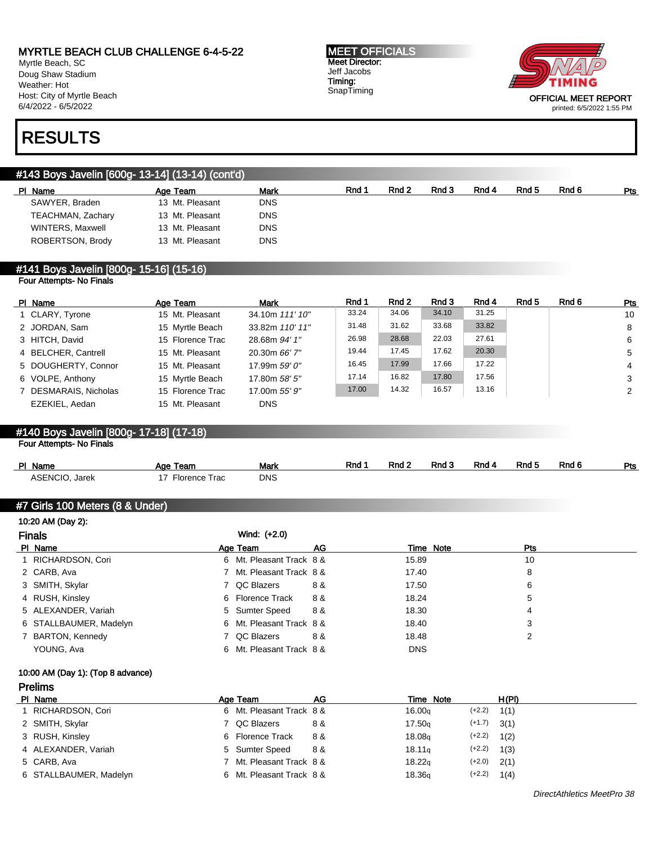Myrtle Beach, SC Doug Shaw Stadium Weather: Hot Host: City of Myrtle Beach 6/4/2022 - 6/5/2022

#### MEET OFFICIALS Meet Director: Jeff Jacobs Timing: SnapTiming



# RESULTS

# #143 Boys Javelin [600g- 13-14] (13-14) (cont'd) Pl Name Age Team Mark Rnd 1 Rnd 2 Rnd 3 Rnd 4 Rnd 5 Rnd 6 Pts SAWYER, Braden 13 Mt. Pleasant DNS TEACHMAN, Zachary 13 Mt. Pleasant DNS WINTERS, Maxwell 13 Mt. Pleasant DNS ROBERTSON, Brody 13 Mt. Pleasant DNS

# #141 Boys Javelin [800g- 15-16] (15-16)

Four Attempts- No Finals

| PI Name                                                             | Age Team         | <b>Mark</b>     | Rnd 1 | Rnd 2 | Rnd 3 | Rnd 4 | Rnd 5 | Rnd 6 | Pts |
|---------------------------------------------------------------------|------------------|-----------------|-------|-------|-------|-------|-------|-------|-----|
| 1 CLARY, Tyrone                                                     | 15 Mt. Pleasant  | 34.10m 111' 10" | 33.24 | 34.06 | 34.10 | 31.25 |       |       | 10  |
| 2 JORDAN, Sam                                                       | 15 Myrtle Beach  | 33.82m 110' 11" | 31.48 | 31.62 | 33.68 | 33.82 |       |       | 8   |
| 3 HITCH, David                                                      | 15 Florence Trac | 28.68m 94' 1"   | 26.98 | 28.68 | 22.03 | 27.61 |       |       | 6   |
| 4 BELCHER, Cantrell                                                 | 15 Mt. Pleasant  | 20.30m 66' 7"   | 19.44 | 17.45 | 17.62 | 20.30 |       |       | 5   |
| 5 DOUGHERTY, Connor                                                 | 15 Mt. Pleasant  | 17.99m 59' 0"   | 16.45 | 17.99 | 17.66 | 17.22 |       |       | 4   |
| 6 VOLPE, Anthony                                                    | 15 Myrtle Beach  | 17.80m 58' 5"   | 17.14 | 16.82 | 17.80 | 17.56 |       |       | 3   |
| 7 DESMARAIS, Nicholas                                               | 15 Florence Trac | 17.00m 55' 9"   | 17.00 | 14.32 | 16.57 | 13.16 |       |       | 2   |
| EZEKIEL, Aedan                                                      | 15 Mt. Pleasant  | <b>DNS</b>      |       |       |       |       |       |       |     |
| #140 Boys Javelin [800g- 17-18] (17-18)<br>Four Attempts- No Finals |                  |                 |       |       |       |       |       |       |     |
| PI Name                                                             | Age Team         | <b>Mark</b>     | Rnd 1 | Rnd 2 | Rnd 3 | Rnd 4 | Rnd 5 | Rnd 6 | Pts |
| ASENCIO, Jarek                                                      | 17 Florence Trac | <b>DNS</b>      |       |       |       |       |       |       |     |

### #7 Girls 100 Meters (8 & Under)

|               | 10:20 AM (Day 2):      |              |                          |     |            |            |  |  |  |  |  |
|---------------|------------------------|--------------|--------------------------|-----|------------|------------|--|--|--|--|--|
| <b>Finals</b> |                        | Wind: (+2.0) |                          |     |            |            |  |  |  |  |  |
|               | PI Name                |              | Age Team                 | AG  | Time Note  | <b>Pts</b> |  |  |  |  |  |
|               | 1 RICHARDSON, Cori     |              | 6 Mt. Pleasant Track 8 & |     | 15.89      | 10         |  |  |  |  |  |
|               | 2 CARB, Ava            |              | 7 Mt. Pleasant Track 8 & |     | 17.40      | 8          |  |  |  |  |  |
|               | 3 SMITH, Skylar        |              | 7 QC Blazers             | 8&  | 17.50      | 6          |  |  |  |  |  |
|               | 4 RUSH, Kinsley        |              | 6 Florence Track         | 8 & | 18.24      | 5          |  |  |  |  |  |
|               | 5 ALEXANDER, Variah    |              | 5 Sumter Speed           | 8 & | 18.30      | 4          |  |  |  |  |  |
|               | 6 STALLBAUMER, Madelyn |              | 6 Mt. Pleasant Track 8 & |     | 18.40      | 3          |  |  |  |  |  |
|               | 7 BARTON, Kennedy      |              | 7 QC Blazers             | 8 & | 18.48      | 2          |  |  |  |  |  |
|               | YOUNG, Ava             |              | 6 Mt. Pleasant Track 8 & |     | <b>DNS</b> |            |  |  |  |  |  |

#### 10:00 AM (Day 1): (Top 8 advance)

Prelims

| PI Name                | Age Team                 | АG  | Time Note          |               | H(PI) |
|------------------------|--------------------------|-----|--------------------|---------------|-------|
| RICHARDSON, Cori       | 6 Mt. Pleasant Track 8 & |     | 16.00 <sub>a</sub> | $(+2.2)$      | 1(1)  |
| 2 SMITH, Skylar        | 7 QC Blazers             | 8 & | 17.50a             | $(+1.7)$ 3(1) |       |
| 3 RUSH, Kinsley        | 6 Florence Track         | 8&  | 18.08g             | $(+2.2)$      | 1(2)  |
| 4 ALEXANDER, Variah    | 5 Sumter Speed           | 8&  | 18.11a             | $(+2.2)$      | 1(3)  |
| 5 CARB, Ava            | 7 Mt. Pleasant Track 8 & |     | 18.22q             | $(+2.0)$ 2(1) |       |
| 6 STALLBAUMER, Madelyn | 6 Mt. Pleasant Track 8 & |     | 18.36q             | $(+2.2)$      | 1(4)  |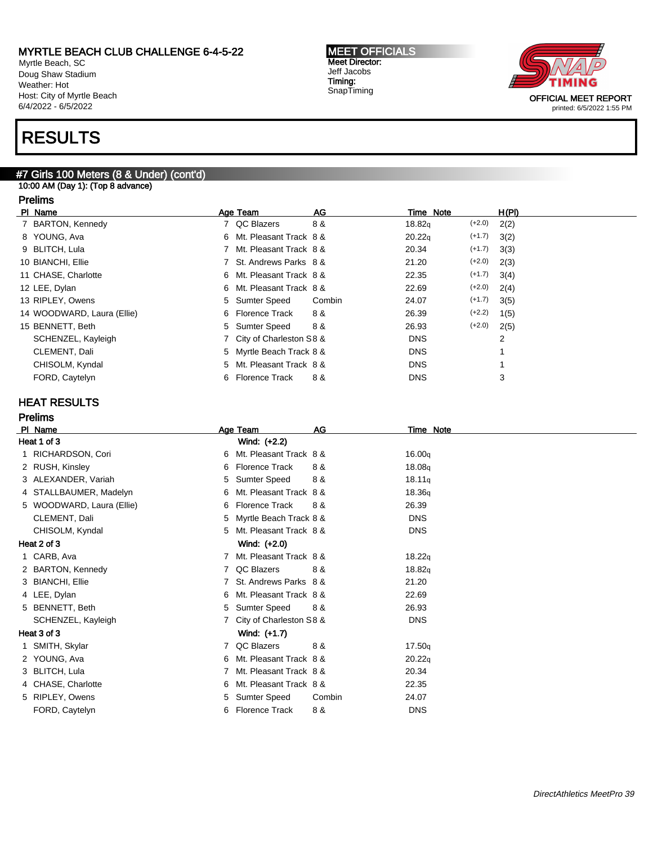Myrtle Beach, SC Doug Shaw Stadium Weather: Hot Host: City of Myrtle Beach 6/4/2022 - 6/5/2022

# RESULTS

# #7 Girls 100 Meters (8 & Under) (cont'd)

10:00 AM (Day 1): (Top 8 advance)

### Prelims

| PI Name                    | Age Team                  | AG     | Time Note  |          | H(PI)          |
|----------------------------|---------------------------|--------|------------|----------|----------------|
| 7 BARTON, Kennedy          | 7 QC Blazers              | 8 &    | 18.82g     | $(+2.0)$ | 2(2)           |
| 8 YOUNG, Ava               | 6 Mt. Pleasant Track 8 &  |        | 20.22q     | $(+1.7)$ | 3(2)           |
| 9 BLITCH, Lula             | 7 Mt. Pleasant Track 8 &  |        | 20.34      | $(+1.7)$ | 3(3)           |
| 10 BIANCHI, Ellie          | 7 St. Andrews Parks 8 &   |        | 21.20      | $(+2.0)$ | 2(3)           |
| 11 CHASE, Charlotte        | 6 Mt. Pleasant Track 8 &  |        | 22.35      | $(+1.7)$ | 3(4)           |
| 12 LEE, Dylan              | 6 Mt. Pleasant Track 8 &  |        | 22.69      | $(+2.0)$ | 2(4)           |
| 13 RIPLEY, Owens           | 5 Sumter Speed            | Combin | 24.07      | $(+1.7)$ | 3(5)           |
| 14 WOODWARD, Laura (Ellie) | 6 Florence Track          | 8&     | 26.39      | $(+2.2)$ | 1(5)           |
| 15 BENNETT, Beth           | 5 Sumter Speed            | 8&     | 26.93      | $(+2.0)$ | 2(5)           |
| SCHENZEL, Kayleigh         | 7 City of Charleston S8 & |        | <b>DNS</b> |          | $\overline{2}$ |
| CLEMENT, Dali              | 5 Myrtle Beach Track 8 &  |        | <b>DNS</b> |          |                |
| CHISOLM, Kyndal            | 5 Mt. Pleasant Track 8 &  |        | <b>DNS</b> |          |                |
| FORD, Caytelyn             | 6 Florence Track          | 8&     | <b>DNS</b> |          | 3              |
|                            |                           |        |            |          |                |

### HEAT RESULTS

Prelims

| PI Name                   |    | Age Team                 | AG     | Time Note          |
|---------------------------|----|--------------------------|--------|--------------------|
| Heat 1 of 3               |    | Wind: (+2.2)             |        |                    |
| 1 RICHARDSON, Cori        | 6. | Mt. Pleasant Track 8 &   |        | 16.00q             |
| 2 RUSH, Kinsley           | 6. | <b>Florence Track</b>    | 8 &    | 18.08q             |
| 3 ALEXANDER, Variah       | 5  | <b>Sumter Speed</b>      | 8 &    | 18.11 <sub>q</sub> |
| 4 STALLBAUMER, Madelyn    | 6. | Mt. Pleasant Track 8 &   |        | 18.36q             |
| 5 WOODWARD, Laura (Ellie) | 6. | <b>Florence Track</b>    | 8&     | 26.39              |
| CLEMENT, Dali             |    | 5 Myrtle Beach Track 8 & |        | <b>DNS</b>         |
| CHISOLM, Kyndal           | 5. | Mt. Pleasant Track 8 &   |        | <b>DNS</b>         |
| Heat 2 of 3               |    | Wind: (+2.0)             |        |                    |
| 1 CARB, Ava               |    | 7 Mt. Pleasant Track 8 & |        | 18.22q             |
| 2 BARTON, Kennedy         |    | 7 QC Blazers             | 8 &    | 18.82q             |
| 3 BIANCHI, Ellie          |    | St. Andrews Parks 8 &    |        | 21.20              |
| 4 LEE, Dylan              | 6. | Mt. Pleasant Track 8 &   |        | 22.69              |
| 5 BENNETT, Beth           |    | 5 Sumter Speed           | 8&     | 26.93              |
| SCHENZEL, Kayleigh        | 7  | City of Charleston S8 &  |        | <b>DNS</b>         |
| Heat 3 of 3               |    | Wind: (+1.7)             |        |                    |
| 1 SMITH, Skylar           | 7  | QC Blazers               | 8 &    | 17.50q             |
| 2 YOUNG, Ava              | 6. | Mt. Pleasant Track 8 &   |        | 20.22q             |
| 3 BLITCH, Lula            | 7  | Mt. Pleasant Track 8 &   |        | 20.34              |
| 4 CHASE, Charlotte        | 6. | Mt. Pleasant Track 8 &   |        | 22.35              |
| 5 RIPLEY, Owens           |    | 5 Sumter Speed           | Combin | 24.07              |
| FORD, Caytelyn            | 6  | <b>Florence Track</b>    | 8 &    | <b>DNS</b>         |

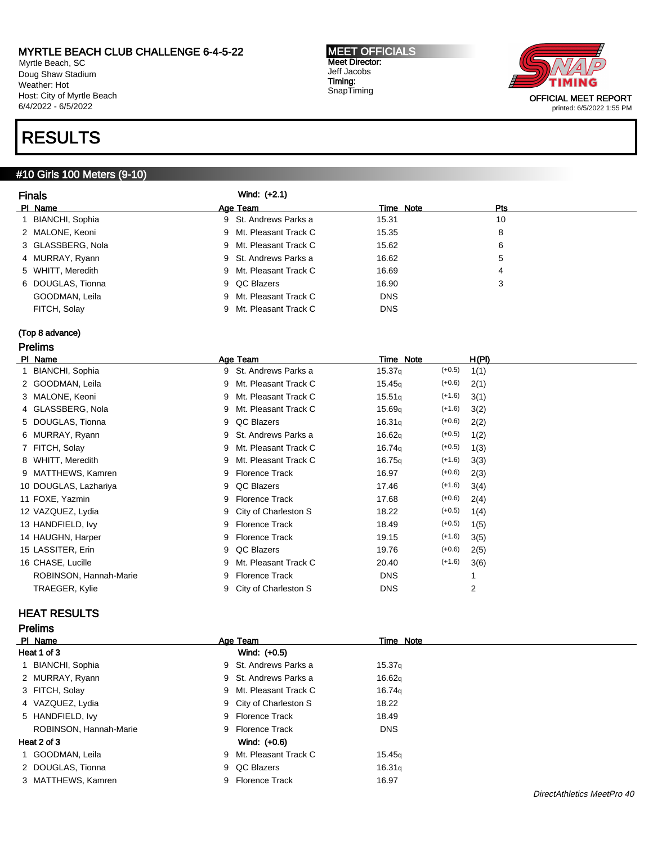Myrtle Beach, SC Doug Shaw Stadium Weather: Hot Host: City of Myrtle Beach 6/4/2022 - 6/5/2022

# RESULTS

# #10 Girls 100 Meters (9-10)

| ı | и<br>I |  |
|---|--------|--|
|   |        |  |

| <b>Finals</b>     | Wind: $(+2.1)$         |            |            |  |  |  |  |  |  |
|-------------------|------------------------|------------|------------|--|--|--|--|--|--|
| PI Name           | Age Team               | Time Note  | <b>Pts</b> |  |  |  |  |  |  |
| 1 BIANCHI, Sophia | 9 St. Andrews Parks a  | 15.31      | 10         |  |  |  |  |  |  |
| 2 MALONE, Keoni   | 9 Mt. Pleasant Track C | 15.35      | 8          |  |  |  |  |  |  |
| 3 GLASSBERG, Nola | 9 Mt. Pleasant Track C | 15.62      | 6          |  |  |  |  |  |  |
| 4 MURRAY, Ryann   | 9 St. Andrews Parks a  | 16.62      | 5          |  |  |  |  |  |  |
| 5 WHITT, Meredith | 9 Mt. Pleasant Track C | 16.69      | 4          |  |  |  |  |  |  |
| 6 DOUGLAS, Tionna | 9 QC Blazers           | 16.90      | 3          |  |  |  |  |  |  |
| GOODMAN, Leila    | 9 Mt. Pleasant Track C | <b>DNS</b> |            |  |  |  |  |  |  |
| FITCH, Solay      | 9 Mt. Pleasant Track C | <b>DNS</b> |            |  |  |  |  |  |  |

#### (Top 8 advance)

| <b>Prelims</b> |
|----------------|
|                |

| PI_Name                |   | Age Team              |                    | Time Note | H(PI)          |
|------------------------|---|-----------------------|--------------------|-----------|----------------|
| 1 BIANCHI, Sophia      | 9 | St. Andrews Parks a   | 15.37 <sub>q</sub> | $(+0.5)$  | 1(1)           |
| 2 GOODMAN, Leila       | 9 | Mt. Pleasant Track C  | 15.45q             | $(+0.6)$  | 2(1)           |
| 3 MALONE, Keoni        | 9 | Mt. Pleasant Track C  | 15.51q             | $(+1.6)$  | 3(1)           |
| 4 GLASSBERG, Nola      | 9 | Mt. Pleasant Track C  | 15.69 <sub>q</sub> | $(+1.6)$  | 3(2)           |
| 5 DOUGLAS, Tionna      | 9 | QC Blazers            | 16.31q             | $(+0.6)$  | 2(2)           |
| 6 MURRAY, Ryann        |   | St. Andrews Parks a   | 16.62q             | $(+0.5)$  | 1(2)           |
| 7 FITCH, Solay         |   | Mt. Pleasant Track C  | 16.74 <sub>g</sub> | $(+0.5)$  | 1(3)           |
| 8 WHITT, Meredith      | 9 | Mt. Pleasant Track C  | 16.75q             | $(+1.6)$  | 3(3)           |
| 9 MATTHEWS, Kamren     | 9 | <b>Florence Track</b> | 16.97              | $(+0.6)$  | 2(3)           |
| 10 DOUGLAS, Lazhariya  | 9 | QC Blazers            | 17.46              | $(+1.6)$  | 3(4)           |
| 11 FOXE, Yazmin        | 9 | <b>Florence Track</b> | 17.68              | $(+0.6)$  | 2(4)           |
| 12 VAZQUEZ, Lydia      | 9 | City of Charleston S  | 18.22              | $(+0.5)$  | 1(4)           |
| 13 HANDFIELD, Ivy      | 9 | <b>Florence Track</b> | 18.49              | $(+0.5)$  | 1(5)           |
| 14 HAUGHN, Harper      | 9 | <b>Florence Track</b> | 19.15              | $(+1.6)$  | 3(5)           |
| 15 LASSITER, Erin      | 9 | QC Blazers            | 19.76              | $(+0.6)$  | 2(5)           |
| 16 CHASE, Lucille      | 9 | Mt. Pleasant Track C  | 20.40              | $(+1.6)$  | 3(6)           |
| ROBINSON, Hannah-Marie | 9 | <b>Florence Track</b> | <b>DNS</b>         |           |                |
| TRAEGER, Kylie         |   | City of Charleston S  | <b>DNS</b>         |           | $\overline{2}$ |
|                        |   |                       |                    |           |                |

### HEAT RESULTS

| elim<br>ĸ |  |
|-----------|--|
|-----------|--|

| PI Name                | Age Team               | Time Note          |  |
|------------------------|------------------------|--------------------|--|
| Heat 1 of 3            | Wind: (+0.5)           |                    |  |
| 1 BIANCHI, Sophia      | 9 St. Andrews Parks a  | 15.37 <sub>q</sub> |  |
| 2 MURRAY, Ryann        | 9 St. Andrews Parks a  | 16.62q             |  |
| 3 FITCH, Solay         | 9 Mt. Pleasant Track C | 16.74 <sub>g</sub> |  |
| 4 VAZQUEZ, Lydia       | 9 City of Charleston S | 18.22              |  |
| 5 HANDFIELD, Ivy       | 9 Florence Track       | 18.49              |  |
| ROBINSON, Hannah-Marie | 9 Florence Track       | <b>DNS</b>         |  |
| Heat 2 of 3            | Wind: (+0.6)           |                    |  |
| 1 GOODMAN, Leila       | 9 Mt. Pleasant Track C | 15.45q             |  |
| 2 DOUGLAS, Tionna      | 9 QC Blazers           | 16.31q             |  |
| 3 MATTHEWS, Kamren     | 9 Florence Track       | 16.97              |  |

MEET OFFICIALS Meet Director: Jeff Jacobs Timing: SnapTiming

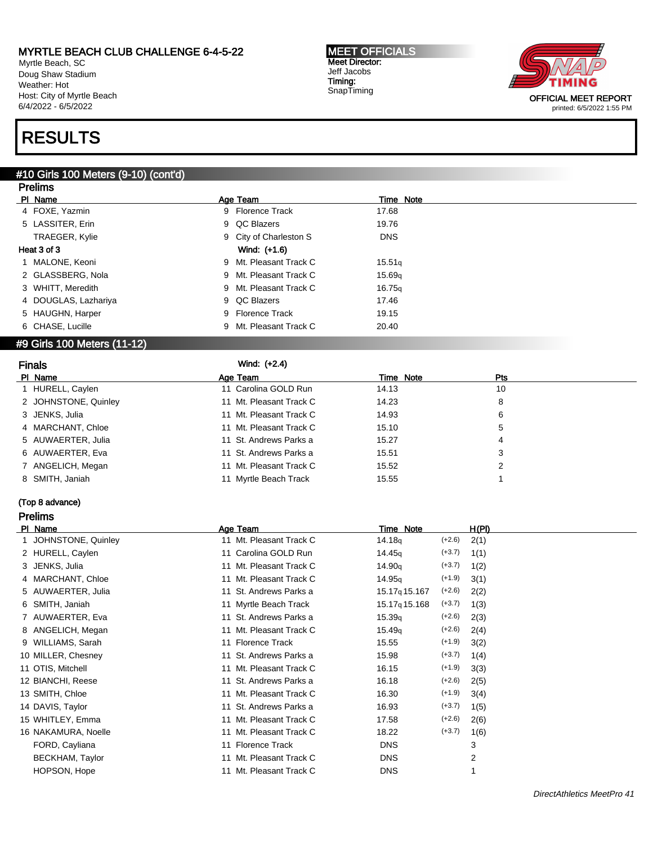Myrtle Beach, SC Doug Shaw Stadium Weather: Hot Host: City of Myrtle Beach 6/4/2022 - 6/5/2022

#### MEET OFFICIALS Meet Director: Jeff Jacobs Timing: SnapTiming



# RESULTS

#### #10 Girls 100 Meters (9-10) (cont'd) **Dralims**

| гісініз              |                        |                    |
|----------------------|------------------------|--------------------|
| PI Name              | Age Team               | Time Note          |
| 4 FOXE, Yazmin       | 9 Florence Track       | 17.68              |
| 5 LASSITER, Erin     | 9 QC Blazers           | 19.76              |
| TRAEGER, Kylie       | 9 City of Charleston S | <b>DNS</b>         |
| Heat 3 of 3          | Wind: (+1.6)           |                    |
| 1 MALONE, Keoni      | 9 Mt. Pleasant Track C | 15.51q             |
| 2 GLASSBERG, Nola    | 9 Mt. Pleasant Track C | 15.69 <sub>q</sub> |
| 3 WHITT, Meredith    | 9 Mt. Pleasant Track C | 16.75q             |
| 4 DOUGLAS, Lazhariya | 9 QC Blazers           | 17.46              |
| 5 HAUGHN, Harper     | 9 Florence Track       | 19.15              |
| 6 CHASE, Lucille     | 9 Mt. Pleasant Track C | 20.40              |
|                      |                        |                    |

### #9 Girls 100 Meters (11-12)

| <b>Finals</b> | Wind: (+2.4) |  |
|---------------|--------------|--|
|               |              |  |

| PI Name              | Age Team                | Time Note | <b>Pts</b> |
|----------------------|-------------------------|-----------|------------|
| 1 HURELL, Caylen     | 11 Carolina GOLD Run    | 14.13     | 10         |
| 2 JOHNSTONE, Quinley | 11 Mt. Pleasant Track C | 14.23     | 8          |
| 3 JENKS, Julia       | 11 Mt. Pleasant Track C | 14.93     | 6          |
| 4 MARCHANT, Chloe    | 11 Mt. Pleasant Track C | 15.10     | 5          |
| 5 AUWAERTER, Julia   | 11 St. Andrews Parks a  | 15.27     | 4          |
| 6 AUWAERTER, Eva     | 11 St. Andrews Parks a  | 15.51     | 3          |
| 7 ANGELICH, Megan    | 11 Mt. Pleasant Track C | 15.52     |            |
| 8 SMITH, Janiah      | 11 Myrtle Beach Track   | 15.55     |            |

### (Top 8 advance)

| Name<br><b>PI</b>      | Age Team                  | Time Note                 |          | H(PI) |
|------------------------|---------------------------|---------------------------|----------|-------|
| JOHNSTONE, Quinley     | 11 Mt. Pleasant Track C   | 14.18q                    | $(+2.6)$ | 2(1)  |
| 2 HURELL, Caylen       | 11 Carolina GOLD Run      | 14.45 <sub>g</sub>        | $(+3.7)$ | 1(1)  |
| 3 JENKS, Julia         | 11 Mt. Pleasant Track C   | 14.90 <sub>q</sub>        | $(+3.7)$ | 1(2)  |
| 4 MARCHANT, Chloe      | 11 Mt. Pleasant Track C   | 14.95 <sub>q</sub>        | $(+1.9)$ | 3(1)  |
| 5 AUWAERTER, Julia     | St. Andrews Parks a<br>11 | 15.17 <sub>9</sub> 15.167 | $(+2.6)$ | 2(2)  |
| 6 SMITH, Janiah        | 11 Myrtle Beach Track     | 15.17 <sub>9</sub> 15.168 | $(+3.7)$ | 1(3)  |
| 7 AUWAERTER, Eva       | 11 St. Andrews Parks a    | 15.39q                    | $(+2.6)$ | 2(3)  |
| 8 ANGELICH, Megan      | 11 Mt. Pleasant Track C   | 15.49 <sub>g</sub>        | $(+2.6)$ | 2(4)  |
| 9 WILLIAMS, Sarah      | 11 Florence Track         | 15.55                     | $(+1.9)$ | 3(2)  |
| 10 MILLER, Chesney     | 11 St. Andrews Parks a    | 15.98                     | $(+3.7)$ | 1(4)  |
| 11 OTIS, Mitchell      | 11 Mt. Pleasant Track C   | 16.15                     | $(+1.9)$ | 3(3)  |
| 12 BIANCHI, Reese      | St. Andrews Parks a<br>11 | 16.18                     | $(+2.6)$ | 2(5)  |
| 13 SMITH, Chloe        | 11 Mt. Pleasant Track C   | 16.30                     | $(+1.9)$ | 3(4)  |
| 14 DAVIS, Taylor       | St. Andrews Parks a<br>11 | 16.93                     | $(+3.7)$ | 1(5)  |
| 15 WHITLEY, Emma       | 11 Mt. Pleasant Track C   | 17.58                     | $(+2.6)$ | 2(6)  |
| 16 NAKAMURA, Noelle    | 11 Mt. Pleasant Track C   | 18.22                     | $(+3.7)$ | 1(6)  |
| FORD, Cayliana         | 11 Florence Track         | <b>DNS</b>                |          | 3     |
| <b>BECKHAM, Taylor</b> | Mt. Pleasant Track C      | <b>DNS</b>                |          | 2     |
| HOPSON, Hope           | 11 Mt. Pleasant Track C   | <b>DNS</b>                |          |       |
|                        |                           |                           |          |       |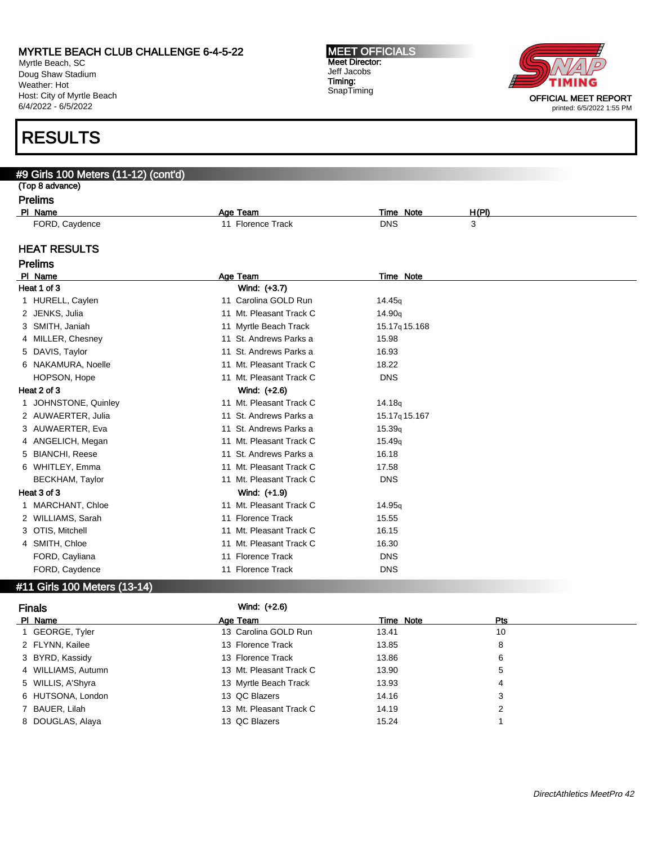Myrtle Beach, SC Doug Shaw Stadium Weather: Hot Host: City of Myrtle Beach 6/4/2022 - 6/5/2022

# RESULTS

#9 Girls 100 Meters (11-12) (cont'd)

### (Top 8 advance) Prelims PI Name **Age Team Age Team Time Note** H(PI) FORD, Caydence 2008 2009 11 Florence Track 2009 DNS 3 HEAT RESULTS Prelims PI Name **Age Team** Age Team Time Note Heat 1 of 3 Wind: (+3.7) 1 HURELL, Caylen 11 Carolina GOLD Run 14.45q 2 JENKS, Julia 11 Mt. Pleasant Track C 14.90q 3 SMITH, Janiah 11 Myrtle Beach Track 15.17q 15.168 4 MILLER, Chesney 11 St. Andrews Parks a 15.98 5 DAVIS, Taylor 11 St. Andrews Parks a 16.93 6 NAKAMURA, Noelle 11 Mt. Pleasant Track C 18.22 HOPSON, Hope **11 Mt. Pleasant Track C** DNS Heat 2 of 3 Wind: (+2.6) 1 JOHNSTONE, Quinley 11 Mt. Pleasant Track C 14.18q 2 AUWAERTER, Julia 11 St. Andrews Parks a 15.17q 15.167 3 AUWAERTER, Eva 11 St. Andrews Parks a 15.39q 4 ANGELICH, Megan 11 Mt. Pleasant Track C 15.49q 5 BIANCHI, Reese 11 St. Andrews Parks a 16.18 6 WHITLEY, Emma 11 Mt. Pleasant Track C 17.58 BECKHAM, Taylor **National Contract C** 21 Mt. Pleasant Track C **DNS** Heat 3 of 3 Wind: (+1.9) 1 MARCHANT, Chloe 14.95q<br>
11 Mt. Pleasant Track C 14.95q 2 WILLIAMS, Sarah 11 Florence Track 15.55 3 OTIS, Mitchell 11 Mt. Pleasant Track C 16.15 4 SMITH, Chloe 16.30 **11 Mt. Pleasant Track C** 16.30 FORD, Cayliana **11 Florence Track** DNS FORD, Caydence **11 Florence Track** DNS

### #11 Girls 100 Meters (13-14)

### Finals Wind: (+2.6)

| PI Name            | Age Team                | Time Note | Pts |  |
|--------------------|-------------------------|-----------|-----|--|
| 1 GEORGE, Tyler    | 13 Carolina GOLD Run    | 13.41     | 10  |  |
| 2 FLYNN, Kailee    | 13 Florence Track       | 13.85     | 8   |  |
| 3 BYRD, Kassidy    | 13 Florence Track       | 13.86     | 6   |  |
| 4 WILLIAMS, Autumn | 13 Mt. Pleasant Track C | 13.90     | 5   |  |
| 5 WILLIS, A'Shyra  | 13 Myrtle Beach Track   | 13.93     | 4   |  |
| 6 HUTSONA, London  | 13 QC Blazers           | 14.16     | 3   |  |
| 7 BAUER, Lilah     | 13 Mt. Pleasant Track C | 14.19     | າ   |  |
| 8 DOUGLAS, Alaya   | 13 QC Blazers           | 15.24     |     |  |
|                    |                         |           |     |  |

MEET OFFICIALS Meet Director: Jeff Jacobs Timing: **SnapTiming** 

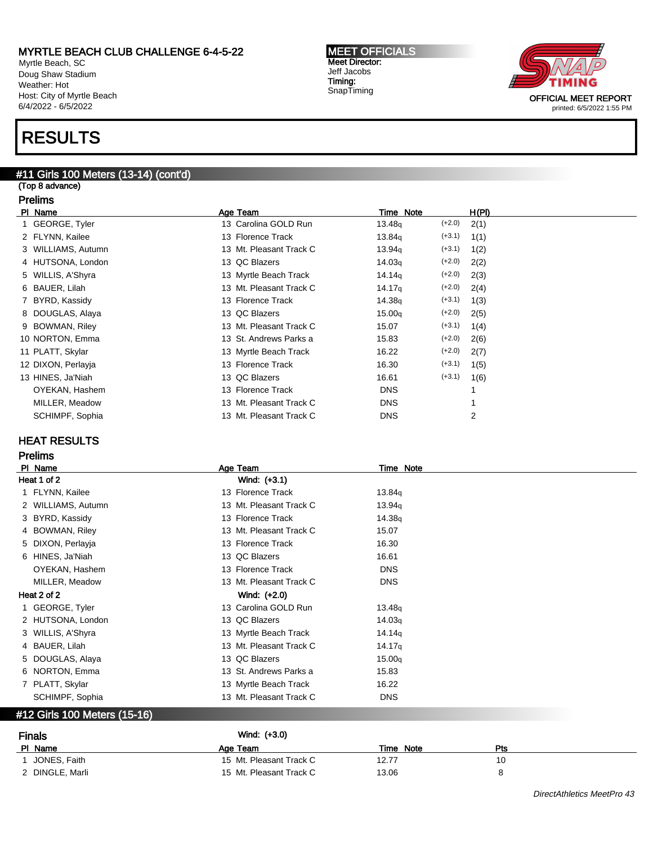Myrtle Beach, SC Doug Shaw Stadium Weather: Hot Host: City of Myrtle Beach 6/4/2022 - 6/5/2022

# RESULTS

### #11 Girls 100 Meters (13-14) (cont'd)

(Top 8 advance) Prelims

| $(+2.0)$<br>1 GEORGE, Tyler<br>13 Carolina GOLD Run<br>2(1)<br>13.48 <sub>q</sub><br>$(+3.1)$<br>2 FLYNN, Kailee<br>13 Florence Track<br>13.84g<br>1(1)<br>$(+3.1)$<br>13 Mt. Pleasant Track C<br>1(2)<br>3 WILLIAMS, Autumn<br>13.94q<br>$(+2.0)$<br>13 QC Blazers<br>2(2)<br>14.03q<br>4 HUTSONA, London<br>$(+2.0)$<br>13 Myrtle Beach Track<br>2(3)<br>5 WILLIS, A'Shyra<br>14.14 <sub>g</sub><br>$(+2.0)$<br>13 Mt. Pleasant Track C<br>2(4)<br>6 BAUER, Lilah<br>14.17 <sub>q</sub><br>$(+3.1)$<br>BYRD, Kassidy<br>1(3)<br>13 Florence Track<br>14.38 <sub>9</sub><br>$(+2.0)$<br>13 QC Blazers<br>2(5)<br>8 DOUGLAS, Alaya<br>15.00 <sub>q</sub><br>$(+3.1)$<br>13 Mt. Pleasant Track C<br>9 BOWMAN, Riley<br>15.07<br>1(4)<br>$(+2.0)$<br>10 NORTON, Emma<br>13 St. Andrews Parks a<br>15.83<br>2(6)<br>$(+2.0)$<br>2(7)<br>11 PLATT, Skylar<br>13 Myrtle Beach Track<br>16.22<br>$(+3.1)$<br>1(5)<br>12 DIXON, Perlayja<br>13 Florence Track<br>16.30<br>$(+3.1)$<br>1(6)<br>13 QC Blazers<br>13 HINES, Ja'Niah<br>16.61<br><b>DNS</b><br>OYEKAN, Hashem<br>13 Florence Track | <b>PI</b> | Name           | Age Team                | Time Note  | H(PI) |
|-----------------------------------------------------------------------------------------------------------------------------------------------------------------------------------------------------------------------------------------------------------------------------------------------------------------------------------------------------------------------------------------------------------------------------------------------------------------------------------------------------------------------------------------------------------------------------------------------------------------------------------------------------------------------------------------------------------------------------------------------------------------------------------------------------------------------------------------------------------------------------------------------------------------------------------------------------------------------------------------------------------------------------------------------------------------------------------------|-----------|----------------|-------------------------|------------|-------|
|                                                                                                                                                                                                                                                                                                                                                                                                                                                                                                                                                                                                                                                                                                                                                                                                                                                                                                                                                                                                                                                                                         |           |                |                         |            |       |
|                                                                                                                                                                                                                                                                                                                                                                                                                                                                                                                                                                                                                                                                                                                                                                                                                                                                                                                                                                                                                                                                                         |           |                |                         |            |       |
|                                                                                                                                                                                                                                                                                                                                                                                                                                                                                                                                                                                                                                                                                                                                                                                                                                                                                                                                                                                                                                                                                         |           |                |                         |            |       |
|                                                                                                                                                                                                                                                                                                                                                                                                                                                                                                                                                                                                                                                                                                                                                                                                                                                                                                                                                                                                                                                                                         |           |                |                         |            |       |
|                                                                                                                                                                                                                                                                                                                                                                                                                                                                                                                                                                                                                                                                                                                                                                                                                                                                                                                                                                                                                                                                                         |           |                |                         |            |       |
|                                                                                                                                                                                                                                                                                                                                                                                                                                                                                                                                                                                                                                                                                                                                                                                                                                                                                                                                                                                                                                                                                         |           |                |                         |            |       |
|                                                                                                                                                                                                                                                                                                                                                                                                                                                                                                                                                                                                                                                                                                                                                                                                                                                                                                                                                                                                                                                                                         |           |                |                         |            |       |
|                                                                                                                                                                                                                                                                                                                                                                                                                                                                                                                                                                                                                                                                                                                                                                                                                                                                                                                                                                                                                                                                                         |           |                |                         |            |       |
|                                                                                                                                                                                                                                                                                                                                                                                                                                                                                                                                                                                                                                                                                                                                                                                                                                                                                                                                                                                                                                                                                         |           |                |                         |            |       |
|                                                                                                                                                                                                                                                                                                                                                                                                                                                                                                                                                                                                                                                                                                                                                                                                                                                                                                                                                                                                                                                                                         |           |                |                         |            |       |
|                                                                                                                                                                                                                                                                                                                                                                                                                                                                                                                                                                                                                                                                                                                                                                                                                                                                                                                                                                                                                                                                                         |           |                |                         |            |       |
|                                                                                                                                                                                                                                                                                                                                                                                                                                                                                                                                                                                                                                                                                                                                                                                                                                                                                                                                                                                                                                                                                         |           |                |                         |            |       |
|                                                                                                                                                                                                                                                                                                                                                                                                                                                                                                                                                                                                                                                                                                                                                                                                                                                                                                                                                                                                                                                                                         |           |                |                         |            |       |
|                                                                                                                                                                                                                                                                                                                                                                                                                                                                                                                                                                                                                                                                                                                                                                                                                                                                                                                                                                                                                                                                                         |           |                |                         |            |       |
|                                                                                                                                                                                                                                                                                                                                                                                                                                                                                                                                                                                                                                                                                                                                                                                                                                                                                                                                                                                                                                                                                         |           | MILLER, Meadow | 13 Mt. Pleasant Track C | <b>DNS</b> |       |
| 2<br>SCHIMPF, Sophia<br>13 Mt. Pleasant Track C<br><b>DNS</b>                                                                                                                                                                                                                                                                                                                                                                                                                                                                                                                                                                                                                                                                                                                                                                                                                                                                                                                                                                                                                           |           |                |                         |            |       |

### HEAT RESULTS

Prelims

Pl Name **Age Team** Age Team Time Note Heat 1 of 2 Wind: (+3.1) 1 FLYNN, Kailee 13.84q<br>
13.84q 2 WILLIAMS, Autumn 13 Mt. Pleasant Track C 13.94q 3 BYRD, Kassidy 13 Florence Track 14.38q 4 BOWMAN, Riley 13 Mt. Pleasant Track C 15.07 5 DIXON, Perlayja 13 Florence Track 16.30 6 HINES, Ja'Niah 13 QC Blazers 16.61 OYEKAN, Hashem 13 Florence Track DNS MILLER, Meadow 13 Mt. Pleasant Track C DNS Heat 2 of 2 Wind: (+2.0) 1 GEORGE, Tyler 13 Carolina GOLD Run 13.48q 2 HUTSONA, London 13 QC Blazers 14.03q 3 WILLIS, A'Shyra 13 Myrtle Beach Track 14.14q 4 BAUER, Lilah 13 Mt. Pleasant Track C 14.17q 5 DOUGLAS, Alaya 13 QC Blazers 15.00q 6 NORTON, Emma 13 St. Andrews Parks a 15.83 7 PLATT, Skylar 16.22 and 13 Myrtle Beach Track 16.22 SCHIMPF, Sophia 13 Mt. Pleasant Track C DNS

### #12 Girls 100 Meters (15-16)

| <b>Finals</b>   | Wind: (+3.0)            |           |     |  |  |
|-----------------|-------------------------|-----------|-----|--|--|
| PI Name         | Age Team                | Time Note | Pts |  |  |
| 1 JONES, Faith  | 15 Mt. Pleasant Track C | 12.77     | 10  |  |  |
| 2 DINGLE, Marli | 15 Mt. Pleasant Track C | 13.06     | я   |  |  |

DirectAthletics MeetPro 43



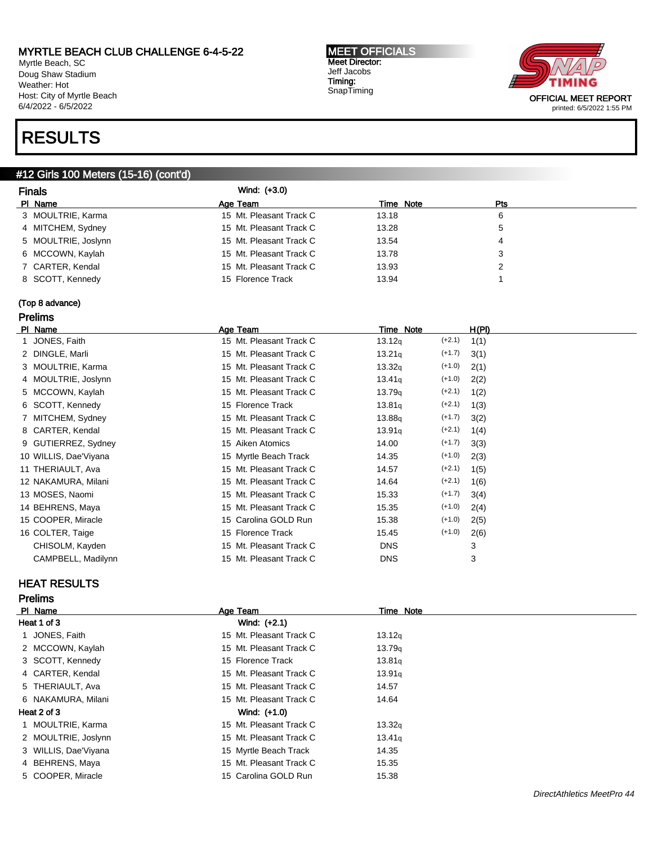Myrtle Beach, SC Doug Shaw Stadium Weather: Hot Host: City of Myrtle Beach 6/4/2022 - 6/5/2022

#### MEET OFFICIALS Meet Director: Jeff Jacobs Timing: SnapTiming



# RESULTS

# #12 Girls 100 Meters (15-16) (cont'd)

| <b>Finals</b>       | Wind: (+3.0)            |           |     |
|---------------------|-------------------------|-----------|-----|
| PI Name             | Age Team                | Time Note | Pts |
| 3 MOULTRIE, Karma   | 15 Mt. Pleasant Track C | 13.18     | 6   |
| 4 MITCHEM, Sydney   | 15 Mt. Pleasant Track C | 13.28     | 5   |
| 5 MOULTRIE, Joslynn | 15 Mt. Pleasant Track C | 13.54     | 4   |
| 6 MCCOWN, Kaylah    | 15 Mt. Pleasant Track C | 13.78     | 3   |
| 7 CARTER, Kendal    | 15 Mt. Pleasant Track C | 13.93     |     |
| 8 SCOTT, Kennedy    | 15 Florence Track       | 13.94     |     |

# (Top 8 advance)

# Prelims

| PI Name               | Age Team                | Time Note          |          | H(PI) |
|-----------------------|-------------------------|--------------------|----------|-------|
| 1 JONES, Faith        | 15 Mt. Pleasant Track C | 13.12q             | $(+2.1)$ | 1(1)  |
| 2 DINGLE, Marli       | 15 Mt. Pleasant Track C | 13.21 <sub>q</sub> | $(+1.7)$ | 3(1)  |
| 3 MOULTRIE, Karma     | 15 Mt. Pleasant Track C | 13.32q             | $(+1.0)$ | 2(1)  |
| 4 MOULTRIE, Joslynn   | 15 Mt. Pleasant Track C | 13.41q             | $(+1.0)$ | 2(2)  |
| 5 MCCOWN, Kaylah      | 15 Mt. Pleasant Track C | 13.79q             | $(+2.1)$ | 1(2)  |
| 6 SCOTT, Kennedy      | 15 Florence Track       | 13.81q             | $(+2.1)$ | 1(3)  |
| 7 MITCHEM, Sydney     | 15 Mt. Pleasant Track C | 13.88 <sub>q</sub> | $(+1.7)$ | 3(2)  |
| 8 CARTER, Kendal      | 15 Mt. Pleasant Track C | 13.91q             | $(+2.1)$ | 1(4)  |
| 9 GUTIERREZ, Sydney   | 15 Aiken Atomics        | 14.00              | $(+1.7)$ | 3(3)  |
| 10 WILLIS, Dae'Viyana | 15 Myrtle Beach Track   | 14.35              | $(+1.0)$ | 2(3)  |
| 11 THERIAULT, Ava     | 15 Mt. Pleasant Track C | 14.57              | $(+2.1)$ | 1(5)  |
| 12 NAKAMURA, Milani   | 15 Mt. Pleasant Track C | 14.64              | $(+2.1)$ | 1(6)  |
| 13 MOSES, Naomi       | 15 Mt. Pleasant Track C | 15.33              | $(+1.7)$ | 3(4)  |
| 14 BEHRENS, Maya      | 15 Mt. Pleasant Track C | 15.35              | $(+1.0)$ | 2(4)  |
| 15 COOPER, Miracle    | 15 Carolina GOLD Run    | 15.38              | $(+1.0)$ | 2(5)  |
| 16 COLTER, Taige      | 15 Florence Track       | 15.45              | $(+1.0)$ | 2(6)  |
| CHISOLM, Kayden       | 15 Mt. Pleasant Track C | <b>DNS</b>         |          | 3     |
| CAMPBELL, Madilynn    | 15 Mt. Pleasant Track C | <b>DNS</b>         |          | 3     |

### HEAT RESULTS Prelims

| PI Name              | Age Team                | Time Note          |
|----------------------|-------------------------|--------------------|
| Heat 1 of 3          | Wind: $(+2.1)$          |                    |
| JONES, Faith         | 15 Mt. Pleasant Track C | 13.12q             |
| 2 MCCOWN, Kaylah     | 15 Mt. Pleasant Track C | 13.79 <sub>q</sub> |
| 3 SCOTT, Kennedy     | 15 Florence Track       | 13.81q             |
| 4 CARTER, Kendal     | 15 Mt. Pleasant Track C | 13.91q             |
| 5 THERIAULT, Ava     | 15 Mt. Pleasant Track C | 14.57              |
| 6 NAKAMURA, Milani   | 15 Mt. Pleasant Track C | 14.64              |
| Heat 2 of 3          | Wind: (+1.0)            |                    |
| 1 MOULTRIE, Karma    | 15 Mt. Pleasant Track C | 13.32q             |
| 2 MOULTRIE, Joslynn  | 15 Mt. Pleasant Track C | 13.41q             |
| 3 WILLIS, Dae'Viyana | 15 Myrtle Beach Track   | 14.35              |
| 4 BEHRENS, Maya      | 15 Mt. Pleasant Track C | 15.35              |
| 5 COOPER, Miracle    | 15 Carolina GOLD Run    | 15.38              |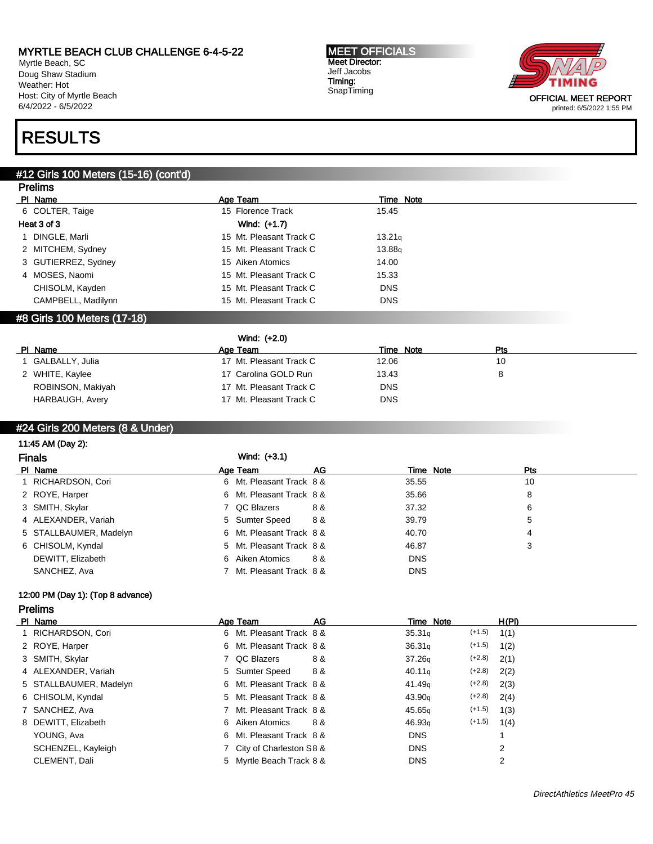Myrtle Beach, SC Doug Shaw Stadium Weather: Hot Host: City of Myrtle Beach 6/4/2022 - 6/5/2022

#### MEET OFFICIALS Meet Director: Jeff Jacobs Timing: SnapTiming



# RESULTS

### #12 Girls 100 Meters (15-16) (cont'd)

| <b>Prelims</b>              |                         |                    |     |
|-----------------------------|-------------------------|--------------------|-----|
| PI Name                     | Age Team                | Time Note          |     |
| 6 COLTER, Taige             | 15 Florence Track       | 15.45              |     |
| Heat 3 of 3                 | Wind: (+1.7)            |                    |     |
| 1 DINGLE, Marli             | 15 Mt. Pleasant Track C | 13.21q             |     |
| 2 MITCHEM, Sydney           | 15 Mt. Pleasant Track C | 13.88 <sub>q</sub> |     |
| 3 GUTIERREZ, Sydney         | 15 Aiken Atomics        | 14.00              |     |
| 4 MOSES, Naomi              | 15 Mt. Pleasant Track C | 15.33              |     |
| CHISOLM, Kayden             | 15 Mt. Pleasant Track C | <b>DNS</b>         |     |
| CAMPBELL, Madilynn          | 15 Mt. Pleasant Track C | <b>DNS</b>         |     |
| #8 Girls 100 Meters (17-18) |                         |                    |     |
|                             | Wind: (+2.0)            |                    |     |
| PI Name                     | Age Team                | Time Note          | Pts |
| 1 GALBALLY, Julia           | 17 Mt. Pleasant Track C | 12.06              | 10  |
| 2 WHITE, Kaylee             | 17 Carolina GOLD Run    | 13.43              | 8   |
| ROBINSON, Makiyah           | 17 Mt. Pleasant Track C | <b>DNS</b>         |     |
| <b>HARBAUGH, Avery</b>      | 17 Mt. Pleasant Track C | <b>DNS</b>         |     |

### #24 Girls 200 Meters (8 & Under)

### 11:45 AM (Day 2):

| <b>Finals</b>          | Wind: (+3.1)             |     |            |     |
|------------------------|--------------------------|-----|------------|-----|
| PI Name                | Age Team                 | AG  | Time Note  | Pts |
| 1 RICHARDSON, Cori     | 6 Mt. Pleasant Track 8 & |     | 35.55      | 10  |
| 2 ROYE, Harper         | 6 Mt. Pleasant Track 8 & |     | 35.66      | 8   |
| 3 SMITH, Skylar        | 7 QC Blazers             | 8 & | 37.32      | 6   |
| 4 ALEXANDER, Variah    | 5 Sumter Speed           | 8&  | 39.79      | 5   |
| 5 STALLBAUMER, Madelyn | 6 Mt. Pleasant Track 8 & |     | 40.70      | 4   |
| 6 CHISOLM, Kyndal      | 5 Mt. Pleasant Track 8 & |     | 46.87      | 3   |
| DEWITT, Elizabeth      | 6 Aiken Atomics          | 8&  | <b>DNS</b> |     |
| SANCHEZ, Ava           | 7 Mt. Pleasant Track 8 & |     | <b>DNS</b> |     |

### 12:00 PM (Day 1): (Top 8 advance)

### Prelims

| PI Name                | Age Team                  | AG  | Time Note          |          | H(PI) |
|------------------------|---------------------------|-----|--------------------|----------|-------|
| 1 RICHARDSON, Cori     | 6 Mt. Pleasant Track 8 &  |     | 35.31 <sub>g</sub> | $(+1.5)$ | 1(1)  |
| 2 ROYE, Harper         | 6 Mt. Pleasant Track 8 &  |     | 36.31q             | $(+1.5)$ | 1(2)  |
| 3 SMITH, Skylar        | 7 QC Blazers              | 8 & | 37.26q             | $(+2.8)$ | 2(1)  |
| 4 ALEXANDER, Variah    | 5 Sumter Speed            | 8&  | 40.11q             | $(+2.8)$ | 2(2)  |
| 5 STALLBAUMER, Madelyn | 6 Mt. Pleasant Track 8 &  |     | 41.49 <sub>g</sub> | $(+2.8)$ | 2(3)  |
| 6 CHISOLM, Kyndal      | 5 Mt. Pleasant Track 8 &  |     | 43.90q             | $(+2.8)$ | 2(4)  |
| 7 SANCHEZ, Ava         | 7 Mt. Pleasant Track 8 &  |     | 45.65 <sub>g</sub> | $(+1.5)$ | 1(3)  |
| 8 DEWITT, Elizabeth    | 6 Aiken Atomics           | 8&  | 46.93q             | $(+1.5)$ | 1(4)  |
| YOUNG, Ava             | 6 Mt. Pleasant Track 8 &  |     | <b>DNS</b>         |          |       |
| SCHENZEL, Kayleigh     | 7 City of Charleston S8 & |     | <b>DNS</b>         |          | 2     |
| CLEMENT, Dali          | 5 Myrtle Beach Track 8 &  |     | <b>DNS</b>         |          |       |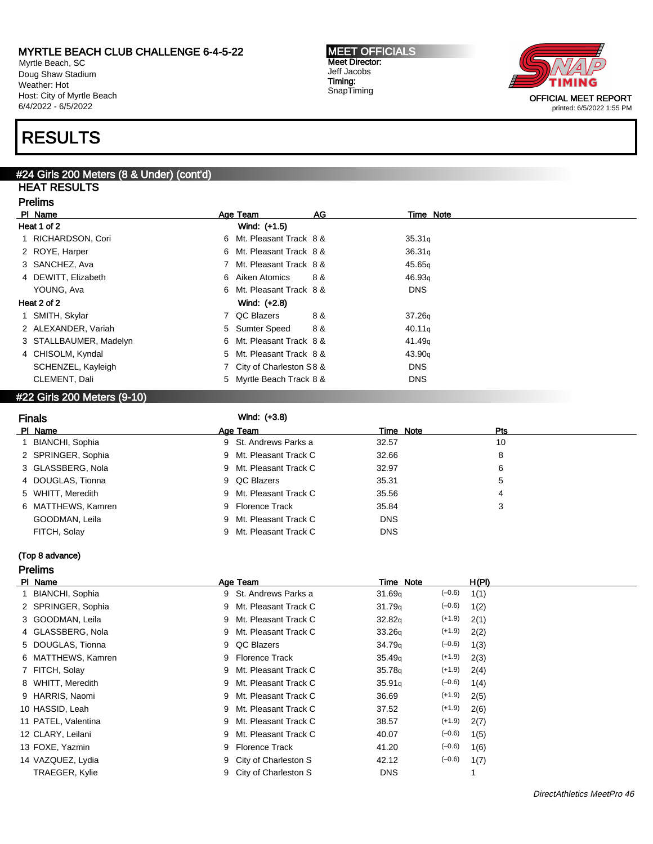Myrtle Beach, SC Doug Shaw Stadium Weather: Hot Host: City of Myrtle Beach 6/4/2022 - 6/5/2022

#### MEET OFFICIALS Meet Director: Jeff Jacobs Timing: SnapTiming



# RESULTS

### #24 Girls 200 Meters (8 & Under) (cont'd) HEAT RESULTS

Prelims

### #22 Girls 200 Meters (9-10)

| <b>Finals</b>      | Wind: (+3.8)           |            |            |
|--------------------|------------------------|------------|------------|
| PI Name            | Age Team               | Time Note  | <b>Pts</b> |
| 1 BIANCHI, Sophia  | 9 St. Andrews Parks a  | 32.57      | 10         |
| 2 SPRINGER, Sophia | 9 Mt. Pleasant Track C | 32.66      | 8          |
| 3 GLASSBERG, Nola  | 9 Mt. Pleasant Track C | 32.97      | 6          |
| 4 DOUGLAS, Tionna  | 9 QC Blazers           | 35.31      | 5          |
| 5 WHITT, Meredith  | 9 Mt. Pleasant Track C | 35.56      | 4          |
| 6 MATTHEWS, Kamren | 9 Florence Track       | 35.84      | 3          |
| GOODMAN, Leila     | 9 Mt. Pleasant Track C | <b>DNS</b> |            |
| FITCH, Solay       | 9 Mt. Pleasant Track C | <b>DNS</b> |            |

### (Top 8 advance)

Prelims

| PI Name             | Age Team                  | Time Note                      | H(PI) |
|---------------------|---------------------------|--------------------------------|-------|
| 1 BIANCHI, Sophia   | St. Andrews Parks a<br>9  | $(-0.6)$<br>31.69q             | 1(1)  |
| 2 SPRINGER, Sophia  | Mt. Pleasant Track C<br>9 | $(-0.6)$<br>31.79q             | 1(2)  |
| 3 GOODMAN, Leila    | 9 Mt. Pleasant Track C    | $(+1.9)$<br>32.82q             | 2(1)  |
| 4 GLASSBERG, Nola   | Mt. Pleasant Track C<br>9 | $(+1.9)$<br>33.26q             | 2(2)  |
| 5 DOUGLAS, Tionna   | 9 QC Blazers              | $(-0.6)$<br>34.79 <sub>q</sub> | 1(3)  |
| 6 MATTHEWS, Kamren  | 9 Florence Track          | $(+1.9)$<br>35.49q             | 2(3)  |
| 7 FITCH, Solay      | Mt. Pleasant Track C<br>9 | $(+1.9)$<br>35.78q             | 2(4)  |
| 8 WHITT, Meredith   | 9 Mt. Pleasant Track C    | $(-0.6)$<br>35.91q             | 1(4)  |
| 9 HARRIS, Naomi     | Mt. Pleasant Track C<br>9 | $(+1.9)$<br>36.69              | 2(5)  |
| 10 HASSID, Leah     | Mt. Pleasant Track C<br>9 | $(+1.9)$<br>37.52              | 2(6)  |
| 11 PATEL, Valentina | Mt. Pleasant Track C<br>9 | $(+1.9)$<br>38.57              | 2(7)  |
| 12 CLARY, Leilani   | Mt. Pleasant Track C<br>9 | $(-0.6)$<br>40.07              | 1(5)  |
| 13 FOXE, Yazmin     | 9 Florence Track          | $(-0.6)$<br>41.20              | 1(6)  |
| 14 VAZQUEZ, Lydia   | 9 City of Charleston S    | $(-0.6)$<br>42.12              | 1(7)  |
| TRAEGER, Kylie      | 9 City of Charleston S    | <b>DNS</b>                     |       |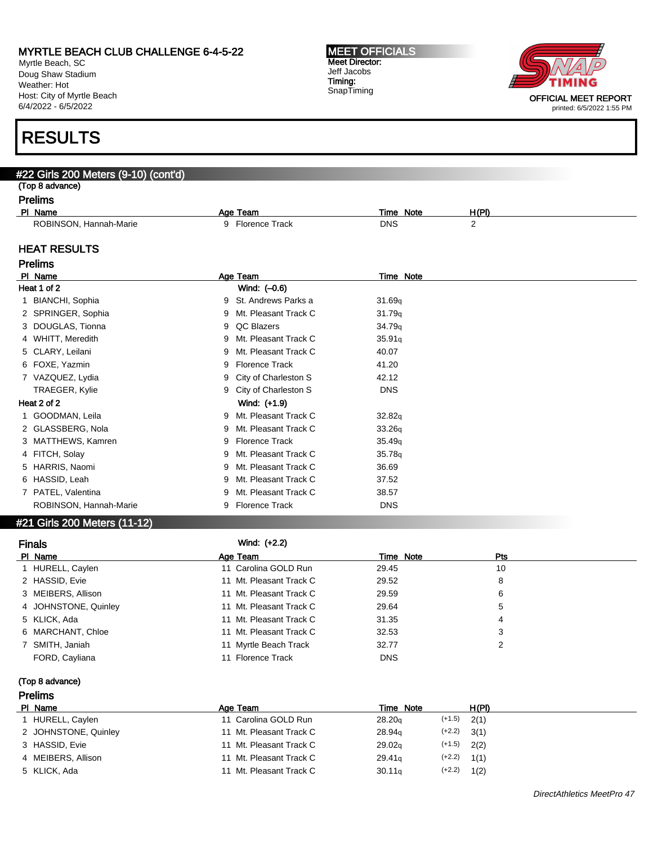Myrtle Beach, SC Doug Shaw Stadium Weather: Hot Host: City of Myrtle Beach 6/4/2022 - 6/5/2022

# RESULTS

#22 Girls 200 Meters (9-10) (cont'd)

#### MEET OFFICIALS Meet Director: Jeff Jacobs Timing: SnapTiming



|                | (Top 8 advance)        |   |                       |                  |                |  |
|----------------|------------------------|---|-----------------------|------------------|----------------|--|
| <b>Prelims</b> |                        |   |                       |                  |                |  |
|                | PI Name                |   | Age Team              | <b>Time Note</b> | <u>H(PI)</u>   |  |
|                | ROBINSON, Hannah-Marie |   | 9 Florence Track      | <b>DNS</b>       | $\overline{2}$ |  |
|                |                        |   |                       |                  |                |  |
|                | <b>HEAT RESULTS</b>    |   |                       |                  |                |  |
| <b>Prelims</b> |                        |   |                       |                  |                |  |
|                | PI Name                |   | Age Team              | <b>Time Note</b> |                |  |
|                | Heat 1 of 2            |   | Wind: (-0.6)          |                  |                |  |
|                | 1 BIANCHI, Sophia      | 9 | St. Andrews Parks a   | 31.69q           |                |  |
|                | 2 SPRINGER, Sophia     | 9 | Mt. Pleasant Track C  | 31.79q           |                |  |
|                | 3 DOUGLAS, Tionna      | 9 | QC Blazers            | 34.79q           |                |  |
|                | 4 WHITT, Meredith      | 9 | Mt. Pleasant Track C  | 35.91q           |                |  |
|                | 5 CLARY, Leilani       | 9 | Mt. Pleasant Track C  | 40.07            |                |  |
|                | 6 FOXE, Yazmin         | 9 | <b>Florence Track</b> | 41.20            |                |  |
|                | 7 VAZQUEZ, Lydia       | 9 | City of Charleston S  | 42.12            |                |  |
|                | <b>TRAEGER, Kylie</b>  | 9 | City of Charleston S  | <b>DNS</b>       |                |  |
|                | Heat 2 of 2            |   | Wind: (+1.9)          |                  |                |  |
|                | 1 GOODMAN, Leila       | 9 | Mt. Pleasant Track C  | 32.82q           |                |  |
|                | 2 GLASSBERG, Nola      | 9 | Mt. Pleasant Track C  | 33.26q           |                |  |
|                | 3 MATTHEWS, Kamren     | 9 | <b>Florence Track</b> | 35.49q           |                |  |
|                | 4 FITCH, Solay         | 9 | Mt. Pleasant Track C  | 35.78q           |                |  |
|                | 5 HARRIS, Naomi        | 9 | Mt. Pleasant Track C  | 36.69            |                |  |
|                | 6 HASSID, Leah         | 9 | Mt. Pleasant Track C  | 37.52            |                |  |
|                | PATEL, Valentina       | 9 | Mt. Pleasant Track C  | 38.57            |                |  |
|                | ROBINSON, Hannah-Marie | 9 | <b>Florence Track</b> | <b>DNS</b>       |                |  |

### #21 Girls 200 Meters (11-12)

### Finals Wind: (+2.2)

| PI Name              | Age Team                | Time Note  | Pts |  |
|----------------------|-------------------------|------------|-----|--|
| 1 HURELL, Caylen     | 11 Carolina GOLD Run    | 29.45      | 10  |  |
| 2 HASSID, Evie       | 11 Mt. Pleasant Track C | 29.52      | 8   |  |
| 3 MEIBERS, Allison   | 11 Mt. Pleasant Track C | 29.59      | 6   |  |
| 4 JOHNSTONE, Quinley | 11 Mt. Pleasant Track C | 29.64      | 5   |  |
| 5 KLICK, Ada         | 11 Mt. Pleasant Track C | 31.35      | 4   |  |
| 6 MARCHANT, Chloe    | 11 Mt. Pleasant Track C | 32.53      | 3   |  |
| 7 SMITH, Janiah      | 11 Myrtle Beach Track   | 32.77      | 2   |  |
| FORD, Cayliana       | 11 Florence Track       | <b>DNS</b> |     |  |

### (Top 8 advance)

| Prelims |
|---------|
|         |

| PI Name              | Age Team                | Time Note                      | H(PI) |
|----------------------|-------------------------|--------------------------------|-------|
| HURELL, Caylen       | 11 Carolina GOLD Run    | $(+1.5)$<br>28.20 <sub>a</sub> | 2(1)  |
| 2 JOHNSTONE, Quinley | 11 Mt. Pleasant Track C | $(+2.2)$<br>28.94 <sub>g</sub> | 3(1)  |
| 3 HASSID, Evie       | 11 Mt. Pleasant Track C | $(+1.5)$<br>29.02q             | 2(2)  |
| 4 MEIBERS, Allison   | 11 Mt. Pleasant Track C | $(+2.2)$<br>29.41 <sub>a</sub> | 1(1)  |
| 5 KLICK, Ada         | 11 Mt. Pleasant Track C | $(+2.2)$<br>30.11q             | 1(2)  |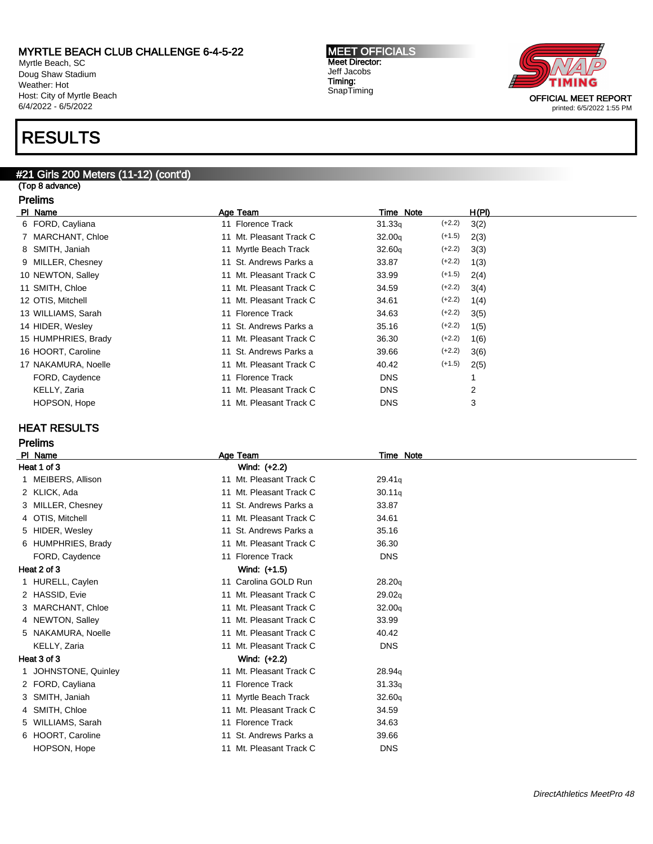Myrtle Beach, SC Doug Shaw Stadium Weather: Hot Host: City of Myrtle Beach 6/4/2022 - 6/5/2022

# RESULTS

# #21 Girls 200 Meters (11-12) (cont'd)

(Top 8 advance) Prelims

| Name<br>PI.         | Age Team                  | Time Note          | H(PI) |
|---------------------|---------------------------|--------------------|-------|
| 6 FORD, Cayliana    | 11 Florence Track         | $(+2.2)$<br>31.33q | 3(2)  |
| 7 MARCHANT, Chloe   | 11 Mt. Pleasant Track C   | $(+1.5)$<br>32.00q | 2(3)  |
| 8 SMITH, Janiah     | 11 Myrtle Beach Track     | $(+2.2)$<br>32.60q | 3(3)  |
| 9 MILLER, Chesney   | 11 St. Andrews Parks a    | $(+2.2)$<br>33.87  | 1(3)  |
| 10 NEWTON, Salley   | 11 Mt. Pleasant Track C   | $(+1.5)$<br>33.99  | 2(4)  |
| 11 SMITH, Chloe     | 11 Mt. Pleasant Track C   | $(+2.2)$<br>34.59  | 3(4)  |
| 12 OTIS, Mitchell   | 11 Mt. Pleasant Track C   | $(+2.2)$<br>34.61  | 1(4)  |
| 13 WILLIAMS, Sarah  | 11 Florence Track         | $(+2.2)$<br>34.63  | 3(5)  |
| 14 HIDER, Wesley    | 11 St. Andrews Parks a    | $(+2.2)$<br>35.16  | 1(5)  |
| 15 HUMPHRIES, Brady | 11 Mt. Pleasant Track C   | $(+2.2)$<br>36.30  | 1(6)  |
| 16 HOORT, Caroline  | St. Andrews Parks a<br>11 | $(+2.2)$<br>39.66  | 3(6)  |
| 17 NAKAMURA, Noelle | 11 Mt. Pleasant Track C   | $(+1.5)$<br>40.42  | 2(5)  |
| FORD, Caydence      | 11 Florence Track         | <b>DNS</b>         |       |
| KELLY, Zaria        | 11 Mt. Pleasant Track C   | <b>DNS</b>         | 2     |
| HOPSON, Hope        | 11 Mt. Pleasant Track C   | <b>DNS</b>         | 3     |

### HEAT RESULTS

# Prelims

| PI Name            | Age Team                | <b>Time Note</b> |
|--------------------|-------------------------|------------------|
| Heat 1 of 3        | Wind: (+2.2)            |                  |
| 1 MEIBERS, Allison | 11 Mt. Pleasant Track C | 29.41q           |
| 2 KLICK, Ada       | 11 Mt. Pleasant Track C | 30.11q           |
| 3 MILLER, Chesney  | 11 St. Andrews Parks a  | 33.87            |
| 4 OTIS, Mitchell   | 11 Mt. Pleasant Track C | 34.61            |
| 5 HIDER, Wesley    | 11 St. Andrews Parks a  | 35.16            |
| 6 HUMPHRIES, Brady | 11 Mt. Pleasant Track C | 36.30            |
| FORD, Caydence     | 11 Florence Track       | <b>DNS</b>       |
| Heat 2 of 3        | Wind: (+1.5)            |                  |
| 1 HURELL, Caylen   | 11 Carolina GOLD Run    | 28.20q           |
| 2 HASSID, Evie     | 11 Mt. Pleasant Track C | 29.02q           |
| 3 MARCHANT, Chloe  | 11 Mt. Pleasant Track C | 32.00q           |
| 4 NEWTON, Salley   | 11 Mt. Pleasant Track C | 33.99            |
| 5 NAKAMURA, Noelle | 11 Mt. Pleasant Track C | 40.42            |
| KELLY, Zaria       | 11 Mt. Pleasant Track C | <b>DNS</b>       |
| Heat 3 of 3        | Wind: (+2.2)            |                  |
| JOHNSTONE, Quinley | 11 Mt. Pleasant Track C | 28.94q           |
| 2 FORD, Cayliana   | 11 Florence Track       | 31.33q           |
| 3 SMITH, Janiah    | 11 Myrtle Beach Track   | 32.60q           |
| 4 SMITH, Chloe     | 11 Mt. Pleasant Track C | 34.59            |
| 5 WILLIAMS, Sarah  | 11 Florence Track       | 34.63            |
| 6 HOORT, Caroline  | 11 St. Andrews Parks a  | 39.66            |
| HOPSON, Hope       | 11 Mt. Pleasant Track C | <b>DNS</b>       |
|                    |                         |                  |

MEET OFFICIALS Meet Director: Jeff Jacobs Timing: SnapTiming

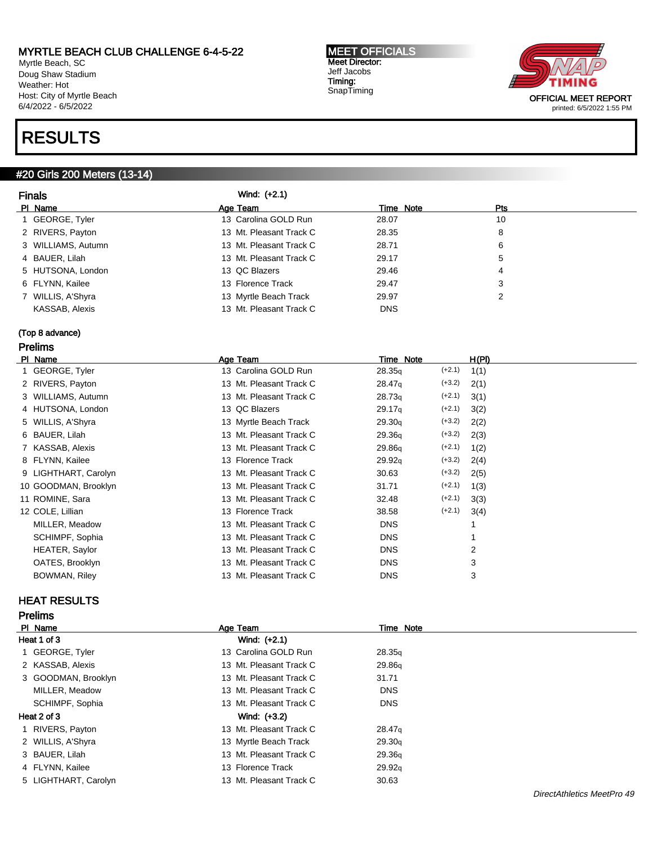Myrtle Beach, SC Doug Shaw Stadium Weather: Hot Host: City of Myrtle Beach 6/4/2022 - 6/5/2022

# RESULTS

### #20 Girls 200 Meters (13-14)

### Finals Wind: (+2.1) Pl Name Age Team Time Note Pts 1 GEORGE, Tyler 13 Carolina GOLD Run 28.07 28.07 10 2 RIVERS, Payton 28.35 8 8 3 WILLIAMS, Autumn 13 Mt. Pleasant Track C 28.71 28.71 6 4 BAUER, Lilah 13 Mt. Pleasant Track C 29.17 5 5 HUTSONA, London 13 QC Blazers 29.46 29.46 4 6 FLYNN, Kailee **13 Florence Track** 29.47 3 3 7 WILLIS, A'Shyra 2

KASSAB, Alexis 13 Mt. Pleasant Track C DNS

### (Top 8 advance)

#### Prelims

| PI Name               | Age Team                | Time Note          |          | H(PI) |
|-----------------------|-------------------------|--------------------|----------|-------|
| 1 GEORGE, Tyler       | 13 Carolina GOLD Run    | 28.35q             | $(+2.1)$ | 1(1)  |
| 2 RIVERS, Payton      | 13 Mt. Pleasant Track C | 28.47 <sub>g</sub> | $(+3.2)$ | 2(1)  |
| 3 WILLIAMS, Autumn    | 13 Mt. Pleasant Track C | 28.73q             | $(+2.1)$ | 3(1)  |
| 4 HUTSONA, London     | 13 QC Blazers           | 29.17q             | $(+2.1)$ | 3(2)  |
| 5 WILLIS, A'Shyra     | 13 Myrtle Beach Track   | 29.30q             | $(+3.2)$ | 2(2)  |
| 6 BAUER, Lilah        | 13 Mt. Pleasant Track C | 29.36q             | $(+3.2)$ | 2(3)  |
| 7 KASSAB, Alexis      | 13 Mt. Pleasant Track C | 29.86 <sub>g</sub> | $(+2.1)$ | 1(2)  |
| 8 FLYNN, Kailee       | 13 Florence Track       | 29.92q             | $(+3.2)$ | 2(4)  |
| 9 LIGHTHART, Carolyn  | 13 Mt. Pleasant Track C | 30.63              | $(+3.2)$ | 2(5)  |
| 10 GOODMAN, Brooklyn  | 13 Mt. Pleasant Track C | 31.71              | $(+2.1)$ | 1(3)  |
| 11 ROMINE, Sara       | 13 Mt. Pleasant Track C | 32.48              | $(+2.1)$ | 3(3)  |
| 12 COLE, Lillian      | 13 Florence Track       | 38.58              | $(+2.1)$ | 3(4)  |
| MILLER, Meadow        | 13 Mt. Pleasant Track C | <b>DNS</b>         |          |       |
| SCHIMPF, Sophia       | 13 Mt. Pleasant Track C | <b>DNS</b>         |          |       |
| <b>HEATER, Saylor</b> | 13 Mt. Pleasant Track C | <b>DNS</b>         |          |       |
| OATES, Brooklyn       | 13 Mt. Pleasant Track C | <b>DNS</b>         |          | 3     |
| BOWMAN, Riley         | 13 Mt. Pleasant Track C | <b>DNS</b>         |          | 3     |

### HEAT RESULTS

### Prelims

| PI Name              | Age Team                | Time Note          |  |
|----------------------|-------------------------|--------------------|--|
| Heat 1 of 3          | Wind: (+2.1)            |                    |  |
| 1 GEORGE, Tyler      | 13 Carolina GOLD Run    | 28.35q             |  |
| 2 KASSAB, Alexis     | 13 Mt. Pleasant Track C | 29.86 <sub>g</sub> |  |
| 3 GOODMAN, Brooklyn  | 13 Mt. Pleasant Track C | 31.71              |  |
| MILLER, Meadow       | 13 Mt. Pleasant Track C | <b>DNS</b>         |  |
| SCHIMPF, Sophia      | 13 Mt. Pleasant Track C | <b>DNS</b>         |  |
| Heat 2 of 3          | Wind: (+3.2)            |                    |  |
| 1 RIVERS, Payton     | 13 Mt. Pleasant Track C | 28.47 <sub>g</sub> |  |
| 2 WILLIS, A'Shyra    | 13 Myrtle Beach Track   | 29.30q             |  |
| 3 BAUER, Lilah       | 13 Mt. Pleasant Track C | 29.36 <sub>g</sub> |  |
| 4 FLYNN, Kailee      | 13 Florence Track       | 29.92q             |  |
| 5 LIGHTHART, Carolyn | 13 Mt. Pleasant Track C | 30.63              |  |

MEET OFFICIALS Meet Director: Jeff Jacobs Timing: SnapTiming

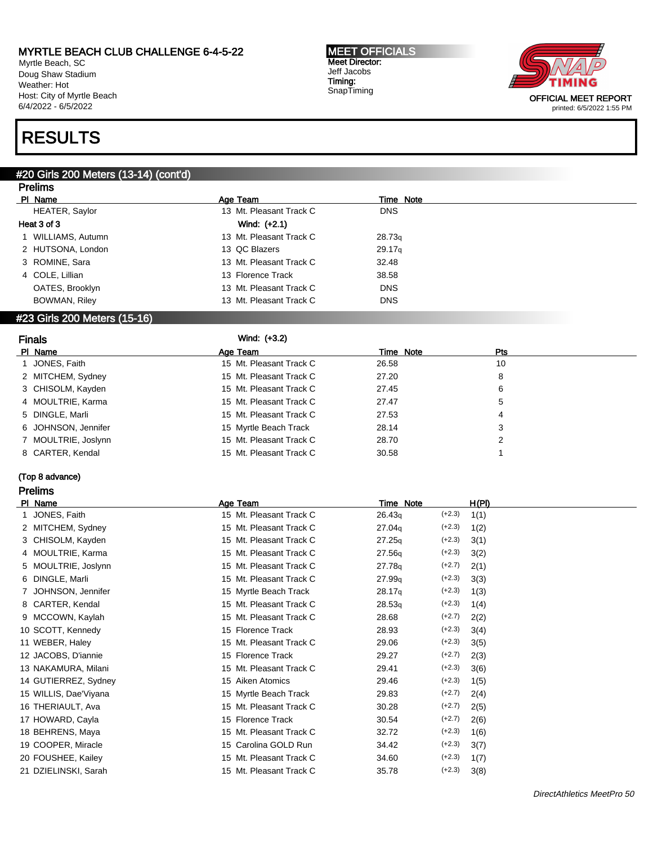Myrtle Beach, SC Doug Shaw Stadium Weather: Hot Host: City of Myrtle Beach 6/4/2022 - 6/5/2022

#### MEET OFFICIALS Meet Director: Jeff Jacobs Timing: SnapTiming



# RESULTS

#### #20 Girls 200 Meters (13-14) (cont'd) Prelims

| <b>FIGIIIIS</b>       |                         |                    |  |
|-----------------------|-------------------------|--------------------|--|
| PI Name               | Age Team                | Time Note          |  |
| <b>HEATER, Saylor</b> | 13 Mt. Pleasant Track C | <b>DNS</b>         |  |
| Heat 3 of 3           | Wind: $(+2.1)$          |                    |  |
| 1 WILLIAMS, Autumn    | 13 Mt. Pleasant Track C | 28.73q             |  |
| 2 HUTSONA, London     | 13 QC Blazers           | 29.17 <sub>g</sub> |  |
| 3 ROMINE, Sara        | 13 Mt. Pleasant Track C | 32.48              |  |
| 4 COLE, Lillian       | 13 Florence Track       | 38.58              |  |
| OATES, Brooklyn       | 13 Mt. Pleasant Track C | <b>DNS</b>         |  |
| BOWMAN, Riley         | 13 Mt. Pleasant Track C | <b>DNS</b>         |  |
|                       |                         |                    |  |

### #23 Girls 200 Meters (15-16)

| <b>Finals</b>       | Wind: (+3.2)            |           |     |  |
|---------------------|-------------------------|-----------|-----|--|
| PI Name             | Age Team                | Time Note | Pts |  |
| 1 JONES, Faith      | 15 Mt. Pleasant Track C | 26.58     | 10  |  |
| 2 MITCHEM, Sydney   | 15 Mt. Pleasant Track C | 27.20     | 8   |  |
| 3 CHISOLM, Kayden   | 15 Mt. Pleasant Track C | 27.45     | 6   |  |
| 4 MOULTRIE, Karma   | 15 Mt. Pleasant Track C | 27.47     | 5   |  |
| 5 DINGLE, Marli     | 15 Mt. Pleasant Track C | 27.53     | 4   |  |
| 6 JOHNSON, Jennifer | 15 Myrtle Beach Track   | 28.14     | 3   |  |
| 7 MOULTRIE, Joslynn | 15 Mt. Pleasant Track C | 28.70     | 2   |  |
| 8 CARTER, Kendal    | 15 Mt. Pleasant Track C | 30.58     |     |  |

### (Top 8 advance) Prelims

|   | PI Name               | Age Team                | Time Note |          | H(PI) |
|---|-----------------------|-------------------------|-----------|----------|-------|
|   | JONES, Faith          | 15 Mt. Pleasant Track C | 26.43q    | $(+2.3)$ | 1(1)  |
| 2 | MITCHEM, Sydney       | 15 Mt. Pleasant Track C | 27.04q    | $(+2.3)$ | 1(2)  |
|   | 3 CHISOLM, Kayden     | 15 Mt. Pleasant Track C | 27.25q    | $(+2.3)$ | 3(1)  |
|   | 4 MOULTRIE, Karma     | 15 Mt. Pleasant Track C | 27.56q    | $(+2.3)$ | 3(2)  |
|   | 5 MOULTRIE, Joslynn   | 15 Mt. Pleasant Track C | 27.78q    | $(+2.7)$ | 2(1)  |
|   | 6 DINGLE, Marli       | 15 Mt. Pleasant Track C | 27.99q    | $(+2.3)$ | 3(3)  |
|   | JOHNSON, Jennifer     | 15 Myrtle Beach Track   | 28.17q    | $(+2.3)$ | 1(3)  |
| 8 | CARTER, Kendal        | 15 Mt. Pleasant Track C | 28.53q    | $(+2.3)$ | 1(4)  |
|   | 9 MCCOWN, Kaylah      | 15 Mt. Pleasant Track C | 28.68     | $(+2.7)$ | 2(2)  |
|   | 10 SCOTT, Kennedy     | 15 Florence Track       | 28.93     | $(+2.3)$ | 3(4)  |
|   | 11 WEBER, Haley       | 15 Mt. Pleasant Track C | 29.06     | $(+2.3)$ | 3(5)  |
|   | 12 JACOBS, D'iannie   | 15 Florence Track       | 29.27     | $(+2.7)$ | 2(3)  |
|   | 13 NAKAMURA, Milani   | 15 Mt. Pleasant Track C | 29.41     | $(+2.3)$ | 3(6)  |
|   | 14 GUTIERREZ, Sydney  | 15 Aiken Atomics        | 29.46     | $(+2.3)$ | 1(5)  |
|   | 15 WILLIS, Dae'Viyana | 15 Myrtle Beach Track   | 29.83     | $(+2.7)$ | 2(4)  |
|   | 16 THERIAULT, Ava     | 15 Mt. Pleasant Track C | 30.28     | $(+2.7)$ | 2(5)  |
|   | 17 HOWARD, Cayla      | 15 Florence Track       | 30.54     | $(+2.7)$ | 2(6)  |
|   | 18 BEHRENS, Maya      | 15 Mt. Pleasant Track C | 32.72     | $(+2.3)$ | 1(6)  |
|   | 19 COOPER, Miracle    | 15 Carolina GOLD Run    | 34.42     | $(+2.3)$ | 3(7)  |
|   | 20 FOUSHEE, Kailey    | 15 Mt. Pleasant Track C | 34.60     | $(+2.3)$ | 1(7)  |
|   | 21 DZIELINSKI, Sarah  | 15 Mt. Pleasant Track C | 35.78     | $(+2.3)$ | 3(8)  |
|   |                       |                         |           |          |       |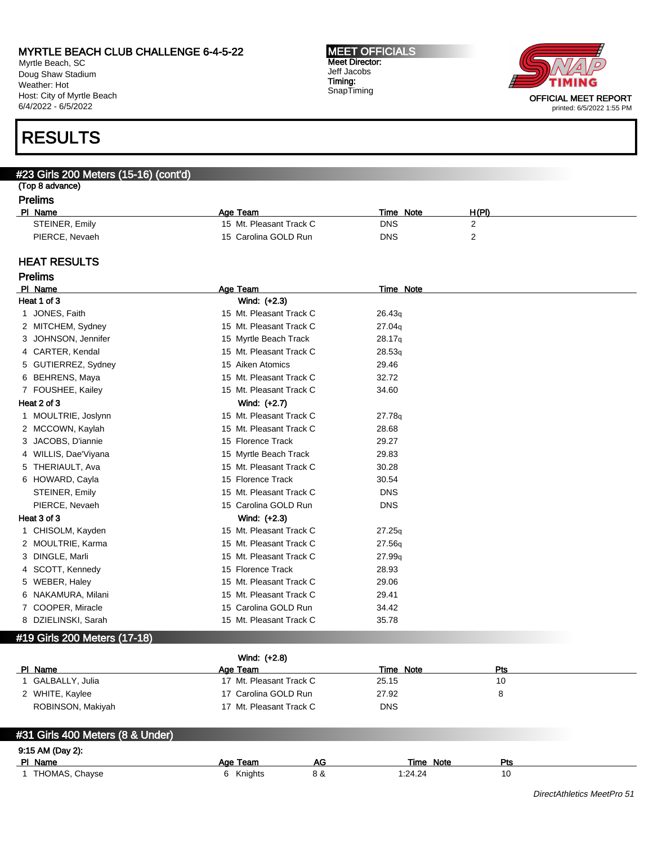Myrtle Beach, SC Doug Shaw Stadium Weather: Hot Host: City of Myrtle Beach 6/4/2022 - 6/5/2022

# RESULTS

(Top 8 advance)

#23 Girls 200 Meters (15-16) (cont'd)

#### MEET OFFICIALS Meet Director: Jeff Jacobs Timing: SnapTiming



# Prelims<br>PL Name Age Team Time Note H(PI) STEINER, Emily 15 Mt. Pleasant Track C DNS 2 PIERCE, Nevaeh 2 Carolina GOLD Run DNS 2 HEAT RESULTS Prelims

|   | PI Name                      | Age Team                | <b>Time Note</b> |
|---|------------------------------|-------------------------|------------------|
|   | Heat 1 of 3                  | Wind: (+2.3)            |                  |
|   | JONES, Faith                 | 15 Mt. Pleasant Track C | 26.43q           |
|   | 2 MITCHEM, Sydney            | 15 Mt. Pleasant Track C | 27.04g           |
| 3 | JOHNSON, Jennifer            | 15 Myrtle Beach Track   | 28.17q           |
| 4 | CARTER, Kendal               | 15 Mt. Pleasant Track C | 28.53q           |
|   | 5 GUTIERREZ, Sydney          | 15 Aiken Atomics        | 29.46            |
|   | 6 BEHRENS, Maya              | 15 Mt. Pleasant Track C | 32.72            |
|   | 7 FOUSHEE, Kailey            | 15 Mt. Pleasant Track C | 34.60            |
|   | Heat 2 of 3                  | Wind: (+2.7)            |                  |
|   | 1 MOULTRIE, Joslynn          | 15 Mt. Pleasant Track C | 27.78g           |
|   | 2 MCCOWN, Kaylah             | 15 Mt. Pleasant Track C | 28.68            |
|   | 3 JACOBS, D'iannie           | 15 Florence Track       | 29.27            |
|   | 4 WILLIS, Dae'Viyana         | 15 Myrtle Beach Track   | 29.83            |
|   | 5 THERIAULT, Ava             | 15 Mt. Pleasant Track C | 30.28            |
|   | 6 HOWARD, Cayla              | 15 Florence Track       | 30.54            |
|   | STEINER, Emily               | 15 Mt. Pleasant Track C | <b>DNS</b>       |
|   | PIERCE, Nevaeh               | 15 Carolina GOLD Run    | <b>DNS</b>       |
|   | Heat 3 of 3                  | Wind: (+2.3)            |                  |
|   | 1 CHISOLM, Kayden            | 15 Mt. Pleasant Track C | 27.25q           |
|   | 2 MOULTRIE, Karma            | 15 Mt. Pleasant Track C | 27.56q           |
|   | 3 DINGLE, Marli              | 15 Mt. Pleasant Track C | 27.99q           |
|   | 4 SCOTT, Kennedy             | 15 Florence Track       | 28.93            |
|   | 5 WEBER, Haley               | 15 Mt. Pleasant Track C | 29.06            |
| 6 | NAKAMURA, Milani             | 15 Mt. Pleasant Track C | 29.41            |
|   | 7 COOPER, Miracle            | 15 Carolina GOLD Run    | 34.42            |
|   | 8 DZIELINSKI, Sarah          | 15 Mt. Pleasant Track C | 35.78            |
|   | #19 Girls 200 Meters (17-18) |                         |                  |

| Wind: (+2.8) |  |
|--------------|--|
|              |  |

| PI Name           | Age Team                | Time Note  | Pts |
|-------------------|-------------------------|------------|-----|
| GALBALLY, Julia   | 17 Mt. Pleasant Track C | 25.15      | 10  |
| 2 WHITE, Kaylee   | 17 Carolina GOLD Run    | 27.92      |     |
| ROBINSON, Makiyah | 17 Mt. Pleasant Track C | <b>DNS</b> |     |
|                   |                         |            |     |

### #31 Girls 400 Meters (8 & Under) 9:15 AM (Day 2): Pl Name Age Team AG Time Note Pts 1 THOMAS, Chayse **6 Knights 8 & 1:24.24** 10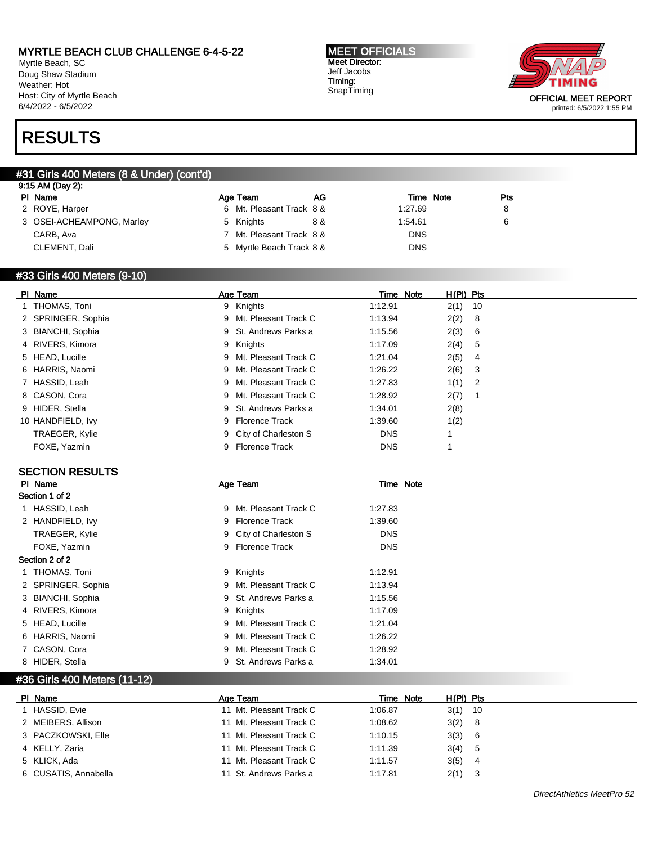Myrtle Beach, SC Doug Shaw Stadium Weather: Hot Host: City of Myrtle Beach 6/4/2022 - 6/5/2022

#### MEET OFFICIALS Meet Director: Jeff Jacobs Timing: SnapTiming



# RESULTS

### #31 Girls 400 Meters (8 & Under) (cont'd)

| 9:15 AM (Day 2):          |                          |    |            |            |
|---------------------------|--------------------------|----|------------|------------|
| PI Name                   | Age Team                 | АG | Time Note  | <b>Pts</b> |
| 2 ROYE, Harper            | 6 Mt. Pleasant Track 8 & |    | 1:27.69    |            |
| 3 OSEI-ACHEAMPONG, Marley | 5 Knights                | 88 | 1:54.61    |            |
| CARB, Ava                 | 7 Mt. Pleasant Track 8 & |    | <b>DNS</b> |            |
| CLEMENT, Dali             | 5 Myrtle Beach Track 8 & |    | <b>DNS</b> |            |
|                           |                          |    |            |            |

### #33 Girls 400 Meters (9-10)

| PI Name            | Age Team                   | Time Note  | H(PI) Pts                          |
|--------------------|----------------------------|------------|------------------------------------|
| 1 THOMAS, Toni     | 9 Knights                  | 1:12.91    | 2(1)<br>- 10                       |
| 2 SPRINGER, Sophia | 9 Mt. Pleasant Track C     | 1:13.94    | 2(2)<br>- 8                        |
| 3 BIANCHI, Sophia  | 9 St. Andrews Parks a      | 1:15.56    | 2(3)<br>- 6                        |
| 4 RIVERS, Kimora   | 9 Knights                  | 1:17.09    | 2(4) 5                             |
| 5 HEAD, Lucille    | 9 Mt. Pleasant Track C     | 1:21.04    | 2(5)<br>- 4                        |
| 6 HARRIS, Naomi    | Mt. Pleasant Track C<br>9  | 1:26.22    | 2(6)<br>$_{3}$                     |
| 7 HASSID, Leah     | Mt. Pleasant Track C<br>9  | 1:27.83    | 1(1)<br>$\overline{\phantom{0}}^2$ |
| 8 CASON, Cora      | 9 Mt. Pleasant Track C     | 1:28.92    | 2(7)                               |
| 9 HIDER, Stella    | 9 St. Andrews Parks a      | 1:34.01    | 2(8)                               |
| 10 HANDFIELD, Ivy  | <b>Florence Track</b><br>9 | 1:39.60    | 1(2)                               |
| TRAEGER, Kylie     | 9 City of Charleston S     | <b>DNS</b> |                                    |
| FOXE, Yazmin       | Florence Track<br>9        | <b>DNS</b> |                                    |

### SECTION RESULTS

| PI Name          |                    |   | Age Team               |            | Time Note |
|------------------|--------------------|---|------------------------|------------|-----------|
| Section 1 of 2   |                    |   |                        |            |           |
| 1 HASSID, Leah   |                    |   | 9 Mt. Pleasant Track C | 1:27.83    |           |
| 2 HANDFIELD, Ivy |                    |   | 9 Florence Track       | 1:39.60    |           |
|                  | TRAEGER, Kylie     |   | 9 City of Charleston S | <b>DNS</b> |           |
|                  | FOXE, Yazmin       |   | 9 Florence Track       | <b>DNS</b> |           |
| Section 2 of 2   |                    |   |                        |            |           |
| 1 THOMAS, Toni   |                    |   | 9 Knights              | 1:12.91    |           |
|                  | 2 SPRINGER, Sophia |   | 9 Mt. Pleasant Track C | 1:13.94    |           |
|                  | 3 BIANCHI, Sophia  |   | 9 St. Andrews Parks a  | 1:15.56    |           |
| 4 RIVERS, Kimora |                    |   | 9 Knights              | 1:17.09    |           |
| 5 HEAD, Lucille  |                    |   | 9 Mt. Pleasant Track C | 1:21.04    |           |
| 6 HARRIS, Naomi  |                    |   | 9 Mt. Pleasant Track C | 1:26.22    |           |
| 7 CASON, Cora    |                    |   | 9 Mt. Pleasant Track C | 1:28.92    |           |
| 8 HIDER, Stella  |                    | 9 | St. Andrews Parks a    | 1:34.01    |           |

### #36 Girls 400 Meters (11-12)

| PI Name              | Age Team                | Time Note | $H(PI)$ Pts |     |  |
|----------------------|-------------------------|-----------|-------------|-----|--|
| HASSID. Evie         | 11 Mt. Pleasant Track C | 1:06.87   | $3(1)$ 10   |     |  |
| 2 MEIBERS, Allison   | 11 Mt. Pleasant Track C | 1:08.62   | 3(2)        | - 8 |  |
| 3 PACZKOWSKI, Elle   | 11 Mt. Pleasant Track C | 1:10.15   | 3(3)        | - 6 |  |
| 4 KELLY, Zaria       | 11 Mt. Pleasant Track C | 1:11.39   | 3(4)        | -5  |  |
| 5 KLICK, Ada         | 11 Mt. Pleasant Track C | 1:11.57   | 3(5)        | 4   |  |
| 6 CUSATIS, Annabella | 11 St. Andrews Parks a  | 1:17.81   | 2(1)        | - 3 |  |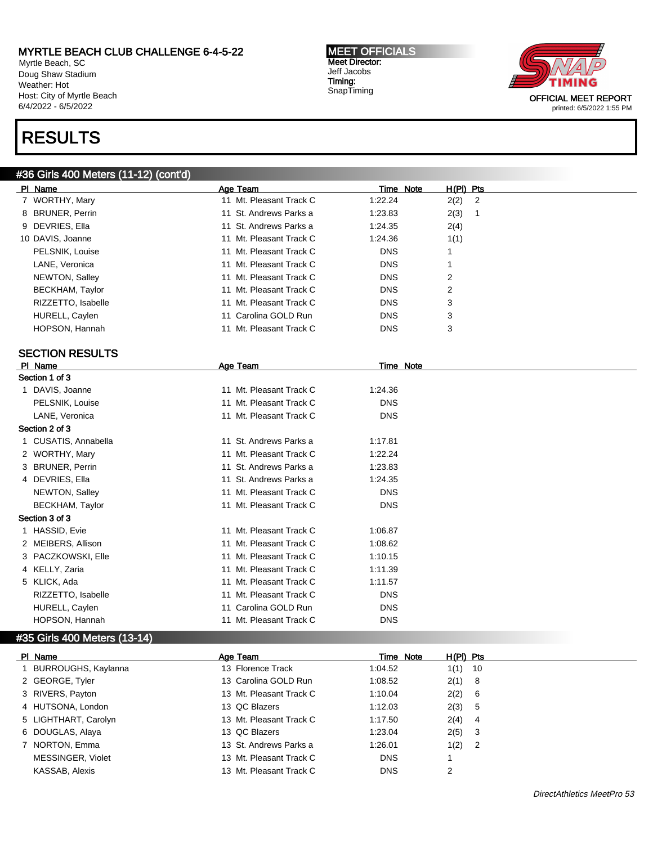Myrtle Beach, SC Doug Shaw Stadium Weather: Hot Host: City of Myrtle Beach 6/4/2022 - 6/5/2022

# RESULTS

### #36 Girls 400 Meters (11-12) (cont'd)

PI Name **Age Team Age Team Time Note** H(PI) Pts 7 WORTHY, Mary 2(2) 2 11 Mt. Pleasant Track C 1:22.24 2(2) 2 8 BRUNER, Perrin 2(3) 1 St. Andrews Parks a 1:23.83 2(3) 1 9 DEVRIES, Ella 11 St. Andrews Parks a 1:24.35 2(4) 10 DAVIS, Joanne 11 Mt. Pleasant Track C 1:24.36 1(1) PELSNIK, Louise 11 Mt. Pleasant Track C DNS 1 LANE, Veronica and 11 Mt. Pleasant Track C C DNS 1 NEWTON, Salley **11 Mt. Pleasant Track C** DNS 2 BECKHAM, Taylor **11 Mt. Pleasant Track C** DNS 2 RIZZETTO, Isabelle 11 Mt. Pleasant Track C DNS 3 HURELL, Caylen **11 Carolina GOLD Run** DNS 3 HOPSON, Hannah 11 Mt. Pleasant Track C DNS 3 SECTION RESULTS PI Name **Age Team Age Team Time Note** Section 1 of 3 1 DAVIS, Joanne 11 Mt. Pleasant Track C 1:24.36 PELSNIK, Louise **11 Mt. Pleasant Track C** DNS LANE, Veronica **11 Mt. Pleasant Track C** DNS Section 2 of 3 1 CUSATIS, Annabella 11 St. Andrews Parks a 1:17.81 2 WORTHY, Mary 11 Mt. Pleasant Track C 1:22.24 3 BRUNER, Perrin 11 St. Andrews Parks a 1:23.83 4 DEVRIES, Ella 11 St. Andrews Parks a 1:24.35 NEWTON, Salley **11 Mt. Pleasant Track C** DNS BECKHAM, Taylor 11 Mt. Pleasant Track C DNS Section 3 of 3 1 HASSID, Evie 11 Mt. Pleasant Track C 1:06.87 2 MEIBERS, Allison 2 MEIBERS, Allison 2 MEIBERS, Allison 2 MEIBERS, Allison 2 MEIBERS, Allison 2 MEI 3 PACZKOWSKI, Elle 11 Mt. Pleasant Track C 1:10.15 4 KELLY, Zaria 11 Mt. Pleasant Track C 1:11.39 5 KLICK, Ada 11 Mt. Pleasant Track C 1:11.57 RIZZETTO, Isabelle 11 Mt. Pleasant Track C DNS HURELL, Caylen **11 Carolina GOLD Run** DNS HOPSON, Hannah 11 Mt. Pleasant Track C DNS

### #35 Girls 400 Meters (13-14)

| PI Name               | Age Team                | Time Note  | $H(PI)$ Pts |     |
|-----------------------|-------------------------|------------|-------------|-----|
| 1 BURROUGHS, Kaylanna | 13 Florence Track       | 1:04.52    | $1(1)$ 10   |     |
| 2 GEORGE, Tyler       | 13 Carolina GOLD Run    | 1:08.52    | 2(1) 8      |     |
| 3 RIVERS, Payton      | 13 Mt. Pleasant Track C | 1:10.04    | 2(2)        | - 6 |
| 4 HUTSONA, London     | 13 QC Blazers           | 1:12.03    | 2(3) 5      |     |
| 5 LIGHTHART, Carolyn  | 13 Mt. Pleasant Track C | 1:17.50    | $2(4)$ 4    |     |
| 6 DOUGLAS, Alaya      | 13 QC Blazers           | 1:23.04    | $2(5)$ 3    |     |
| 7 NORTON, Emma        | 13 St. Andrews Parks a  | 1:26.01    | $1(2)$ 2    |     |
| MESSINGER, Violet     | 13 Mt. Pleasant Track C | <b>DNS</b> |             |     |
| KASSAB, Alexis        | 13 Mt. Pleasant Track C | <b>DNS</b> | 2           |     |

MEET OFFICIALS Meet Director: Jeff Jacobs Timing: **SnapTiming** 

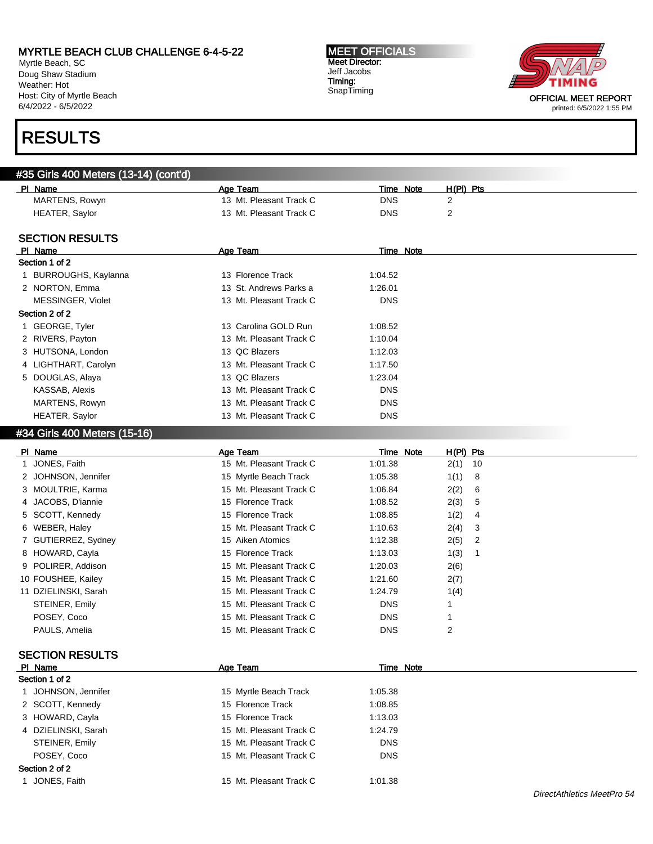Myrtle Beach, SC Doug Shaw Stadium Weather: Hot Host: City of Myrtle Beach 6/4/2022 - 6/5/2022

# RESULTS

# #35 Girls 400 Meters (13-14) (cont'd)

| PI Name                | Age Team                |            | Time Note | $H(PI)$ Pts |
|------------------------|-------------------------|------------|-----------|-------------|
| MARTENS, Rowyn         | 13 Mt. Pleasant Track C | <b>DNS</b> |           | 2           |
| <b>HEATER, Saylor</b>  | 13 Mt. Pleasant Track C | <b>DNS</b> |           | 2           |
|                        |                         |            |           |             |
| <b>SECTION RESULTS</b> |                         |            |           |             |
| PI Name                | Age Team                |            | Time Note |             |
| Section 1 of 2         |                         |            |           |             |
| 1 BURROUGHS, Kaylanna  | 13 Florence Track       | 1:04.52    |           |             |
| 2 NORTON, Emma         | 13 St. Andrews Parks a  | 1:26.01    |           |             |
| MESSINGER, Violet      | 13 Mt. Pleasant Track C | <b>DNS</b> |           |             |
| Section 2 of 2         |                         |            |           |             |
| 1 GEORGE, Tyler        | 13 Carolina GOLD Run    | 1:08.52    |           |             |
| 2 RIVERS, Payton       | 13 Mt. Pleasant Track C | 1:10.04    |           |             |
| 3 HUTSONA, London      | 13 QC Blazers           | 1:12.03    |           |             |
| 4 LIGHTHART, Carolyn   | 13 Mt. Pleasant Track C | 1:17.50    |           |             |
| 5 DOUGLAS, Alaya       | 13 QC Blazers           | 1:23.04    |           |             |
| KASSAB, Alexis         | 13 Mt. Pleasant Track C | <b>DNS</b> |           |             |
| MARTENS, Rowyn         | 13 Mt. Pleasant Track C | <b>DNS</b> |           |             |
| <b>HEATER, Saylor</b>  | 13 Mt. Pleasant Track C | <b>DNS</b> |           |             |

# #34 Girls 400 Meters (15-16)

| PI Name              | Age Team                | Time Note  | $H(PI)$ Pts |
|----------------------|-------------------------|------------|-------------|
| 1 JONES, Faith       | 15 Mt. Pleasant Track C | 1:01.38    | 2(1)<br>10  |
| 2 JOHNSON, Jennifer  | 15 Myrtle Beach Track   | 1:05.38    | 1(1)<br>8   |
| 3 MOULTRIE, Karma    | 15 Mt. Pleasant Track C | 1:06.84    | 2(2)<br>6   |
| 4 JACOBS, D'iannie   | 15 Florence Track       | 1:08.52    | 2(3)<br>5   |
| 5 SCOTT, Kennedy     | 15 Florence Track       | 1:08.85    | 1(2)<br>4   |
| 6 WEBER, Haley       | 15 Mt. Pleasant Track C | 1:10.63    | 2(4)<br>3   |
| 7 GUTIERREZ, Sydney  | 15 Aiken Atomics        | 1:12.38    | 2(5)<br>2   |
| 8 HOWARD, Cayla      | 15 Florence Track       | 1:13.03    | 1(3)<br>1   |
| 9 POLIRER, Addison   | 15 Mt. Pleasant Track C | 1:20.03    | 2(6)        |
| 10 FOUSHEE, Kailey   | 15 Mt. Pleasant Track C | 1:21.60    | 2(7)        |
| 11 DZIELINSKI, Sarah | 15 Mt. Pleasant Track C | 1:24.79    | 1(4)        |
| STEINER, Emily       | 15 Mt. Pleasant Track C | <b>DNS</b> |             |
| POSEY, Coco          | 15 Mt. Pleasant Track C | <b>DNS</b> |             |
| PAULS, Amelia        | 15 Mt. Pleasant Track C | <b>DNS</b> | 2           |

### SECTION RESULTS

| PI Name             | Age Team                | Time Note  |  |
|---------------------|-------------------------|------------|--|
| Section 1 of 2      |                         |            |  |
| JOHNSON, Jennifer   | 15 Myrtle Beach Track   | 1:05.38    |  |
| 2 SCOTT, Kennedy    | 15 Florence Track       | 1:08.85    |  |
| 3 HOWARD, Cayla     | 15 Florence Track       | 1:13.03    |  |
| 4 DZIELINSKI, Sarah | 15 Mt. Pleasant Track C | 1:24.79    |  |
| STEINER, Emily      | 15 Mt. Pleasant Track C | <b>DNS</b> |  |
| POSEY, Coco         | 15 Mt. Pleasant Track C | <b>DNS</b> |  |
| Section 2 of 2      |                         |            |  |
| JONES, Faith        | 15 Mt. Pleasant Track C | 1:01.38    |  |

MEET OFFICIALS Meet Director: Jeff Jacobs Timing: SnapTiming

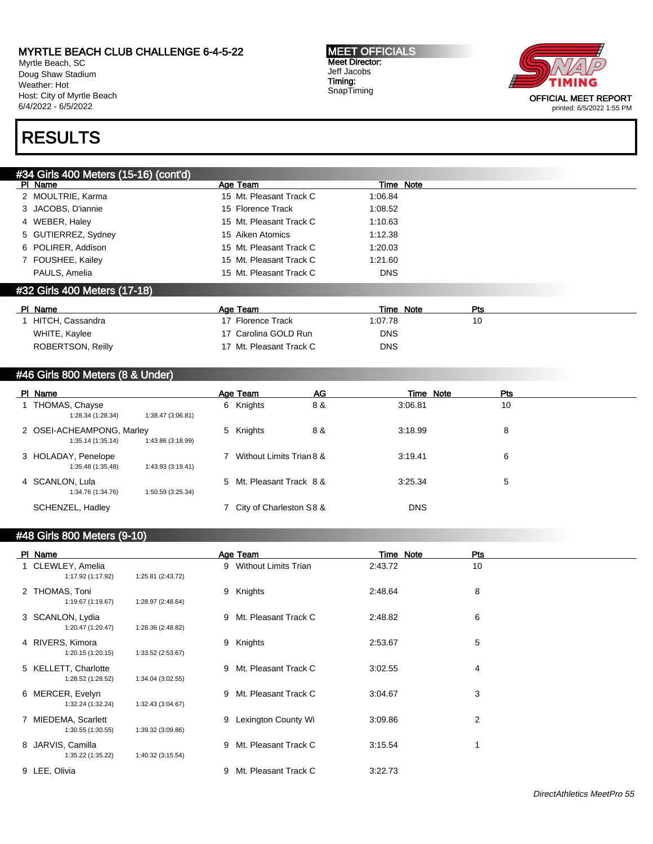Myrtle Beach, SC Doug Shaw Stadium Weather: Hot Host: City of Myrtle Beach 6/4/2022 - 6/5/2022

MEET OFFICIALS Meet Director: Jeff Jacobs Timing: SnapTiming



# RESULTS

| #34 Girls 400 Meters (15-16) (cont'd) |                         |            |     |  |
|---------------------------------------|-------------------------|------------|-----|--|
| PI Name                               | Age Team                | Time Note  |     |  |
| 2 MOULTRIE, Karma                     | 15 Mt. Pleasant Track C | 1:06.84    |     |  |
| 3 JACOBS, D'iannie                    | 15 Florence Track       | 1:08.52    |     |  |
| 4 WEBER, Haley                        | 15 Mt. Pleasant Track C | 1:10.63    |     |  |
| 5 GUTIERREZ, Sydney                   | 15 Aiken Atomics        | 1:12.38    |     |  |
| 6 POLIRER, Addison                    | 15 Mt. Pleasant Track C | 1:20.03    |     |  |
| 7 FOUSHEE, Kailey                     | 15 Mt. Pleasant Track C | 1:21.60    |     |  |
| PAULS, Amelia                         | 15 Mt. Pleasant Track C | <b>DNS</b> |     |  |
| #32 Girls 400 Meters (17-18)          |                         |            |     |  |
| PI Name                               | Age Team                | Time Note  | Pts |  |
| HITCH, Cassandra                      | 17 Florence Track       | 1:07.78    | 10  |  |
| WHITE, Kaylee                         | 17 Carolina GOLD Run    | <b>DNS</b> |     |  |

| ROBERTSON, Reilly | 17 Mt. Pleasant Track C | <b>DNS</b> |  |
|-------------------|-------------------------|------------|--|
|                   |                         |            |  |

### #46 Girls 800 Meters (8 & Under)

| PI Name                                       |                   | Age Team                  | AG  | Time Note  | Pts |
|-----------------------------------------------|-------------------|---------------------------|-----|------------|-----|
| THOMAS, Chayse<br>1:28.34 (1:28.34)           | 1:38.47 (3:06.81) | 6 Knights                 | 8 & | 3:06.81    | 10  |
| 2 OSEI-ACHEAMPONG, Marley<br>1:35.14(1:35.14) | 1:43.86 (3:18.99) | 5 Knights                 | 8 & | 3:18.99    | 8   |
| 3 HOLADAY, Penelope<br>1:35.48 (1:35.48)      | 1:43.93 (3:19.41) | Without Limits Trian 8 &  |     | 3:19.41    | 6   |
| 4 SCANLON, Lula<br>1:34.76 (1:34.76)          | 1:50.59 (3:25.34) | 5 Mt. Pleasant Track 8 &  |     | 3:25.34    | 5   |
| SCHENZEL, Hadley                              |                   | 7 City of Charleston S8 & |     | <b>DNS</b> |     |

### #48 Girls 800 Meters (9-10)

| PI Name                                   |                   | Age Team                  | Time Note | Pts |  |
|-------------------------------------------|-------------------|---------------------------|-----------|-----|--|
| 1 CLEWLEY, Amelia<br>1:17.92 (1:17.92)    | 1:25.81 (2:43.72) | Without Limits Trian<br>9 | 2:43.72   | 10  |  |
| 2 THOMAS, Toni<br>1:19.67 (1:19.67)       | 1:28.97 (2:48.64) | 9 Knights                 | 2:48.64   | 8   |  |
| 3 SCANLON, Lydia<br>1:20.47 (1:20.47)     | 1:28.36 (2:48.82) | Mt. Pleasant Track C<br>9 | 2:48.82   | 6   |  |
| 4 RIVERS, Kimora<br>1:20.15 (1:20.15)     | 1:33.52 (2:53.67) | Knights<br>9              | 2:53.67   | 5   |  |
| 5 KELLETT, Charlotte<br>1:28.52 (1:28.52) | 1:34.04 (3:02.55) | Mt. Pleasant Track C<br>9 | 3:02.55   | 4   |  |
| 6 MERCER, Evelyn<br>1:32.24 (1:32.24)     | 1:32.43 (3:04.67) | Mt. Pleasant Track C<br>9 | 3:04.67   | 3   |  |
| 7 MIEDEMA, Scarlett<br>1:30.55 (1:30.55)  | 1:39.32 (3:09.86) | Lexington County Wi<br>9  | 3:09.86   | 2   |  |
| 8 JARVIS, Camilla<br>1:35.22 (1:35.22)    | 1:40.32 (3:15.54) | Mt. Pleasant Track C<br>9 | 3:15.54   |     |  |
| 9 LEE, Olivia                             |                   | Mt. Pleasant Track C<br>9 | 3:22.73   |     |  |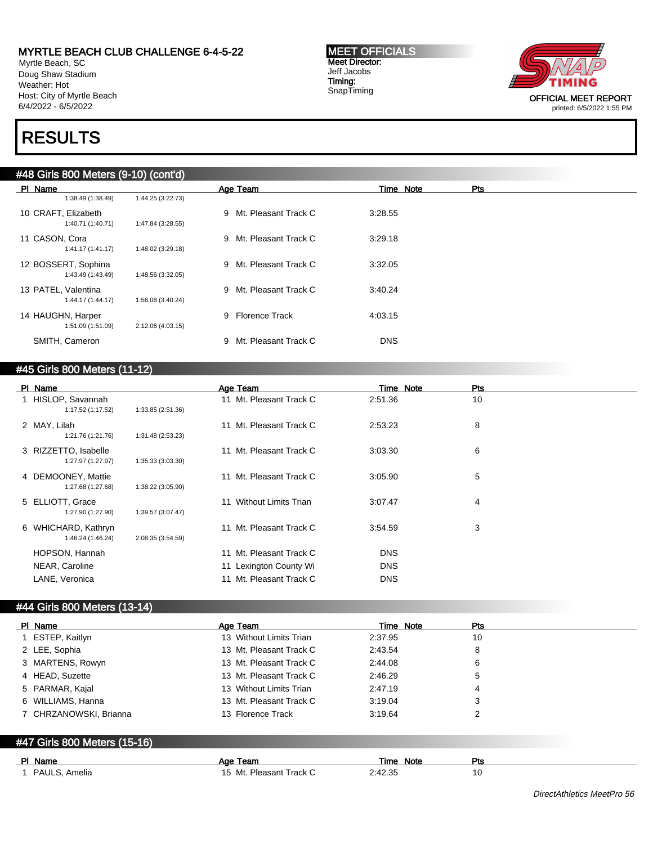Myrtle Beach, SC Doug Shaw Stadium Weather: Hot Host: City of Myrtle Beach 6/4/2022 - 6/5/2022

#### MEET OFFICIALS Meet Director: Jeff Jacobs Timing: SnapTiming



# RESULTS

# #48 Girls 800 Meters (9-10) (cont'd)

| PI Name                                  |                   | Age Team                   | Time Note  | Pts |
|------------------------------------------|-------------------|----------------------------|------------|-----|
| 1:38.49 (1:38.49)                        | 1:44.25 (3:22.73) |                            |            |     |
| 10 CRAFT, Elizabeth<br>1:40.71 (1:40.71) | 1:47.84 (3:28.55) | Mt. Pleasant Track C<br>9  | 3:28.55    |     |
| 11 CASON, Cora<br>1:41.17(1:41.17)       | 1:48.02 (3:29.18) | Mt. Pleasant Track C<br>9  | 3:29.18    |     |
| 12 BOSSERT, Sophina<br>1:43.49 (1:43.49) | 1:48.56 (3:32.05) | Mt. Pleasant Track C<br>9  | 3:32.05    |     |
| 13 PATEL, Valentina<br>1:44.17(1:44.17)  | 1:56.08 (3:40.24) | Mt. Pleasant Track C<br>9  | 3:40.24    |     |
| 14 HAUGHN, Harper<br>1:51.09 (1:51.09)   | 2:12.06 (4:03.15) | <b>Florence Track</b><br>9 | 4:03.15    |     |
| SMITH, Cameron                           |                   | Mt. Pleasant Track C<br>9  | <b>DNS</b> |     |

# #45 Girls 800 Meters (11-12)

| PI Name                                   |                   | Age Team                | Time Note  | Pts |  |
|-------------------------------------------|-------------------|-------------------------|------------|-----|--|
| 1 HISLOP, Savannah<br>1:17.52 (1:17.52)   | 1:33.85 (2:51.36) | 11 Mt. Pleasant Track C | 2:51.36    | 10  |  |
| 2 MAY, Lilah<br>1:21.76 (1:21.76)         | 1:31.48 (2:53.23) | 11 Mt. Pleasant Track C | 2:53.23    | 8   |  |
| 3 RIZZETTO, Isabelle<br>1:27.97 (1:27.97) | 1:35.33(3:03.30)  | 11 Mt. Pleasant Track C | 3:03.30    | 6   |  |
| 4 DEMOONEY, Mattie<br>1:27.68 (1:27.68)   | 1:38.22 (3:05.90) | 11 Mt. Pleasant Track C | 3:05.90    | 5   |  |
| 5 ELLIOTT, Grace<br>1:27.90 (1:27.90)     | 1:39.57 (3:07.47) | 11 Without Limits Trian | 3:07.47    | 4   |  |
| 6 WHICHARD, Kathryn<br>1:46.24 (1:46.24)  | 2:08.35 (3:54.59) | 11 Mt. Pleasant Track C | 3:54.59    | 3   |  |
| HOPSON, Hannah                            |                   | 11 Mt. Pleasant Track C | <b>DNS</b> |     |  |
| NEAR, Caroline                            |                   | 11 Lexington County Wi  | <b>DNS</b> |     |  |
| LANE, Veronica                            |                   | 11 Mt. Pleasant Track C | <b>DNS</b> |     |  |

### #44 Girls 800 Meters (13-14)

| PI Name |                              | Age Team                | Time Note | <b>Pts</b> |
|---------|------------------------------|-------------------------|-----------|------------|
|         | 1 ESTEP, Kaitlyn             | 13 Without Limits Trian | 2:37.95   | 10         |
|         | 2 LEE, Sophia                | 13 Mt. Pleasant Track C | 2:43.54   | 8          |
|         | 3 MARTENS, Rowyn             | 13 Mt. Pleasant Track C | 2:44.08   | 6          |
|         | 4 HEAD, Suzette              | 13 Mt. Pleasant Track C | 2:46.29   | 5          |
|         | 5 PARMAR, Kajal              | 13 Without Limits Trian | 2:47.19   | 4          |
|         | 6 WILLIAMS, Hanna            | 13 Mt. Pleasant Track C | 3:19.04   | 3          |
|         | 7 CHRZANOWSKI, Brianna       | 13 Florence Track       | 3:19.64   | 2          |
|         | #47 Girls 800 Meters (15-16) |                         |           |            |
|         |                              |                         |           |            |
| PI Name |                              | Age Team                | Time Note | Pts        |
|         | 1 PAULS, Amelia              | 15 Mt. Pleasant Track C | 2:42.35   | 10         |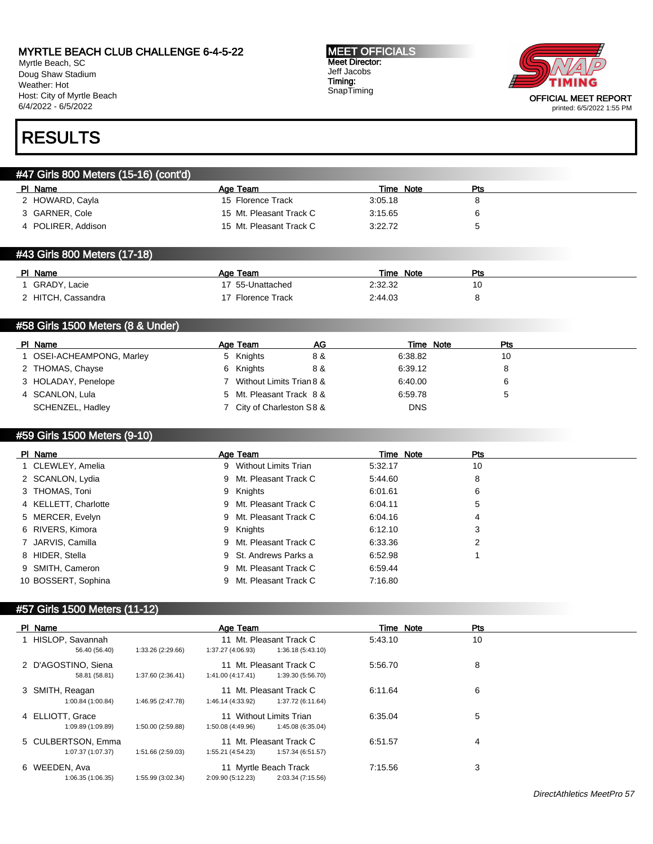Myrtle Beach, SC Doug Shaw Stadium Weather: Hot Host: City of Myrtle Beach 6/4/2022 - 6/5/2022

MEET OFFICIALS Meet Director: Jeff Jacobs Timing: SnapTiming



# RESULTS

### #47 Girls 800 Meters (15-16) (cont'd)

| PI Name            | Age Team                | Time Note | Pts |  |
|--------------------|-------------------------|-----------|-----|--|
| 2 HOWARD, Cayla    | 15 Florence Track       | 3:05.18   |     |  |
| 3 GARNER, Cole     | 15 Mt. Pleasant Track C | 3:15.65   |     |  |
| 4 POLIRER, Addison | 15 Mt. Pleasant Track C | 3.22.72   |     |  |

### #43 Girls 800 Meters (17-18)

| PI Name            | Age Team          | Time Note | Pts |  |
|--------------------|-------------------|-----------|-----|--|
| GRADY, Lacie       | 17 55-Unattached  | 2:32.32   |     |  |
| 2 HITCH, Cassandra | 17 Florence Track | 2:44.03   |     |  |

# #58 Girls 1500 Meters (8 & Under)

| PI Name                   | Age Team                  | ΑG | Time Note  | <b>Pts</b> |
|---------------------------|---------------------------|----|------------|------------|
| 1 OSEI-ACHEAMPONG, Marley | 5 Knights                 | 8& | 6:38.82    | 10         |
| 2 THOMAS, Chayse          | 6 Knights                 | 8& | 6:39.12    |            |
| 3 HOLADAY, Penelope       | Without Limits Trian 8 &  |    | 6:40.00    |            |
| 4 SCANLON, Lula           | 5 Mt. Pleasant Track 8 &  |    | 6:59.78    |            |
| SCHENZEL, Hadley          | 7 City of Charleston S8 & |    | <b>DNS</b> |            |

### #59 Girls 1500 Meters (9-10)

| PI Name              | Age Team                  | Time Note | Pts |
|----------------------|---------------------------|-----------|-----|
| 1 CLEWLEY, Amelia    | Without Limits Trian<br>9 | 5:32.17   | 10  |
| 2 SCANLON, Lydia     | 9 Mt. Pleasant Track C    | 5:44.60   | 8   |
| 3 THOMAS, Toni       | 9 Knights                 | 6:01.61   | 6   |
| 4 KELLETT, Charlotte | 9 Mt. Pleasant Track C    | 6:04.11   | 5   |
| 5 MERCER, Evelyn     | 9 Mt. Pleasant Track C    | 6:04.16   | 4   |
| 6 RIVERS, Kimora     | 9 Knights                 | 6:12.10   | 3   |
| 7 JARVIS, Camilla    | 9 Mt. Pleasant Track C    | 6:33.36   | 2   |
| 8 HIDER, Stella      | 9 St. Andrews Parks a     | 6:52.98   |     |
| 9 SMITH, Cameron     | 9 Mt. Pleasant Track C    | 6:59.44   |     |
| 10 BOSSERT, Sophina  | 9 Mt. Pleasant Track C    | 7:16.80   |     |

### #57 Girls 1500 Meters (11-12)

| PI Name             |                   | Age Team          |                         | Time Note | <b>Pts</b> |  |
|---------------------|-------------------|-------------------|-------------------------|-----------|------------|--|
| 1 HISLOP, Savannah  |                   |                   | 11 Mt. Pleasant Track C | 5:43.10   | 10         |  |
| 56.40 (56.40)       | 1:33.26 (2:29.66) | 1:37.27 (4:06.93) | 1:36.18 (5:43.10)       |           |            |  |
| 2 D'AGOSTINO, Siena |                   |                   | 11 Mt. Pleasant Track C | 5:56.70   | 8          |  |
| 58.81 (58.81)       | 1:37.60 (2:36.41) | 1:41.00 (4:17.41) | 1:39.30 (5:56.70)       |           |            |  |
| 3 SMITH, Reagan     |                   |                   | 11 Mt. Pleasant Track C | 6:11.64   | 6          |  |
| 1:00.84 (1:00.84)   | 1:46.95 (2:47.78) | 1:46.14 (4:33.92) | 1:37.72 (6:11.64)       |           |            |  |
| 4 ELLIOTT, Grace    |                   | 11                | Without Limits Trian    | 6:35.04   | 5          |  |
| 1:09.89 (1:09.89)   | 1:50.00 (2:59.88) | 1:50.08 (4:49.96) | 1:45.08 (6:35.04)       |           |            |  |
| 5 CULBERTSON, Emma  |                   |                   | 11 Mt. Pleasant Track C | 6:51.57   | 4          |  |
| 1:07.37 (1:07.37)   | 1:51.66 (2:59.03) | 1:55.21 (4:54.23) | 1:57.34 (6:51.57)       |           |            |  |
| 6 WEEDEN, Ava       |                   |                   | 11 Myrtle Beach Track   | 7:15.56   | 3          |  |
| 1:06.35(1:06.35)    | 1:55.99 (3:02.34) | 2:09.90 (5:12.23) | 2:03.34 (7:15.56)       |           |            |  |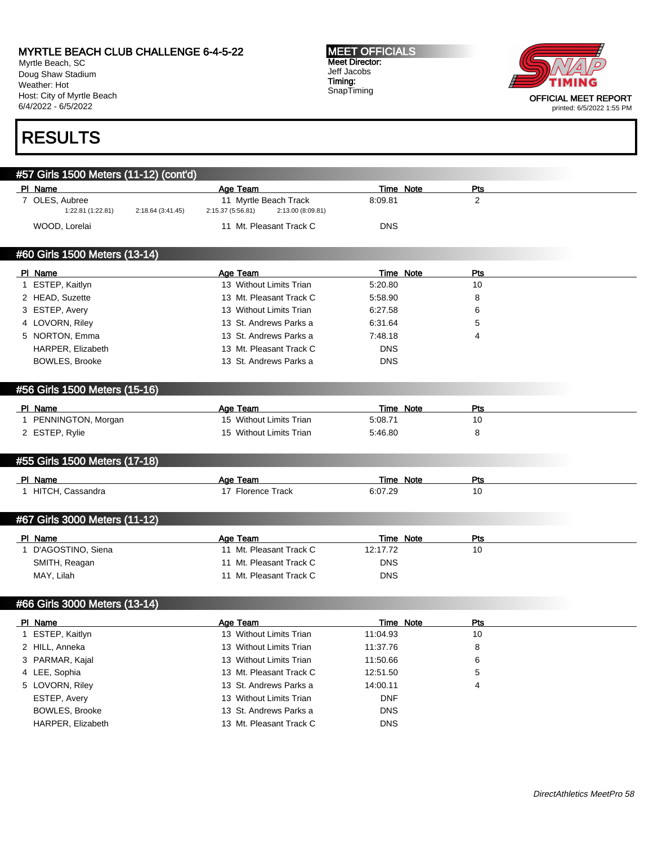Myrtle Beach, SC Doug Shaw Stadium Weather: Hot Host: City of Myrtle Beach 6/4/2022 - 6/5/2022

MEET OFFICIALS Meet Director: Jeff Jacobs Timing: SnapTiming



# RESULTS

| #57 Girls 1500 Meters (11-12) (cont'd)<br>PI Name<br>Age Team<br>Time Note<br>Pts<br>7 OLES, Aubree<br>11 Myrtle Beach Track<br>2<br>8:09.81<br>2:15.37 (5:56.81)<br>2:13.00 (8:09.81)<br>1:22.81 (1:22.81)<br>2:18.64 (3:41.45)<br>11 Mt. Pleasant Track C<br>WOOD, Lorelai<br><b>DNS</b><br>#60 Girls 1500 Meters (13-14)<br>PI Name<br>Time Note<br>Pts<br>Age Team<br>10<br>1 ESTEP, Kaitlyn<br>13 Without Limits Trian<br>5:20.80<br>2 HEAD, Suzette<br>13 Mt. Pleasant Track C<br>5:58.90<br>8<br>3 ESTEP, Avery<br>13 Without Limits Trian<br>6:27.58<br>6<br>4 LOVORN, Riley<br>13 St. Andrews Parks a<br>6:31.64<br>5<br>5 NORTON, Emma<br>13 St. Andrews Parks a<br>7:48.18<br>4<br>HARPER, Elizabeth<br>13 Mt. Pleasant Track C<br><b>DNS</b><br><b>BOWLES, Brooke</b><br>13 St. Andrews Parks a<br><b>DNS</b><br>#56 Girls 1500 Meters (15-16)<br>PI Name<br>Age Team<br>Time Note<br>Pts<br>1 PENNINGTON, Morgan<br>15 Without Limits Trian<br>10<br>5:08.71<br>2 ESTEP, Rylie<br>15 Without Limits Trian<br>5:46.80<br>8<br>#55 Girls 1500 Meters (17-18)<br>PI Name<br>Age Team<br>Time Note<br>Pts<br>1 HITCH, Cassandra<br>17 Florence Track<br>6:07.29<br>10<br>#67 Girls 3000 Meters (11-12)<br>Time Note<br>PI Name<br>Age Team<br>Pts<br>11 Mt. Pleasant Track C<br>1 D'AGOSTINO, Siena<br>12:17.72<br>10<br>11 Mt. Pleasant Track C<br>SMITH, Reagan<br><b>DNS</b><br>MAY, Lilah<br>11 Mt. Pleasant Track C<br><b>DNS</b><br>#66 Girls 3000 Meters (13-14)<br>PI Name<br>Time Note<br>Pts<br>Age Team<br>1 ESTEP, Kaitlyn<br>13 Without Limits Trian<br>11:04.93<br>10<br>2 HILL, Anneka<br>13 Without Limits Trian<br>11:37.76<br>8<br>3 PARMAR, Kajal<br>13 Without Limits Trian<br>11:50.66<br>6<br>4 LEE, Sophia<br>13 Mt. Pleasant Track C<br>12:51.50<br>5<br>5 LOVORN, Riley<br>13 St. Andrews Parks a<br>14:00.11<br>4<br>ESTEP, Avery<br>13 Without Limits Trian<br><b>DNF</b><br><b>BOWLES, Brooke</b><br>13 St. Andrews Parks a<br><b>DNS</b><br>HARPER, Elizabeth<br>13 Mt. Pleasant Track C<br><b>DNS</b> |  |  |  |  |
|----------------------------------------------------------------------------------------------------------------------------------------------------------------------------------------------------------------------------------------------------------------------------------------------------------------------------------------------------------------------------------------------------------------------------------------------------------------------------------------------------------------------------------------------------------------------------------------------------------------------------------------------------------------------------------------------------------------------------------------------------------------------------------------------------------------------------------------------------------------------------------------------------------------------------------------------------------------------------------------------------------------------------------------------------------------------------------------------------------------------------------------------------------------------------------------------------------------------------------------------------------------------------------------------------------------------------------------------------------------------------------------------------------------------------------------------------------------------------------------------------------------------------------------------------------------------------------------------------------------------------------------------------------------------------------------------------------------------------------------------------------------------------------------------------------------------------------------------------------------------------------------------------------------------------------------------------------------------------------------------------------------------------------------------|--|--|--|--|
|                                                                                                                                                                                                                                                                                                                                                                                                                                                                                                                                                                                                                                                                                                                                                                                                                                                                                                                                                                                                                                                                                                                                                                                                                                                                                                                                                                                                                                                                                                                                                                                                                                                                                                                                                                                                                                                                                                                                                                                                                                              |  |  |  |  |
|                                                                                                                                                                                                                                                                                                                                                                                                                                                                                                                                                                                                                                                                                                                                                                                                                                                                                                                                                                                                                                                                                                                                                                                                                                                                                                                                                                                                                                                                                                                                                                                                                                                                                                                                                                                                                                                                                                                                                                                                                                              |  |  |  |  |
|                                                                                                                                                                                                                                                                                                                                                                                                                                                                                                                                                                                                                                                                                                                                                                                                                                                                                                                                                                                                                                                                                                                                                                                                                                                                                                                                                                                                                                                                                                                                                                                                                                                                                                                                                                                                                                                                                                                                                                                                                                              |  |  |  |  |
|                                                                                                                                                                                                                                                                                                                                                                                                                                                                                                                                                                                                                                                                                                                                                                                                                                                                                                                                                                                                                                                                                                                                                                                                                                                                                                                                                                                                                                                                                                                                                                                                                                                                                                                                                                                                                                                                                                                                                                                                                                              |  |  |  |  |
|                                                                                                                                                                                                                                                                                                                                                                                                                                                                                                                                                                                                                                                                                                                                                                                                                                                                                                                                                                                                                                                                                                                                                                                                                                                                                                                                                                                                                                                                                                                                                                                                                                                                                                                                                                                                                                                                                                                                                                                                                                              |  |  |  |  |
|                                                                                                                                                                                                                                                                                                                                                                                                                                                                                                                                                                                                                                                                                                                                                                                                                                                                                                                                                                                                                                                                                                                                                                                                                                                                                                                                                                                                                                                                                                                                                                                                                                                                                                                                                                                                                                                                                                                                                                                                                                              |  |  |  |  |
|                                                                                                                                                                                                                                                                                                                                                                                                                                                                                                                                                                                                                                                                                                                                                                                                                                                                                                                                                                                                                                                                                                                                                                                                                                                                                                                                                                                                                                                                                                                                                                                                                                                                                                                                                                                                                                                                                                                                                                                                                                              |  |  |  |  |
|                                                                                                                                                                                                                                                                                                                                                                                                                                                                                                                                                                                                                                                                                                                                                                                                                                                                                                                                                                                                                                                                                                                                                                                                                                                                                                                                                                                                                                                                                                                                                                                                                                                                                                                                                                                                                                                                                                                                                                                                                                              |  |  |  |  |
|                                                                                                                                                                                                                                                                                                                                                                                                                                                                                                                                                                                                                                                                                                                                                                                                                                                                                                                                                                                                                                                                                                                                                                                                                                                                                                                                                                                                                                                                                                                                                                                                                                                                                                                                                                                                                                                                                                                                                                                                                                              |  |  |  |  |
|                                                                                                                                                                                                                                                                                                                                                                                                                                                                                                                                                                                                                                                                                                                                                                                                                                                                                                                                                                                                                                                                                                                                                                                                                                                                                                                                                                                                                                                                                                                                                                                                                                                                                                                                                                                                                                                                                                                                                                                                                                              |  |  |  |  |
|                                                                                                                                                                                                                                                                                                                                                                                                                                                                                                                                                                                                                                                                                                                                                                                                                                                                                                                                                                                                                                                                                                                                                                                                                                                                                                                                                                                                                                                                                                                                                                                                                                                                                                                                                                                                                                                                                                                                                                                                                                              |  |  |  |  |
|                                                                                                                                                                                                                                                                                                                                                                                                                                                                                                                                                                                                                                                                                                                                                                                                                                                                                                                                                                                                                                                                                                                                                                                                                                                                                                                                                                                                                                                                                                                                                                                                                                                                                                                                                                                                                                                                                                                                                                                                                                              |  |  |  |  |
|                                                                                                                                                                                                                                                                                                                                                                                                                                                                                                                                                                                                                                                                                                                                                                                                                                                                                                                                                                                                                                                                                                                                                                                                                                                                                                                                                                                                                                                                                                                                                                                                                                                                                                                                                                                                                                                                                                                                                                                                                                              |  |  |  |  |
|                                                                                                                                                                                                                                                                                                                                                                                                                                                                                                                                                                                                                                                                                                                                                                                                                                                                                                                                                                                                                                                                                                                                                                                                                                                                                                                                                                                                                                                                                                                                                                                                                                                                                                                                                                                                                                                                                                                                                                                                                                              |  |  |  |  |
|                                                                                                                                                                                                                                                                                                                                                                                                                                                                                                                                                                                                                                                                                                                                                                                                                                                                                                                                                                                                                                                                                                                                                                                                                                                                                                                                                                                                                                                                                                                                                                                                                                                                                                                                                                                                                                                                                                                                                                                                                                              |  |  |  |  |
|                                                                                                                                                                                                                                                                                                                                                                                                                                                                                                                                                                                                                                                                                                                                                                                                                                                                                                                                                                                                                                                                                                                                                                                                                                                                                                                                                                                                                                                                                                                                                                                                                                                                                                                                                                                                                                                                                                                                                                                                                                              |  |  |  |  |
|                                                                                                                                                                                                                                                                                                                                                                                                                                                                                                                                                                                                                                                                                                                                                                                                                                                                                                                                                                                                                                                                                                                                                                                                                                                                                                                                                                                                                                                                                                                                                                                                                                                                                                                                                                                                                                                                                                                                                                                                                                              |  |  |  |  |
|                                                                                                                                                                                                                                                                                                                                                                                                                                                                                                                                                                                                                                                                                                                                                                                                                                                                                                                                                                                                                                                                                                                                                                                                                                                                                                                                                                                                                                                                                                                                                                                                                                                                                                                                                                                                                                                                                                                                                                                                                                              |  |  |  |  |
|                                                                                                                                                                                                                                                                                                                                                                                                                                                                                                                                                                                                                                                                                                                                                                                                                                                                                                                                                                                                                                                                                                                                                                                                                                                                                                                                                                                                                                                                                                                                                                                                                                                                                                                                                                                                                                                                                                                                                                                                                                              |  |  |  |  |
|                                                                                                                                                                                                                                                                                                                                                                                                                                                                                                                                                                                                                                                                                                                                                                                                                                                                                                                                                                                                                                                                                                                                                                                                                                                                                                                                                                                                                                                                                                                                                                                                                                                                                                                                                                                                                                                                                                                                                                                                                                              |  |  |  |  |
|                                                                                                                                                                                                                                                                                                                                                                                                                                                                                                                                                                                                                                                                                                                                                                                                                                                                                                                                                                                                                                                                                                                                                                                                                                                                                                                                                                                                                                                                                                                                                                                                                                                                                                                                                                                                                                                                                                                                                                                                                                              |  |  |  |  |
|                                                                                                                                                                                                                                                                                                                                                                                                                                                                                                                                                                                                                                                                                                                                                                                                                                                                                                                                                                                                                                                                                                                                                                                                                                                                                                                                                                                                                                                                                                                                                                                                                                                                                                                                                                                                                                                                                                                                                                                                                                              |  |  |  |  |
|                                                                                                                                                                                                                                                                                                                                                                                                                                                                                                                                                                                                                                                                                                                                                                                                                                                                                                                                                                                                                                                                                                                                                                                                                                                                                                                                                                                                                                                                                                                                                                                                                                                                                                                                                                                                                                                                                                                                                                                                                                              |  |  |  |  |
|                                                                                                                                                                                                                                                                                                                                                                                                                                                                                                                                                                                                                                                                                                                                                                                                                                                                                                                                                                                                                                                                                                                                                                                                                                                                                                                                                                                                                                                                                                                                                                                                                                                                                                                                                                                                                                                                                                                                                                                                                                              |  |  |  |  |
|                                                                                                                                                                                                                                                                                                                                                                                                                                                                                                                                                                                                                                                                                                                                                                                                                                                                                                                                                                                                                                                                                                                                                                                                                                                                                                                                                                                                                                                                                                                                                                                                                                                                                                                                                                                                                                                                                                                                                                                                                                              |  |  |  |  |
|                                                                                                                                                                                                                                                                                                                                                                                                                                                                                                                                                                                                                                                                                                                                                                                                                                                                                                                                                                                                                                                                                                                                                                                                                                                                                                                                                                                                                                                                                                                                                                                                                                                                                                                                                                                                                                                                                                                                                                                                                                              |  |  |  |  |
|                                                                                                                                                                                                                                                                                                                                                                                                                                                                                                                                                                                                                                                                                                                                                                                                                                                                                                                                                                                                                                                                                                                                                                                                                                                                                                                                                                                                                                                                                                                                                                                                                                                                                                                                                                                                                                                                                                                                                                                                                                              |  |  |  |  |
|                                                                                                                                                                                                                                                                                                                                                                                                                                                                                                                                                                                                                                                                                                                                                                                                                                                                                                                                                                                                                                                                                                                                                                                                                                                                                                                                                                                                                                                                                                                                                                                                                                                                                                                                                                                                                                                                                                                                                                                                                                              |  |  |  |  |
|                                                                                                                                                                                                                                                                                                                                                                                                                                                                                                                                                                                                                                                                                                                                                                                                                                                                                                                                                                                                                                                                                                                                                                                                                                                                                                                                                                                                                                                                                                                                                                                                                                                                                                                                                                                                                                                                                                                                                                                                                                              |  |  |  |  |
|                                                                                                                                                                                                                                                                                                                                                                                                                                                                                                                                                                                                                                                                                                                                                                                                                                                                                                                                                                                                                                                                                                                                                                                                                                                                                                                                                                                                                                                                                                                                                                                                                                                                                                                                                                                                                                                                                                                                                                                                                                              |  |  |  |  |
|                                                                                                                                                                                                                                                                                                                                                                                                                                                                                                                                                                                                                                                                                                                                                                                                                                                                                                                                                                                                                                                                                                                                                                                                                                                                                                                                                                                                                                                                                                                                                                                                                                                                                                                                                                                                                                                                                                                                                                                                                                              |  |  |  |  |
|                                                                                                                                                                                                                                                                                                                                                                                                                                                                                                                                                                                                                                                                                                                                                                                                                                                                                                                                                                                                                                                                                                                                                                                                                                                                                                                                                                                                                                                                                                                                                                                                                                                                                                                                                                                                                                                                                                                                                                                                                                              |  |  |  |  |
|                                                                                                                                                                                                                                                                                                                                                                                                                                                                                                                                                                                                                                                                                                                                                                                                                                                                                                                                                                                                                                                                                                                                                                                                                                                                                                                                                                                                                                                                                                                                                                                                                                                                                                                                                                                                                                                                                                                                                                                                                                              |  |  |  |  |
|                                                                                                                                                                                                                                                                                                                                                                                                                                                                                                                                                                                                                                                                                                                                                                                                                                                                                                                                                                                                                                                                                                                                                                                                                                                                                                                                                                                                                                                                                                                                                                                                                                                                                                                                                                                                                                                                                                                                                                                                                                              |  |  |  |  |
|                                                                                                                                                                                                                                                                                                                                                                                                                                                                                                                                                                                                                                                                                                                                                                                                                                                                                                                                                                                                                                                                                                                                                                                                                                                                                                                                                                                                                                                                                                                                                                                                                                                                                                                                                                                                                                                                                                                                                                                                                                              |  |  |  |  |
|                                                                                                                                                                                                                                                                                                                                                                                                                                                                                                                                                                                                                                                                                                                                                                                                                                                                                                                                                                                                                                                                                                                                                                                                                                                                                                                                                                                                                                                                                                                                                                                                                                                                                                                                                                                                                                                                                                                                                                                                                                              |  |  |  |  |
|                                                                                                                                                                                                                                                                                                                                                                                                                                                                                                                                                                                                                                                                                                                                                                                                                                                                                                                                                                                                                                                                                                                                                                                                                                                                                                                                                                                                                                                                                                                                                                                                                                                                                                                                                                                                                                                                                                                                                                                                                                              |  |  |  |  |
|                                                                                                                                                                                                                                                                                                                                                                                                                                                                                                                                                                                                                                                                                                                                                                                                                                                                                                                                                                                                                                                                                                                                                                                                                                                                                                                                                                                                                                                                                                                                                                                                                                                                                                                                                                                                                                                                                                                                                                                                                                              |  |  |  |  |
|                                                                                                                                                                                                                                                                                                                                                                                                                                                                                                                                                                                                                                                                                                                                                                                                                                                                                                                                                                                                                                                                                                                                                                                                                                                                                                                                                                                                                                                                                                                                                                                                                                                                                                                                                                                                                                                                                                                                                                                                                                              |  |  |  |  |
|                                                                                                                                                                                                                                                                                                                                                                                                                                                                                                                                                                                                                                                                                                                                                                                                                                                                                                                                                                                                                                                                                                                                                                                                                                                                                                                                                                                                                                                                                                                                                                                                                                                                                                                                                                                                                                                                                                                                                                                                                                              |  |  |  |  |
|                                                                                                                                                                                                                                                                                                                                                                                                                                                                                                                                                                                                                                                                                                                                                                                                                                                                                                                                                                                                                                                                                                                                                                                                                                                                                                                                                                                                                                                                                                                                                                                                                                                                                                                                                                                                                                                                                                                                                                                                                                              |  |  |  |  |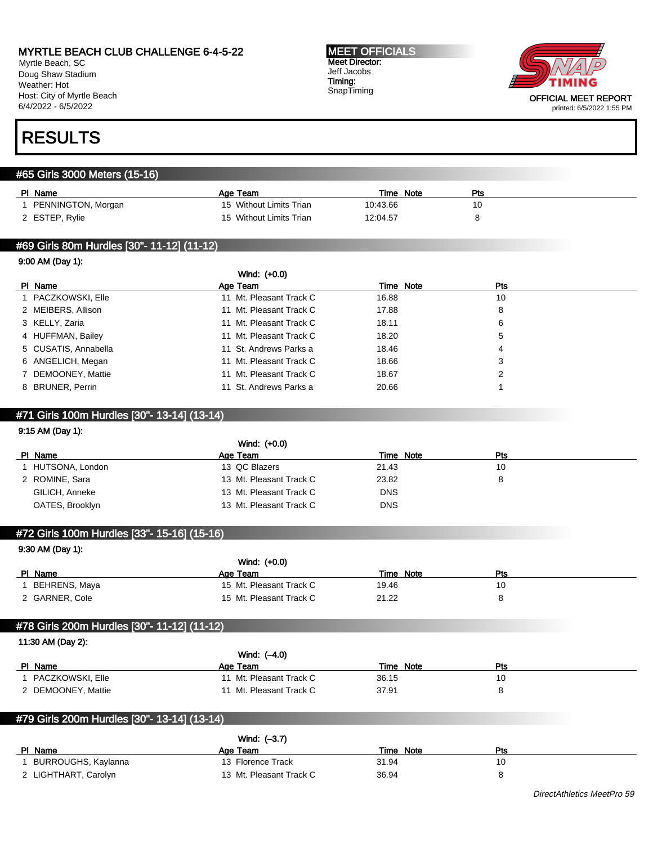Myrtle Beach, SC Doug Shaw Stadium Weather: Hot Host: City of Myrtle Beach 6/4/2022 - 6/5/2022

#### MEET OFFICIALS Meet Director: Jeff Jacobs Timing: SnapTiming



# RESULTS

### #65 Girls 3000 Meters (15-16)

| PI Name            | Age Team                | Time Note | Pts |  |
|--------------------|-------------------------|-----------|-----|--|
| PENNINGTON, Morgan | 15 Without Limits Trian | 10:43.66  |     |  |
| 2 ESTEP, Rylie     | 15 Without Limits Trian | 12:04.57  |     |  |

### #69 Girls 80m Hurdles [30"- 11-12] (11-12)

### 9:00 AM (Day 1):

|                      | Wind: (+0.0)            |           |            |
|----------------------|-------------------------|-----------|------------|
| PI Name              | Age Team                | Time Note | <b>Pts</b> |
| 1 PACZKOWSKI, Elle   | 11 Mt. Pleasant Track C | 16.88     | 10         |
| 2 MEIBERS, Allison   | 11 Mt. Pleasant Track C | 17.88     | 8          |
| 3 KELLY, Zaria       | 11 Mt. Pleasant Track C | 18.11     | 6          |
| 4 HUFFMAN, Bailey    | 11 Mt. Pleasant Track C | 18.20     | 5          |
| 5 CUSATIS, Annabella | 11 St. Andrews Parks a  | 18.46     | 4          |
| 6 ANGELICH, Megan    | 11 Mt. Pleasant Track C | 18.66     | 3          |
| 7 DEMOONEY, Mattie   | 11 Mt. Pleasant Track C | 18.67     |            |
| 8 BRUNER, Perrin     | 11 St. Andrews Parks a  | 20.66     |            |

### #71 Girls 100m Hurdles [30"- 13-14] (13-14)

#### 9:15 AM (Day 1):

|                   | Wind: (+0.0)            |            |     |  |
|-------------------|-------------------------|------------|-----|--|
| PI Name           | Age Team                | Time Note  | Pts |  |
| 1 HUTSONA, London | 13 QC Blazers           | 21.43      | 10  |  |
| 2 ROMINE, Sara    | 13 Mt. Pleasant Track C | 23.82      |     |  |
| GILICH, Anneke    | 13 Mt. Pleasant Track C | <b>DNS</b> |     |  |
| OATES, Brooklyn   | 13 Mt. Pleasant Track C | DNS.       |     |  |

### #72 Girls 100m Hurdles [33"- 15-16] (15-16)

9:30 AM (Day 1):

|                | Wind: (+0.0)            |           |     |
|----------------|-------------------------|-----------|-----|
| PI Name        | Age Team                | Time Note | Pts |
| BEHRENS, Maya  | 15 Mt. Pleasant Track C | 19.46     | 10  |
| 2 GARNER, Cole | 15 Mt. Pleasant Track C | 21.22     |     |

### #78 Girls 200m Hurdles [30"- 11-12] (11-12)

#### 11:30 AM (Day 2):

|                    | Wind: (-4.0)            |           |     |  |
|--------------------|-------------------------|-----------|-----|--|
| PI Name            | Age Team                | Time Note | Pts |  |
| PACZKOWSKI, Elle   | 11 Mt. Pleasant Track C | 36.15     | 10  |  |
| 2 DEMOONEY, Mattie | 11 Mt. Pleasant Track C | 37.91     |     |  |

### #79 Girls 200m Hurdles [30"- 13-14] (13-14)

|                      | Wind: $(-3.7)$          |           |     |  |
|----------------------|-------------------------|-----------|-----|--|
| PI Name              | Age Team                | Time Note | Pts |  |
| BURROUGHS, Kaylanna  | 13 Florence Track       | 31.94     | 10  |  |
| 2 LIGHTHART, Carolyn | 13 Mt. Pleasant Track C | 36.94     |     |  |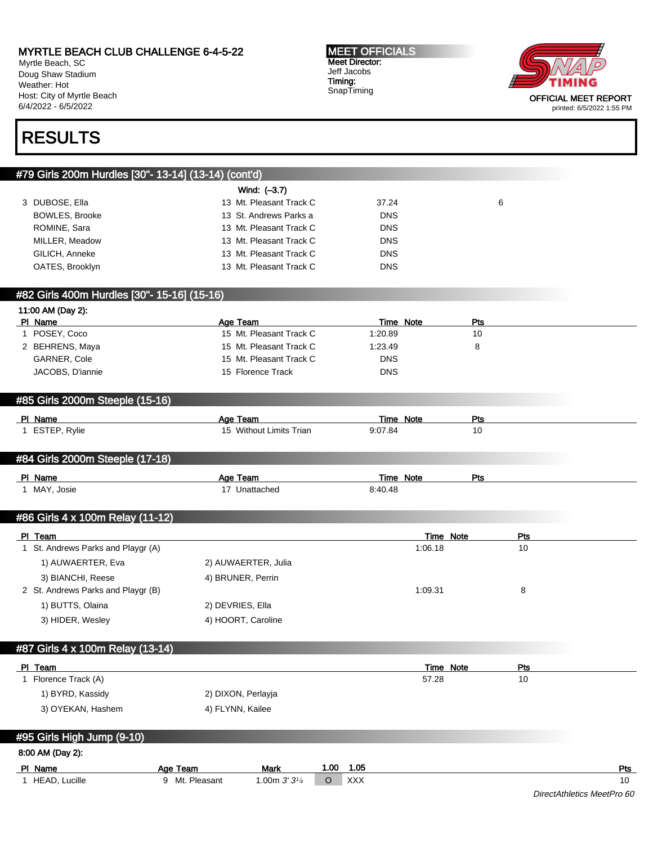Myrtle Beach, SC Doug Shaw Stadium Weather: Hot Host: City of Myrtle Beach 6/4/2022 - 6/5/2022

MEET OFFICIALS Meet Director: Jeff Jacobs Timing: SnapTiming



# RESULTS

# #79 Girls 200m Hurdles [30"- 13-14] (13-14) (cont'd)

|                       | Wind: $(-3.7)$          |            |   |
|-----------------------|-------------------------|------------|---|
| 3 DUBOSE, Ella        | 13 Mt. Pleasant Track C | 37.24      | 6 |
| <b>BOWLES, Brooke</b> | 13 St. Andrews Parks a  | <b>DNS</b> |   |
| ROMINE, Sara          | 13 Mt. Pleasant Track C | <b>DNS</b> |   |
| MILLER, Meadow        | 13 Mt. Pleasant Track C | <b>DNS</b> |   |
| GILICH, Anneke        | 13 Mt. Pleasant Track C | <b>DNS</b> |   |
| OATES, Brooklyn       | 13 Mt. Pleasant Track C | <b>DNS</b> |   |

# #82 Girls 400m Hurdles [30"- 15-16] (15-16)

| 11:00 AM (Day 2): |                         |            |            |  |
|-------------------|-------------------------|------------|------------|--|
| PI Name           | Age Team                | Time Note  | <b>Pts</b> |  |
| POSEY, Coco       | 15 Mt. Pleasant Track C | 1:20.89    | 10         |  |
| 2 BEHRENS, Maya   | 15 Mt. Pleasant Track C | 1:23.49    | 8          |  |
| GARNER, Cole      | 15 Mt. Pleasant Track C | <b>DNS</b> |            |  |
| JACOBS, D'iannie  | 15 Florence Track       | <b>DNS</b> |            |  |

### #85 Girls 2000m Steeple (15-16)

| DI N         | Team                 | Note        | Pts    |
|--------------|----------------------|-------------|--------|
| Name         | Aar                  | <b>Fime</b> |        |
| <b>ESTEP</b> | Without Limits Trian | 9:07.84     | 10     |
| Rylie        |                      | .           | $\sim$ |

# #84 Girls 2000m Steeple (17-18)

| PI Name    | Team<br>Age | Time Note | <b>Pts</b> |
|------------|-------------|-----------|------------|
| MAY, Josie | Unattached  | 8:40.48   |            |

# #86 Girls 4 x 100m Relay (11-12)

| Team<br><b>PI</b>                  |                     | Time Note | Pts |  |
|------------------------------------|---------------------|-----------|-----|--|
| St. Andrews Parks and Playgr (A)   |                     | 1:06.18   | 10  |  |
| 1) AUWAERTER, Eva                  | 2) AUWAERTER, Julia |           |     |  |
| 3) BIANCHI, Reese                  | 4) BRUNER, Perrin   |           |     |  |
| 2 St. Andrews Parks and Playgr (B) |                     | 1:09.31   | 8   |  |
| 1) BUTTS, Olaina                   | 2) DEVRIES, Ella    |           |     |  |
| 3) HIDER, Wesley                   | 4) HOORT, Caroline  |           |     |  |

### #87 Girls 4 x 100m Relay (13-14)

| PI Team                    |                    | Time Note | Pts |
|----------------------------|--------------------|-----------|-----|
| Florence Track (A)         |                    | 57.28     | 10  |
| 1) BYRD, Kassidy           | 2) DIXON, Perlayja |           |     |
| 3) OYEKAN, Hashem          | 4) FLYNN, Kailee   |           |     |
|                            |                    |           |     |
| #95 Girls High Jump (9-10) |                    |           |     |

# 8:00 AM (Day 2):

| $0.00$ AIVI (Day 2). |                |               |         |            |     |
|----------------------|----------------|---------------|---------|------------|-----|
| PI Name              | Age Team       | <b>Mark</b>   | 1.00    | 1.05       | Pts |
| 1 HEAD, Lucille      | 9 Mt. Pleasant | 1.00m $3'3'4$ | $\circ$ | <b>XXX</b> |     |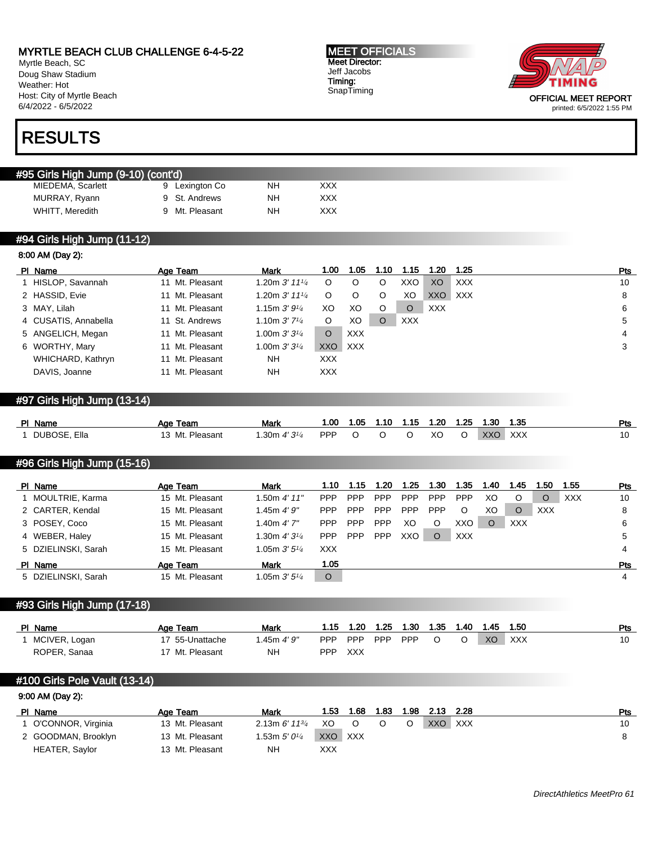Myrtle Beach, SC Doug Shaw Stadium Weather: Hot Host: City of Myrtle Beach 6/4/2022 - 6/5/2022

# RESULTS

| #95 Girls High Jump (9-10) (cont'd) |  |                |    |     |  |  |  |  |  |
|-------------------------------------|--|----------------|----|-----|--|--|--|--|--|
| MIEDEMA, Scarlett                   |  | 9 Lexington Co | NΗ | xxx |  |  |  |  |  |
| MURRAY, Ryann                       |  | 9 St. Andrews  | NΗ | xxx |  |  |  |  |  |

WHITT, Meredith 9 Mt. Pleasant NH XXX

# #94 Girls High Jump (11-12)

| 8:00 AM (Day 2): |  |  |
|------------------|--|--|

| PI Name              | Age Team        | <b>Mark</b>                               | 1.00 | 1.05 | 1.10    | 1.15 | 1.20 | 1.25 | <b>Pts</b> |
|----------------------|-----------------|-------------------------------------------|------|------|---------|------|------|------|------------|
| 1 HISLOP, Savannah   | 11 Mt. Pleasant | 1.20m $3'$ 11 <sup>1</sup> / <sub>4</sub> | O    |      | O       | XXO  | XO   | XXX  | 10         |
| 2 HASSID, Evie       | 11 Mt. Pleasant | 1.20m $3'$ 11 <sup>1</sup> / <sub>4</sub> | O    |      | $\circ$ | XO   | XXO  | XXX  | 8          |
| 3 MAY, Lilah         | 11 Mt. Pleasant | 1.15m $3'9'4$                             | XO   | XO   | O       | O    | XXX  |      | 6          |
| 4 CUSATIS, Annabella | 11 St. Andrews  | 1.10m $3'$ 7 <sup>1</sup> / <sub>4</sub>  | O    | XO   | $\circ$ | XXX. |      |      | 5          |
| 5 ANGELICH, Megan    | 11 Mt. Pleasant | 1.00m $3'3'4$                             | O    | XXX  |         |      |      |      | 4          |
| 6 WORTHY, Mary       | 11 Mt. Pleasant | 1.00m $3'3'4$                             | XXO  | XXX  |         |      |      |      | 3          |
| WHICHARD, Kathryn    | 11 Mt. Pleasant | NΗ                                        | XXX. |      |         |      |      |      |            |
| DAVIS, Joanne        | 11 Mt. Pleasant | NΗ                                        | XXX. |      |         |      |      |      |            |

Meet Director: Jeff Jacobs Timing: SnapTiming

### #97 Girls High Jump (13-14)

| PI Name      | Age Team        | <b>Mark</b>  | 1.00       |  |    |     | 1.35 | Pts |
|--------------|-----------------|--------------|------------|--|----|-----|------|-----|
| DUBOSE, Ella | 13 Mt. Pleasant | .30m $4'3'4$ | <b>PPP</b> |  | XO | XXO | XXX  | 10  |

### #96 Girls High Jump (15-16)

| PI Name             | Age Team        | <b>Mark</b>         | 1.10       | 1.15       | 1.20       | 1.25       | 1.30       | 1.35       | 1.40     | 1.45       | 1.50       | 1.55       | Pts |
|---------------------|-----------------|---------------------|------------|------------|------------|------------|------------|------------|----------|------------|------------|------------|-----|
| 1 MOULTRIE, Karma   | 15 Mt. Pleasant | 1.50m 4' 11"        | PPP.       | <b>PPP</b> | <b>PPP</b> | <b>PPP</b> | <b>PPP</b> | <b>PPP</b> | XO       | O          | $\circ$    | <b>XXX</b> | 10  |
| 2 CARTER, Kendal    | 15 Mt. Pleasant | 1.45m 4'9''         | <b>PPP</b> | <b>PPP</b> | <b>PPP</b> | <b>PPP</b> | <b>PPP</b> | O          | XO       | O          | <b>XXX</b> |            | 8   |
| 3 POSEY, Coco       | 15 Mt. Pleasant | 1.40m 4'7''         | <b>PPP</b> | <b>PPP</b> | <b>PPP</b> | XO         |            | XXO        | $\Omega$ | <b>XXX</b> |            |            | 6   |
| 4 WEBER, Haley      | 15 Mt. Pleasant | 1.30m $4'31/4$      | <b>PPP</b> | PPP        | <b>PPP</b> | XXO        |            | <b>XXX</b> |          |            |            |            | 5   |
| 5 DZIELINSKI, Sarah | 15 Mt. Pleasant | 1.05m $3'5''$       | <b>XXX</b> |            |            |            |            |            |          |            |            |            | 4   |
| PI Name             | Age Team        | <b>Mark</b>         | 1.05       |            |            |            |            |            |          |            |            |            | Pts |
| 5 DZIELINSKI, Sarah | 15 Mt. Pleasant | $1.05$ m $3'$ $5\%$ | $\circ$    |            |            |            |            |            |          |            |            |            | 4   |

### #93 Girls High Jump (17-18)

| PI Name       | Age Team        | Mark       | 1.15 | 1.20       | 1.25       | 1.30       | 1.35 | 1.40 | 1.45 | - 1.50     | Pts |
|---------------|-----------------|------------|------|------------|------------|------------|------|------|------|------------|-----|
| MCIVER, Logan | 17 55-Unattache | .45m 4'9'' | PPP. | <b>PPP</b> | <b>PPP</b> | <b>PPP</b> |      |      | XO   | <b>XXX</b> | 10  |
| ROPER, Sanaa  | 17 Mt. Pleasant | NΗ         | PPP. | XXX        |            |            |      |      |      |            |     |

### #100 Girls Pole Vault (13-14)

| $9:00$ AM (Day 2):   |                 |                             |         |      |      |      |      |         |     |  |
|----------------------|-----------------|-----------------------------|---------|------|------|------|------|---------|-----|--|
| PI Name              | Age Team        | Mark                        | 1.53    | l.68 | 1.83 | 1.98 | 2.13 | - 2.28  | Pts |  |
| 1 O'CONNOR, Virginia | 13 Mt. Pleasant | 2.13m $6'$ 11 $\frac{3}{4}$ | XO      |      |      |      |      | XXO XXX | 10  |  |
| 2 GOODMAN, Brooklyn  | 13 Mt. Pleasant | 1.53m $5'$ 0 $\frac{1}{4}$  | XXO XXX |      |      |      |      |         |     |  |
| HEATER, Saylor       | 13 Mt. Pleasant | NΗ                          | XXX     |      |      |      |      |         |     |  |

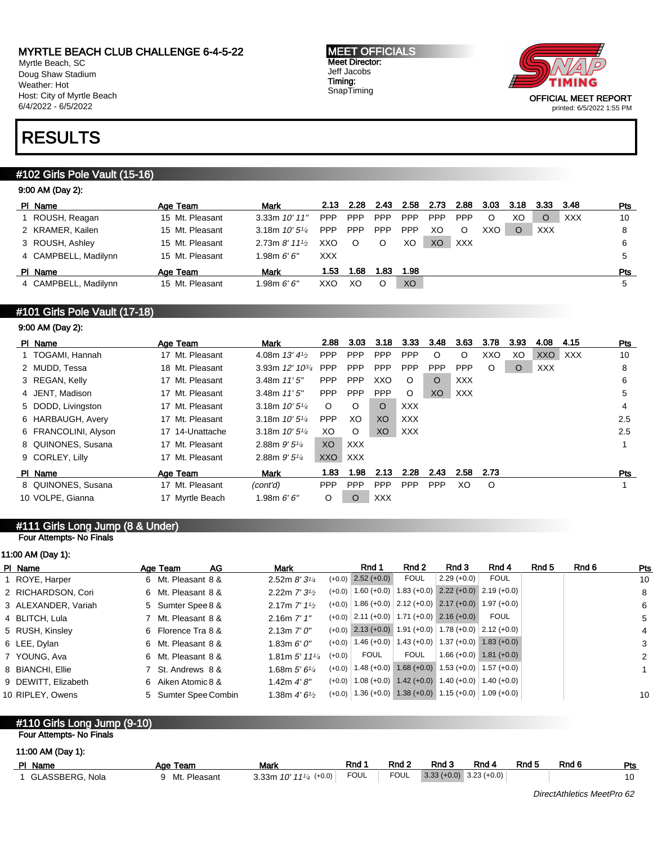Myrtle Beach, SC Doug Shaw Stadium Weather: Hot Host: City of Myrtle Beach 6/4/2022 - 6/5/2022

#### MEET OFFICIALS Meet Director: Jeff Jacobs Timing: SnapTiming



# RESULTS

### #102 Girls Pole Vault (15-16)

| 9:00 AM (Day 2): |  |
|------------------|--|
|------------------|--|

| PI Name              | Age Team        | <b>Mark</b>                               | 2.13       | 2.28       | 2.43       | 2.58       | 2.73       | 2.88       | 3.03 | 3.18    | 3.33       | - 3.48     | Pts        |
|----------------------|-----------------|-------------------------------------------|------------|------------|------------|------------|------------|------------|------|---------|------------|------------|------------|
| 1 ROUSH, Reagan      | 15 Mt. Pleasant | 3.33m $10'$ $11''$                        | <b>PPP</b> | <b>PPP</b> | <b>PPP</b> | <b>PPP</b> | <b>PPP</b> | <b>PPP</b> |      | XC      | $\circ$    | <b>XXX</b> | 10         |
| 2 KRAMER, Kailen     | 15 Mt. Pleasant | 3.18m $10'5\frac{1}{4}$                   | <b>PPP</b> | <b>PPP</b> | <b>PPP</b> | <b>PPP</b> | XO         | O          | XXO  | $\circ$ | <b>XXX</b> |            | 8          |
| 3 ROUSH, Ashley      | 15 Mt. Pleasant | 2.73m $8'$ 11 <sup>1</sup> / <sub>2</sub> | XXO        |            | O          | XO         | XO         | <b>XXX</b> |      |         |            |            | 6          |
| 4 CAMPBELL, Madilynn | 15 Mt. Pleasant | 1.98m $6'6''$                             | <b>XXX</b> |            |            |            |            |            |      |         |            |            |            |
| PI Name              | Age Team        | <b>Mark</b>                               | 1.53       | 1.68       | 1.83       | 1.98       |            |            |      |         |            |            | <b>Pts</b> |
| 4 CAMPBELL, Madilynn | 15 Mt. Pleasant | 1.98m $6'6''$                             | XXO        | XO         | O          | XO         |            |            |      |         |            |            |            |
|                      |                 |                                           |            |            |            |            |            |            |      |         |            |            |            |

# #101 Girls Pole Vault (17-18)

9:00 AM (Day 2):

| PI Name              | Age Team        | <b>Mark</b>             | 2.88       | 3.03       | 3.18       | 3.33       | 3.48           | 3.63       | 3.78    | 3.93    | 4.08       | 4.15       | <b>Pts</b> |
|----------------------|-----------------|-------------------------|------------|------------|------------|------------|----------------|------------|---------|---------|------------|------------|------------|
| 1 TOGAMI, Hannah     | 17 Mt. Pleasant | 4.08m $13'4\frac{1}{2}$ | <b>PPP</b> | <b>PPP</b> | <b>PPP</b> | <b>PPP</b> | $\circ$        | $\circ$    | XXO     | XO      | <b>XXO</b> | <b>XXX</b> | 10         |
| 2 MUDD, Tessa        | 18 Mt. Pleasant | 3.93m $12'$ $10^{3/4}$  | <b>PPP</b> | <b>PPP</b> | <b>PPP</b> | <b>PPP</b> | <b>PPP</b>     | <b>PPP</b> | O       | $\circ$ | <b>XXX</b> |            | 8          |
| 3 REGAN, Kelly       | 17 Mt. Pleasant | 3.48m $11'5''$          | <b>PPP</b> | <b>PPP</b> | XXO        | $\circ$    | $\circ$        | <b>XXX</b> |         |         |            |            | 6          |
| 4 JENT, Madison      | 17 Mt. Pleasant | 3.48m $11'5''$          | <b>PPP</b> | <b>PPP</b> | PPP        | $\circ$    | X <sub>O</sub> | <b>XXX</b> |         |         |            |            | 5          |
| 5 DODD, Livingston   | 17 Mt. Pleasant | 3.18m $10'5\frac{1}{4}$ | $\circ$    | $\circ$    | $\circ$    | <b>XXX</b> |                |            |         |         |            |            | 4          |
| 6 HARBAUGH, Avery    | 17 Mt. Pleasant | 3.18m $10'5\frac{1}{4}$ | <b>PPP</b> | XO.        | XO         | <b>XXX</b> |                |            |         |         |            |            | 2.5        |
| 6 FRANCOLINI, Alyson | 17 14-Unattache | 3.18m $10'5\frac{1}{4}$ | XO         | $\circ$    | XO         | <b>XXX</b> |                |            |         |         |            |            | 2.5        |
| 8 QUINONES, Susana   | 17 Mt. Pleasant | 2.88m $9'5\frac{1}{4}$  | XO.        | <b>XXX</b> |            |            |                |            |         |         |            |            |            |
| 9 CORLEY, Lilly      | 17 Mt. Pleasant | 2.88m $9'5\frac{1}{4}$  | XXO        | XXX        |            |            |                |            |         |         |            |            |            |
| PI Name              | Age Team        | Mark                    | 1.83       | .98        | 2.13       | 2.28       | 2.43           | 2.58       | 2.73    |         |            |            | <b>Pts</b> |
| 8 QUINONES, Susana   | 17 Mt. Pleasant | (cont'd)                | PPP        | <b>PPP</b> | PPP        | <b>PPP</b> | <b>PPP</b>     | XO         | $\circ$ |         |            |            |            |
| 10 VOLPE, Gianna     | 17 Myrtle Beach | 1.98m $6'6''$           | O          | $\circ$    | <b>XXX</b> |            |                |            |         |         |            |            |            |

# #111 Girls Long Jump (8 & Under)

Four Attempts- No Finals

### 11:00 AM (Day 1):

| PI Name             | Age Team             | AG. | Mark                                     |          | Rnd 1                  | Rnd 2       | Rnd 3                                                            | Rnd 4                       | Rnd 5 | Rnd 6 | Pts            |
|---------------------|----------------------|-----|------------------------------------------|----------|------------------------|-------------|------------------------------------------------------------------|-----------------------------|-------|-------|----------------|
| 1 ROYE, Harper      | 6 Mt. Pleasant 8 &   |     | 2.52m $8'3\frac{1}{4}$                   |          | $(+0.0)$ 2.52 $(+0.0)$ | <b>FOUL</b> | $2.29(+0.0)$                                                     | FOUL                        |       |       | 10             |
| 2 RICHARDSON, Cori  | 6 Mt. Pleasant 8 &   |     | 2.22m $7'3'$                             | $(+0.0)$ |                        |             | $1.60 (+0.0) 1.83 (+0.0) 2.22 (+0.0) 2.19 (+0.0)$                |                             |       |       | 8              |
| 3 ALEXANDER, Variah | 5 Sumter Spee 8 &    |     | 2.17m $7'$ 1 <sup>1</sup> / <sub>2</sub> | $(+0.0)$ |                        |             | $1.86 (+0.0)$ $2.12 (+0.0)$ $2.17 (+0.0)$ $1.97 (+0.0)$          |                             |       |       | 6              |
| 4 BLITCH, Lula      | 7 Mt. Pleasant 8 &   |     | 2.16m $7'1''$                            |          |                        |             | $(+0.0)$ 2.11 $(+0.0)$ 1.71 $(+0.0)$ 2.16 $(+0.0)$               | FOUL                        |       |       | 5              |
| 5 RUSH, Kinsley     | 6 Florence Tra 8 &   |     | 2.13m $7'0''$                            |          |                        |             | $(+0.0)$ 2.13 $(+0.0)$ 1.91 $(+0.0)$ 1.78 $(+0.0)$ 2.12 $(+0.0)$ |                             |       |       | $\overline{4}$ |
| 6 LEE, Dylan        | 6 Mt. Pleasant 8 &   |     | 1.83m $6'0''$                            | $(+0.0)$ |                        |             | $1.46 (+0.0)$ $1.43 (+0.0)$ $1.37 (+0.0)$ $1.83 (+0.0)$          |                             |       |       | 3              |
| 7 YOUNG, Ava        | 6 Mt. Pleasant 8 &   |     | 1.81m $5'$ 11 $\frac{1}{4}$              | $(+0.0)$ | <b>FOUL</b>            | <b>FOUL</b> |                                                                  | $1.66 (+0.0)$ $1.81 (+0.0)$ |       |       | 2              |
| 8 BIANCHI, Ellie    | 7 St. Andrews 8 &    |     | 1.68m $5'6''$                            | $(+0.0)$ |                        |             | $1.48 (+0.0)$ $1.68 (+0.0)$ $1.53 (+0.0)$ $1.57 (+0.0)$          |                             |       |       |                |
| 9 DEWITT, Elizabeth | 6 Aiken Atomic 8 &   |     | 1.42m $4'8''$                            | $(+0.0)$ |                        |             | $1.08 (+0.0)$ $1.42 (+0.0)$ $1.40 (+0.0)$ $1.40 (+0.0)$          |                             |       |       |                |
| 10 RIPLEY, Owens    | 5 Sumter Spee Combin |     | 1.38m $4'6\frac{1}{2}$                   |          |                        |             | $(+0.0)$   1.36 (+0.0)   1.38 (+0.0)   1.15 (+0.0)   1.09 (+0.0) |                             |       |       | 10             |

| #110 Girls Long Jump (9-10) |                |                                       |             |             |       |                           |                  |       |     |
|-----------------------------|----------------|---------------------------------------|-------------|-------------|-------|---------------------------|------------------|-------|-----|
| Four Attempts- No Finals    |                |                                       |             |             |       |                           |                  |       |     |
| 11:00 AM (Day 1):           |                |                                       |             |             |       |                           |                  |       |     |
| PI Name                     | Age Team       | Mark                                  | Rnd 1       | Rnd 2       | Rnd 3 | Rnd 4                     | Rnd <sub>5</sub> | Rnd 6 | Pts |
| GLASSBERG, Nola             | 9 Mt. Pleasant | 3.33m $10'$ $11'$ <sub>4</sub> (+0.0) | <b>FOUL</b> | <b>FOUL</b> |       | $3.33 (+0.0)$ 3.23 (+0.0) |                  |       | 10  |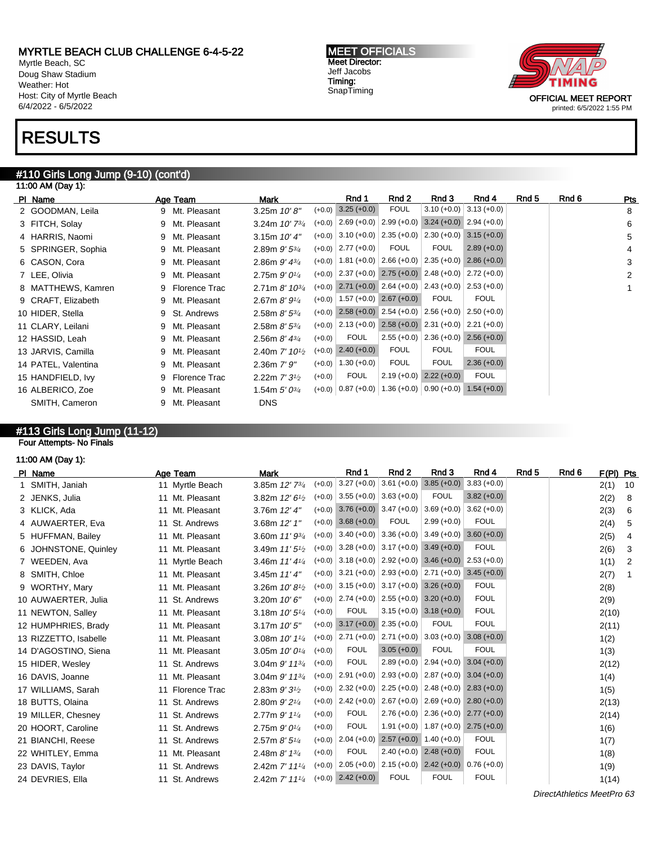Myrtle Beach, SC Doug Shaw Stadium Weather: Hot Host: City of Myrtle Beach 6/4/2022 - 6/5/2022

# RESULTS

#### #110 Girls Long Jump (9-10) (cont'd) 11:00 AM (Day 1):

| PI Name             |   | Age Team       | Mark                         |          | Rnd 1                  | Rnd 2                                                            | Rnd 3                       | Rnd 4                                                            | Rnd 5 | Rnd 6 | Pts |
|---------------------|---|----------------|------------------------------|----------|------------------------|------------------------------------------------------------------|-----------------------------|------------------------------------------------------------------|-------|-------|-----|
| 2 GOODMAN, Leila    |   | 9 Mt. Pleasant | 3.25m $10'8''$               | $(+0.0)$ | $3.25 (+0.0)$          | <b>FOUL</b>                                                      | $3.10 (+0.0)$               | $3.13 (+0.0)$                                                    |       |       | 8   |
| 3 FITCH, Solay      | 9 | Mt. Pleasant   | 3.24m $10'$ 7 $\frac{3}{4}$  | $(+0.0)$ |                        | $2.69 (+0.0)$ $2.99 (+0.0)$ $3.24 (+0.0)$ $2.94 (+0.0)$          |                             |                                                                  |       |       | 6   |
| 4 HARRIS, Naomi     | 9 | Mt. Pleasant   | 3.15m $10'4''$               |          |                        | $(+0.0)$ 3.10 $(+0.0)$ 2.35 $(+0.0)$                             |                             | $2.30 (+0.0)$ 3.15 (+0.0)                                        |       |       | 5   |
| 5 SPRINGER, Sophia  |   | 9 Mt. Pleasant | 2.89m $9'5^{3/4}$            |          | $(+0.0)$ 2.77 $(+0.0)$ | <b>FOUL</b>                                                      | <b>FOUL</b>                 | $2.89(+0.0)$                                                     |       |       | 4   |
| 6 CASON, Cora       |   | 9 Mt. Pleasant | 2.86m $9'$ 4 $\frac{3}{4}$   |          |                        |                                                                  |                             | $(+0.0)$   1.81 (+0.0)   2.66 (+0.0)   2.35 (+0.0)   2.86 (+0.0) |       |       | 3   |
| 7 LEE, Olivia       | 9 | Mt. Pleasant   | 2.75m $9'0^{1/4}$            |          |                        | $(+0.0)$ 2.37 $(+0.0)$ 2.75 $(+0.0)$ 2.48 $(+0.0)$ 2.72 $(+0.0)$ |                             |                                                                  |       |       | 2   |
| 8 MATTHEWS, Kamren  | 9 | Florence Trac  | $2.71m$ $8'$ $10^{3/4}$      |          |                        | $(+0.0)$ 2.71 $(+0.0)$ 2.64 $(+0.0)$                             |                             | $2.43 (+0.0)$ $2.53 (+0.0)$                                      |       |       |     |
| 9 CRAFT, Elizabeth  | 9 | Mt. Pleasant   | 2.67m $8'9'4$                |          |                        | $(+0.0)$   1.57 $(+0.0)$   2.67 $(+0.0)$                         | <b>FOUL</b>                 | <b>FOUL</b>                                                      |       |       |     |
| 10 HIDER, Stella    | 9 | St. Andrews    | 2.58m $8'$ 5 $\frac{3}{4}$   | $(+0.0)$ |                        | $2.58 (+0.0)$ $2.54 (+0.0)$ $2.56 (+0.0)$ $2.50 (+0.0)$          |                             |                                                                  |       |       |     |
| 11 CLARY, Leilani   |   | 9 Mt. Pleasant | 2.58m $8'$ 5 $\frac{3}{4}$   | $(+0.0)$ |                        | $2.13 (+0.0)$ $2.58 (+0.0)$ $2.31 (+0.0)$ $2.21 (+0.0)$          |                             |                                                                  |       |       |     |
| 12 HASSID, Leah     |   | 9 Mt. Pleasant | 2.56m $8'$ 4 $\frac{3}{4}$   | $(+0.0)$ | <b>FOUL</b>            | $2.55(+0.0)$                                                     |                             | $2.36 (+0.0)$ $2.56 (+0.0)$                                      |       |       |     |
| 13 JARVIS, Camilla  | 9 | Mt. Pleasant   | 2.40m $7'$ 10 <sup>1/2</sup> | $(+0.0)$ | $2.40 (+0.0)$          | <b>FOUL</b>                                                      | <b>FOUL</b>                 | <b>FOUL</b>                                                      |       |       |     |
| 14 PATEL, Valentina | 9 | Mt. Pleasant   | 2.36m $7'9''$                | $(+0.0)$ | $1.30 (+0.0)$          | <b>FOUL</b>                                                      | <b>FOUL</b>                 | $2.36 (+0.0)$                                                    |       |       |     |
| 15 HANDFIELD, Ivy   | 9 | Florence Trac  | 2.22m $7'3^{1/2}$            | $(+0.0)$ | <b>FOUL</b>            |                                                                  | $2.19 (+0.0)$ $2.22 (+0.0)$ | <b>FOUL</b>                                                      |       |       |     |
| 16 ALBERICO, Zoe    | 9 | Mt. Pleasant   | 1.54m $5'0^{3/4}$            |          |                        |                                                                  |                             | $(+0.0)$ 0.87 $(+0.0)$ 1.36 $(+0.0)$ 0.90 $(+0.0)$ 1.54 $(+0.0)$ |       |       |     |
| SMITH, Cameron      | 9 | Mt. Pleasant   | <b>DNS</b>                   |          |                        |                                                                  |                             |                                                                  |       |       |     |
|                     |   |                |                              |          |                        |                                                                  |                             |                                                                  |       |       |     |

#### #113 Girls Long Jump (11-12) Four Attempts- No Finals

11:00 AM (Day 1):

| PI Name               | Age Team         | <b>Mark</b>                 |          | Rnd 1                                | Rnd 2                                              | Rnd 3                                                            | Rnd 4                                                   | Rnd 5 | Rnd 6 | F(PI) Pts |                |
|-----------------------|------------------|-----------------------------|----------|--------------------------------------|----------------------------------------------------|------------------------------------------------------------------|---------------------------------------------------------|-------|-------|-----------|----------------|
| 1 SMITH, Janiah       | 11 Myrtle Beach  | 3.85m 12' 73/4              | $(+0.0)$ |                                      | $3.27 (+0.0) 3.61 (+0.0)$                          | $3.85 (+0.0)$                                                    | $3.83 (+0.0)$                                           |       |       | 2(1)      | 10             |
| 2 JENKS, Julia        | 11 Mt. Pleasant  | 3.82m 12' 61/2              |          | $(+0.0)$ 3.55 (+0.0) 3.63 (+0.0)     |                                                    | <b>FOUL</b>                                                      | $3.82 (+0.0)$                                           |       |       | 2(2)      | 8              |
| 3 KLICK, Ada          | 11 Mt. Pleasant  | 3.76m 12' 4"                |          |                                      | $(+0.0)$ 3.76 $(+0.0)$ 3.47 $(+0.0)$               |                                                                  | $3.69 (+0.0) 3.62 (+0.0)$                               |       |       | 2(3)      | 6              |
| 4 AUWAERTER, Eva      | 11 St. Andrews   | 3.68m 12' 1"                |          | $(+0.0)$ 3.68 $(+0.0)$               | <b>FOUL</b>                                        | $2.99(+0.0)$                                                     | <b>FOUL</b>                                             |       |       | 2(4)      | 5              |
| 5 HUFFMAN, Bailey     | 11 Mt. Pleasant  | 3.60m $11'9^{3/4}$          | $(+0.0)$ |                                      | $3.40 (+0.0)$ 3.36 (+0.0)                          |                                                                  | $3.49 (+0.0)$ $3.60 (+0.0)$                             |       |       | 2(5)      | $\overline{4}$ |
| 6 JOHNSTONE, Quinley  | 11 Mt. Pleasant  | 3.49m $11'5\frac{1}{2}$     |          |                                      | $(+0.0)$ 3.28 $(+0.0)$ 3.17 $(+0.0)$ 3.49 $(+0.0)$ |                                                                  | <b>FOUL</b>                                             |       |       | 2(6)      | -3             |
| 7 WEEDEN, Ava         | 11 Myrtle Beach  | 3.46m $11'4\frac{1}{4}$     |          |                                      |                                                    | $(+0.0)$ 3.18 $(+0.0)$ 2.92 $(+0.0)$ 3.46 $(+0.0)$ 2.53 $(+0.0)$ |                                                         |       |       | 1(1)      | $\overline{2}$ |
| 8 SMITH, Chloe        | 11 Mt. Pleasant  | 3.45m $11'4''$              |          |                                      |                                                    | $(+0.0)$ 3.21 (+0.0) 2.93 (+0.0) 2.71 (+0.0) 3.45 (+0.0)         |                                                         |       |       | 2(7)      | $\overline{1}$ |
| 9 WORTHY, Mary        | 11 Mt. Pleasant  | 3.26m 10'8 <sup>1/2</sup>   |          |                                      | $(+0.0)$ 3.15 $(+0.0)$ 3.17 $(+0.0)$ 3.26 $(+0.0)$ |                                                                  | <b>FOUL</b>                                             |       |       | 2(8)      |                |
| 10 AUWAERTER, Julia   | 11 St. Andrews   | 3.20m $10'6''$              |          |                                      | $(+0.0)$ 2.74 (+0.0) 2.55 (+0.0) 3.20 (+0.0)       |                                                                  | <b>FOUL</b>                                             |       |       | 2(9)      |                |
| 11 NEWTON, Salley     | 11 Mt. Pleasant  | 3.18m 10' 5 <sup>1/4</sup>  | $(+0.0)$ | <b>FOUL</b>                          |                                                    | $3.15 (+0.0)$ $3.18 (+0.0)$                                      | <b>FOUL</b>                                             |       |       | 2(10)     |                |
| 12 HUMPHRIES, Brady   | 11 Mt. Pleasant  | 3.17m $10'5''$              |          | $(+0.0)$ 3.17 $(+0.0)$ 2.35 $(+0.0)$ |                                                    | <b>FOUL</b>                                                      | <b>FOUL</b>                                             |       |       | 2(11)     |                |
| 13 RIZZETTO, Isabelle | 11 Mt. Pleasant  | 3.08m 10' 11/4              | $(+0.0)$ |                                      | $2.71 (+0.0)$ $2.71 (+0.0)$                        |                                                                  | $3.03 (+0.0)$ $3.08 (+0.0)$                             |       |       | 1(2)      |                |
| 14 D'AGOSTINO, Siena  | 11 Mt. Pleasant  | 3.05m $10'0^{1/4}$          | $(+0.0)$ | <b>FOUL</b>                          | $3.05 (+0.0)$                                      | <b>FOUL</b>                                                      | <b>FOUL</b>                                             |       |       | 1(3)      |                |
| 15 HIDER, Wesley      | 11 St. Andrews   | 3.04m $9'$ 11 $\frac{3}{4}$ | $(+0.0)$ | <b>FOUL</b>                          | $2.89(+0.0)$                                       |                                                                  | $2.94 (+0.0)$ 3.04 (+0.0)                               |       |       | 2(12)     |                |
| 16 DAVIS, Joanne      | 11 Mt. Pleasant  | 3.04m 9' 113/4              | $(+0.0)$ |                                      |                                                    | $2.91 (+0.0)$ $2.93 (+0.0)$ $2.87 (+0.0)$ 3.04 (+0.0)            |                                                         |       |       | 1(4)      |                |
| 17 WILLIAMS, Sarah    | 11 Florence Trac | 2.83m $9'3^{1/2}$           | $(+0.0)$ |                                      |                                                    | $2.32 (+0.0)$ $2.25 (+0.0)$ $2.48 (+0.0)$ $2.83 (+0.0)$          |                                                         |       |       | 1(5)      |                |
| 18 BUTTS, Olaina      | 11 St. Andrews   | 2.80m $9'2^{1/4}$           | $(+0.0)$ |                                      |                                                    |                                                                  | $2.42 (+0.0)$ $2.67 (+0.0)$ $2.69 (+0.0)$ $2.80 (+0.0)$ |       |       | 2(13)     |                |
| 19 MILLER, Chesney    | 11 St. Andrews   | 2.77m 9' 11/4               | $(+0.0)$ | <b>FOUL</b>                          |                                                    | $2.76 (+0.0)$ $2.36 (+0.0)$ $2.77 (+0.0)$                        |                                                         |       |       | 2(14)     |                |
| 20 HOORT, Caroline    | 11 St. Andrews   | 2.75m $9'0\frac{1}{4}$      | $(+0.0)$ | <b>FOUL</b>                          |                                                    |                                                                  | $1.91 (+0.0)$   $1.87 (+0.0)$   $2.75 (+0.0)$           |       |       | 1(6)      |                |
| 21 BIANCHI, Reese     | 11 St. Andrews   | 2.57m $8'5'4$               | $(+0.0)$ | $2.04 (+0.0)$                        | $2.57 (+0.0) 1.40 (+0.0)$                          |                                                                  | <b>FOUL</b>                                             |       |       | 1(7)      |                |
| 22 WHITLEY, Emma      | 11 Mt. Pleasant  | 2.48m $8'$ 1 $3/4$          | $(+0.0)$ | <b>FOUL</b>                          |                                                    | $2.40 (+0.0)$ $2.48 (+0.0)$                                      | <b>FOUL</b>                                             |       |       | 1(8)      |                |
| 23 DAVIS, Taylor      | 11 St. Andrews   | 2.42m 7' 111/4              | $(+0.0)$ |                                      |                                                    | $2.05 (+0.0)$ $2.15 (+0.0)$ $2.42 (+0.0)$ $0.76 (+0.0)$          |                                                         |       |       | 1(9)      |                |
| 24 DEVRIES, Ella      | 11 St. Andrews   | 2.42m $7'$ 11 $\frac{1}{4}$ |          | $(+0.0)$ 2.42 $(+0.0)$               | <b>FOUL</b>                                        | <b>FOUL</b>                                                      | <b>FOUL</b>                                             |       |       | 1(14)     |                |

MEET OFFICIALS Meet Director: Jeff Jacobs Timing: SnapTiming



DirectAthletics MeetPro 63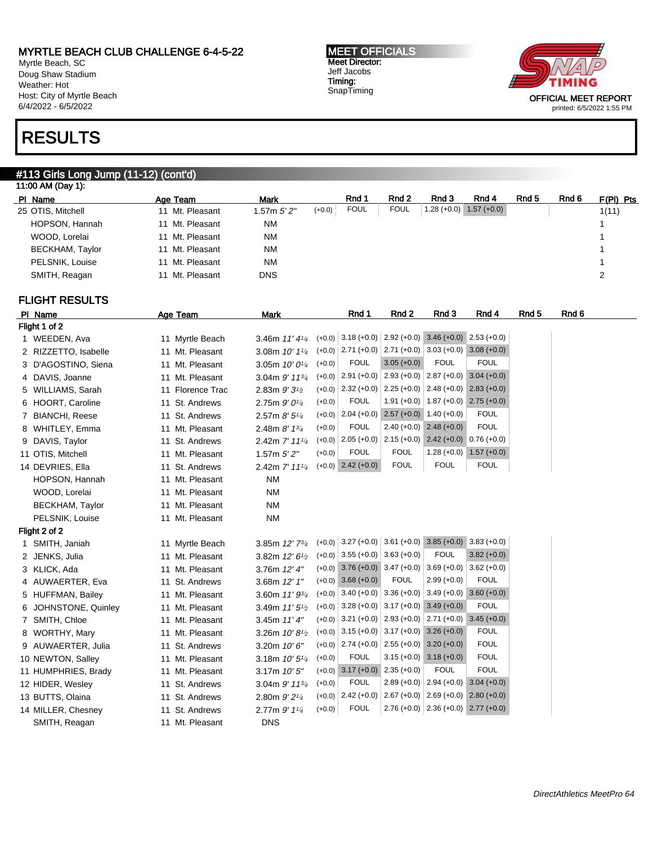Myrtle Beach, SC Doug Shaw Stadium Weather: Hot Host: City of Myrtle Beach 6/4/2022 - 6/5/2022

# RESULTS

### #113 Girls Long Jump (11-12) (cont'd)

|  | 11:00 AM (Day 1): |  |
|--|-------------------|--|

| $11.00$ $\sim$ $11.00$ |                    |               |          |             |             |       |                             |       |       |             |
|------------------------|--------------------|---------------|----------|-------------|-------------|-------|-----------------------------|-------|-------|-------------|
| PI Name                | Age Team           | <b>Mark</b>   |          | Rnd 1       | Rnd 2       | Rnd 3 | Rnd 4                       | Rnd 5 | Rnd 6 | $F(PI)$ Pts |
| 25 OTIS, Mitchell      | 11 Mt. Pleasant    | 1.57m $5'2''$ | $(+0.0)$ | <b>FOUL</b> | <b>FOUL</b> |       | $1.28 (+0.0)$ $1.57 (+0.0)$ |       |       | 1(11)       |
| HOPSON, Hannah         | Mt. Pleasant<br>11 | <b>NM</b>     |          |             |             |       |                             |       |       |             |
| WOOD, Lorelai          | 11 Mt. Pleasant    | <b>NM</b>     |          |             |             |       |                             |       |       |             |
| BECKHAM, Taylor        | 11 Mt. Pleasant    | <b>NM</b>     |          |             |             |       |                             |       |       |             |
| PELSNIK, Louise        | Mt. Pleasant<br>11 | <b>NM</b>     |          |             |             |       |                             |       |       |             |
| SMITH, Reagan          | 11 Mt. Pleasant    | <b>DNS</b>    |          |             |             |       |                             |       |       | 2           |
|                        |                    |               |          |             |             |       |                             |       |       |             |

### FLIGHT RESULTS

| PI Name                | Age Team         | <b>Mark</b>                             |          | Rnd 1                                                            | Rnd 2                                   | Rnd 3                                     | Rnd 4                     |  |
|------------------------|------------------|-----------------------------------------|----------|------------------------------------------------------------------|-----------------------------------------|-------------------------------------------|---------------------------|--|
| Flight 1 of 2          |                  |                                         |          |                                                                  |                                         |                                           |                           |  |
| 1 WEEDEN, Ava          | 11 Myrtle Beach  | 3.46m $11'4^{1/4}$                      |          | $(+0.0)$ 3.18 $(+0.0)$ 2.92 $(+0.0)$ 3.46 $(+0.0)$ 2.53 $(+0.0)$ |                                         |                                           |                           |  |
| 2 RIZZETTO, Isabelle   | 11 Mt. Pleasant  | 3.08m 10' 11/4                          |          | $(+0.0)$ 2.71 $(+0.0)$ 2.71 $(+0.0)$ 3.03 $(+0.0)$ 3.08 $(+0.0)$ |                                         |                                           |                           |  |
| 3 D'AGOSTINO, Siena    | 11 Mt. Pleasant  | 3.05m 10' 01/4                          | $(+0.0)$ | <b>FOUL</b>                                                      | $3.05 (+0.0)$                           | <b>FOUL</b>                               | <b>FOUL</b>               |  |
| 4 DAVIS, Joanne        | 11 Mt. Pleasant  | 3.04m 9' 113/4                          |          | $(+0.0)$ 2.91 $(+0.0)$                                           | $2.93 (+0.0)$                           | $2.87(+0.0)$                              | $3.04 (+0.0)$             |  |
| 5 WILLIAMS, Sarah      | 11 Florence Trac | 2.83m 9' 3 <sup>1</sup> / <sub>2</sub>  |          | $(+0.0)$ 2.32 $(+0.0)$                                           |                                         | $2.25 (+0.0)$ 2.48 (+0.0)                 | $2.83(+0.0)$              |  |
| 6 HOORT, Caroline      | 11 St. Andrews   | 2.75m 9' 01/4                           | $(+0.0)$ | <b>FOUL</b>                                                      |                                         | 1.91 (+0.0)   1.87 (+0.0) 2.75 (+0.0)     |                           |  |
| 7 BIANCHI, Reese       | 11 St. Andrews   | 2.57m 8' 51/4                           | $(+0.0)$ |                                                                  | $2.04 (+0.0)$ $2.57 (+0.0)$ 1.40 (+0.0) |                                           | <b>FOUL</b>               |  |
| 8 WHITLEY, Emma        | 11 Mt. Pleasant  | 2.48m 8' 13/4                           | $(+0.0)$ | <b>FOUL</b>                                                      |                                         | $2.40 (+0.0)$ $2.48 (+0.0)$               | <b>FOUL</b>               |  |
| 9 DAVIS, Taylor        | 11 St. Andrews   | 2.42m 7' 111/4                          |          | $(+0.0)$ 2.05 $(+0.0)$                                           |                                         | $2.15 (+0.0)$ $2.42 (+0.0)$ $0.76 (+0.0)$ |                           |  |
| 11 OTIS, Mitchell      | 11 Mt. Pleasant  | 1.57m $5'2''$                           | $(+0.0)$ | <b>FOUL</b>                                                      | <b>FOUL</b>                             | $1.28 (+0.0)$                             | $1.57 (+0.0)$             |  |
| 14 DEVRIES, Ella       | 11 St. Andrews   | 2.42m 7' 111/4                          |          | $(+0.0)$ 2.42 $(+0.0)$                                           | <b>FOUL</b>                             | <b>FOUL</b>                               | <b>FOUL</b>               |  |
| HOPSON, Hannah         | 11 Mt. Pleasant  | <b>NM</b>                               |          |                                                                  |                                         |                                           |                           |  |
| WOOD, Lorelai          | 11 Mt. Pleasant  | <b>NM</b>                               |          |                                                                  |                                         |                                           |                           |  |
| <b>BECKHAM, Taylor</b> | 11 Mt. Pleasant  | <b>NM</b>                               |          |                                                                  |                                         |                                           |                           |  |
| PELSNIK, Louise        | 11 Mt. Pleasant  | <b>NM</b>                               |          |                                                                  |                                         |                                           |                           |  |
| Flight 2 of 2          |                  |                                         |          |                                                                  |                                         |                                           |                           |  |
| 1 SMITH, Janiah        | 11 Myrtle Beach  | 3.85m 12' 73/4                          |          | $(+0.0)$ 3.27 $(+0.0)$ 3.61 $(+0.0)$ 3.85 $(+0.0)$ 3.83 $(+0.0)$ |                                         |                                           |                           |  |
| 2 JENKS, Julia         | 11 Mt. Pleasant  | 3.82m 12' 6 <sup>1</sup> / <sub>2</sub> |          | $(+0.0)$ 3.55 $(+0.0)$ 3.63 $(+0.0)$                             |                                         | <b>FOUL</b>                               | $3.82 (+0.0)$             |  |
| 3 KLICK, Ada           | 11 Mt. Pleasant  | 3.76m 12' 4"                            |          | $(+0.0)$ 3.76 $(+0.0)$ 3.47 $(+0.0)$                             |                                         | $3.69 (+0.0)$                             | $3.62 (+0.0)$             |  |
| 4 AUWAERTER, Eva       | 11 St. Andrews   | 3.68m 12' 1"                            |          | $(+0.0)$ 3.68 $(+0.0)$                                           | <b>FOUL</b>                             | $2.99(+0.0)$                              | <b>FOUL</b>               |  |
| 5 HUFFMAN, Bailey      | 11 Mt. Pleasant  | 3.60m 11' 93/4                          |          | $(+0.0)$ 3.40 $(+0.0)$ 3.36 $(+0.0)$ 3.49 $(+0.0)$               |                                         |                                           | $3.60 (+0.0)$             |  |
| 6 JOHNSTONE, Quinley   | 11 Mt. Pleasant  | 3.49m 11' 5 <sup>1</sup> / <sub>2</sub> |          | $(+0.0)$ 3.28 $(+0.0)$ 3.17 $(+0.0)$ 3.49 $(+0.0)$               |                                         |                                           | <b>FOUL</b>               |  |
| 7 SMITH, Chloe         | 11 Mt. Pleasant  | 3.45m $11'4''$                          |          | $(+0.0)$ 3.21 $(+0.0)$ 2.93 $(+0.0)$ 2.71 $(+0.0)$               |                                         |                                           | $3.45 (+0.0)$             |  |
| 8 WORTHY, Mary         | 11 Mt. Pleasant  | 3.26m $10'8^{1/2}$                      |          | $(+0.0)$ 3.15 $(+0.0)$ 3.17 $(+0.0)$ 3.26 $(+0.0)$               |                                         |                                           | <b>FOUL</b>               |  |
| 9 AUWAERTER, Julia     | 11 St. Andrews   | 3.20m $10'6''$                          |          | $(+0.0)$ 2.74 $(+0.0)$ 2.55 $(+0.0)$ 3.20 $(+0.0)$               |                                         |                                           | <b>FOUL</b>               |  |
| 10 NEWTON, Salley      | 11 Mt. Pleasant  | 3.18m 10' 5 <sup>1/4</sup>              | $(+0.0)$ | <b>FOUL</b>                                                      |                                         | $3.15 (+0.0)$ $3.18 (+0.0)$               | <b>FOUL</b>               |  |
| 11 HUMPHRIES, Brady    | 11 Mt. Pleasant  | 3.17m $10'5''$                          | $(+0.0)$ | $3.17 (+0.0)$                                                    | $2.35 (+0.0)$                           | <b>FOUL</b>                               | <b>FOUL</b>               |  |
| 12 HIDER, Wesley       | 11 St. Andrews   | 3.04m 9' 113/4                          | $(+0.0)$ | <b>FOUL</b>                                                      | $2.89(+0.0)$                            |                                           | $2.94 (+0.0) 3.04 (+0.0)$ |  |
| 13 BUTTS, Olaina       | 11 St. Andrews   | 2.80m 9' 21/4                           |          | $(+0.0)$ 2.42 $(+0.0)$                                           |                                         | $2.67 (+0.0)$ 2.69 (+0.0)                 | $2.80 (+0.0)$             |  |
| 14 MILLER, Chesney     | 11 St. Andrews   | 2.77m 9' 11/4                           | $(+0.0)$ | <b>FOUL</b>                                                      |                                         | $2.76 (+0.0)$ $2.36 (+0.0)$ $2.77 (+0.0)$ |                           |  |
| SMITH, Reagan          | 11 Mt. Pleasant  | <b>DNS</b>                              |          |                                                                  |                                         |                                           |                           |  |
|                        |                  |                                         |          |                                                                  |                                         |                                           |                           |  |

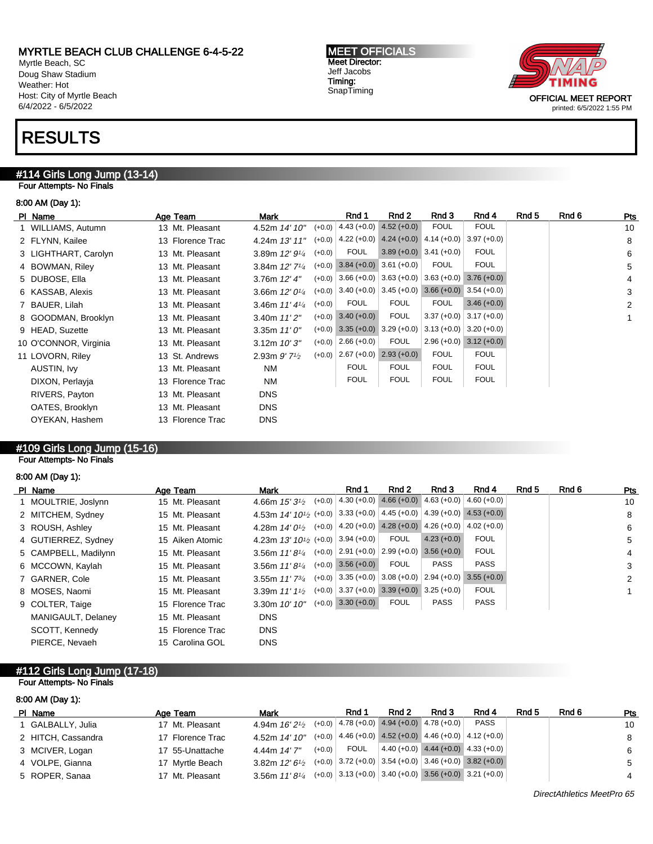Myrtle Beach, SC Doug Shaw Stadium Weather: Hot Host: City of Myrtle Beach 6/4/2022 - 6/5/2022

# RESULTS

### #114 Girls Long Jump (13-14)

Four Attempts- No Finals

### 8:00 AM (Day 1):

| PI Name               | Age Team         | Mark                                      |          | Rnd 1                                                            | Rnd 2                     | Rnd 3                     | Rnd 4                     | Rnd 5 | Rnd 6 | Pts |
|-----------------------|------------------|-------------------------------------------|----------|------------------------------------------------------------------|---------------------------|---------------------------|---------------------------|-------|-------|-----|
| 1 WILLIAMS, Autumn    | 13 Mt. Pleasant  | 4.52m 14' 10"                             |          | $(+0.0)$ 4.43 $(+0.0)$                                           | $4.52(+0.0)$              | <b>FOUL</b>               | <b>FOUL</b>               |       |       | 10  |
| 2 FLYNN, Kailee       | 13 Florence Trac | 4.24m 13' 11"                             |          | $(+0.0)$ 4.22 $(+0.0)$ 4.24 $(+0.0)$ 4.14 $(+0.0)$               |                           |                           | $3.97 (+0.0)$             |       |       | 8   |
| 3 LIGHTHART, Carolyn  | 13 Mt. Pleasant  | 3.89m $12'9'4$                            | $(+0.0)$ | <b>FOUL</b>                                                      | $3.89 (+0.0) 3.41 (+0.0)$ |                           | <b>FOUL</b>               |       |       | 6   |
| 4 BOWMAN, Riley       | 13 Mt. Pleasant  | 3.84m $12'$ 7 <sup>1</sup> / <sub>4</sub> |          | $(+0.0)$ 3.84 $(+0.0)$ 3.61 $(+0.0)$                             |                           | <b>FOUL</b>               | <b>FOUL</b>               |       |       | 5   |
| 5 DUBOSE, Ella        | 13 Mt. Pleasant  | 3.76m $12'$ 4"                            |          | $(+0.0)$ 3.66 $(+0.0)$ 3.63 $(+0.0)$ 3.63 $(+0.0)$ 3.76 $(+0.0)$ |                           |                           |                           |       |       | 4   |
| 6 KASSAB, Alexis      | 13 Mt. Pleasant  | 3.66m $12'0'4$                            |          | $(+0.0)$ 3.40 $(+0.0)$ 3.45 $(+0.0)$ 3.66 $(+0.0)$ 3.54 $(+0.0)$ |                           |                           |                           |       |       | 3   |
| 7 BAUER, Lilah        | 13 Mt. Pleasant  | 3.46m $11'4\frac{1}{4}$                   | $(+0.0)$ | <b>FOUL</b>                                                      | <b>FOUL</b>               | <b>FOUL</b>               | $3.46 (+0.0)$             |       |       | 2   |
| 8 GOODMAN, Brooklyn   | 13 Mt. Pleasant  | 3.40m 11'2"                               |          | $(+0.0)$ 3.40 $(+0.0)$                                           | <b>FOUL</b>               |                           | $3.37 (+0.0) 3.17 (+0.0)$ |       |       |     |
| 9 HEAD, Suzette       | 13 Mt. Pleasant  | 3.35m $11'0''$                            | $(+0.0)$ | $3.35 (+0.0)$                                                    | $3.29(+0.0)$              | $3.13 (+0.0)$ 3.20 (+0.0) |                           |       |       |     |
| 10 O'CONNOR, Virginia | 13 Mt. Pleasant  | $3.12m$ $10'3''$                          |          | $(+0.0)$ 2.66 $(+0.0)$                                           | <b>FOUL</b>               |                           | $2.96 (+0.0)$ 3.12 (+0.0) |       |       |     |
| 11 LOVORN, Riley      | 13 St. Andrews   | 2.93m $9'7'_{2}$                          |          | $(+0.0)$ 2.67 $(+0.0)$ 2.93 $(+0.0)$                             |                           | <b>FOUL</b>               | <b>FOUL</b>               |       |       |     |
| AUSTIN, Ivy           | 13 Mt. Pleasant  | <b>NM</b>                                 |          | <b>FOUL</b>                                                      | <b>FOUL</b>               | <b>FOUL</b>               | <b>FOUL</b>               |       |       |     |
| DIXON, Perlayja       | 13 Florence Trac | <b>NM</b>                                 |          | <b>FOUL</b>                                                      | <b>FOUL</b>               | <b>FOUL</b>               | <b>FOUL</b>               |       |       |     |
| RIVERS, Payton        | 13 Mt. Pleasant  | <b>DNS</b>                                |          |                                                                  |                           |                           |                           |       |       |     |
| OATES, Brooklyn       | 13 Mt. Pleasant  | <b>DNS</b>                                |          |                                                                  |                           |                           |                           |       |       |     |
| OYEKAN, Hashem        | 13 Florence Trac | <b>DNS</b>                                |          |                                                                  |                           |                           |                           |       |       |     |
|                       |                  |                                           |          |                                                                  |                           |                           |                           |       |       |     |

#### #109 Girls Long Jump (15-16) Four Attempts- No Finals

# 8:00 AM (Day 1):

| PI Name              | Age Team         | Mark                                            | Rnd 1                                                            | Rnd 2                     | Rnd 3        | Rnd 4                       | Rnd 5 | Rnd 6 | Pts |
|----------------------|------------------|-------------------------------------------------|------------------------------------------------------------------|---------------------------|--------------|-----------------------------|-------|-------|-----|
| 1 MOULTRIE, Joslynn  | 15 Mt. Pleasant  | 4.66m $15'3\frac{1}{2}$                         | $(+0.0)$ 4.30 (+0.0) 4.66 (+0.0) 4.63 (+0.0) 4.60 (+0.0)         |                           |              |                             |       |       | 10  |
| 2 MITCHEM, Sydney    | 15 Mt. Pleasant  | 4.53m 14' 10 <sup>1</sup> / <sub>2</sub> (+0.0) |                                                                  | $3.33 (+0.0) 4.45 (+0.0)$ |              | $4.39 (+0.0)$ $4.53 (+0.0)$ |       |       | 8   |
| 3 ROUSH, Ashley      | 15 Mt. Pleasant  | 4.28m $14'0^{1/2}$                              | $(+0.0)$ 4.20 $(+0.0)$ 4.28 $(+0.0)$ 4.26 $(+0.0)$ 4.02 $(+0.0)$ |                           |              |                             |       |       | 6   |
| 4 GUTIERREZ, Sydney  | 15 Aiken Atomic  | 4.23m $13'$ $10^{1/2}$ (+0.0) 3.94 (+0.0)       |                                                                  | <b>FOUL</b>               | $4.23(+0.0)$ | <b>FOUL</b>                 |       |       | 5   |
| 5 CAMPBELL, Madilynn | 15 Mt. Pleasant  | 3.56m $11'8\frac{1}{4}$                         | $(+0.0)$ 2.91 $(+0.0)$ 2.99 $(+0.0)$ 3.56 $(+0.0)$               |                           |              | <b>FOUL</b>                 |       |       | 4   |
| 6 MCCOWN, Kaylah     | 15 Mt. Pleasant  | 3.56m $11'8\frac{1}{4}$                         | $(+0.0)$ 3.56 $(+0.0)$                                           | FOUL                      | <b>PASS</b>  | <b>PASS</b>                 |       |       | 3   |
| 7 GARNER, Cole       | 15 Mt. Pleasant  | 3.55m $11'$ $73/4$                              | $(+0.0)$ 3.35 (+0.0) 3.08 (+0.0) 2.94 (+0.0)                     |                           |              | $3.55(+0.0)$                |       |       | 2   |
| 8 MOSES, Naomi       | 15 Mt. Pleasant  | 3.39m $11'1\%$                                  | $(+0.0)$ 3.37 $(+0.0)$ 3.39 $(+0.0)$ 3.25 $(+0.0)$               |                           |              | <b>FOUL</b>                 |       |       |     |
| 9 COLTER, Taige      | 15 Florence Trac | 3.30m 10' 10"                                   | $(+0.0)$ 3.30 $(+0.0)$                                           | <b>FOUL</b>               | PASS         | <b>PASS</b>                 |       |       |     |
| MANIGAULT, Delaney   | 15 Mt. Pleasant  | <b>DNS</b>                                      |                                                                  |                           |              |                             |       |       |     |
| SCOTT, Kennedy       | 15 Florence Trac | <b>DNS</b>                                      |                                                                  |                           |              |                             |       |       |     |
| PIERCE, Nevaeh       | 15 Carolina GOL  | <b>DNS</b>                                      |                                                                  |                           |              |                             |       |       |     |
|                      |                  |                                                 |                                                                  |                           |              |                             |       |       |     |

#### #112 Girls Long Jump (17-18) Four Attempts- No Finals

### 8:00 AM (Day 1):

| PI Name            | Age Team         | Mark                                      |          | Rnd 1 | Rnd 2                                              | Rnd 3 | Rnd 4                                                                  | Rnd 5 | Rnd 6 | Pts |
|--------------------|------------------|-------------------------------------------|----------|-------|----------------------------------------------------|-------|------------------------------------------------------------------------|-------|-------|-----|
| 1 GALBALLY, Julia  | 17 Mt. Pleasant  | 4.94m $16'2\frac{1}{2}$                   |          |       | $(+0.0)$ 4.78 $(+0.0)$ 4.94 $(+0.0)$ 4.78 $(+0.0)$ |       | <b>PASS</b>                                                            |       |       | 10  |
| 2 HITCH, Cassandra | 17 Florence Trac | $4.52m$ 14' 10"                           |          |       |                                                    |       | $(+0.0)$ 4.46 $(+0.0)$ 4.52 $(+0.0)$ 4.46 $(+0.0)$ 4.12 $(+0.0)$       |       |       | 8   |
| 3 MCIVER, Logan    | 17 55-Unattache  | 4.44m 14' 7"                              | $(+0.0)$ | FOUL  |                                                    |       | $\vert 4.40 \, (+0.0) \vert 4.44 \, (+0.0) \vert 4.33 \, (+0.0) \vert$ |       |       | 6   |
| 4 VOLPE, Gianna    | 17 Myrtle Beach  | 3.82m $12'$ 6 <sup>1</sup> / <sub>2</sub> |          |       |                                                    |       | $(+0.0)$ 3.72 (+0.0) 3.54 (+0.0) 3.46 (+0.0) 3.82 (+0.0)               |       |       | 5   |
| 5 ROPER, Sanaa     | 17 Mt. Pleasant  | 3.56m $11'8\frac{1}{4}$                   |          |       |                                                    |       | $(+0.0)$ 3.13 $(+0.0)$ 3.40 $(+0.0)$ 3.56 $(+0.0)$ 3.21 $(+0.0)$       |       |       |     |

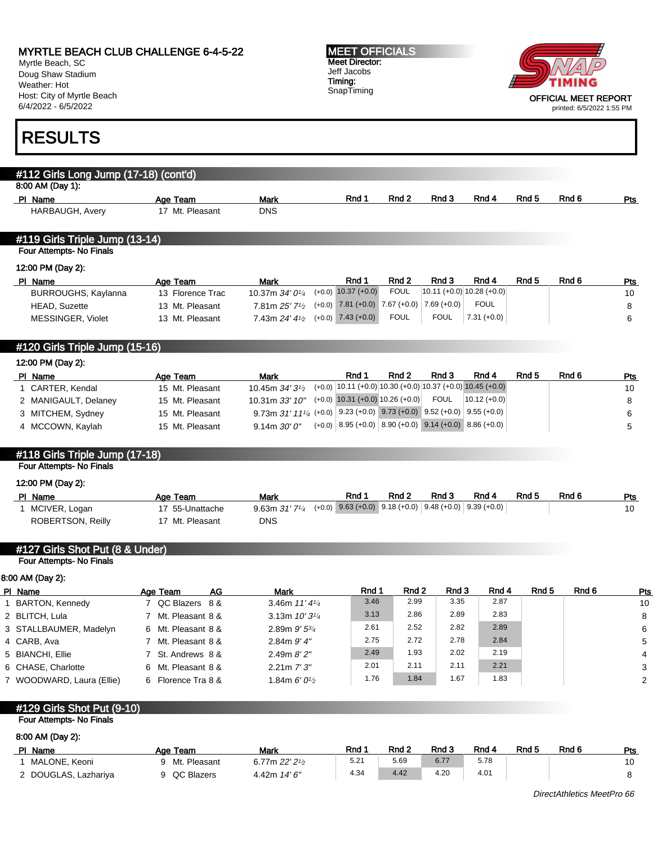Myrtle Beach, SC Doug Shaw Stadium Weather: Hot Host: City of Myrtle Beach 6/4/2022 - 6/5/2022

#### MEET OFFICIALS Meet Director: Jeff Jacobs Timing: SnapTiming



# RESULTS

| #112 Girls Long Jump (17-18) (cont'd)<br>8:00 AM (Day 1): |                 |            |     |                  |       |       |                  |       |            |  |
|-----------------------------------------------------------|-----------------|------------|-----|------------------|-------|-------|------------------|-------|------------|--|
| PI Name                                                   | Age Team        | Mark       | Rnd | Rnd <sub>2</sub> | Rnd 3 | Rnd 4 | Rnd <sub>5</sub> | Rnd 6 | <b>Pts</b> |  |
| HARBAUGH, Avery                                           | 17 Mt. Pleasant | <b>DNS</b> |     |                  |       |       |                  |       |            |  |

# #119 Girls Triple Jump (13-14)

### Four Attempts- No Finals

| 12:00 PM (Day 2):    |                  |                                        |  |                                                    |             |             |                               |       |       |     |  |
|----------------------|------------------|----------------------------------------|--|----------------------------------------------------|-------------|-------------|-------------------------------|-------|-------|-----|--|
| PI Name              | Age Team         | Mark                                   |  | Rnd 1                                              | Rnd 2       | Rnd 3       | Rnd 4                         | Rnd 5 | Rnd 6 | Pts |  |
| BURROUGHS, Kaylanna  | 13 Florence Trac | 10.37m <i>34' 01/4</i>                 |  | $(+0.0)$ 10.37 $(+0.0)$                            | <b>FOUL</b> |             | $ 10.11 (+0.0) 10.28 (+0.0) $ |       |       | 10  |  |
| <b>HEAD.</b> Suzette | 13 Mt. Pleasant  | 7.81m 25' 71/2                         |  | $(+0.0)$ 7.81 $(+0.0)$ 7.67 $(+0.0)$ 7.69 $(+0.0)$ |             |             | <b>FOUL</b>                   |       |       |     |  |
| MESSINGER, Violet    | 13 Mt. Pleasant  | 7.43m $24'$ $41'_2$ (+0.0) 7.43 (+0.0) |  |                                                    | <b>FOUL</b> | <b>FOUL</b> | $7.31 (+0.0)$                 |       |       | 6   |  |
|                      |                  |                                        |  |                                                    |             |             |                               |       |       |     |  |

# #120 Girls Triple Jump (15-16)

| 12:00 PM (Day 2): |                      |                 |                                                                       |  |                                        |       |       |                                                                  |       |       |                 |
|-------------------|----------------------|-----------------|-----------------------------------------------------------------------|--|----------------------------------------|-------|-------|------------------------------------------------------------------|-------|-------|-----------------|
|                   | PI Name              | Age Team        | <b>Mark</b>                                                           |  | Rnd 1                                  | Rnd 2 | Rnd 3 | Rnd 4                                                            | Rnd 5 | Rnd 6 | Pts             |
|                   | 1 CARTER, Kendal     | 15 Mt. Pleasant | 10.45m $34'3'2$                                                       |  |                                        |       |       | $(+0.0)$ 10.11 (+0.0) 10.30 (+0.0) 10.37 (+0.0) 10.45 (+0.0)     |       |       | 10 <sup>°</sup> |
|                   | 2 MANIGAULT, Delaney | 15 Mt. Pleasant | 10.31m <i>33' 10"</i>                                                 |  | $(+0.0)$ 10.31 $(+0.0)$ 10.26 $(+0.0)$ |       | FOUL  | $ 10.12(+0.0) $                                                  |       |       |                 |
|                   | 3 MITCHEM, Sydney    | 15 Mt. Pleasant | 9.73m 31' 1114 (+0.0) 9.23 (+0.0) 9.73 (+0.0) 9.52 (+0.0) 9.55 (+0.0) |  |                                        |       |       |                                                                  |       |       |                 |
|                   | 4 MCCOWN, Kaylah     | 15 Mt. Pleasant | $9.14m$ $30'0''$                                                      |  |                                        |       |       | $(+0.0)$ 8.95 $(+0.0)$ 8.90 $(+0.0)$ 9.14 $(+0.0)$ 8.86 $(+0.0)$ |       |       |                 |

### #118 Girls Triple Jump (17-18)

Four Attempts- No Finals

#### 12:00 PM (Day 2):

| PI Name           | Age Team        | Mark                                                                                     | Rnd 1 | Rnd 2 | Rnd 3 | Rnd 4 | Rnd 5 | Rnd 6 | Pts |
|-------------------|-----------------|------------------------------------------------------------------------------------------|-------|-------|-------|-------|-------|-------|-----|
| MCIVER, Logan     | 17 55-Unattache | $9.63$ m $31'$ $7^{1}/_4$ (+0.0) $9.63$ (+0.0) $9.18$ (+0.0) $9.48$ (+0.0) $9.39$ (+0.0) |       |       |       |       |       |       |     |
| ROBERTSON, Reilly | 17 Mt. Pleasant | DNS                                                                                      |       |       |       |       |       |       |     |

### #127 Girls Shot Put (8 & Under)

# Four Attempts- No Finals 8:00 AM (Day 2):

| PI Name                   |  | AG       | <b>Mark</b>                                                                                                                                     | Rnd 1 | Rnd 2 | Rnd 3 | Rnd 4 | Rnd 5 | Rnd 6 | Pts            |
|---------------------------|--|----------|-------------------------------------------------------------------------------------------------------------------------------------------------|-------|-------|-------|-------|-------|-------|----------------|
| 1 BARTON, Kennedy         |  |          | 3.46m $11'4\frac{1}{4}$                                                                                                                         | 3.46  | 2.99  | 3.35  | 2.87  |       |       | 10             |
| 2 BLITCH, Lula            |  |          | 3.13m $10'3^{1/4}$                                                                                                                              | 3.13  | 2.86  | 2.89  | 2.83  |       |       | 8              |
| 3 STALLBAUMER, Madelyn    |  |          | 2.89m $9'5^{3/4}$                                                                                                                               | 2.61  | 2.52  | 2.82  | 2.89  |       |       | 6              |
| 4 CARB, Ava               |  |          | 2.84m $9'4''$                                                                                                                                   | 2.75  | 2.72  | 2.78  | 2.84  |       |       | 5              |
| 5 BIANCHI, Ellie          |  |          | 2.49m $8'2''$                                                                                                                                   | 2.49  | 1.93  | 2.02  | 2.19  |       |       | $\overline{4}$ |
| 6 CHASE, Charlotte        |  |          | $2.21m$ $7'3''$                                                                                                                                 | 2.01  | 2.11  | 2.11  | 2.21  |       |       | 3              |
| 7 WOODWARD, Laura (Ellie) |  |          | 1.84m $6^{\prime}\,0^{\scriptscriptstyle 1\!}/_{\scriptscriptstyle \rm 2}$                                                                      | 1.76  | 1.84  | 1.67  | 1.83  |       |       | $\mathcal{P}$  |
|                           |  | Age Team | 7 QC Blazers 8 &<br>Mt. Pleasant 8 &<br>6 Mt. Pleasant 8 &<br>Mt. Pleasant 8 &<br>7 St. Andrews 8 &<br>6 Mt. Pleasant 8 &<br>6 Florence Tra 8 & |       |       |       |       |       |       |                |

### #129 Girls Shot Put (9-10)

# Four Attempts- No Finals

| 8:00 AM (Day 2): |  |
|------------------|--|
|------------------|--|

| PI Name              | Age Team     | Mark           | Rnd 1 | Rnd 2 | Rnd 3 | Rnd 4 | Rnd 5 | Rnd 6 | Pts |
|----------------------|--------------|----------------|-------|-------|-------|-------|-------|-------|-----|
| MALONE, Keoni        | Mt. Pleasant | 6.77m 22' 21⁄2 | 5.21  | 5.69  | 6.77  | 5.78  |       |       | 10  |
| 2 DOUGLAS, Lazhariya | 9 QC Blazers | 4.42m $14'6''$ | 4.34  | 4.42  | 4.20  | 4.01  |       |       |     |

DirectAthletics MeetPro 66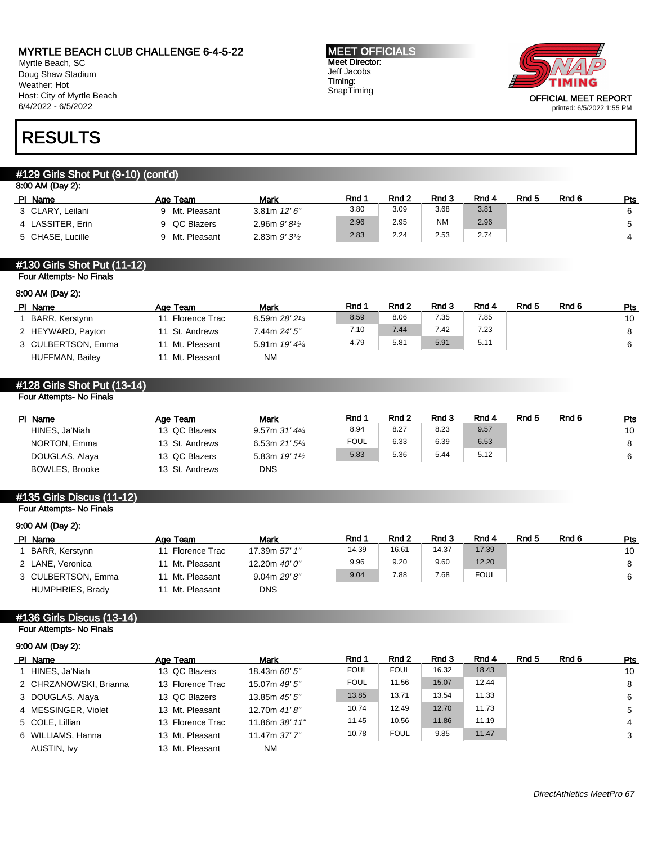Myrtle Beach, SC Doug Shaw Stadium Weather: Hot Host: City of Myrtle Beach 6/4/2022 - 6/5/2022

#### MEET OFFICIALS Meet Director: Jeff Jacobs Timing: SnapTiming



# RESULTS

### #129 Girls Shot Put (9-10) (cont'd)

| 8:00 AM (Day 2): |  |                |                   |       |       |           |       |       |       |     |
|------------------|--|----------------|-------------------|-------|-------|-----------|-------|-------|-------|-----|
| PI Name          |  | Age Team       | <b>Mark</b>       | Rnd · | Rnd 2 | Rnd 3     | Rnd 4 | Rnd 5 | Rnd 6 | Pts |
| 3 CLARY, Leilani |  | 9 Mt. Pleasant | $3.81m$ $12'6''$  | 3.80  | 3.09  | 3.68      | 3.81  |       |       | 6   |
| 4 LASSITER, Erin |  | 9 QC Blazers   | 2.96m $9'81/2$    | 2.96  | 2.95  | <b>NM</b> | 2.96  |       |       |     |
| 5 CHASE, Lucille |  | Mt. Pleasant   | 2.83m $9'3^{1/2}$ | 2.83  | 2.24  | 2.53      | 2.74  |       |       |     |

### #130 Girls Shot Put (11-12) Four Attempts- No Finals

| 8:00 AM (Day 2):       |                  |                   |                  |       |       |       |       |       |                 |
|------------------------|------------------|-------------------|------------------|-------|-------|-------|-------|-------|-----------------|
| PI Name                | Age Team         | Mark              | Rnd <sup>1</sup> | Rnd 2 | Rnd 3 | Rnd 4 | Rnd 5 | Rnd 6 | Pts             |
| BARR, Kerstynn         | 11 Florence Trac | 8.59m 28' 21/4    | 8.59             | 8.06  | 7.35  | 7.85  |       |       | 10 <sup>1</sup> |
| 2 HEYWARD, Payton      | 11 St. Andrews   | 7.44m 24' 5"      | 7.10             | 7.44  | 7.42  | 7.23  |       |       | 8               |
| 3 CULBERTSON, Emma     | 11 Mt. Pleasant  | 5.91m $19'$ $43'$ | 4.79             | 5.81  | 5.91  | 5.11  |       |       | 6               |
| <b>HUFFMAN, Bailey</b> | Mt. Pleasant     | <b>NM</b>         |                  |       |       |       |       |       |                 |

### #128 Girls Shot Put (13-14)

#### Four Attempts- No Finals

| PI Name               | Age Team       | Mark                       | Rnd 1       | Rnd 2 | Rnd 3 | Rnd 4 | Rnd 5 | Rnd 6 | Pts |
|-----------------------|----------------|----------------------------|-------------|-------|-------|-------|-------|-------|-----|
| HINES, Ja'Niah        | 13 QC Blazers  | 9.57m $31'$ $4\frac{3}{4}$ | 8.94        | 8.27  | 8.23  | 9.57  |       |       | 10  |
| NORTON, Emma          | 13 St. Andrews | 6.53m $21'5''$             | <b>FOUL</b> | 6.33  | 6.39  | 6.53  |       |       | 8   |
| DOUGLAS, Alaya        | 13 QC Blazers  | 5.83m $19'1\frac{1}{2}$    | 5.83        | 5.36  | 5.44  | 5.12  |       |       |     |
| <b>BOWLES, Brooke</b> | 13 St. Andrews | <b>DNS</b>                 |             |       |       |       |       |       |     |

# #135 Girls Discus (11-12)

# Four Attempts- No Finals

| 9:00 AM (Day 2):   |                  |               |       |       |       |             |       |       |     |
|--------------------|------------------|---------------|-------|-------|-------|-------------|-------|-------|-----|
| PI Name            | Age Team         | <b>Mark</b>   | Rnd 1 | Rnd 2 | Rnd 3 | Rnd 4       | Rnd 5 | Rnd 6 | Pts |
| BARR, Kerstynn     | 11 Florence Trac | 17.39m 57' 1" | 14.39 | 16.61 | 14.37 | 17.39       |       |       | 10  |
| 2 LANE, Veronica   | 11 Mt. Pleasant  | 12.20m 40' 0" | 9.96  | 9.20  | 9.60  | 12.20       |       |       | 8   |
| 3 CULBERTSON, Emma | Mt. Pleasant     | 9.04m 29'8''  | 9.04  | 7.88  | 7.68  | <b>FOUL</b> |       |       | 6   |
| HUMPHRIES, Brady   | Mt. Pleasant     | <b>DNS</b>    |       |       |       |             |       |       |     |

#### #136 Girls Discus (13-14) Four Attempts- No Finals

### 9:00 AM (Day 2):

| PI Name                | Age Team         | <b>Mark</b>    | Rnd 1       | Rnd 2       | Rnd 3 | Rnd 4 | Rnd 5 | Rnd 6 | Pts |
|------------------------|------------------|----------------|-------------|-------------|-------|-------|-------|-------|-----|
| HINES, Ja'Niah         | 13 QC Blazers    | 18.43m 60' 5"  | <b>FOUL</b> | <b>FOUL</b> | 16.32 | 18.43 |       |       | 10  |
| 2 CHRZANOWSKI, Brianna | 13 Florence Trac | 15.07m 49' 5"  | <b>FOUL</b> | 11.56       | 15.07 | 12.44 |       |       | 8   |
| 3 DOUGLAS, Alaya       | 13 QC Blazers    | 13.85m 45' 5"  | 13.85       | 13.71       | 13.54 | 11.33 |       |       | 6   |
| 4 MESSINGER, Violet    | 13 Mt. Pleasant  | 12.70m 41'8"   | 10.74       | 12.49       | 12.70 | 11.73 |       |       | 5   |
| 5 COLE, Lillian        | 13 Florence Trac | 11.86m 38' 11" | 11.45       | 10.56       | 11.86 | 11.19 |       |       | 4   |
| 6 WILLIAMS, Hanna      | 13 Mt. Pleasant  | 11.47m 37' 7"  | 10.78       | <b>FOUL</b> | 9.85  | 11.47 |       |       | 3   |
| AUSTIN, Ivy            | 13 Mt. Pleasant  | <b>NM</b>      |             |             |       |       |       |       |     |
|                        |                  |                |             |             |       |       |       |       |     |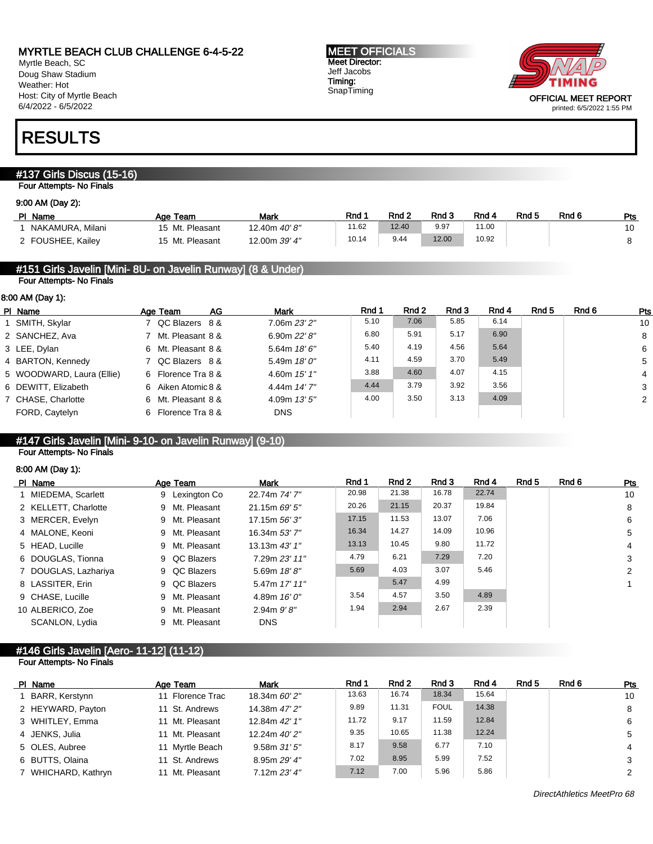Myrtle Beach, SC Doug Shaw Stadium Weather: Hot Host: City of Myrtle Beach 6/4/2022 - 6/5/2022

#### MEET OFFICIALS Meet Director: Jeff Jacobs Timing: SnapTiming



# RESULTS

### #137 Girls Discus (15-16)

Four Attempts- No Finals

#### 9:00 AM (Day 2):

| PI Name           | Age Team        | Mark          | Rnd 1 | Rnd 2 | Rnd 3 | Rnd 4 | Rnd 5 | Rnd 6 | Pts |
|-------------------|-----------------|---------------|-------|-------|-------|-------|-------|-------|-----|
| NAKAMURA, Milani  | 15 Mt. Pleasant | 12.40m 40'8"  | 1.62  | 12.40 | 9.97  | 11.00 |       |       |     |
| 2 FOUSHEE, Kailey | 15 Mt. Pleasant | 12.00m 39' 4" | 10.14 | 9.44  | 12.00 | 10.92 |       |       |     |

#### #151 Girls Javelin [Mini- 8U- on Javelin Runway] (8 & Under) Four Attempts- No Finals

# 8:00 AM (Day 1):

| PI Name                   | Age Team           | AG. | Mark           | Rnd 1 | Rnd 2 | Rnd 3 | Rnd 4 | Rnd 5 | Rnd 6 | Pts            |
|---------------------------|--------------------|-----|----------------|-------|-------|-------|-------|-------|-------|----------------|
| 1 SMITH, Skylar           | 7 QC Blazers 8 &   |     | 7.06m 23' 2"   | 5.10  | 7.06  | 5.85  | 6.14  |       |       | 10             |
| 2 SANCHEZ, Ava            | Mt. Pleasant 8 &   |     | 6.90m 22' 8"   | 6.80  | 5.91  | 5.17  | 6.90  |       |       | 8              |
| 3 LEE, Dylan              | 6 Mt. Pleasant 8 & |     | 5.64m $18'6''$ | 5.40  | 4.19  | 4.56  | 5.64  |       |       | 6              |
| 4 BARTON, Kennedy         | 7 QC Blazers 8 &   |     | 5.49m $18'0''$ | 4.11  | 4.59  | 3.70  | 5.49  |       |       | 5              |
| 5 WOODWARD, Laura (Ellie) | 6 Florence Tra 8 & |     | 4.60m $15'1''$ | 3.88  | 4.60  | 4.07  | 4.15  |       |       | $\overline{4}$ |
| 6 DEWITT, Elizabeth       | 6 Aiken Atomic 8 & |     | 4.44m 14' 7"   | 4.44  | 3.79  | 3.92  | 3.56  |       |       | 3              |
| 7 CHASE, Charlotte        | 6 Mt. Pleasant 8 & |     | 4.09m $13'5''$ | 4.00  | 3.50  | 3.13  | 4.09  |       |       | $\overline{2}$ |
| FORD, Caytelyn            | 6 Florence Tra 8 & |     | <b>DNS</b>     |       |       |       |       |       |       |                |

# #147 Girls Javelin [Mini- 9-10- on Javelin Runway] (9-10)

# Four Attempts- No Finals

### 8:00 AM (Day 1):

| PI Name              | Age Team       | Mark            | Rnd 1 | Rnd 2 | Rnd 3 | Rnd 4 | Rnd 5 | Rnd 6 | Pts |
|----------------------|----------------|-----------------|-------|-------|-------|-------|-------|-------|-----|
| MIEDEMA, Scarlett    | 9 Lexington Co | 22.74m 74' 7"   | 20.98 | 21.38 | 16.78 | 22.74 |       |       | 10  |
| 2 KELLETT, Charlotte | 9 Mt. Pleasant | 21.15m 69' 5"   | 20.26 | 21.15 | 20.37 | 19.84 |       |       | 8   |
| 3 MERCER, Evelyn     | 9 Mt. Pleasant | 17.15m 56'3''   | 17.15 | 11.53 | 13.07 | 7.06  |       |       | 6   |
| 4 MALONE, Keoni      | 9 Mt. Pleasant | 16.34m 53'7"    | 16.34 | 14.27 | 14.09 | 10.96 |       |       | 5   |
| 5 HEAD, Lucille      | 9 Mt. Pleasant | 13.13m $43'1''$ | 13.13 | 10.45 | 9.80  | 11.72 |       |       | 4   |
| 6 DOUGLAS, Tionna    | 9 QC Blazers   | 7.29m 23' 11"   | 4.79  | 6.21  | 7.29  | 7.20  |       |       | 3   |
| 7 DOUGLAS, Lazhariya | 9 QC Blazers   | 5.69m 18'8"     | 5.69  | 4.03  | 3.07  | 5.46  |       |       | 2   |
| 8 LASSITER, Erin     | 9 QC Blazers   | 5.47m 17' 11"   |       | 5.47  | 4.99  |       |       |       |     |
| 9 CHASE, Lucille     | 9 Mt. Pleasant | 4.89m 16' 0"    | 3.54  | 4.57  | 3.50  | 4.89  |       |       |     |
| 10 ALBERICO, Zoe     | 9 Mt. Pleasant | $2.94m$ $9'8''$ | 1.94  | 2.94  | 2.67  | 2.39  |       |       |     |
| SCANLON, Lydia       | 9 Mt. Pleasant | <b>DNS</b>      |       |       |       |       |       |       |     |

### #146 Girls Javelin [Aero- 11-12] (11-12) Four Attempts- No Finals

| PI Name             | Age Team            | <b>Mark</b>   | Rnd 1 | Rnd 2 | Rnd 3       | Rnd 4 | Rnd 5 | Rnd 6 | Pts |
|---------------------|---------------------|---------------|-------|-------|-------------|-------|-------|-------|-----|
| 1 BARR, Kerstynn    | Florence Trac<br>11 | 18.34m 60' 2" | 13.63 | 16.74 | 18.34       | 15.64 |       |       | 10  |
| 2 HEYWARD, Payton   | 11 St. Andrews      | 14.38m 47' 2" | 9.89  | 11.31 | <b>FOUL</b> | 14.38 |       |       | 8   |
| 3 WHITLEY, Emma     | 11 Mt. Pleasant     | 12.84m 42' 1" | 11.72 | 9.17  | 11.59       | 12.84 |       |       | 6   |
| 4 JENKS, Julia      | 11 Mt. Pleasant     | 12.24m 40' 2" | 9.35  | 10.65 | 11.38       | 12.24 |       |       | 5   |
| 5 OLES, Aubree      | 11 Myrtle Beach     | 9.58m31'5''   | 8.17  | 9.58  | 6.77        | 7.10  |       |       | 4   |
| 6 BUTTS, Olaina     | 11 St. Andrews      | 8.95m 29' 4"  | 7.02  | 8.95  | 5.99        | 7.52  |       |       | 3   |
| 7 WHICHARD, Kathryn | Mt. Pleasant<br>11  | 7.12m 23' 4"  | 7.12  | 7.00  | 5.96        | 5.86  |       |       | 2   |

DirectAthletics MeetPro 68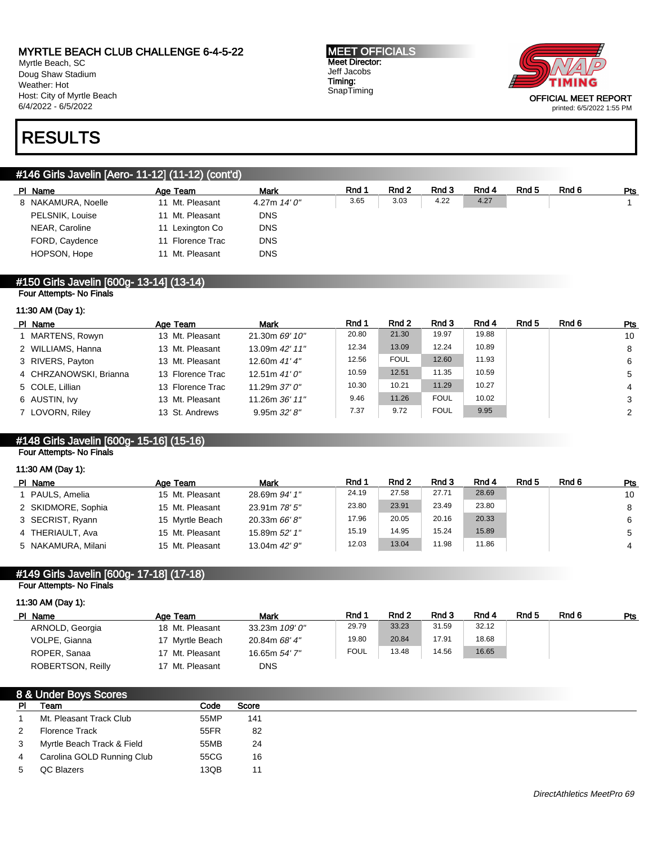Myrtle Beach, SC Doug Shaw Stadium Weather: Hot Host: City of Myrtle Beach 6/4/2022 - 6/5/2022

#### MEET OFFICIALS Meet Director: Jeff Jacobs Timing: SnapTiming



printed: 6/5/2022 1:55 PM

# RESULTS

### #146 Girls Javelin [Aero- 11-12] (11-12) (cont'd)

| PI Name            | Age Team         | <b>Mark</b>    | Rnd 1 | Rnd 2 | Rnd 3 | Rnd 4 | Rnd 5 | Rnd 6 | Pts |
|--------------------|------------------|----------------|-------|-------|-------|-------|-------|-------|-----|
| 8 NAKAMURA, Noelle | 11 Mt. Pleasant  | 4.27m $14'0''$ | 3.65  | 3.03  | 4.22  | 4.27  |       |       |     |
| PELSNIK, Louise    | 11 Mt. Pleasant  | <b>DNS</b>     |       |       |       |       |       |       |     |
| NEAR, Caroline     | 11 Lexington Co  | <b>DNS</b>     |       |       |       |       |       |       |     |
| FORD, Caydence     | 11 Florence Trac | <b>DNS</b>     |       |       |       |       |       |       |     |
| HOPSON, Hope       | 11 Mt. Pleasant  | <b>DNS</b>     |       |       |       |       |       |       |     |

### #150 Girls Javelin [600g- 13-14] (13-14) Four Attempts- No Finals

# 11:30 AM (Day 1):

| PI Name                | Age Team         | <b>Mark</b>     | Rnd 1 | Rnd 2       | Rnd 3       | Rnd 4 | Rnd 5 | Rnd 6 | Pts |
|------------------------|------------------|-----------------|-------|-------------|-------------|-------|-------|-------|-----|
| MARTENS, Rowyn         | 13 Mt. Pleasant  | 21.30m 69' 10"  | 20.80 | 21.30       | 19.97       | 19.88 |       |       | 10  |
| 2 WILLIAMS, Hanna      | 13 Mt. Pleasant  | 13.09m 42' 11"  | 12.34 | 13.09       | 12.24       | 10.89 |       |       | 8   |
| 3 RIVERS, Payton       | 13 Mt. Pleasant  | 12.60m 41' 4"   | 12.56 | <b>FOUL</b> | 12.60       | 11.93 |       |       | 6   |
| 4 CHRZANOWSKI, Brianna | 13 Florence Trac | 12.51m 41'0''   | 10.59 | 12.51       | 11.35       | 10.59 |       |       | 5   |
| 5 COLE, Lillian        | 13 Florence Trac | 11.29m $37'0''$ | 10.30 | 10.21       | 11.29       | 10.27 |       |       | 4   |
| 6 AUSTIN, Ivy          | 13 Mt. Pleasant  | 11.26m 36' 11"  | 9.46  | 11.26       | <b>FOUL</b> | 10.02 |       |       |     |
| 7 LOVORN, Riley        | 13 St. Andrews   | 9.95m 32' 8''   | 7.37  | 9.72        | <b>FOUL</b> | 9.95  |       |       |     |

### #148 Girls Javelin [600g- 15-16] (15-16) Four Attempts- No Finals

| 11:30 AM (Day 1):  |                 |               |       |       |       |       |       |       |     |
|--------------------|-----------------|---------------|-------|-------|-------|-------|-------|-------|-----|
| PI Name            | Age Team        | Mark          | Rnd 1 | Rnd 2 | Rnd 3 | Rnd 4 | Rnd 5 | Rnd 6 | Pts |
| 1 PAULS, Amelia    | 15 Mt. Pleasant | 28.69m 94' 1" | 24.19 | 27.58 | 27.71 | 28.69 |       |       | 10  |
| 2 SKIDMORE, Sophia | 15 Mt. Pleasant | 23.91m 78' 5" | 23.80 | 23.91 | 23.49 | 23.80 |       |       | 8   |
| 3 SECRIST, Ryann   | 15 Myrtle Beach | 20.33m 66' 8" | 17.96 | 20.05 | 20.16 | 20.33 |       |       | 6   |
| 4 THERIAULT, Ava   | 15 Mt. Pleasant | 15.89m 52' 1" | 15.19 | 14.95 | 15.24 | 15.89 |       |       | 5   |
| 5 NAKAMURA, Milani | 15 Mt. Pleasant | 13.04m 42' 9" | 12.03 | 13.04 | 11.98 | 11.86 |       |       |     |

### #149 Girls Javelin [600g- 17-18] (17-18) Four Attempts- No Finals

### 11:30 AM (Day 1):

| PI Name           | Age Team        | <b>Mark</b>    | Rnd 1       | Rnd 2 | Rnd 3 | Rnd 4 | Rnd 5 | Rnd 6 | Pts |
|-------------------|-----------------|----------------|-------------|-------|-------|-------|-------|-------|-----|
| ARNOLD, Georgia   | 18 Mt. Pleasant | 33.23m 109' 0" | 29.79       | 33.23 | 31.59 | 32.12 |       |       |     |
| VOLPE, Gianna     | 17 Myrtle Beach | 20.84m 68' 4"  | 19.80       | 20.84 | 17.91 | 18.68 |       |       |     |
| ROPER, Sanaa      | 17 Mt. Pleasant | 16.65m 54' 7"  | <b>FOUL</b> | 13.48 | 14.56 | 16.65 |       |       |     |
| ROBERTSON, Reilly | 17 Mt. Pleasant | <b>DNS</b>     |             |       |       |       |       |       |     |

### 8 & Under Boys Scores

| PI | Team                       | Code | Score |
|----|----------------------------|------|-------|
|    | Mt. Pleasant Track Club    | 55MP | 141   |
| 2  | Florence Track             | 55FR | 82    |
| 3  | Myrtle Beach Track & Field | 55MB | 24    |
| 4  | Carolina GOLD Running Club | 55CG | 16    |
| 5  | QC Blazers                 | 13QB | 11    |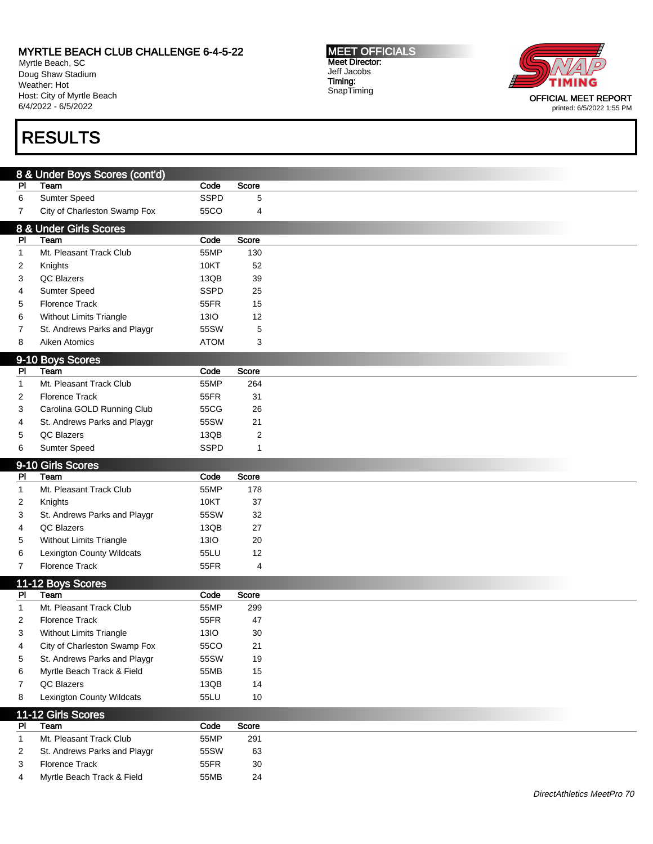Myrtle Beach, SC Doug Shaw Stadium Weather: Hot Host: City of Myrtle Beach 6/4/2022 - 6/5/2022

# RESULTS

|                | 8 & Under Boys Scores (cont'd)   |             |       |
|----------------|----------------------------------|-------------|-------|
| P <sub>1</sub> | Team                             | Code        | Score |
| 6              | Sumter Speed                     | SSPD        | 5     |
| $\overline{7}$ | City of Charleston Swamp Fox     | 55CO        | 4     |
|                | 8 & Under Girls Scores           |             |       |
| PI             | Team                             | Code        | Score |
| $\mathbf{1}$   | Mt. Pleasant Track Club          | 55MP        | 130   |
| $\overline{c}$ | Knights                          | <b>10KT</b> | 52    |
| 3              | QC Blazers                       | 13QB        | 39    |
| 4              | Sumter Speed                     | SSPD        | 25    |
| 5              | <b>Florence Track</b>            | 55FR        | 15    |
| 6              | <b>Without Limits Triangle</b>   | <b>13IO</b> | 12    |
| 7              | St. Andrews Parks and Playgr     | 55SW        | 5     |
| 8              | Aiken Atomics                    | <b>ATOM</b> | 3     |
|                |                                  |             |       |
|                | 9-10 Boys Scores                 |             |       |
| P <sub>1</sub> | Team                             | Code        | Score |
| $\mathbf{1}$   | Mt. Pleasant Track Club          | 55MP        | 264   |
| $\overline{c}$ | <b>Florence Track</b>            | 55FR        | 31    |
| 3              | Carolina GOLD Running Club       | 55CG        | 26    |
| 4              | St. Andrews Parks and Playgr     | 55SW        | 21    |
| 5              | QC Blazers                       | 13QB        | 2     |
| 6              | Sumter Speed                     | SSPD        | 1     |
|                | 9-10 Girls Scores                |             |       |
| P <sub>1</sub> | Team                             | Code        | Score |
| $\mathbf{1}$   | Mt. Pleasant Track Club          | 55MP        | 178   |
| 2              | Knights                          | 10KT        | 37    |
| 3              | St. Andrews Parks and Playgr     | 55SW        | 32    |
| 4              | QC Blazers                       | 13QB        | 27    |
| 5              | <b>Without Limits Triangle</b>   | <b>13IO</b> | 20    |
| 6              | <b>Lexington County Wildcats</b> | 55LU        | 12    |
| 7              | <b>Florence Track</b>            | 55FR        | 4     |
|                | 11-12 Boys Scores                |             |       |
| P <sub>1</sub> | Team                             | Code        | Score |
| $\mathbf{1}$   | Mt. Pleasant Track Club          | 55MP        | 299   |
| $\overline{2}$ | <b>Florence Track</b>            | 55FR        | 47    |
| 3              | Without Limits Triangle          | <b>13IO</b> | 30    |
| 4              | City of Charleston Swamp Fox     | 55CO        | 21    |
| 5              | St. Andrews Parks and Playgr     | 55SW        | 19    |
| 6              | Myrtle Beach Track & Field       | 55MB        | 15    |
| 7              | QC Blazers                       | 13QB        | 14    |
| 8              | <b>Lexington County Wildcats</b> | 55LU        | 10    |
|                | 11-12 Girls Scores               |             |       |
| P <sub>1</sub> | Team                             | Code        | Score |
| $\mathbf{1}$   | Mt. Pleasant Track Club          | 55MP        | 291   |
| 2              | St. Andrews Parks and Playgr     | 55SW        | 63    |
|                | <b>Florence Track</b>            | 55FR        | 30    |
| 3              |                                  |             |       |

MEET OFFICIALS Meet Director: Jeff Jacobs Timing: SnapTiming

OFFICIAL MEET REPORT printed: 6/5/2022 1:55 PM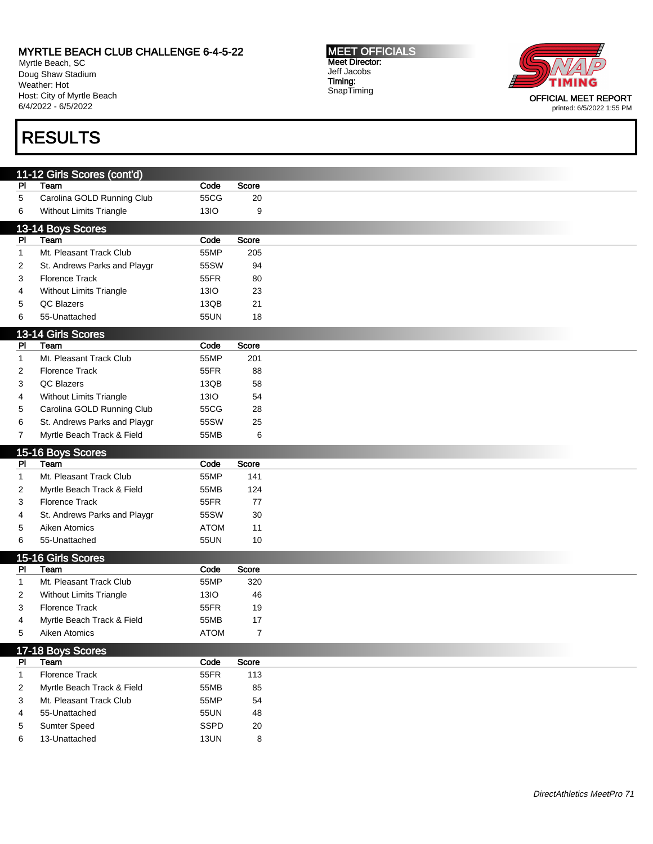Myrtle Beach, SC Doug Shaw Stadium Weather: Hot Host: City of Myrtle Beach 6/4/2022 - 6/5/2022

# RESULTS

### 11-12 Girls Scores (cont'd) Pl Team **Code** Score 5 Carolina GOLD Running Club 55CG 20 6 Without Limits Triangle 13IO 9 13-14 Boys Scores<br>PL Team Pl Team **Code** Score 1 Mt. Pleasant Track Club 55MP 205 2 St. Andrews Parks and Playgr 55SW 94 3 Florence Track 55FR 80 4 Without Limits Triangle 13IO 23 5 QC Blazers 13QB 21 6 55-Unattached 55UN 18 13-14 Girls Scores PI Team Code Score 1 Mt. Pleasant Track Club 55MP 201 2 Florence Track 55FR 88 3 QC Blazers 13QB 58 4 Without Limits Triangle 13IO 54 5 Carolina GOLD Running Club 55CG 28 6 St. Andrews Parks and Playgr 55SW 25 7 Myrtle Beach Track & Field 55MB 6 15-16 Boys Scores PI Team Code Score 1 Mt. Pleasant Track Club 55MP 141 2 Myrtle Beach Track & Field 55MB 124 3 Florence Track 55FR 77 4 St. Andrews Parks and Playgr 55SW 30 5 Aiken Atomics **ATOM** 11 6 55-Unattached 55UN 10 15-16 Girls Scores PI Team Code Score 1 Mt. Pleasant Track Club 55MP 320 2 Without Limits Triangle 13IO 46 3 Florence Track 55FR 19 4 Myrtle Beach Track & Field 55MB 17 5 Aiken Atomics **ATOM** 7 17-18 Boys Scores<br>PL Team Pl Team **Code** Score 1 Florence Track 55FR 113 2 Myrtle Beach Track & Field 55MB 85 3 Mt. Pleasant Track Club 55MP 54 4 55-Unattached 55UN 48 5 Sumter Speed SSPD 20 6 13-Unattached 13UN 8

MEET OFFICIALS Meet Director: Jeff Jacobs Timing: **SnapTiming**